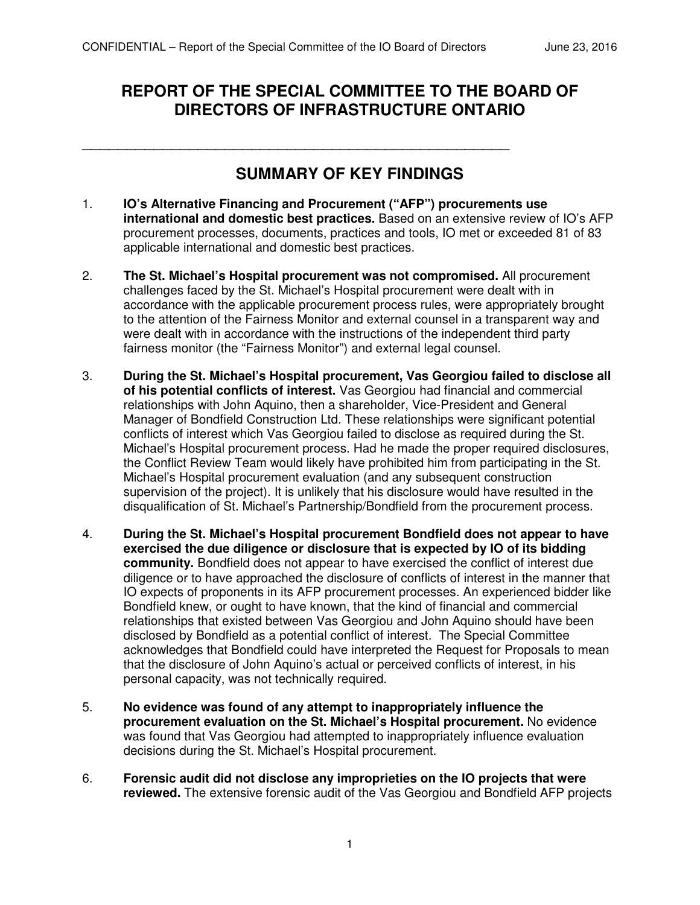\_\_\_\_\_\_\_\_\_\_\_\_\_\_\_\_\_\_\_\_\_\_\_\_\_\_\_\_\_\_\_\_\_\_\_\_\_\_\_\_\_\_\_\_\_\_\_\_

# **REPORT OF THE SPECIAL COMMITTEE TO THE BOARD OF DIRECTORS OF INFRASTRUCTURE ONTARIO**

# **SUMMARY OF KEY FINDINGS**

- 1. **IO's Alternative Financing and Procurement ("AFP") procurements use international and domestic best practices.** Based on an extensive review of IO's AFP procurement processes, documents, practices and tools, IO met or exceeded 81 of 83 applicable international and domestic best practices.
- 2. **The St. Michael's Hospital procurement was not compromised.** All procurement challenges faced by the St. Michael's Hospital procurement were dealt with in accordance with the applicable procurement process rules, were appropriately brought to the attention of the Fairness Monitor and external counsel in a transparent way and were dealt with in accordance with the instructions of the independent third party fairness monitor (the "Fairness Monitor") and external legal counsel.
- 3. **During the St. Michael's Hospital procurement, Vas Georgiou failed to disclose all of his potential conflicts of interest.** Vas Georgiou had financial and commercial relationships with John Aquino, then a shareholder, Vice-President and General Manager of Bondfield Construction Ltd. These relationships were significant potential conflicts of interest which Vas Georgiou failed to disclose as required during the St. Michael's Hospital procurement process. Had he made the proper required disclosures, the Conflict Review Team would likely have prohibited him from participating in the St. Michael's Hospital procurement evaluation (and any subsequent construction supervision of the project). It is unlikely that his disclosure would have resulted in the disqualification of St. Michael's Partnership/Bondfield from the procurement process.
- 4. **During the St. Michael's Hospital procurement Bondfield does not appear to have exercised the due diligence or disclosure that is expected by IO of its bidding community.** Bondfield does not appear to have exercised the conflict of interest due diligence or to have approached the disclosure of conflicts of interest in the manner that IO expects of proponents in its AFP procurement processes. An experienced bidder like Bondfield knew, or ought to have known, that the kind of financial and commercial relationships that existed between Vas Georgiou and John Aquino should have been disclosed by Bondfield as a potential conflict of interest. The Special Committee acknowledges that Bondfield could have interpreted the Request for Proposals to mean that the disclosure of John Aquino's actual or perceived conflicts of interest, in his personal capacity, was not technically required.
- 5. **No evidence was found of any attempt to inappropriately influence the procurement evaluation on the St. Michael's Hospital procurement.** No evidence was found that Vas Georgiou had attempted to inappropriately influence evaluation decisions during the St. Michael's Hospital procurement.
- 6. **Forensic audit did not disclose any improprieties on the IO projects that were reviewed.** The extensive forensic audit of the Vas Georgiou and Bondfield AFP projects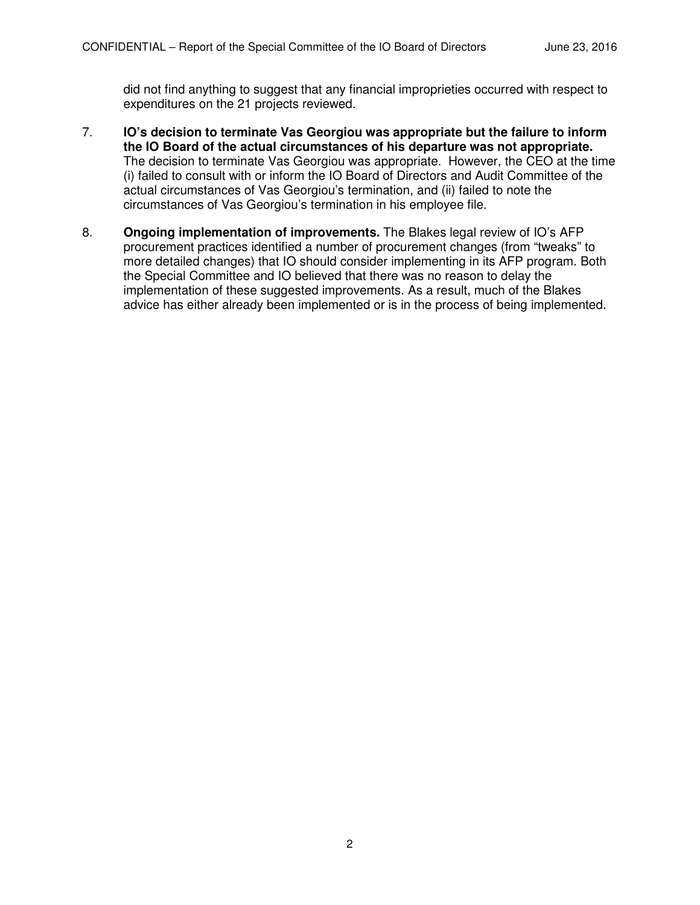did not find anything to suggest that any financial improprieties occurred with respect to expenditures on the 21 projects reviewed.

- 7. **IO's decision to terminate Vas Georgiou was appropriate but the failure to inform the IO Board of the actual circumstances of his departure was not appropriate.**  The decision to terminate Vas Georgiou was appropriate. However, the CEO at the time (i) failed to consult with or inform the IO Board of Directors and Audit Committee of the actual circumstances of Vas Georgiou's termination, and (ii) failed to note the circumstances of Vas Georgiou's termination in his employee file.
- 8. **Ongoing implementation of improvements.** The Blakes legal review of IO's AFP procurement practices identified a number of procurement changes (from "tweaks" to more detailed changes) that IO should consider implementing in its AFP program. Both the Special Committee and IO believed that there was no reason to delay the implementation of these suggested improvements. As a result, much of the Blakes advice has either already been implemented or is in the process of being implemented.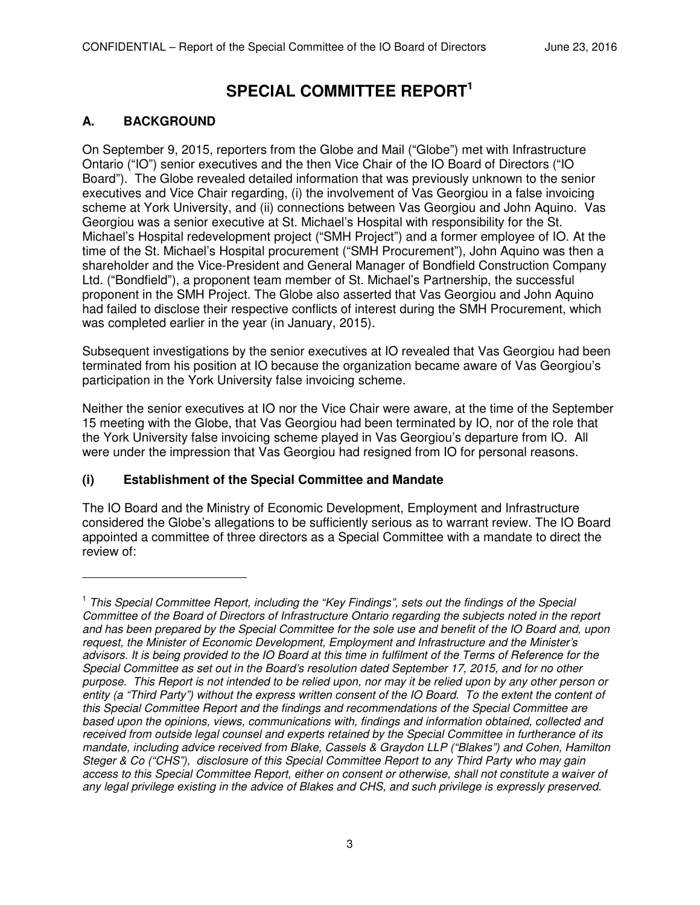# **SPECIAL COMMITTEE REPORT<sup>1</sup>**

# **A. BACKGROUND**

-

On September 9, 2015, reporters from the Globe and Mail ("Globe") met with Infrastructure Ontario ("IO") senior executives and the then Vice Chair of the IO Board of Directors ("IO Board"). The Globe revealed detailed information that was previously unknown to the senior executives and Vice Chair regarding, (i) the involvement of Vas Georgiou in a false invoicing scheme at York University, and (ii) connections between Vas Georgiou and John Aquino. Vas Georgiou was a senior executive at St. Michael's Hospital with responsibility for the St. Michael's Hospital redevelopment project ("SMH Project") and a former employee of IO. At the time of the St. Michael's Hospital procurement ("SMH Procurement"), John Aquino was then a shareholder and the Vice-President and General Manager of Bondfield Construction Company Ltd. ("Bondfield"), a proponent team member of St. Michael's Partnership, the successful proponent in the SMH Project. The Globe also asserted that Vas Georgiou and John Aquino had failed to disclose their respective conflicts of interest during the SMH Procurement, which was completed earlier in the year (in January, 2015).

Subsequent investigations by the senior executives at IO revealed that Vas Georgiou had been terminated from his position at IO because the organization became aware of Vas Georgiou's participation in the York University false invoicing scheme.

Neither the senior executives at IO nor the Vice Chair were aware, at the time of the September 15 meeting with the Globe, that Vas Georgiou had been terminated by IO, nor of the role that the York University false invoicing scheme played in Vas Georgiou's departure from IO. All were under the impression that Vas Georgiou had resigned from IO for personal reasons.

# **(i) Establishment of the Special Committee and Mandate**

The IO Board and the Ministry of Economic Development, Employment and Infrastructure considered the Globe's allegations to be sufficiently serious as to warrant review. The IO Board appointed a committee of three directors as a Special Committee with a mandate to direct the review of:

<sup>&</sup>lt;sup>1</sup> This Special Committee Report, including the "Key Findings", sets out the findings of the Special *Committee of the Board of Directors of Infrastructure Ontario regarding the subjects noted in the report and has been prepared by the Special Committee for the sole use and benefit of the IO Board and, upon request, the Minister of Economic Development, Employment and Infrastructure and the Minister's advisors. It is being provided to the IO Board at this time in fulfilment of the Terms of Reference for the Special Committee as set out in the Board's resolution dated September 17, 2015, and for no other purpose. This Report is not intended to be relied upon, nor may it be relied upon by any other person or entity (a "Third Party") without the express written consent of the IO Board. To the extent the content of this Special Committee Report and the findings and recommendations of the Special Committee are based upon the opinions, views, communications with, findings and information obtained, collected and received from outside legal counsel and experts retained by the Special Committee in furtherance of its mandate, including advice received from Blake, Cassels & Graydon LLP ("Blakes") and Cohen, Hamilton Steger & Co ("CHS"), disclosure of this Special Committee Report to any Third Party who may gain access to this Special Committee Report, either on consent or otherwise, shall not constitute a waiver of any legal privilege existing in the advice of Blakes and CHS, and such privilege is expressly preserved.*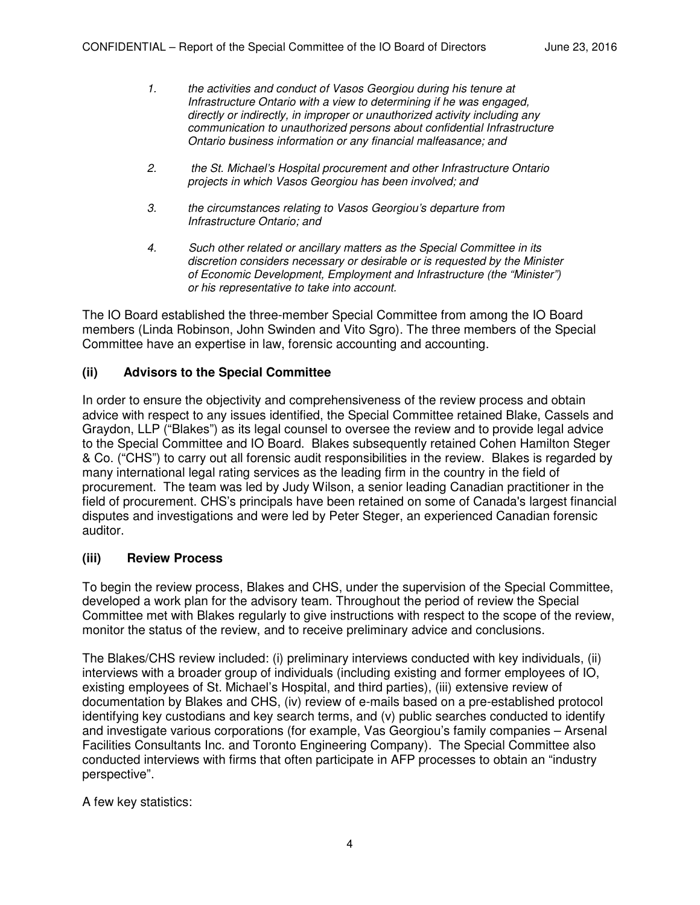- *1. the activities and conduct of Vasos Georgiou during his tenure at Infrastructure Ontario with a view to determining if he was engaged, directly or indirectly, in improper or unauthorized activity including any communication to unauthorized persons about confidential Infrastructure Ontario business information or any financial malfeasance; and*
- *2. the St. Michael's Hospital procurement and other Infrastructure Ontario projects in which Vasos Georgiou has been involved; and*
- *3. the circumstances relating to Vasos Georgiou's departure from Infrastructure Ontario; and*
- *4. Such other related or ancillary matters as the Special Committee in its discretion considers necessary or desirable or is requested by the Minister of Economic Development, Employment and Infrastructure (the "Minister") or his representative to take into account.*

The IO Board established the three-member Special Committee from among the IO Board members (Linda Robinson, John Swinden and Vito Sgro). The three members of the Special Committee have an expertise in law, forensic accounting and accounting.

#### **(ii) Advisors to the Special Committee**

In order to ensure the objectivity and comprehensiveness of the review process and obtain advice with respect to any issues identified, the Special Committee retained Blake, Cassels and Graydon, LLP ("Blakes") as its legal counsel to oversee the review and to provide legal advice to the Special Committee and IO Board. Blakes subsequently retained Cohen Hamilton Steger & Co. ("CHS") to carry out all forensic audit responsibilities in the review. Blakes is regarded by many international legal rating services as the leading firm in the country in the field of procurement. The team was led by Judy Wilson, a senior leading Canadian practitioner in the field of procurement. CHS's principals have been retained on some of Canada's largest financial disputes and investigations and were led by Peter Steger, an experienced Canadian forensic auditor.

#### **(iii) Review Process**

To begin the review process, Blakes and CHS, under the supervision of the Special Committee, developed a work plan for the advisory team. Throughout the period of review the Special Committee met with Blakes regularly to give instructions with respect to the scope of the review, monitor the status of the review, and to receive preliminary advice and conclusions.

The Blakes/CHS review included: (i) preliminary interviews conducted with key individuals, (ii) interviews with a broader group of individuals (including existing and former employees of IO, existing employees of St. Michael's Hospital, and third parties), (iii) extensive review of documentation by Blakes and CHS, (iv) review of e-mails based on a pre-established protocol identifying key custodians and key search terms, and (v) public searches conducted to identify and investigate various corporations (for example, Vas Georgiou's family companies – Arsenal Facilities Consultants Inc. and Toronto Engineering Company). The Special Committee also conducted interviews with firms that often participate in AFP processes to obtain an "industry perspective".

A few key statistics: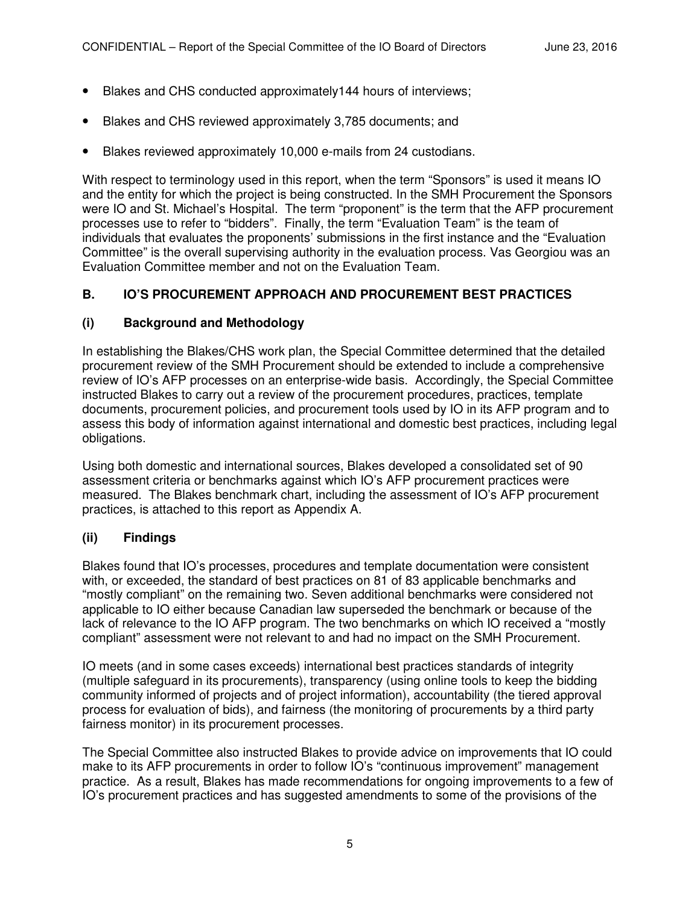- Blakes and CHS conducted approximately144 hours of interviews;
- Blakes and CHS reviewed approximately 3,785 documents; and
- Blakes reviewed approximately 10,000 e-mails from 24 custodians.

With respect to terminology used in this report, when the term "Sponsors" is used it means IO and the entity for which the project is being constructed. In the SMH Procurement the Sponsors were IO and St. Michael's Hospital. The term "proponent" is the term that the AFP procurement processes use to refer to "bidders". Finally, the term "Evaluation Team" is the team of individuals that evaluates the proponents' submissions in the first instance and the "Evaluation Committee" is the overall supervising authority in the evaluation process. Vas Georgiou was an Evaluation Committee member and not on the Evaluation Team.

## **B. IO'S PROCUREMENT APPROACH AND PROCUREMENT BEST PRACTICES**

#### **(i) Background and Methodology**

In establishing the Blakes/CHS work plan, the Special Committee determined that the detailed procurement review of the SMH Procurement should be extended to include a comprehensive review of IO's AFP processes on an enterprise-wide basis. Accordingly, the Special Committee instructed Blakes to carry out a review of the procurement procedures, practices, template documents, procurement policies, and procurement tools used by IO in its AFP program and to assess this body of information against international and domestic best practices, including legal obligations.

Using both domestic and international sources, Blakes developed a consolidated set of 90 assessment criteria or benchmarks against which IO's AFP procurement practices were measured. The Blakes benchmark chart, including the assessment of IO's AFP procurement practices, is attached to this report as Appendix A.

#### **(ii) Findings**

Blakes found that IO's processes, procedures and template documentation were consistent with, or exceeded, the standard of best practices on 81 of 83 applicable benchmarks and "mostly compliant" on the remaining two. Seven additional benchmarks were considered not applicable to IO either because Canadian law superseded the benchmark or because of the lack of relevance to the IO AFP program. The two benchmarks on which IO received a "mostly compliant" assessment were not relevant to and had no impact on the SMH Procurement.

IO meets (and in some cases exceeds) international best practices standards of integrity (multiple safeguard in its procurements), transparency (using online tools to keep the bidding community informed of projects and of project information), accountability (the tiered approval process for evaluation of bids), and fairness (the monitoring of procurements by a third party fairness monitor) in its procurement processes.

The Special Committee also instructed Blakes to provide advice on improvements that IO could make to its AFP procurements in order to follow IO's "continuous improvement" management practice. As a result, Blakes has made recommendations for ongoing improvements to a few of IO's procurement practices and has suggested amendments to some of the provisions of the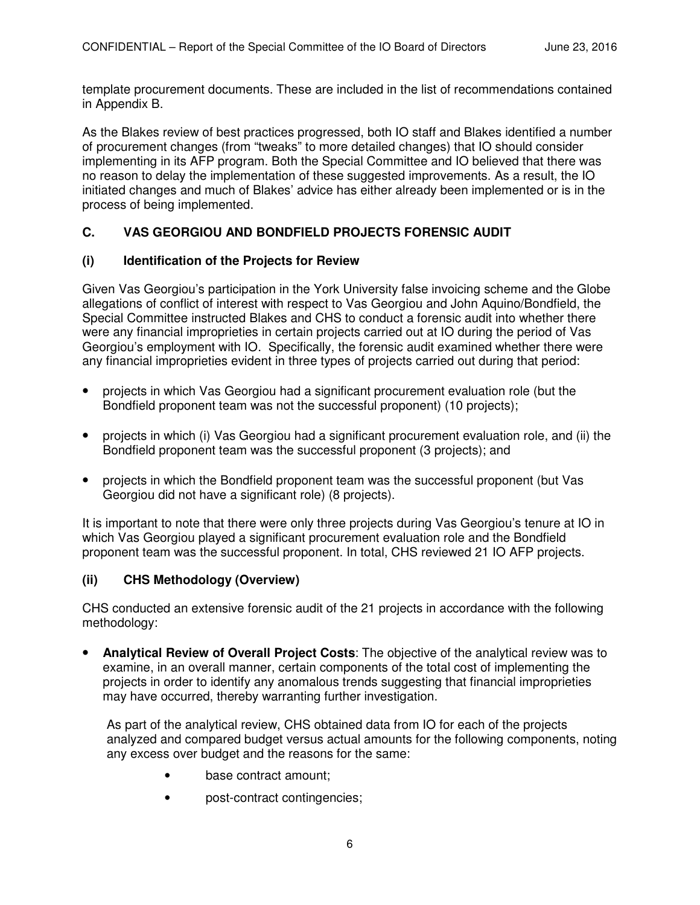template procurement documents. These are included in the list of recommendations contained in Appendix B.

As the Blakes review of best practices progressed, both IO staff and Blakes identified a number of procurement changes (from "tweaks" to more detailed changes) that IO should consider implementing in its AFP program. Both the Special Committee and IO believed that there was no reason to delay the implementation of these suggested improvements. As a result, the IO initiated changes and much of Blakes' advice has either already been implemented or is in the process of being implemented.

# **C. VAS GEORGIOU AND BONDFIELD PROJECTS FORENSIC AUDIT**

#### **(i) Identification of the Projects for Review**

Given Vas Georgiou's participation in the York University false invoicing scheme and the Globe allegations of conflict of interest with respect to Vas Georgiou and John Aquino/Bondfield, the Special Committee instructed Blakes and CHS to conduct a forensic audit into whether there were any financial improprieties in certain projects carried out at IO during the period of Vas Georgiou's employment with IO. Specifically, the forensic audit examined whether there were any financial improprieties evident in three types of projects carried out during that period:

- projects in which Vas Georgiou had a significant procurement evaluation role (but the Bondfield proponent team was not the successful proponent) (10 projects);
- projects in which (i) Vas Georgiou had a significant procurement evaluation role, and (ii) the Bondfield proponent team was the successful proponent (3 projects); and
- projects in which the Bondfield proponent team was the successful proponent (but Vas Georgiou did not have a significant role) (8 projects).

It is important to note that there were only three projects during Vas Georgiou's tenure at IO in which Vas Georgiou played a significant procurement evaluation role and the Bondfield proponent team was the successful proponent. In total, CHS reviewed 21 IO AFP projects.

#### **(ii) CHS Methodology (Overview)**

CHS conducted an extensive forensic audit of the 21 projects in accordance with the following methodology:

• **Analytical Review of Overall Project Costs**: The objective of the analytical review was to examine, in an overall manner, certain components of the total cost of implementing the projects in order to identify any anomalous trends suggesting that financial improprieties may have occurred, thereby warranting further investigation.

As part of the analytical review, CHS obtained data from IO for each of the projects analyzed and compared budget versus actual amounts for the following components, noting any excess over budget and the reasons for the same:

- base contract amount:
- post-contract contingencies;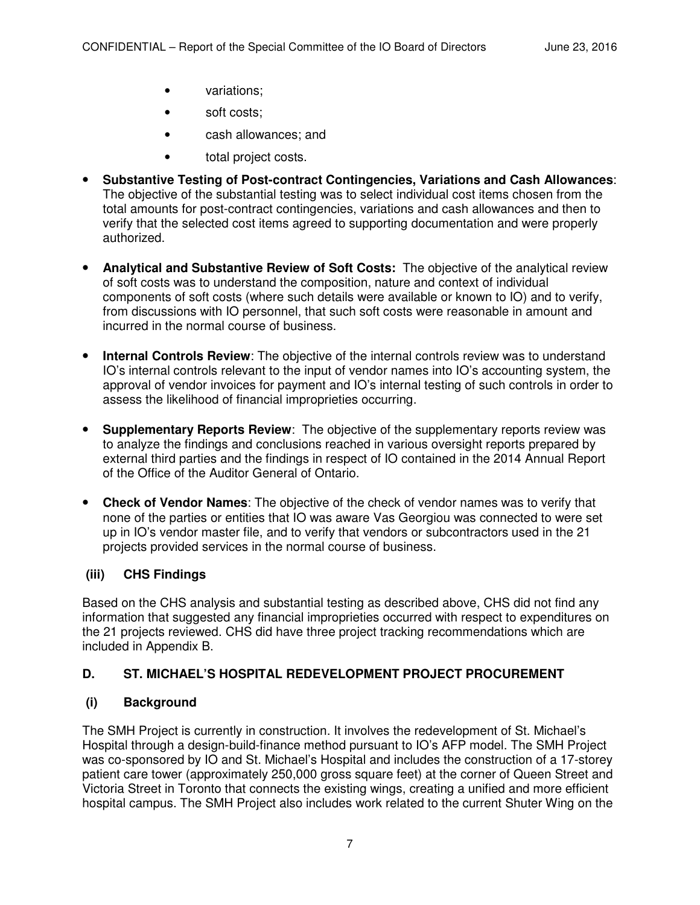- variations;
- soft costs;
- cash allowances; and
- total project costs.
- **Substantive Testing of Post-contract Contingencies, Variations and Cash Allowances**: The objective of the substantial testing was to select individual cost items chosen from the total amounts for post-contract contingencies, variations and cash allowances and then to verify that the selected cost items agreed to supporting documentation and were properly authorized.
- **Analytical and Substantive Review of Soft Costs:** The objective of the analytical review of soft costs was to understand the composition, nature and context of individual components of soft costs (where such details were available or known to IO) and to verify, from discussions with IO personnel, that such soft costs were reasonable in amount and incurred in the normal course of business.
- **Internal Controls Review**: The objective of the internal controls review was to understand IO's internal controls relevant to the input of vendor names into IO's accounting system, the approval of vendor invoices for payment and IO's internal testing of such controls in order to assess the likelihood of financial improprieties occurring.
- **Supplementary Reports Review**: The objective of the supplementary reports review was to analyze the findings and conclusions reached in various oversight reports prepared by external third parties and the findings in respect of IO contained in the 2014 Annual Report of the Office of the Auditor General of Ontario.
- **Check of Vendor Names**: The objective of the check of vendor names was to verify that none of the parties or entities that IO was aware Vas Georgiou was connected to were set up in IO's vendor master file, and to verify that vendors or subcontractors used in the 21 projects provided services in the normal course of business.

# **(iii) CHS Findings**

Based on the CHS analysis and substantial testing as described above, CHS did not find any information that suggested any financial improprieties occurred with respect to expenditures on the 21 projects reviewed. CHS did have three project tracking recommendations which are included in Appendix B.

# **D. ST. MICHAEL'S HOSPITAL REDEVELOPMENT PROJECT PROCUREMENT**

# **(i) Background**

The SMH Project is currently in construction. It involves the redevelopment of St. Michael's Hospital through a design-build-finance method pursuant to IO's AFP model. The SMH Project was co-sponsored by IO and St. Michael's Hospital and includes the construction of a 17-storey patient care tower (approximately 250,000 gross square feet) at the corner of Queen Street and Victoria Street in Toronto that connects the existing wings, creating a unified and more efficient hospital campus. The SMH Project also includes work related to the current Shuter Wing on the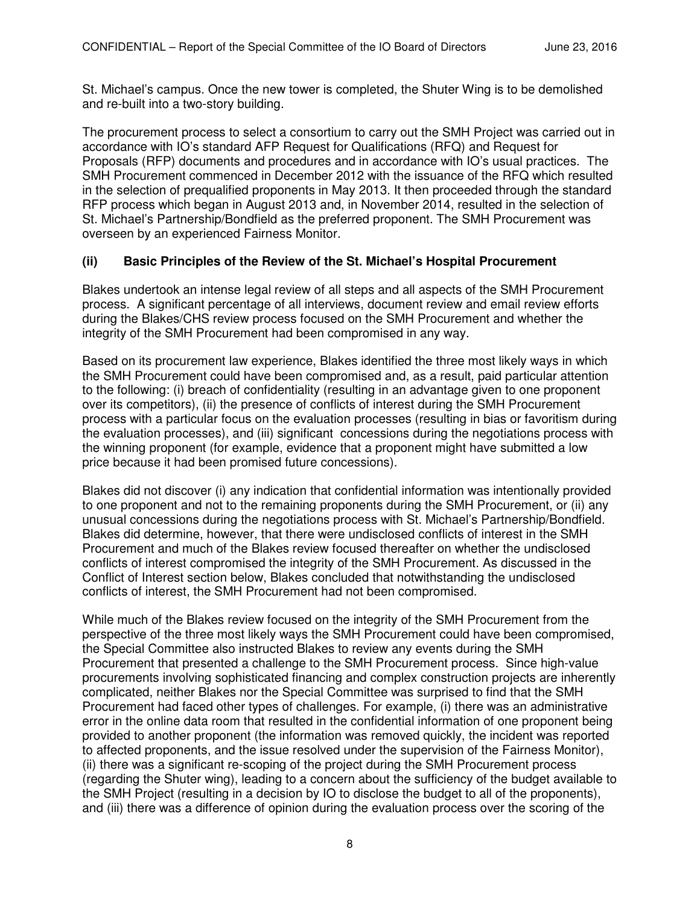St. Michael's campus. Once the new tower is completed, the Shuter Wing is to be demolished and re-built into a two-story building.

The procurement process to select a consortium to carry out the SMH Project was carried out in accordance with IO's standard AFP Request for Qualifications (RFQ) and Request for Proposals (RFP) documents and procedures and in accordance with IO's usual practices. The SMH Procurement commenced in December 2012 with the issuance of the RFQ which resulted in the selection of prequalified proponents in May 2013. It then proceeded through the standard RFP process which began in August 2013 and, in November 2014, resulted in the selection of St. Michael's Partnership/Bondfield as the preferred proponent. The SMH Procurement was overseen by an experienced Fairness Monitor.

## **(ii) Basic Principles of the Review of the St. Michael's Hospital Procurement**

Blakes undertook an intense legal review of all steps and all aspects of the SMH Procurement process. A significant percentage of all interviews, document review and email review efforts during the Blakes/CHS review process focused on the SMH Procurement and whether the integrity of the SMH Procurement had been compromised in any way.

Based on its procurement law experience, Blakes identified the three most likely ways in which the SMH Procurement could have been compromised and, as a result, paid particular attention to the following: (i) breach of confidentiality (resulting in an advantage given to one proponent over its competitors), (ii) the presence of conflicts of interest during the SMH Procurement process with a particular focus on the evaluation processes (resulting in bias or favoritism during the evaluation processes), and (iii) significant concessions during the negotiations process with the winning proponent (for example, evidence that a proponent might have submitted a low price because it had been promised future concessions).

Blakes did not discover (i) any indication that confidential information was intentionally provided to one proponent and not to the remaining proponents during the SMH Procurement, or (ii) any unusual concessions during the negotiations process with St. Michael's Partnership/Bondfield. Blakes did determine, however, that there were undisclosed conflicts of interest in the SMH Procurement and much of the Blakes review focused thereafter on whether the undisclosed conflicts of interest compromised the integrity of the SMH Procurement. As discussed in the Conflict of Interest section below, Blakes concluded that notwithstanding the undisclosed conflicts of interest, the SMH Procurement had not been compromised.

While much of the Blakes review focused on the integrity of the SMH Procurement from the perspective of the three most likely ways the SMH Procurement could have been compromised, the Special Committee also instructed Blakes to review any events during the SMH Procurement that presented a challenge to the SMH Procurement process. Since high-value procurements involving sophisticated financing and complex construction projects are inherently complicated, neither Blakes nor the Special Committee was surprised to find that the SMH Procurement had faced other types of challenges. For example, (i) there was an administrative error in the online data room that resulted in the confidential information of one proponent being provided to another proponent (the information was removed quickly, the incident was reported to affected proponents, and the issue resolved under the supervision of the Fairness Monitor), (ii) there was a significant re-scoping of the project during the SMH Procurement process (regarding the Shuter wing), leading to a concern about the sufficiency of the budget available to the SMH Project (resulting in a decision by IO to disclose the budget to all of the proponents), and (iii) there was a difference of opinion during the evaluation process over the scoring of the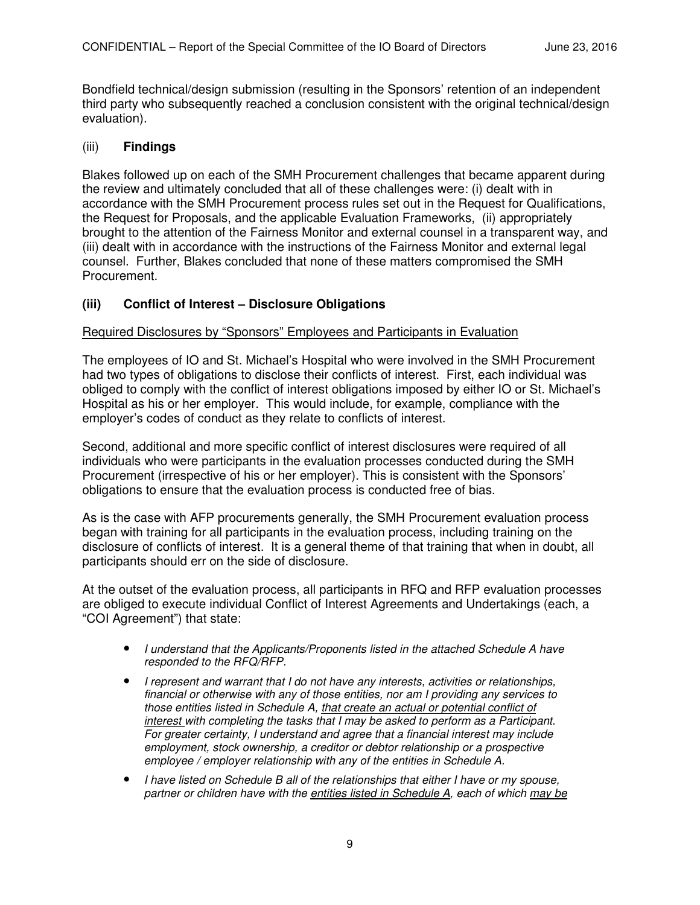Bondfield technical/design submission (resulting in the Sponsors' retention of an independent third party who subsequently reached a conclusion consistent with the original technical/design evaluation).

#### (iii) **Findings**

Blakes followed up on each of the SMH Procurement challenges that became apparent during the review and ultimately concluded that all of these challenges were: (i) dealt with in accordance with the SMH Procurement process rules set out in the Request for Qualifications, the Request for Proposals, and the applicable Evaluation Frameworks, (ii) appropriately brought to the attention of the Fairness Monitor and external counsel in a transparent way, and (iii) dealt with in accordance with the instructions of the Fairness Monitor and external legal counsel. Further, Blakes concluded that none of these matters compromised the SMH Procurement.

#### **(iii) Conflict of Interest – Disclosure Obligations**

#### Required Disclosures by "Sponsors" Employees and Participants in Evaluation

The employees of IO and St. Michael's Hospital who were involved in the SMH Procurement had two types of obligations to disclose their conflicts of interest. First, each individual was obliged to comply with the conflict of interest obligations imposed by either IO or St. Michael's Hospital as his or her employer. This would include, for example, compliance with the employer's codes of conduct as they relate to conflicts of interest.

Second, additional and more specific conflict of interest disclosures were required of all individuals who were participants in the evaluation processes conducted during the SMH Procurement (irrespective of his or her employer). This is consistent with the Sponsors' obligations to ensure that the evaluation process is conducted free of bias.

As is the case with AFP procurements generally, the SMH Procurement evaluation process began with training for all participants in the evaluation process, including training on the disclosure of conflicts of interest. It is a general theme of that training that when in doubt, all participants should err on the side of disclosure.

At the outset of the evaluation process, all participants in RFQ and RFP evaluation processes are obliged to execute individual Conflict of Interest Agreements and Undertakings (each, a "COI Agreement") that state:

- *I understand that the Applicants/Proponents listed in the attached Schedule A have responded to the RFQ/RFP.*
- *I represent and warrant that I do not have any interests, activities or relationships, financial or otherwise with any of those entities, nor am I providing any services to those entities listed in Schedule A, that create an actual or potential conflict of interest with completing the tasks that I may be asked to perform as a Participant. For greater certainty, I understand and agree that a financial interest may include employment, stock ownership, a creditor or debtor relationship or a prospective employee / employer relationship with any of the entities in Schedule A.*
- *I have listed on Schedule B all of the relationships that either I have or my spouse, partner or children have with the entities listed in Schedule A, each of which may be*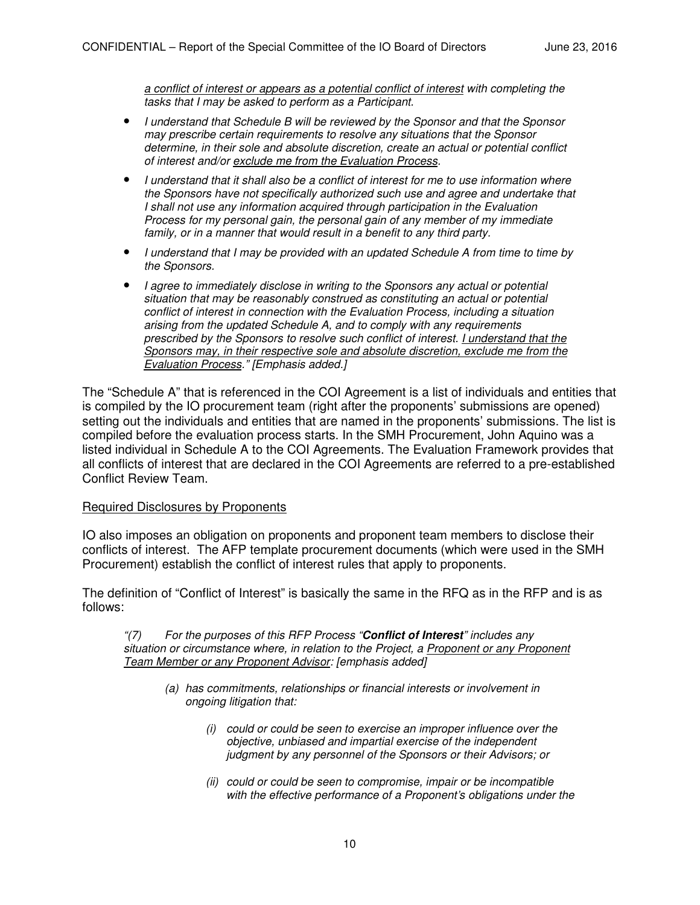*a conflict of interest or appears as a potential conflict of interest with completing the tasks that I may be asked to perform as a Participant.* 

- *I understand that Schedule B will be reviewed by the Sponsor and that the Sponsor may prescribe certain requirements to resolve any situations that the Sponsor determine, in their sole and absolute discretion, create an actual or potential conflict of interest and/or exclude me from the Evaluation Process.*
- *I understand that it shall also be a conflict of interest for me to use information where the Sponsors have not specifically authorized such use and agree and undertake that I* shall not use any information acquired through participation in the Evaluation *Process for my personal gain, the personal gain of any member of my immediate*  family, or in a manner that would result in a benefit to any third party.
- *I understand that I may be provided with an updated Schedule A from time to time by the Sponsors.*
- *I agree to immediately disclose in writing to the Sponsors any actual or potential situation that may be reasonably construed as constituting an actual or potential conflict of interest in connection with the Evaluation Process, including a situation arising from the updated Schedule A, and to comply with any requirements prescribed by the Sponsors to resolve such conflict of interest. I understand that the Sponsors may, in their respective sole and absolute discretion, exclude me from the Evaluation Process." [Emphasis added.]*

The "Schedule A" that is referenced in the COI Agreement is a list of individuals and entities that is compiled by the IO procurement team (right after the proponents' submissions are opened) setting out the individuals and entities that are named in the proponents' submissions. The list is compiled before the evaluation process starts. In the SMH Procurement, John Aquino was a listed individual in Schedule A to the COI Agreements. The Evaluation Framework provides that all conflicts of interest that are declared in the COI Agreements are referred to a pre-established Conflict Review Team.

#### Required Disclosures by Proponents

IO also imposes an obligation on proponents and proponent team members to disclose their conflicts of interest. The AFP template procurement documents (which were used in the SMH Procurement) establish the conflict of interest rules that apply to proponents.

The definition of "Conflict of Interest" is basically the same in the RFQ as in the RFP and is as follows:

*"(7) For the purposes of this RFP Process "***Conflict of Interest***" includes any situation or circumstance where, in relation to the Project, a Proponent or any Proponent Team Member or any Proponent Advisor: [emphasis added]* 

- *(a) has commitments, relationships or financial interests or involvement in ongoing litigation that:* 
	- *(i) could or could be seen to exercise an improper influence over the objective, unbiased and impartial exercise of the independent judgment by any personnel of the Sponsors or their Advisors; or*
	- *(ii) could or could be seen to compromise, impair or be incompatible with the effective performance of a Proponent's obligations under the*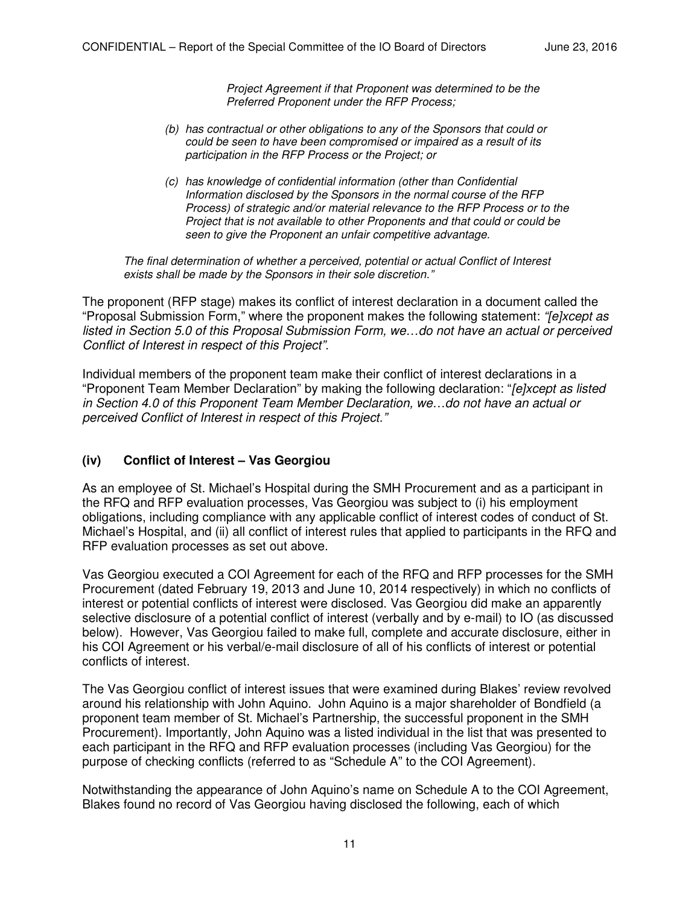*Project Agreement if that Proponent was determined to be the Preferred Proponent under the RFP Process;* 

- *(b) has contractual or other obligations to any of the Sponsors that could or could be seen to have been compromised or impaired as a result of its participation in the RFP Process or the Project; or*
- *(c) has knowledge of confidential information (other than Confidential Information disclosed by the Sponsors in the normal course of the RFP Process) of strategic and/or material relevance to the RFP Process or to the Project that is not available to other Proponents and that could or could be seen to give the Proponent an unfair competitive advantage.*

*The final determination of whether a perceived, potential or actual Conflict of Interest exists shall be made by the Sponsors in their sole discretion."*

The proponent (RFP stage) makes its conflict of interest declaration in a document called the "Proposal Submission Form," where the proponent makes the following statement: *"[e]xcept as listed in Section 5.0 of this Proposal Submission Form, we…do not have an actual or perceived Conflict of Interest in respect of this Project".* 

Individual members of the proponent team make their conflict of interest declarations in a "Proponent Team Member Declaration" by making the following declaration: "*[e]xcept as listed in Section 4.0 of this Proponent Team Member Declaration, we…do not have an actual or perceived Conflict of Interest in respect of this Project."*

#### **(iv) Conflict of Interest – Vas Georgiou**

As an employee of St. Michael's Hospital during the SMH Procurement and as a participant in the RFQ and RFP evaluation processes, Vas Georgiou was subject to (i) his employment obligations, including compliance with any applicable conflict of interest codes of conduct of St. Michael's Hospital, and (ii) all conflict of interest rules that applied to participants in the RFQ and RFP evaluation processes as set out above.

Vas Georgiou executed a COI Agreement for each of the RFQ and RFP processes for the SMH Procurement (dated February 19, 2013 and June 10, 2014 respectively) in which no conflicts of interest or potential conflicts of interest were disclosed. Vas Georgiou did make an apparently selective disclosure of a potential conflict of interest (verbally and by e-mail) to IO (as discussed below). However, Vas Georgiou failed to make full, complete and accurate disclosure, either in his COI Agreement or his verbal/e-mail disclosure of all of his conflicts of interest or potential conflicts of interest.

The Vas Georgiou conflict of interest issues that were examined during Blakes' review revolved around his relationship with John Aquino. John Aquino is a major shareholder of Bondfield (a proponent team member of St. Michael's Partnership, the successful proponent in the SMH Procurement). Importantly, John Aquino was a listed individual in the list that was presented to each participant in the RFQ and RFP evaluation processes (including Vas Georgiou) for the purpose of checking conflicts (referred to as "Schedule A" to the COI Agreement).

Notwithstanding the appearance of John Aquino's name on Schedule A to the COI Agreement, Blakes found no record of Vas Georgiou having disclosed the following, each of which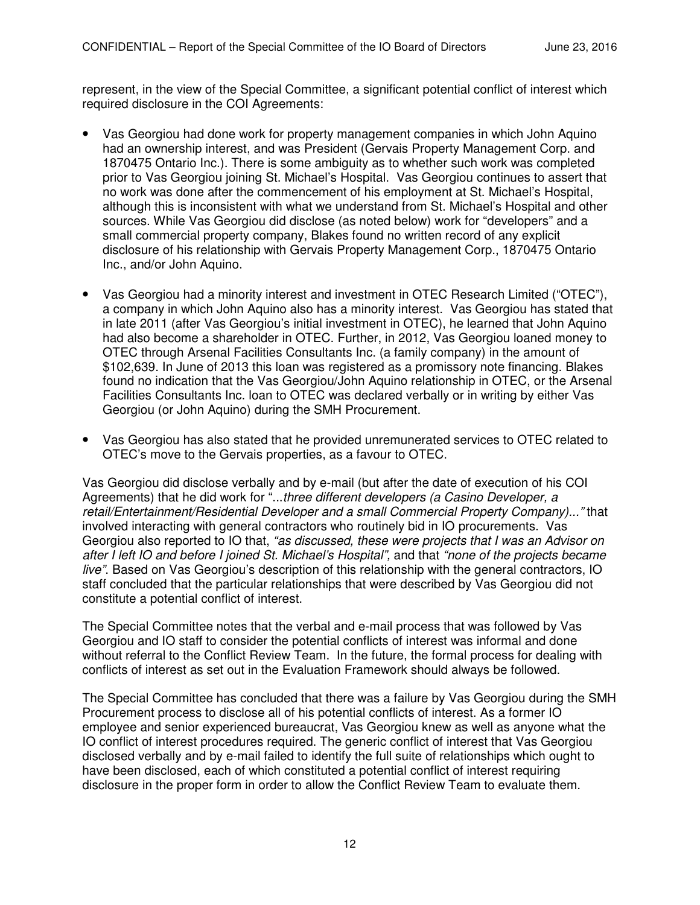represent, in the view of the Special Committee, a significant potential conflict of interest which required disclosure in the COI Agreements:

- Vas Georgiou had done work for property management companies in which John Aquino had an ownership interest, and was President (Gervais Property Management Corp. and 1870475 Ontario Inc.). There is some ambiguity as to whether such work was completed prior to Vas Georgiou joining St. Michael's Hospital. Vas Georgiou continues to assert that no work was done after the commencement of his employment at St. Michael's Hospital, although this is inconsistent with what we understand from St. Michael's Hospital and other sources. While Vas Georgiou did disclose (as noted below) work for "developers" and a small commercial property company, Blakes found no written record of any explicit disclosure of his relationship with Gervais Property Management Corp., 1870475 Ontario Inc., and/or John Aquino.
- Vas Georgiou had a minority interest and investment in OTEC Research Limited ("OTEC"), a company in which John Aquino also has a minority interest. Vas Georgiou has stated that in late 2011 (after Vas Georgiou's initial investment in OTEC), he learned that John Aquino had also become a shareholder in OTEC. Further, in 2012, Vas Georgiou loaned money to OTEC through Arsenal Facilities Consultants Inc. (a family company) in the amount of \$102,639. In June of 2013 this loan was registered as a promissory note financing. Blakes found no indication that the Vas Georgiou/John Aquino relationship in OTEC, or the Arsenal Facilities Consultants Inc. loan to OTEC was declared verbally or in writing by either Vas Georgiou (or John Aquino) during the SMH Procurement.
- Vas Georgiou has also stated that he provided unremunerated services to OTEC related to OTEC's move to the Gervais properties, as a favour to OTEC.

Vas Georgiou did disclose verbally and by e-mail (but after the date of execution of his COI Agreements) that he did work for "...*three different developers (a Casino Developer, a retail/Entertainment/Residential Developer and a small Commercial Property Company)..."* that involved interacting with general contractors who routinely bid in IO procurements. Vas Georgiou also reported to IO that, *"as discussed, these were projects that I was an Advisor on after I left IO and before I joined St. Michael's Hospital",* and that *"none of the projects became live"*. Based on Vas Georgiou's description of this relationship with the general contractors, IO staff concluded that the particular relationships that were described by Vas Georgiou did not constitute a potential conflict of interest.

The Special Committee notes that the verbal and e-mail process that was followed by Vas Georgiou and IO staff to consider the potential conflicts of interest was informal and done without referral to the Conflict Review Team. In the future, the formal process for dealing with conflicts of interest as set out in the Evaluation Framework should always be followed.

The Special Committee has concluded that there was a failure by Vas Georgiou during the SMH Procurement process to disclose all of his potential conflicts of interest. As a former IO employee and senior experienced bureaucrat, Vas Georgiou knew as well as anyone what the IO conflict of interest procedures required. The generic conflict of interest that Vas Georgiou disclosed verbally and by e-mail failed to identify the full suite of relationships which ought to have been disclosed, each of which constituted a potential conflict of interest requiring disclosure in the proper form in order to allow the Conflict Review Team to evaluate them.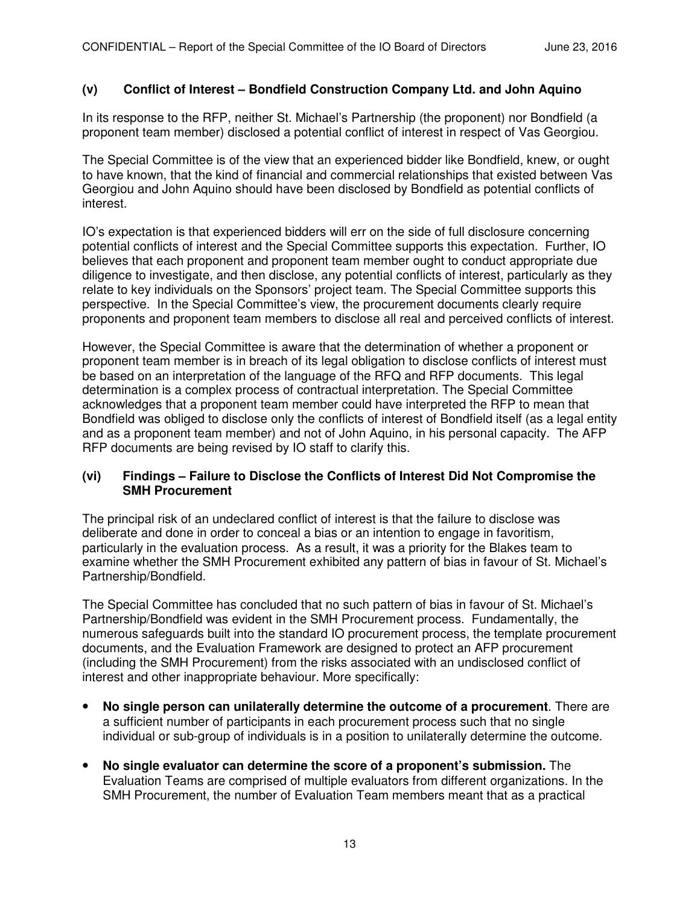#### **(v) Conflict of Interest – Bondfield Construction Company Ltd. and John Aquino**

In its response to the RFP, neither St. Michael's Partnership (the proponent) nor Bondfield (a proponent team member) disclosed a potential conflict of interest in respect of Vas Georgiou.

The Special Committee is of the view that an experienced bidder like Bondfield, knew, or ought to have known, that the kind of financial and commercial relationships that existed between Vas Georgiou and John Aquino should have been disclosed by Bondfield as potential conflicts of interest.

IO's expectation is that experienced bidders will err on the side of full disclosure concerning potential conflicts of interest and the Special Committee supports this expectation. Further, IO believes that each proponent and proponent team member ought to conduct appropriate due diligence to investigate, and then disclose, any potential conflicts of interest, particularly as they relate to key individuals on the Sponsors' project team. The Special Committee supports this perspective. In the Special Committee's view, the procurement documents clearly require proponents and proponent team members to disclose all real and perceived conflicts of interest.

However, the Special Committee is aware that the determination of whether a proponent or proponent team member is in breach of its legal obligation to disclose conflicts of interest must be based on an interpretation of the language of the RFQ and RFP documents. This legal determination is a complex process of contractual interpretation. The Special Committee acknowledges that a proponent team member could have interpreted the RFP to mean that Bondfield was obliged to disclose only the conflicts of interest of Bondfield itself (as a legal entity and as a proponent team member) and not of John Aquino, in his personal capacity. The AFP RFP documents are being revised by IO staff to clarify this.

#### **(vi) Findings – Failure to Disclose the Conflicts of Interest Did Not Compromise the SMH Procurement**

The principal risk of an undeclared conflict of interest is that the failure to disclose was deliberate and done in order to conceal a bias or an intention to engage in favoritism, particularly in the evaluation process. As a result, it was a priority for the Blakes team to examine whether the SMH Procurement exhibited any pattern of bias in favour of St. Michael's Partnership/Bondfield.

The Special Committee has concluded that no such pattern of bias in favour of St. Michael's Partnership/Bondfield was evident in the SMH Procurement process. Fundamentally, the numerous safeguards built into the standard IO procurement process, the template procurement documents, and the Evaluation Framework are designed to protect an AFP procurement (including the SMH Procurement) from the risks associated with an undisclosed conflict of interest and other inappropriate behaviour. More specifically:

- **No single person can unilaterally determine the outcome of a procurement**. There are a sufficient number of participants in each procurement process such that no single individual or sub-group of individuals is in a position to unilaterally determine the outcome.
- **No single evaluator can determine the score of a proponent's submission.** The Evaluation Teams are comprised of multiple evaluators from different organizations. In the SMH Procurement, the number of Evaluation Team members meant that as a practical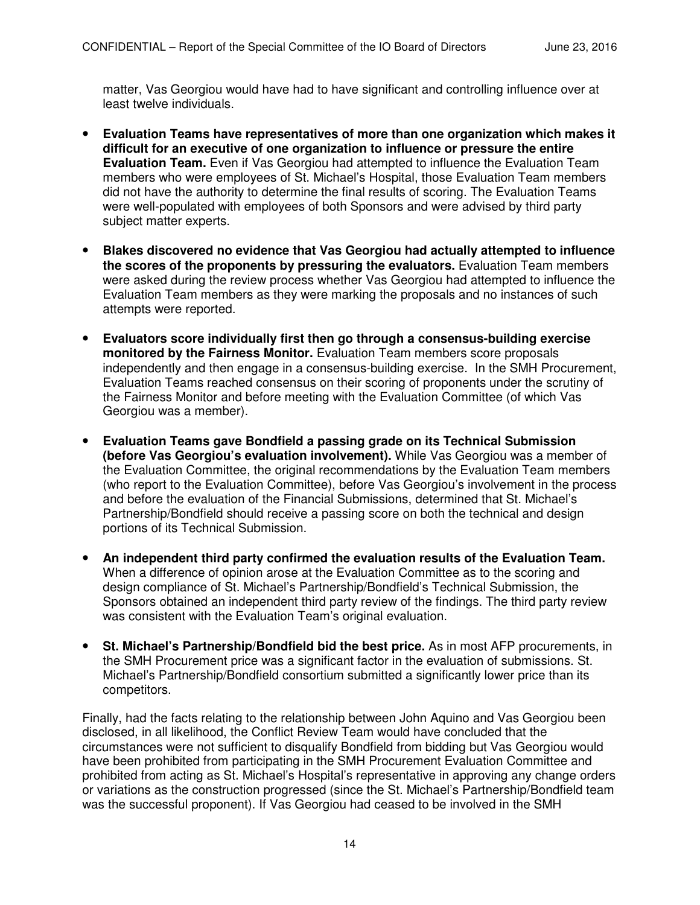matter, Vas Georgiou would have had to have significant and controlling influence over at least twelve individuals.

- **Evaluation Teams have representatives of more than one organization which makes it difficult for an executive of one organization to influence or pressure the entire Evaluation Team.** Even if Vas Georgiou had attempted to influence the Evaluation Team members who were employees of St. Michael's Hospital, those Evaluation Team members did not have the authority to determine the final results of scoring. The Evaluation Teams were well-populated with employees of both Sponsors and were advised by third party subject matter experts.
- **Blakes discovered no evidence that Vas Georgiou had actually attempted to influence the scores of the proponents by pressuring the evaluators.** Evaluation Team members were asked during the review process whether Vas Georgiou had attempted to influence the Evaluation Team members as they were marking the proposals and no instances of such attempts were reported.
- **Evaluators score individually first then go through a consensus-building exercise monitored by the Fairness Monitor.** Evaluation Team members score proposals independently and then engage in a consensus-building exercise. In the SMH Procurement, Evaluation Teams reached consensus on their scoring of proponents under the scrutiny of the Fairness Monitor and before meeting with the Evaluation Committee (of which Vas Georgiou was a member).
- **Evaluation Teams gave Bondfield a passing grade on its Technical Submission (before Vas Georgiou's evaluation involvement).** While Vas Georgiou was a member of the Evaluation Committee, the original recommendations by the Evaluation Team members (who report to the Evaluation Committee), before Vas Georgiou's involvement in the process and before the evaluation of the Financial Submissions, determined that St. Michael's Partnership/Bondfield should receive a passing score on both the technical and design portions of its Technical Submission.
- **An independent third party confirmed the evaluation results of the Evaluation Team.** When a difference of opinion arose at the Evaluation Committee as to the scoring and design compliance of St. Michael's Partnership/Bondfield's Technical Submission, the Sponsors obtained an independent third party review of the findings. The third party review was consistent with the Evaluation Team's original evaluation.
- **St. Michael's Partnership/Bondfield bid the best price.** As in most AFP procurements, in the SMH Procurement price was a significant factor in the evaluation of submissions. St. Michael's Partnership/Bondfield consortium submitted a significantly lower price than its competitors.

Finally, had the facts relating to the relationship between John Aquino and Vas Georgiou been disclosed, in all likelihood, the Conflict Review Team would have concluded that the circumstances were not sufficient to disqualify Bondfield from bidding but Vas Georgiou would have been prohibited from participating in the SMH Procurement Evaluation Committee and prohibited from acting as St. Michael's Hospital's representative in approving any change orders or variations as the construction progressed (since the St. Michael's Partnership/Bondfield team was the successful proponent). If Vas Georgiou had ceased to be involved in the SMH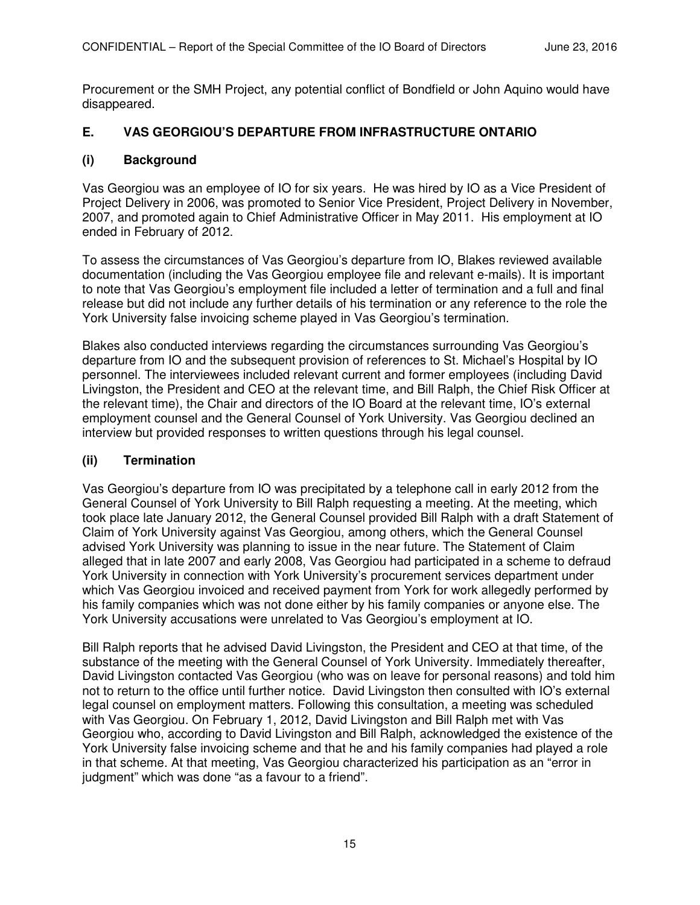Procurement or the SMH Project, any potential conflict of Bondfield or John Aquino would have disappeared.

## **E. VAS GEORGIOU'S DEPARTURE FROM INFRASTRUCTURE ONTARIO**

#### **(i) Background**

Vas Georgiou was an employee of IO for six years. He was hired by IO as a Vice President of Project Delivery in 2006, was promoted to Senior Vice President, Project Delivery in November, 2007, and promoted again to Chief Administrative Officer in May 2011. His employment at IO ended in February of 2012.

To assess the circumstances of Vas Georgiou's departure from IO, Blakes reviewed available documentation (including the Vas Georgiou employee file and relevant e-mails). It is important to note that Vas Georgiou's employment file included a letter of termination and a full and final release but did not include any further details of his termination or any reference to the role the York University false invoicing scheme played in Vas Georgiou's termination.

Blakes also conducted interviews regarding the circumstances surrounding Vas Georgiou's departure from IO and the subsequent provision of references to St. Michael's Hospital by IO personnel. The interviewees included relevant current and former employees (including David Livingston, the President and CEO at the relevant time, and Bill Ralph, the Chief Risk Officer at the relevant time), the Chair and directors of the IO Board at the relevant time, IO's external employment counsel and the General Counsel of York University. Vas Georgiou declined an interview but provided responses to written questions through his legal counsel.

#### **(ii) Termination**

Vas Georgiou's departure from IO was precipitated by a telephone call in early 2012 from the General Counsel of York University to Bill Ralph requesting a meeting. At the meeting, which took place late January 2012, the General Counsel provided Bill Ralph with a draft Statement of Claim of York University against Vas Georgiou, among others, which the General Counsel advised York University was planning to issue in the near future. The Statement of Claim alleged that in late 2007 and early 2008, Vas Georgiou had participated in a scheme to defraud York University in connection with York University's procurement services department under which Vas Georgiou invoiced and received payment from York for work allegedly performed by his family companies which was not done either by his family companies or anyone else. The York University accusations were unrelated to Vas Georgiou's employment at IO.

Bill Ralph reports that he advised David Livingston, the President and CEO at that time, of the substance of the meeting with the General Counsel of York University. Immediately thereafter, David Livingston contacted Vas Georgiou (who was on leave for personal reasons) and told him not to return to the office until further notice. David Livingston then consulted with IO's external legal counsel on employment matters. Following this consultation, a meeting was scheduled with Vas Georgiou. On February 1, 2012, David Livingston and Bill Ralph met with Vas Georgiou who, according to David Livingston and Bill Ralph, acknowledged the existence of the York University false invoicing scheme and that he and his family companies had played a role in that scheme. At that meeting, Vas Georgiou characterized his participation as an "error in judgment" which was done "as a favour to a friend".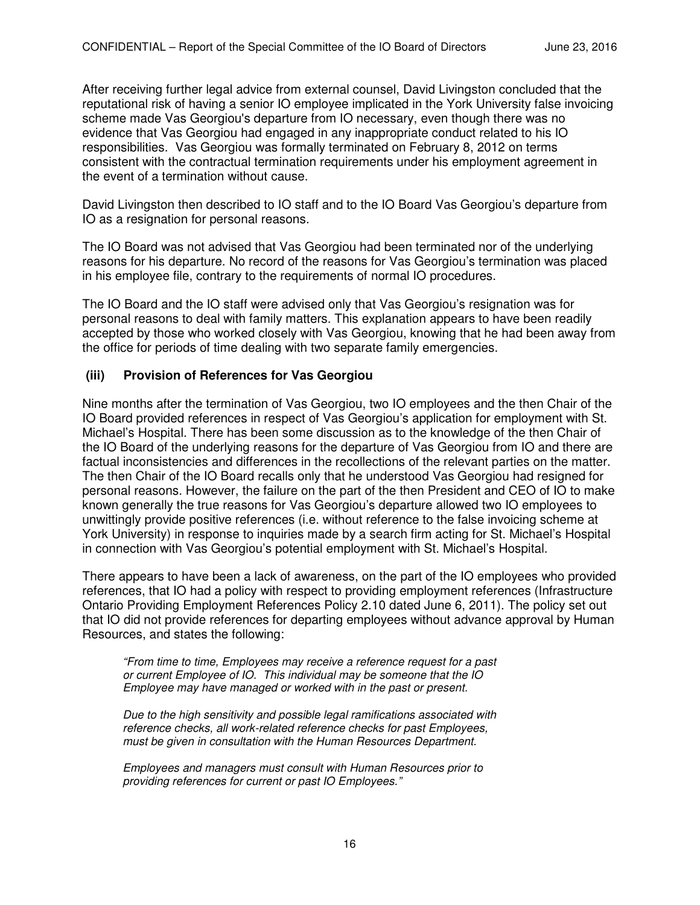After receiving further legal advice from external counsel, David Livingston concluded that the reputational risk of having a senior IO employee implicated in the York University false invoicing scheme made Vas Georgiou's departure from IO necessary, even though there was no evidence that Vas Georgiou had engaged in any inappropriate conduct related to his IO responsibilities. Vas Georgiou was formally terminated on February 8, 2012 on terms consistent with the contractual termination requirements under his employment agreement in the event of a termination without cause.

David Livingston then described to IO staff and to the IO Board Vas Georgiou's departure from IO as a resignation for personal reasons.

The IO Board was not advised that Vas Georgiou had been terminated nor of the underlying reasons for his departure. No record of the reasons for Vas Georgiou's termination was placed in his employee file, contrary to the requirements of normal IO procedures.

The IO Board and the IO staff were advised only that Vas Georgiou's resignation was for personal reasons to deal with family matters. This explanation appears to have been readily accepted by those who worked closely with Vas Georgiou, knowing that he had been away from the office for periods of time dealing with two separate family emergencies.

#### **(iii) Provision of References for Vas Georgiou**

Nine months after the termination of Vas Georgiou, two IO employees and the then Chair of the IO Board provided references in respect of Vas Georgiou's application for employment with St. Michael's Hospital. There has been some discussion as to the knowledge of the then Chair of the IO Board of the underlying reasons for the departure of Vas Georgiou from IO and there are factual inconsistencies and differences in the recollections of the relevant parties on the matter. The then Chair of the IO Board recalls only that he understood Vas Georgiou had resigned for personal reasons. However, the failure on the part of the then President and CEO of IO to make known generally the true reasons for Vas Georgiou's departure allowed two IO employees to unwittingly provide positive references (i.e. without reference to the false invoicing scheme at York University) in response to inquiries made by a search firm acting for St. Michael's Hospital in connection with Vas Georgiou's potential employment with St. Michael's Hospital.

There appears to have been a lack of awareness, on the part of the IO employees who provided references, that IO had a policy with respect to providing employment references (Infrastructure Ontario Providing Employment References Policy 2.10 dated June 6, 2011). The policy set out that IO did not provide references for departing employees without advance approval by Human Resources, and states the following:

*"From time to time, Employees may receive a reference request for a past or current Employee of IO. This individual may be someone that the IO Employee may have managed or worked with in the past or present.* 

*Due to the high sensitivity and possible legal ramifications associated with reference checks, all work-related reference checks for past Employees, must be given in consultation with the Human Resources Department.* 

*Employees and managers must consult with Human Resources prior to providing references for current or past IO Employees."*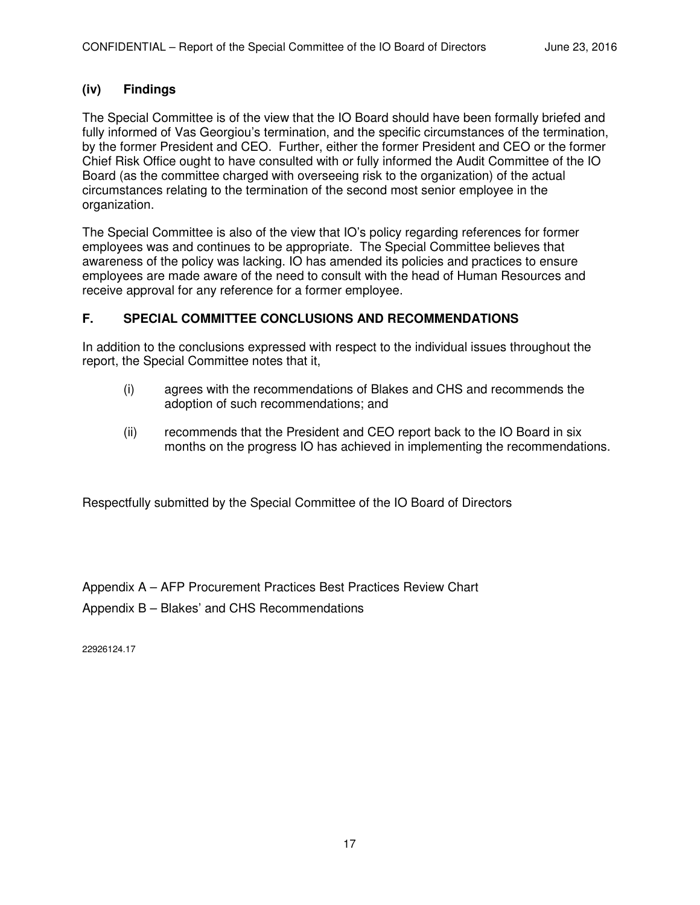# **(iv) Findings**

The Special Committee is of the view that the IO Board should have been formally briefed and fully informed of Vas Georgiou's termination, and the specific circumstances of the termination, by the former President and CEO. Further, either the former President and CEO or the former Chief Risk Office ought to have consulted with or fully informed the Audit Committee of the IO Board (as the committee charged with overseeing risk to the organization) of the actual circumstances relating to the termination of the second most senior employee in the organization.

The Special Committee is also of the view that IO's policy regarding references for former employees was and continues to be appropriate. The Special Committee believes that awareness of the policy was lacking. IO has amended its policies and practices to ensure employees are made aware of the need to consult with the head of Human Resources and receive approval for any reference for a former employee.

# **F. SPECIAL COMMITTEE CONCLUSIONS AND RECOMMENDATIONS**

In addition to the conclusions expressed with respect to the individual issues throughout the report, the Special Committee notes that it,

- (i) agrees with the recommendations of Blakes and CHS and recommends the adoption of such recommendations; and
- (ii) recommends that the President and CEO report back to the IO Board in six months on the progress IO has achieved in implementing the recommendations.

Respectfully submitted by the Special Committee of the IO Board of Directors

Appendix A – AFP Procurement Practices Best Practices Review Chart

Appendix B – Blakes' and CHS Recommendations

22926124.17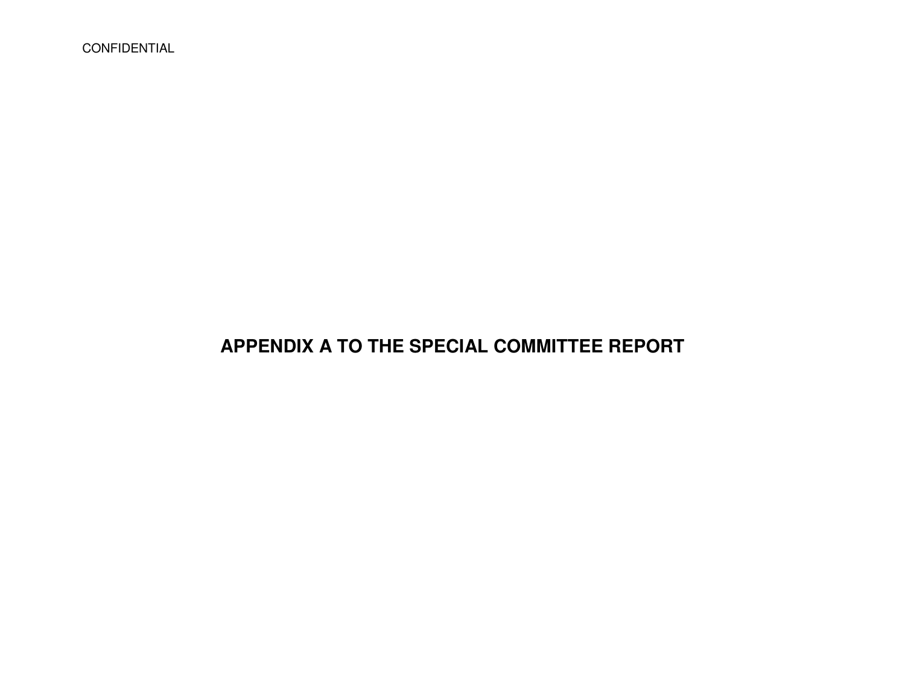CONFIDENTIAL

# **APPENDIX A TO THE SPECIAL COMMITTEE REPORT**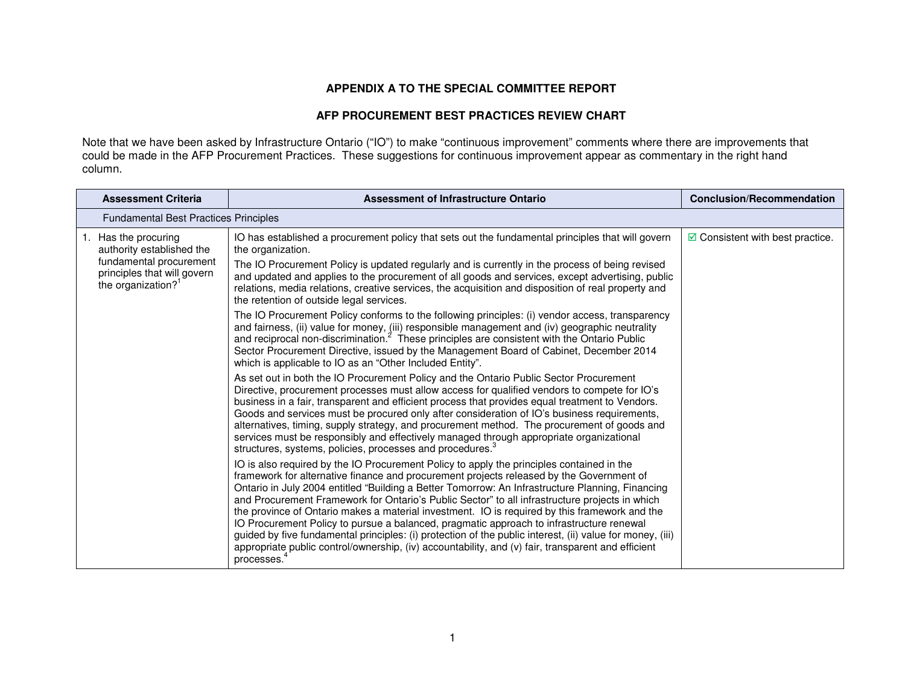#### **APPENDIX A TO THE SPECIAL COMMITTEE REPORT**

#### **AFP PROCUREMENT BEST PRACTICES REVIEW CHART**

Note that we have been asked by Infrastructure Ontario ("IO") to make "continuous improvement" comments where there are improvements that<br>could be made in the AFP Procurement Practices. These suggestions for continuous im column.

| <b>Assessment Criteria</b>                                                                                                                    | <b>Assessment of Infrastructure Ontario</b>                                                                                                                                                                                                                                                                                                                                                                                                                                                                                                                                                                                                                                                                                                                                                                                                                                                                                                                                                                                                                                                                                                                                                                                                                                                                                                                                                                                                                                                                                                                                                                                                                                                                                                                                                                                                                                                                                                                                                                                                                                                                            | <b>Conclusion/Recommendation</b>         |
|-----------------------------------------------------------------------------------------------------------------------------------------------|------------------------------------------------------------------------------------------------------------------------------------------------------------------------------------------------------------------------------------------------------------------------------------------------------------------------------------------------------------------------------------------------------------------------------------------------------------------------------------------------------------------------------------------------------------------------------------------------------------------------------------------------------------------------------------------------------------------------------------------------------------------------------------------------------------------------------------------------------------------------------------------------------------------------------------------------------------------------------------------------------------------------------------------------------------------------------------------------------------------------------------------------------------------------------------------------------------------------------------------------------------------------------------------------------------------------------------------------------------------------------------------------------------------------------------------------------------------------------------------------------------------------------------------------------------------------------------------------------------------------------------------------------------------------------------------------------------------------------------------------------------------------------------------------------------------------------------------------------------------------------------------------------------------------------------------------------------------------------------------------------------------------------------------------------------------------------------------------------------------------|------------------------------------------|
| Fundamental Best Practices Principles                                                                                                         |                                                                                                                                                                                                                                                                                                                                                                                                                                                                                                                                                                                                                                                                                                                                                                                                                                                                                                                                                                                                                                                                                                                                                                                                                                                                                                                                                                                                                                                                                                                                                                                                                                                                                                                                                                                                                                                                                                                                                                                                                                                                                                                        |                                          |
| 1. Has the procuring<br>authority established the<br>fundamental procurement<br>principles that will govern<br>the organization? <sup>1</sup> | IO has established a procurement policy that sets out the fundamental principles that will govern<br>the organization.<br>The IO Procurement Policy is updated regularly and is currently in the process of being revised<br>and updated and applies to the procurement of all goods and services, except advertising, public<br>relations, media relations, creative services, the acquisition and disposition of real property and<br>the retention of outside legal services.<br>The IO Procurement Policy conforms to the following principles: (i) vendor access, transparency<br>and fairness, (ii) value for money, (iii) responsible management and (iv) geographic neutrality<br>and reciprocal non-discrimination. <sup>2</sup> These principles are consistent with the Ontario Public<br>Sector Procurement Directive, issued by the Management Board of Cabinet, December 2014<br>which is applicable to IO as an "Other Included Entity".<br>As set out in both the IO Procurement Policy and the Ontario Public Sector Procurement<br>Directive, procurement processes must allow access for qualified vendors to compete for IO's<br>business in a fair, transparent and efficient process that provides equal treatment to Vendors.<br>Goods and services must be procured only after consideration of IO's business requirements,<br>alternatives, timing, supply strategy, and procurement method. The procurement of goods and<br>services must be responsibly and effectively managed through appropriate organizational<br>structures, systems, policies, processes and procedures. <sup>3</sup><br>IO is also required by the IO Procurement Policy to apply the principles contained in the<br>framework for alternative finance and procurement projects released by the Government of<br>Ontario in July 2004 entitled "Building a Better Tomorrow: An Infrastructure Planning, Financing<br>and Procurement Framework for Ontario's Public Sector" to all infrastructure projects in which<br>the province of Ontario makes a material investment. IO is required by this framework and the | $\boxdot$ Consistent with best practice. |
|                                                                                                                                               | IO Procurement Policy to pursue a balanced, pragmatic approach to infrastructure renewal<br>guided by five fundamental principles: (i) protection of the public interest, (ii) value for money, (iii)<br>appropriate public control/ownership, (iv) accountability, and (v) fair, transparent and efficient<br>processes.                                                                                                                                                                                                                                                                                                                                                                                                                                                                                                                                                                                                                                                                                                                                                                                                                                                                                                                                                                                                                                                                                                                                                                                                                                                                                                                                                                                                                                                                                                                                                                                                                                                                                                                                                                                              |                                          |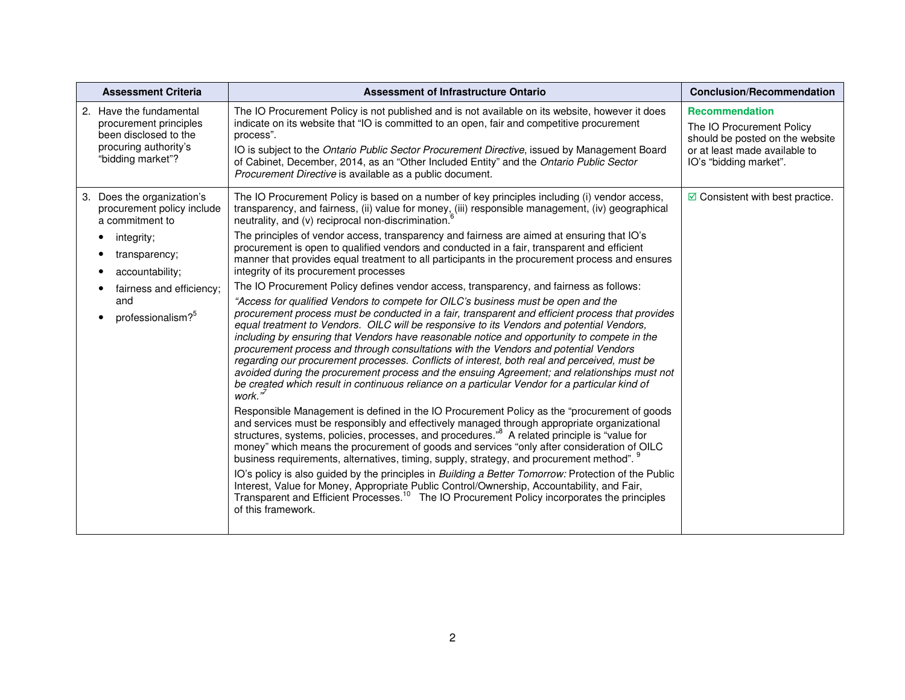| <b>Assessment Criteria</b>                                                                                                                                                                        | <b>Assessment of Infrastructure Ontario</b>                                                                                                                                                                                                                                                                                                                                                                                                                                                                                                                                                                                                                                                                                                                                                                                                                                                                                                                                                                                                                                                                                                                                                                                                                                                                                                                                                                                                                                                                                                                                                                                                                                                                                                                                                                                                                                                                                                                                                                                                                                                                                                                                                                                                                                                                                                                    | <b>Conclusion/Recommendation</b>                                                                                                                 |
|---------------------------------------------------------------------------------------------------------------------------------------------------------------------------------------------------|----------------------------------------------------------------------------------------------------------------------------------------------------------------------------------------------------------------------------------------------------------------------------------------------------------------------------------------------------------------------------------------------------------------------------------------------------------------------------------------------------------------------------------------------------------------------------------------------------------------------------------------------------------------------------------------------------------------------------------------------------------------------------------------------------------------------------------------------------------------------------------------------------------------------------------------------------------------------------------------------------------------------------------------------------------------------------------------------------------------------------------------------------------------------------------------------------------------------------------------------------------------------------------------------------------------------------------------------------------------------------------------------------------------------------------------------------------------------------------------------------------------------------------------------------------------------------------------------------------------------------------------------------------------------------------------------------------------------------------------------------------------------------------------------------------------------------------------------------------------------------------------------------------------------------------------------------------------------------------------------------------------------------------------------------------------------------------------------------------------------------------------------------------------------------------------------------------------------------------------------------------------------------------------------------------------------------------------------------------------|--------------------------------------------------------------------------------------------------------------------------------------------------|
| 2. Have the fundamental<br>procurement principles<br>been disclosed to the<br>procuring authority's<br>"bidding market"?                                                                          | The IO Procurement Policy is not published and is not available on its website, however it does<br>indicate on its website that "IO is committed to an open, fair and competitive procurement<br>process".<br>IO is subject to the Ontario Public Sector Procurement Directive, issued by Management Board<br>of Cabinet, December, 2014, as an "Other Included Entity" and the Ontario Public Sector<br>Procurement Directive is available as a public document.                                                                                                                                                                                                                                                                                                                                                                                                                                                                                                                                                                                                                                                                                                                                                                                                                                                                                                                                                                                                                                                                                                                                                                                                                                                                                                                                                                                                                                                                                                                                                                                                                                                                                                                                                                                                                                                                                              | <b>Recommendation</b><br>The IO Procurement Policy<br>should be posted on the website<br>or at least made available to<br>IO's "bidding market". |
| 3. Does the organization's<br>procurement policy include<br>a commitment to<br>integrity;<br>transparency;<br>accountability;<br>fairness and efficiency;<br>and<br>professionalism? <sup>5</sup> | The IO Procurement Policy is based on a number of key principles including (i) vendor access,<br>transparency, and fairness, (ii) value for money, (iii) responsible management, (iv) geographical<br>neutrality, and (v) reciprocal non-discrimination.<br>The principles of vendor access, transparency and fairness are aimed at ensuring that IO's<br>procurement is open to qualified vendors and conducted in a fair, transparent and efficient<br>manner that provides equal treatment to all participants in the procurement process and ensures<br>integrity of its procurement processes<br>The IO Procurement Policy defines vendor access, transparency, and fairness as follows:<br>"Access for qualified Vendors to compete for OILC's business must be open and the<br>procurement process must be conducted in a fair, transparent and efficient process that provides<br>equal treatment to Vendors. OILC will be responsive to its Vendors and potential Vendors,<br>including by ensuring that Vendors have reasonable notice and opportunity to compete in the<br>procurement process and through consultations with the Vendors and potential Vendors<br>regarding our procurement processes. Conflicts of interest, both real and perceived, must be<br>avoided during the procurement process and the ensuing Agreement; and relationships must not<br>be created which result in continuous reliance on a particular Vendor for a particular kind of<br>work. $\overline{N}$<br>Responsible Management is defined in the IO Procurement Policy as the "procurement of goods"<br>and services must be responsibly and effectively managed through appropriate organizational<br>structures, systems, policies, processes, and procedures." <sup>8</sup> A related principle is "value for<br>money" which means the procurement of goods and services "only after consideration of OILC<br>business requirements, alternatives, timing, supply, strategy, and procurement method". <sup>9</sup><br>IO's policy is also guided by the principles in Building a Better Tomorrow: Protection of the Public<br>Interest, Value for Money, Appropriate Public Control/Ownership, Accountability, and Fair,<br>Transparent and Efficient Processes. <sup>10</sup> The IO Procurement Policy incorporates the principles<br>of this framework. | $\boxdot$ Consistent with best practice.                                                                                                         |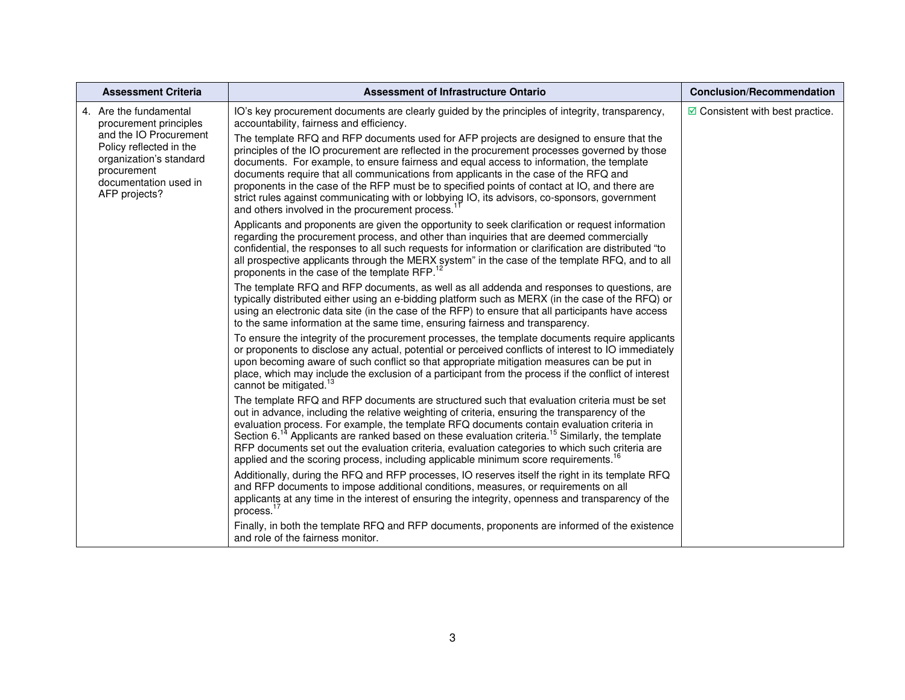| <b>Assessment Criteria</b>                                                                                                            | <b>Assessment of Infrastructure Ontario</b>                                                                                                                                                                                                                                                                                                                                                                                                                                                                                                                                                                                        | <b>Conclusion/Recommendation</b>         |
|---------------------------------------------------------------------------------------------------------------------------------------|------------------------------------------------------------------------------------------------------------------------------------------------------------------------------------------------------------------------------------------------------------------------------------------------------------------------------------------------------------------------------------------------------------------------------------------------------------------------------------------------------------------------------------------------------------------------------------------------------------------------------------|------------------------------------------|
| 4. Are the fundamental<br>procurement principles                                                                                      | IO's key procurement documents are clearly guided by the principles of integrity, transparency,<br>accountability, fairness and efficiency.                                                                                                                                                                                                                                                                                                                                                                                                                                                                                        | $\boxdot$ Consistent with best practice. |
| and the IO Procurement<br>Policy reflected in the<br>organization's standard<br>procurement<br>documentation used in<br>AFP projects? | The template RFQ and RFP documents used for AFP projects are designed to ensure that the<br>principles of the IO procurement are reflected in the procurement processes governed by those<br>documents. For example, to ensure fairness and equal access to information, the template<br>documents require that all communications from applicants in the case of the RFQ and<br>proponents in the case of the RFP must be to specified points of contact at IO, and there are<br>strict rules against communicating with or lobbying IO, its advisors, co-sponsors, government<br>and others involved in the procurement process. |                                          |
|                                                                                                                                       | Applicants and proponents are given the opportunity to seek clarification or request information<br>regarding the procurement process, and other than inquiries that are deemed commercially<br>confidential, the responses to all such requests for information or clarification are distributed "to<br>all prospective applicants through the MERX system" in the case of the template RFQ, and to all<br>proponents in the case of the template RFP.                                                                                                                                                                            |                                          |
|                                                                                                                                       | The template RFQ and RFP documents, as well as all addenda and responses to questions, are<br>typically distributed either using an e-bidding platform such as MERX (in the case of the RFQ) or<br>using an electronic data site (in the case of the RFP) to ensure that all participants have access<br>to the same information at the same time, ensuring fairness and transparency.                                                                                                                                                                                                                                             |                                          |
|                                                                                                                                       | To ensure the integrity of the procurement processes, the template documents require applicants<br>or proponents to disclose any actual, potential or perceived conflicts of interest to IO immediately<br>upon becoming aware of such conflict so that appropriate mitigation measures can be put in<br>place, which may include the exclusion of a participant from the process if the conflict of interest<br>cannot be mitigated. <sup>13</sup>                                                                                                                                                                                |                                          |
|                                                                                                                                       | The template RFQ and RFP documents are structured such that evaluation criteria must be set<br>out in advance, including the relative weighting of criteria, ensuring the transparency of the<br>evaluation process. For example, the template RFQ documents contain evaluation criteria in<br>Section 6. <sup>14</sup> Applicants are ranked based on these evaluation criteria. <sup>15</sup> Similarly, the template<br>RFP documents set out the evaluation criteria, evaluation categories to which such criteria are<br>applied and the scoring process, including applicable minimum score requirements. <sup>16</sup>      |                                          |
|                                                                                                                                       | Additionally, during the RFQ and RFP processes, IO reserves itself the right in its template RFQ<br>and RFP documents to impose additional conditions, measures, or requirements on all<br>applicants at any time in the interest of ensuring the integrity, openness and transparency of the<br>process. $17$                                                                                                                                                                                                                                                                                                                     |                                          |
|                                                                                                                                       | Finally, in both the template RFQ and RFP documents, proponents are informed of the existence<br>and role of the fairness monitor.                                                                                                                                                                                                                                                                                                                                                                                                                                                                                                 |                                          |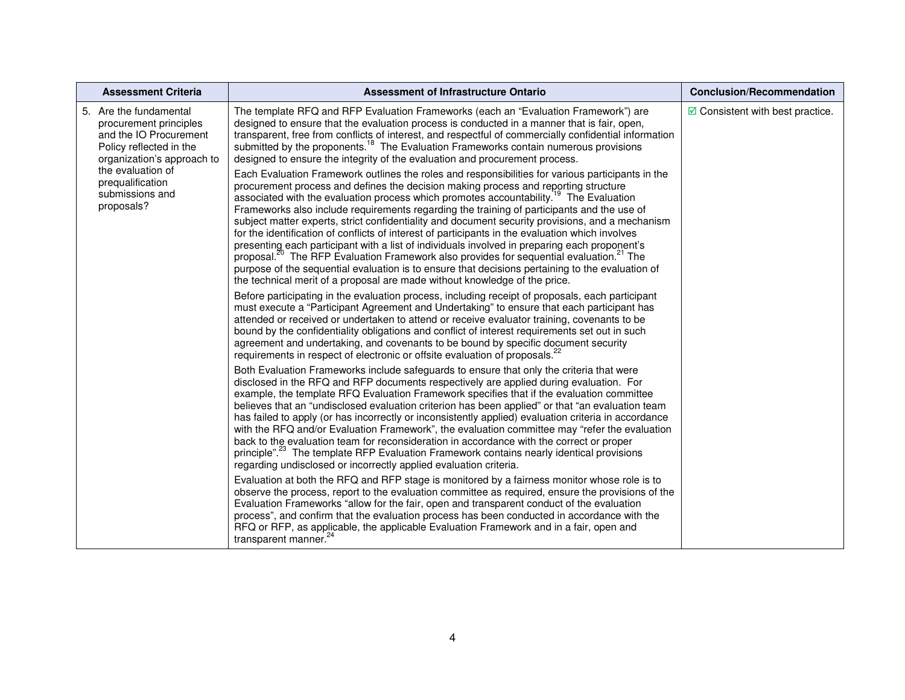| <b>Assessment Criteria</b>                                                                                                                                                                      | <b>Assessment of Infrastructure Ontario</b>                                                                                                                                                                                                                                                                                                                                                                                                                                                                                                                                                                                                                                                                                                                                                                                                                           | <b>Conclusion/Recommendation</b>         |
|-------------------------------------------------------------------------------------------------------------------------------------------------------------------------------------------------|-----------------------------------------------------------------------------------------------------------------------------------------------------------------------------------------------------------------------------------------------------------------------------------------------------------------------------------------------------------------------------------------------------------------------------------------------------------------------------------------------------------------------------------------------------------------------------------------------------------------------------------------------------------------------------------------------------------------------------------------------------------------------------------------------------------------------------------------------------------------------|------------------------------------------|
| 5. Are the fundamental<br>procurement principles<br>and the IO Procurement<br>Policy reflected in the<br>organization's approach to<br>the evaluation of<br>prequalification<br>submissions and | The template RFQ and RFP Evaluation Frameworks (each an "Evaluation Framework") are<br>designed to ensure that the evaluation process is conducted in a manner that is fair, open,<br>transparent, free from conflicts of interest, and respectful of commercially confidential information<br>submitted by the proponents. <sup>18</sup> The Evaluation Frameworks contain numerous provisions<br>designed to ensure the integrity of the evaluation and procurement process.<br>Each Evaluation Framework outlines the roles and responsibilities for various participants in the<br>procurement process and defines the decision making process and reporting structure<br>associated with the evaluation process which promotes accountability. <sup>19</sup> The Evaluation                                                                                      | $\boxdot$ Consistent with best practice. |
| proposals?                                                                                                                                                                                      | Frameworks also include requirements regarding the training of participants and the use of<br>subject matter experts, strict confidentiality and document security provisions, and a mechanism<br>for the identification of conflicts of interest of participants in the evaluation which involves<br>presenting each participant with a list of individuals involved in preparing each proponent's<br>proposal. <sup>20</sup> The RFP Evaluation Framework also provides for sequential evaluation. <sup>21</sup> The<br>purpose of the sequential evaluation is to ensure that decisions pertaining to the evaluation of<br>the technical merit of a proposal are made without knowledge of the price.                                                                                                                                                              |                                          |
|                                                                                                                                                                                                 | Before participating in the evaluation process, including receipt of proposals, each participant<br>must execute a "Participant Agreement and Undertaking" to ensure that each participant has<br>attended or received or undertaken to attend or receive evaluator training, covenants to be<br>bound by the confidentiality obligations and conflict of interest requirements set out in such<br>agreement and undertaking, and covenants to be bound by specific document security<br>requirements in respect of electronic or offsite evaluation of proposals. <sup>22</sup>                                                                                                                                                                                                                                                                                      |                                          |
|                                                                                                                                                                                                 | Both Evaluation Frameworks include safeguards to ensure that only the criteria that were<br>disclosed in the RFQ and RFP documents respectively are applied during evaluation. For<br>example, the template RFQ Evaluation Framework specifies that if the evaluation committee<br>believes that an "undisclosed evaluation criterion has been applied" or that "an evaluation team<br>has failed to apply (or has incorrectly or inconsistently applied) evaluation criteria in accordance<br>with the RFQ and/or Evaluation Framework", the evaluation committee may "refer the evaluation<br>back to the evaluation team for reconsideration in accordance with the correct or proper<br>principle". <sup>23</sup> The template RFP Evaluation Framework contains nearly identical provisions<br>regarding undisclosed or incorrectly applied evaluation criteria. |                                          |
|                                                                                                                                                                                                 | Evaluation at both the RFQ and RFP stage is monitored by a fairness monitor whose role is to<br>observe the process, report to the evaluation committee as required, ensure the provisions of the<br>Evaluation Frameworks "allow for the fair, open and transparent conduct of the evaluation<br>process", and confirm that the evaluation process has been conducted in accordance with the<br>RFQ or RFP, as applicable, the applicable Evaluation Framework and in a fair, open and<br>transparent manner. <sup>24</sup>                                                                                                                                                                                                                                                                                                                                          |                                          |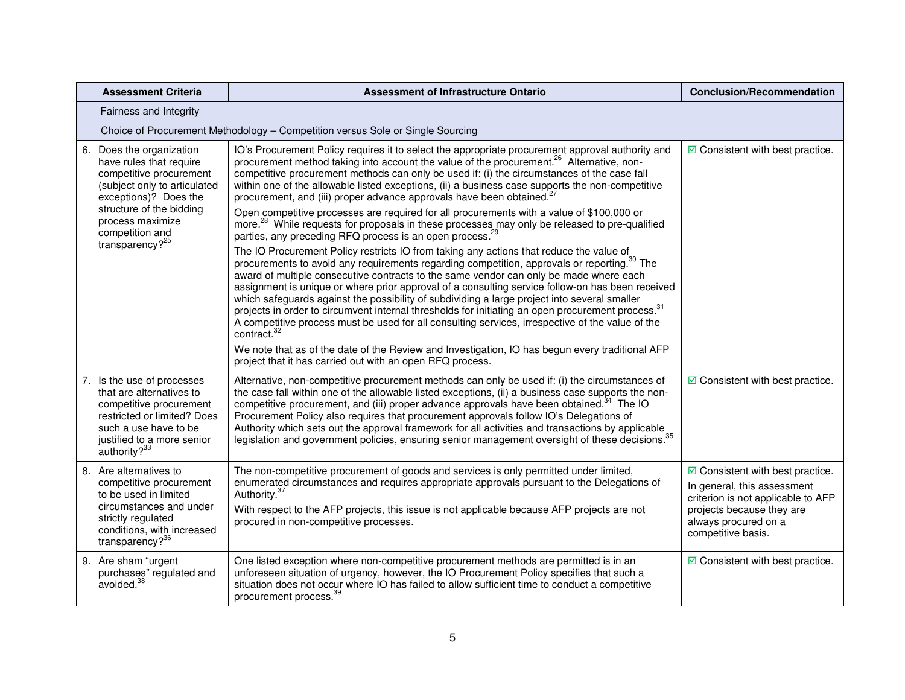| <b>Assessment Criteria</b>                                                                                                                                                                                                       | <b>Assessment of Infrastructure Ontario</b>                                                                                                                                                                                                                                                                                                                                                                                                                                                                                                                                                                                                                                                                                                                                                                                                                                                                                                                                                                                                                                       | <b>Conclusion/Recommendation</b>                                                                                                                                                         |
|----------------------------------------------------------------------------------------------------------------------------------------------------------------------------------------------------------------------------------|-----------------------------------------------------------------------------------------------------------------------------------------------------------------------------------------------------------------------------------------------------------------------------------------------------------------------------------------------------------------------------------------------------------------------------------------------------------------------------------------------------------------------------------------------------------------------------------------------------------------------------------------------------------------------------------------------------------------------------------------------------------------------------------------------------------------------------------------------------------------------------------------------------------------------------------------------------------------------------------------------------------------------------------------------------------------------------------|------------------------------------------------------------------------------------------------------------------------------------------------------------------------------------------|
| Fairness and Integrity                                                                                                                                                                                                           |                                                                                                                                                                                                                                                                                                                                                                                                                                                                                                                                                                                                                                                                                                                                                                                                                                                                                                                                                                                                                                                                                   |                                                                                                                                                                                          |
| Choice of Procurement Methodology - Competition versus Sole or Single Sourcing                                                                                                                                                   |                                                                                                                                                                                                                                                                                                                                                                                                                                                                                                                                                                                                                                                                                                                                                                                                                                                                                                                                                                                                                                                                                   |                                                                                                                                                                                          |
| 6. Does the organization<br>have rules that require<br>competitive procurement<br>(subject only to articulated<br>exceptions)? Does the<br>structure of the bidding<br>process maximize<br>competition and<br>transparency? $25$ | IO's Procurement Policy requires it to select the appropriate procurement approval authority and<br>procurement method taking into account the value of the procurement. <sup>26</sup> Alternative, non-<br>competitive procurement methods can only be used if: (i) the circumstances of the case fall<br>within one of the allowable listed exceptions, (ii) a business case supports the non-competitive<br>procurement, and (iii) proper advance approvals have been obtained. <sup>2</sup><br>Open competitive processes are required for all procurements with a value of \$100,000 or<br>more. <sup>28</sup> While requests for proposals in these processes may only be released to pre-qualified<br>parties, any preceding RFQ process is an open process. <sup>29</sup><br>The IO Procurement Policy restricts IO from taking any actions that reduce the value of<br>procurements to avoid any requirements regarding competition, approvals or reporting. <sup>30</sup> The<br>award of multiple consecutive contracts to the same vendor can only be made where each | $\boxdot$ Consistent with best practice.                                                                                                                                                 |
|                                                                                                                                                                                                                                  | assignment is unique or where prior approval of a consulting service follow-on has been received<br>which safeguards against the possibility of subdividing a large project into several smaller<br>projects in order to circumvent internal thresholds for initiating an open procurement process. <sup>31</sup><br>A competitive process must be used for all consulting services, irrespective of the value of the<br>contract. <sup>32</sup><br>We note that as of the date of the Review and Investigation, IO has begun every traditional AFP<br>project that it has carried out with an open RFQ process.                                                                                                                                                                                                                                                                                                                                                                                                                                                                  |                                                                                                                                                                                          |
| 7. Is the use of processes<br>that are alternatives to<br>competitive procurement<br>restricted or limited? Does<br>such a use have to be<br>justified to a more senior<br>authority? <sup>33</sup>                              | Alternative, non-competitive procurement methods can only be used if: (i) the circumstances of<br>the case fall within one of the allowable listed exceptions, (ii) a business case supports the non-<br>competitive procurement, and (iii) proper advance approvals have been obtained. <sup>34</sup> The IO<br>Procurement Policy also requires that procurement approvals follow IO's Delegations of<br>Authority which sets out the approval framework for all activities and transactions by applicable<br>legislation and government policies, ensuring senior management oversight of these decisions. <sup>35</sup>                                                                                                                                                                                                                                                                                                                                                                                                                                                       | $\boxdot$ Consistent with best practice.                                                                                                                                                 |
| 8. Are alternatives to<br>competitive procurement<br>to be used in limited<br>circumstances and under<br>strictly regulated<br>conditions, with increased<br>transparency? <sup>36</sup>                                         | The non-competitive procurement of goods and services is only permitted under limited,<br>enumerated circumstances and requires appropriate approvals pursuant to the Delegations of<br>Authority. <sup>37</sup><br>With respect to the AFP projects, this issue is not applicable because AFP projects are not<br>procured in non-competitive processes.                                                                                                                                                                                                                                                                                                                                                                                                                                                                                                                                                                                                                                                                                                                         | $\boxdot$ Consistent with best practice.<br>In general, this assessment<br>criterion is not applicable to AFP<br>projects because they are<br>always procured on a<br>competitive basis. |
| 9. Are sham "urgent<br>purchases" regulated and<br>avoided. <sup>38</sup>                                                                                                                                                        | One listed exception where non-competitive procurement methods are permitted is in an<br>unforeseen situation of urgency, however, the IO Procurement Policy specifies that such a<br>situation does not occur where IO has failed to allow sufficient time to conduct a competitive<br>procurement process. <sup>39</sup>                                                                                                                                                                                                                                                                                                                                                                                                                                                                                                                                                                                                                                                                                                                                                        | ☑ Consistent with best practice.                                                                                                                                                         |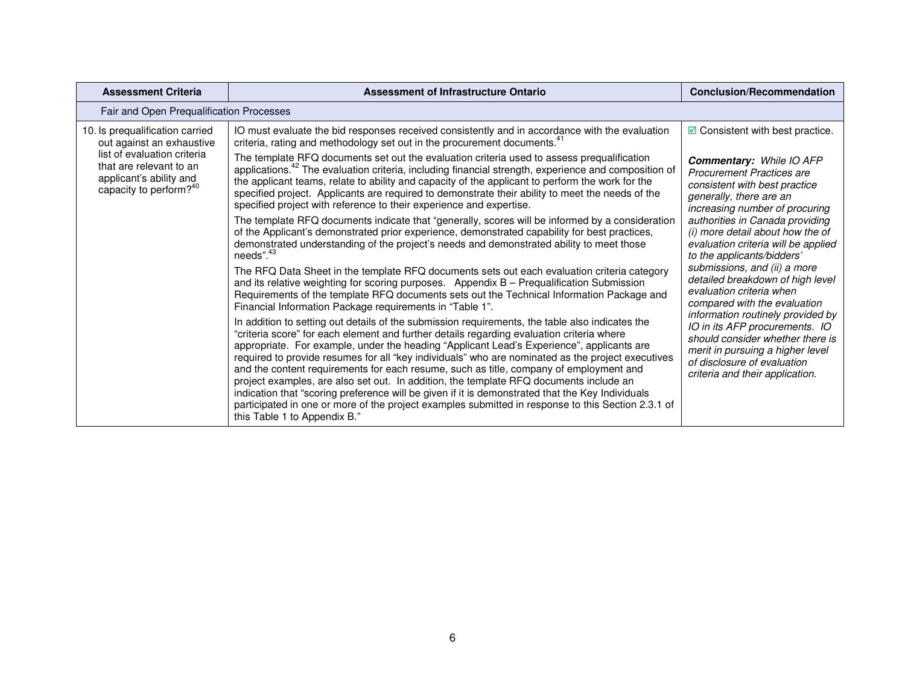| <b>Assessment Criteria</b>                                                                                              | Assessment of Infrastructure Ontario                                                                                                                                                                                                                                                                                                                                                                                                                                                                                                                                                                                                                                                                                                                                                                                         | <b>Conclusion/Recommendation</b>                                                                                                                                                                                                                                                                                                                                                                                                                                                                                                                                                                                                                                                                                |  |  |
|-------------------------------------------------------------------------------------------------------------------------|------------------------------------------------------------------------------------------------------------------------------------------------------------------------------------------------------------------------------------------------------------------------------------------------------------------------------------------------------------------------------------------------------------------------------------------------------------------------------------------------------------------------------------------------------------------------------------------------------------------------------------------------------------------------------------------------------------------------------------------------------------------------------------------------------------------------------|-----------------------------------------------------------------------------------------------------------------------------------------------------------------------------------------------------------------------------------------------------------------------------------------------------------------------------------------------------------------------------------------------------------------------------------------------------------------------------------------------------------------------------------------------------------------------------------------------------------------------------------------------------------------------------------------------------------------|--|--|
|                                                                                                                         | Fair and Open Prequalification Processes                                                                                                                                                                                                                                                                                                                                                                                                                                                                                                                                                                                                                                                                                                                                                                                     |                                                                                                                                                                                                                                                                                                                                                                                                                                                                                                                                                                                                                                                                                                                 |  |  |
| 10. Is prequalification carried<br>out against an exhaustive                                                            | IO must evaluate the bid responses received consistently and in accordance with the evaluation<br>criteria, rating and methodology set out in the procurement documents. <sup>41</sup>                                                                                                                                                                                                                                                                                                                                                                                                                                                                                                                                                                                                                                       | $\blacksquare$ Consistent with best practice.<br><b>Commentary: While IO AFP</b><br><b>Procurement Practices are</b><br>consistent with best practice<br>generally, there are an<br>increasing number of procuring<br>authorities in Canada providing<br>(i) more detail about how the of<br>evaluation criteria will be applied<br>to the applicants/bidders'<br>submissions, and (ii) a more<br>detailed breakdown of high level<br>evaluation criteria when<br>compared with the evaluation<br>information routinely provided by<br>IO in its AFP procurements. IO<br>should consider whether there is<br>merit in pursuing a higher level<br>of disclosure of evaluation<br>criteria and their application. |  |  |
| list of evaluation criteria<br>that are relevant to an<br>applicant's ability and<br>capacity to perform? <sup>40</sup> | The template RFQ documents set out the evaluation criteria used to assess prequalification<br>applications. <sup>42</sup> The evaluation criteria, including financial strength, experience and composition of<br>the applicant teams, relate to ability and capacity of the applicant to perform the work for the<br>specified project. Applicants are required to demonstrate their ability to meet the needs of the<br>specified project with reference to their experience and expertise.                                                                                                                                                                                                                                                                                                                                |                                                                                                                                                                                                                                                                                                                                                                                                                                                                                                                                                                                                                                                                                                                 |  |  |
|                                                                                                                         | The template RFQ documents indicate that "generally, scores will be informed by a consideration<br>of the Applicant's demonstrated prior experience, demonstrated capability for best practices,<br>demonstrated understanding of the project's needs and demonstrated ability to meet those<br>needs". <sup>43</sup>                                                                                                                                                                                                                                                                                                                                                                                                                                                                                                        |                                                                                                                                                                                                                                                                                                                                                                                                                                                                                                                                                                                                                                                                                                                 |  |  |
|                                                                                                                         | The RFQ Data Sheet in the template RFQ documents sets out each evaluation criteria category<br>and its relative weighting for scoring purposes. Appendix B - Prequalification Submission<br>Requirements of the template RFQ documents sets out the Technical Information Package and<br>Financial Information Package requirements in "Table 1".                                                                                                                                                                                                                                                                                                                                                                                                                                                                            |                                                                                                                                                                                                                                                                                                                                                                                                                                                                                                                                                                                                                                                                                                                 |  |  |
|                                                                                                                         | In addition to setting out details of the submission requirements, the table also indicates the<br>"criteria score" for each element and further details regarding evaluation criteria where<br>appropriate. For example, under the heading "Applicant Lead's Experience", applicants are<br>required to provide resumes for all "key individuals" who are nominated as the project executives<br>and the content requirements for each resume, such as title, company of employment and<br>project examples, are also set out. In addition, the template RFQ documents include an<br>indication that "scoring preference will be given if it is demonstrated that the Key Individuals<br>participated in one or more of the project examples submitted in response to this Section 2.3.1 of<br>this Table 1 to Appendix B." |                                                                                                                                                                                                                                                                                                                                                                                                                                                                                                                                                                                                                                                                                                                 |  |  |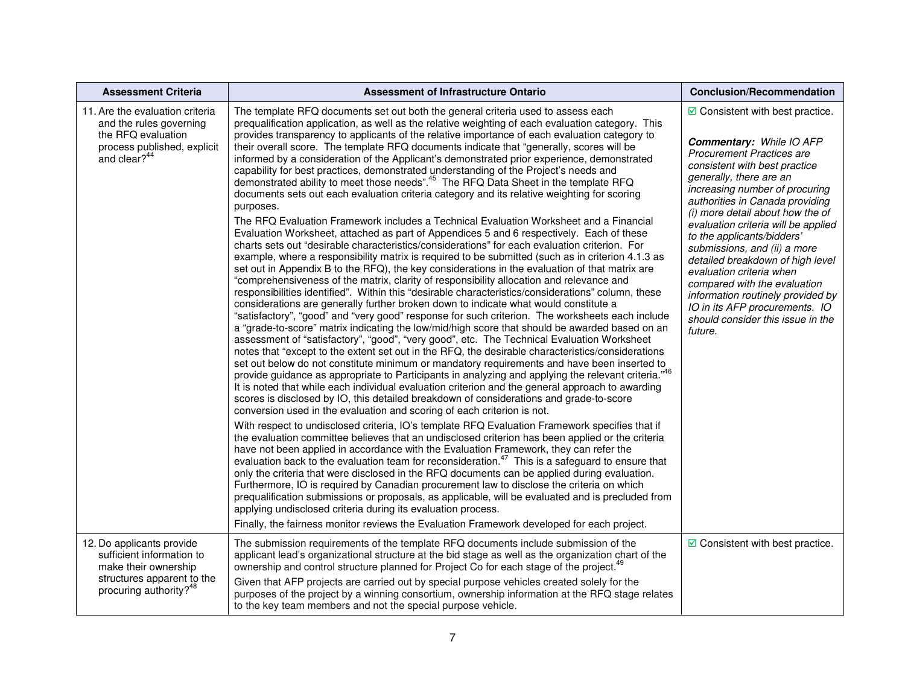| <b>Assessment Criteria</b>                                                                                                                         | <b>Assessment of Infrastructure Ontario</b>                                                                                                                                                                                                                                                                                                                                                                                                                                                                                                                                                                                                                                                                                                                                                                                                                                                                                                                                                                                                                                                                                                                                                                                                                                                                                                                                                                                                                                                                                                                                                                                                                                                                                                                                                                                                                                                                                                                                                                                                                                                                                                                                                                                                                                                                                                                                                                                                                                                                                                                                                                                                                                                                                                                                                                                                                                                                                                                                                                                                                                                                                                                                                                                                                                                                                                                        | <b>Conclusion/Recommendation</b>                                                                                                                                                                                                                                                                                                                                                                                                                                                                                                                                                                                 |
|----------------------------------------------------------------------------------------------------------------------------------------------------|--------------------------------------------------------------------------------------------------------------------------------------------------------------------------------------------------------------------------------------------------------------------------------------------------------------------------------------------------------------------------------------------------------------------------------------------------------------------------------------------------------------------------------------------------------------------------------------------------------------------------------------------------------------------------------------------------------------------------------------------------------------------------------------------------------------------------------------------------------------------------------------------------------------------------------------------------------------------------------------------------------------------------------------------------------------------------------------------------------------------------------------------------------------------------------------------------------------------------------------------------------------------------------------------------------------------------------------------------------------------------------------------------------------------------------------------------------------------------------------------------------------------------------------------------------------------------------------------------------------------------------------------------------------------------------------------------------------------------------------------------------------------------------------------------------------------------------------------------------------------------------------------------------------------------------------------------------------------------------------------------------------------------------------------------------------------------------------------------------------------------------------------------------------------------------------------------------------------------------------------------------------------------------------------------------------------------------------------------------------------------------------------------------------------------------------------------------------------------------------------------------------------------------------------------------------------------------------------------------------------------------------------------------------------------------------------------------------------------------------------------------------------------------------------------------------------------------------------------------------------------------------------------------------------------------------------------------------------------------------------------------------------------------------------------------------------------------------------------------------------------------------------------------------------------------------------------------------------------------------------------------------------------------------------------------------------------------------------------------------------|------------------------------------------------------------------------------------------------------------------------------------------------------------------------------------------------------------------------------------------------------------------------------------------------------------------------------------------------------------------------------------------------------------------------------------------------------------------------------------------------------------------------------------------------------------------------------------------------------------------|
| 11. Are the evaluation criteria<br>and the rules governing<br>the RFQ evaluation<br>process published, explicit<br>and clear? <sup>44</sup>        | The template RFQ documents set out both the general criteria used to assess each<br>prequalification application, as well as the relative weighting of each evaluation category. This<br>provides transparency to applicants of the relative importance of each evaluation category to<br>their overall score. The template RFQ documents indicate that "generally, scores will be<br>informed by a consideration of the Applicant's demonstrated prior experience, demonstrated<br>capability for best practices, demonstrated understanding of the Project's needs and<br>demonstrated ability to meet those needs". <sup>45</sup> The RFQ Data Sheet in the template RFQ<br>documents sets out each evaluation criteria category and its relative weighting for scoring<br>purposes.<br>The RFQ Evaluation Framework includes a Technical Evaluation Worksheet and a Financial<br>Evaluation Worksheet, attached as part of Appendices 5 and 6 respectively. Each of these<br>charts sets out "desirable characteristics/considerations" for each evaluation criterion. For<br>example, where a responsibility matrix is required to be submitted (such as in criterion 4.1.3 as<br>set out in Appendix B to the RFQ), the key considerations in the evaluation of that matrix are<br>"comprehensiveness of the matrix, clarity of responsibility allocation and relevance and<br>responsibilities identified". Within this "desirable characteristics/considerations" column, these<br>considerations are generally further broken down to indicate what would constitute a<br>"satisfactory", "good" and "very good" response for such criterion. The worksheets each include<br>a "grade-to-score" matrix indicating the low/mid/high score that should be awarded based on an<br>assessment of "satisfactory", "good", "very good", etc. The Technical Evaluation Worksheet<br>notes that "except to the extent set out in the RFQ, the desirable characteristics/considerations<br>set out below do not constitute minimum or mandatory requirements and have been inserted to<br>provide guidance as appropriate to Participants in analyzing and applying the relevant criteria." <sup>46</sup><br>It is noted that while each individual evaluation criterion and the general approach to awarding<br>scores is disclosed by IO, this detailed breakdown of considerations and grade-to-score<br>conversion used in the evaluation and scoring of each criterion is not.<br>With respect to undisclosed criteria, IO's template RFQ Evaluation Framework specifies that if<br>the evaluation committee believes that an undisclosed criterion has been applied or the criteria<br>have not been applied in accordance with the Evaluation Framework, they can refer the<br>evaluation back to the evaluation team for reconsideration. <sup>47</sup> This is a safeguard to ensure that<br>only the criteria that were disclosed in the RFQ documents can be applied during evaluation.<br>Furthermore, IO is required by Canadian procurement law to disclose the criteria on which<br>prequalification submissions or proposals, as applicable, will be evaluated and is precluded from<br>applying undisclosed criteria during its evaluation process.<br>Finally, the fairness monitor reviews the Evaluation Framework developed for each project. | $\boxdot$ Consistent with best practice.<br><b>Commentary: While IO AFP</b><br><b>Procurement Practices are</b><br>consistent with best practice<br>generally, there are an<br>increasing number of procuring<br>authorities in Canada providing<br>(i) more detail about how the of<br>evaluation criteria will be applied<br>to the applicants/bidders'<br>submissions, and (ii) a more<br>detailed breakdown of high level<br>evaluation criteria when<br>compared with the evaluation<br>information routinely provided by<br>IO in its AFP procurements. IO<br>should consider this issue in the<br>future. |
| 12. Do applicants provide<br>sufficient information to<br>make their ownership<br>structures apparent to the<br>procuring authority? <sup>48</sup> | The submission requirements of the template RFQ documents include submission of the<br>applicant lead's organizational structure at the bid stage as well as the organization chart of the<br>ownership and control structure planned for Project Co for each stage of the project. <sup>49</sup><br>Given that AFP projects are carried out by special purpose vehicles created solely for the<br>purposes of the project by a winning consortium, ownership information at the RFQ stage relates<br>to the key team members and not the special purpose vehicle.                                                                                                                                                                                                                                                                                                                                                                                                                                                                                                                                                                                                                                                                                                                                                                                                                                                                                                                                                                                                                                                                                                                                                                                                                                                                                                                                                                                                                                                                                                                                                                                                                                                                                                                                                                                                                                                                                                                                                                                                                                                                                                                                                                                                                                                                                                                                                                                                                                                                                                                                                                                                                                                                                                                                                                                                 | $\boxdot$ Consistent with best practice.                                                                                                                                                                                                                                                                                                                                                                                                                                                                                                                                                                         |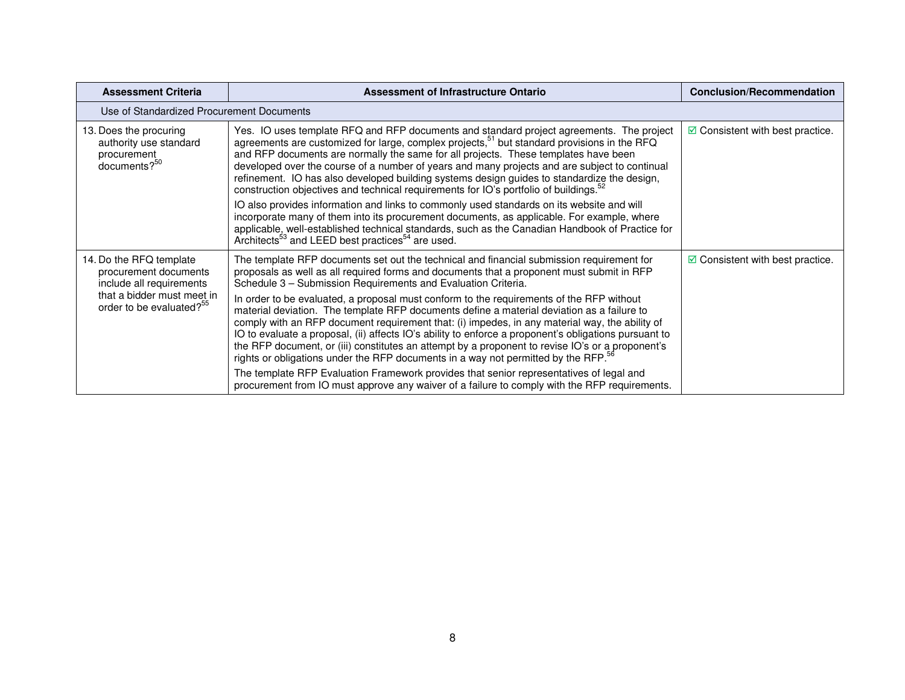| <b>Assessment Criteria</b>                                                                                                                         | Assessment of Infrastructure Ontario                                                                                                                                                                                                                                                                                                                                                                                                                                                                                                                                                                                                                                                                                                                                                                                                                                                                                                                                                                                                                           | <b>Conclusion/Recommendation</b>         |
|----------------------------------------------------------------------------------------------------------------------------------------------------|----------------------------------------------------------------------------------------------------------------------------------------------------------------------------------------------------------------------------------------------------------------------------------------------------------------------------------------------------------------------------------------------------------------------------------------------------------------------------------------------------------------------------------------------------------------------------------------------------------------------------------------------------------------------------------------------------------------------------------------------------------------------------------------------------------------------------------------------------------------------------------------------------------------------------------------------------------------------------------------------------------------------------------------------------------------|------------------------------------------|
| Use of Standardized Procurement Documents                                                                                                          |                                                                                                                                                                                                                                                                                                                                                                                                                                                                                                                                                                                                                                                                                                                                                                                                                                                                                                                                                                                                                                                                |                                          |
| 13. Does the procuring<br>authority use standard<br>procurement<br>documents? <sup>50</sup>                                                        | Yes. IO uses template RFQ and RFP documents and standard project agreements. The project<br>agreements are customized for large, complex projects, <sup>51</sup> but standard provisions in the RFQ<br>and RFP documents are normally the same for all projects. These templates have been<br>developed over the course of a number of years and many projects and are subject to continual<br>refinement. IO has also developed building systems design guides to standardize the design,<br>construction objectives and technical requirements for IO's portfolio of buildings. <sup>52</sup><br>IO also provides information and links to commonly used standards on its website and will<br>incorporate many of them into its procurement documents, as applicable. For example, where<br>applicable, well-established technical standards, such as the Canadian Handbook of Practice for<br>Architects <sup>53</sup> and LEED best practices <sup>54</sup> are used.                                                                                      | $\boxdot$ Consistent with best practice. |
| 14. Do the RFQ template<br>procurement documents<br>include all requirements<br>that a bidder must meet in<br>order to be evaluated? <sup>55</sup> | The template RFP documents set out the technical and financial submission requirement for<br>proposals as well as all required forms and documents that a proponent must submit in RFP<br>Schedule 3 - Submission Requirements and Evaluation Criteria.<br>In order to be evaluated, a proposal must conform to the requirements of the RFP without<br>material deviation. The template RFP documents define a material deviation as a failure to<br>comply with an RFP document requirement that: (i) impedes, in any material way, the ability of<br>IO to evaluate a proposal, (ii) affects IO's ability to enforce a proponent's obligations pursuant to<br>the RFP document, or (iii) constitutes an attempt by a proponent to revise IO's or a proponent's<br>rights or obligations under the RFP documents in a way not permitted by the RFP. <sup>56</sup><br>The template RFP Evaluation Framework provides that senior representatives of legal and<br>procurement from IO must approve any waiver of a failure to comply with the RFP requirements. | $\boxdot$ Consistent with best practice. |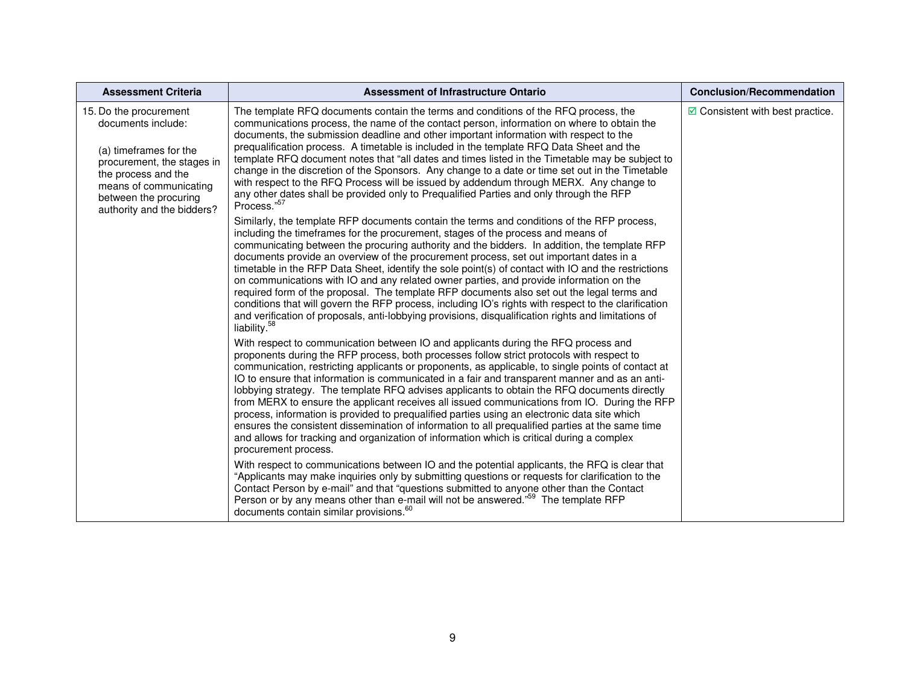| <b>Assessment Criteria</b>                                                                                                                                                                                   | Assessment of Infrastructure Ontario                                                                                                                                                                                                                                                                                                                                                                                                                                                                                                                                                                                                                                                                                                                                                                                                                                                                                                                                                                                                                                                                                                                                                                                                                                                                                                                                                                                                                                                                                                                                                                                                                                                                                                                                                                                                                                                                                                                                                                                                                                                                                                                                                                                                                                                                                                                                                                                                                                                                                                                                                                                                                                                                                                                                                                                                                                                                                                                                                                                                                                                               | <b>Conclusion/Recommendation</b>           |
|--------------------------------------------------------------------------------------------------------------------------------------------------------------------------------------------------------------|----------------------------------------------------------------------------------------------------------------------------------------------------------------------------------------------------------------------------------------------------------------------------------------------------------------------------------------------------------------------------------------------------------------------------------------------------------------------------------------------------------------------------------------------------------------------------------------------------------------------------------------------------------------------------------------------------------------------------------------------------------------------------------------------------------------------------------------------------------------------------------------------------------------------------------------------------------------------------------------------------------------------------------------------------------------------------------------------------------------------------------------------------------------------------------------------------------------------------------------------------------------------------------------------------------------------------------------------------------------------------------------------------------------------------------------------------------------------------------------------------------------------------------------------------------------------------------------------------------------------------------------------------------------------------------------------------------------------------------------------------------------------------------------------------------------------------------------------------------------------------------------------------------------------------------------------------------------------------------------------------------------------------------------------------------------------------------------------------------------------------------------------------------------------------------------------------------------------------------------------------------------------------------------------------------------------------------------------------------------------------------------------------------------------------------------------------------------------------------------------------------------------------------------------------------------------------------------------------------------------------------------------------------------------------------------------------------------------------------------------------------------------------------------------------------------------------------------------------------------------------------------------------------------------------------------------------------------------------------------------------------------------------------------------------------------------------------------------------|--------------------------------------------|
| 15. Do the procurement<br>documents include:<br>(a) timeframes for the<br>procurement, the stages in<br>the process and the<br>means of communicating<br>between the procuring<br>authority and the bidders? | The template RFQ documents contain the terms and conditions of the RFQ process, the<br>communications process, the name of the contact person, information on where to obtain the<br>documents, the submission deadline and other important information with respect to the<br>prequalification process. A timetable is included in the template RFQ Data Sheet and the<br>template RFQ document notes that "all dates and times listed in the Timetable may be subject to<br>change in the discretion of the Sponsors. Any change to a date or time set out in the Timetable<br>with respect to the RFQ Process will be issued by addendum through MERX. Any change to<br>any other dates shall be provided only to Prequalified Parties and only through the RFP<br>Process." <sup>57</sup><br>Similarly, the template RFP documents contain the terms and conditions of the RFP process,<br>including the timeframes for the procurement, stages of the process and means of<br>communicating between the procuring authority and the bidders. In addition, the template RFP<br>documents provide an overview of the procurement process, set out important dates in a<br>timetable in the RFP Data Sheet, identify the sole point(s) of contact with IO and the restrictions<br>on communications with IO and any related owner parties, and provide information on the<br>required form of the proposal. The template RFP documents also set out the legal terms and<br>conditions that will govern the RFP process, including IO's rights with respect to the clarification<br>and verification of proposals, anti-lobbying provisions, disqualification rights and limitations of<br>liability. <sup>58</sup><br>With respect to communication between IO and applicants during the RFQ process and<br>proponents during the RFP process, both processes follow strict protocols with respect to<br>communication, restricting applicants or proponents, as applicable, to single points of contact at<br>IO to ensure that information is communicated in a fair and transparent manner and as an anti-<br>lobbying strategy. The template RFQ advises applicants to obtain the RFQ documents directly<br>from MERX to ensure the applicant receives all issued communications from IO. During the RFP<br>process, information is provided to prequalified parties using an electronic data site which<br>ensures the consistent dissemination of information to all prequalified parties at the same time<br>and allows for tracking and organization of information which is critical during a complex<br>procurement process.<br>With respect to communications between IO and the potential applicants, the RFQ is clear that<br>"Applicants may make inquiries only by submitting questions or requests for clarification to the<br>Contact Person by e-mail" and that "questions submitted to anyone other than the Contact<br>Person or by any means other than e-mail will not be answered." <sup>59</sup> The template RFP<br>documents contain similar provisions. <sup>60</sup> | $\boxtimes$ Consistent with best practice. |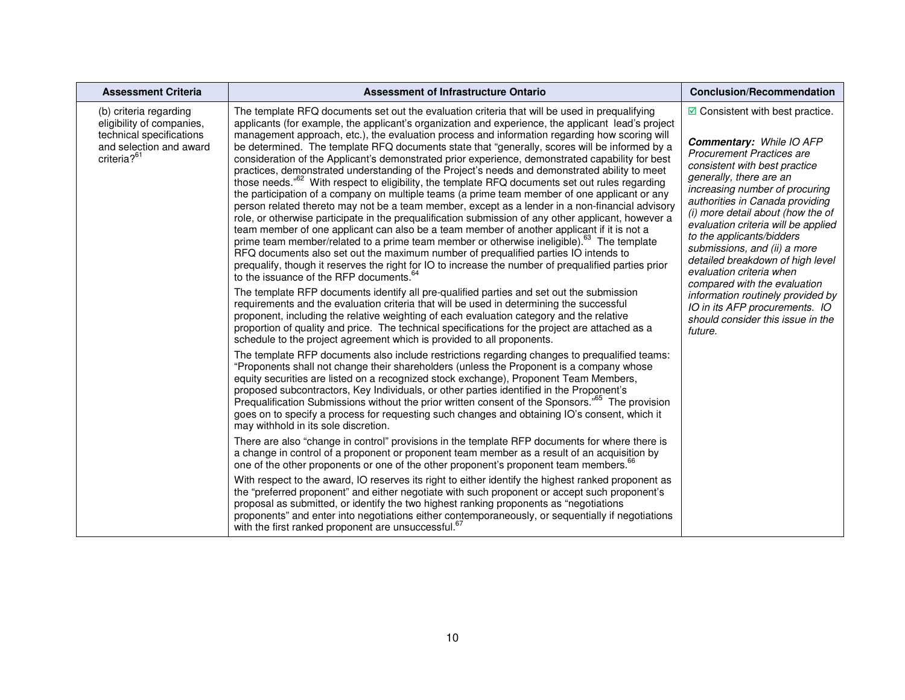| <b>Assessment Criteria</b>                                                                                                            | Assessment of Infrastructure Ontario                                                                                                                                                                                                                                                                                                                                                                                                                                                                                                                                                                                                                                                                                                                                                                                                                                                                                                                                                                                                                                                                                                                                                                                                                                                                                                                                                                                                                                                              | <b>Conclusion/Recommendation</b>                                                                                                                                                                                                                                                                                                                                                                                                                                                                                                                                                                                 |
|---------------------------------------------------------------------------------------------------------------------------------------|---------------------------------------------------------------------------------------------------------------------------------------------------------------------------------------------------------------------------------------------------------------------------------------------------------------------------------------------------------------------------------------------------------------------------------------------------------------------------------------------------------------------------------------------------------------------------------------------------------------------------------------------------------------------------------------------------------------------------------------------------------------------------------------------------------------------------------------------------------------------------------------------------------------------------------------------------------------------------------------------------------------------------------------------------------------------------------------------------------------------------------------------------------------------------------------------------------------------------------------------------------------------------------------------------------------------------------------------------------------------------------------------------------------------------------------------------------------------------------------------------|------------------------------------------------------------------------------------------------------------------------------------------------------------------------------------------------------------------------------------------------------------------------------------------------------------------------------------------------------------------------------------------------------------------------------------------------------------------------------------------------------------------------------------------------------------------------------------------------------------------|
| (b) criteria regarding<br>eligibility of companies,<br>technical specifications<br>and selection and award<br>criteria? <sup>61</sup> | The template RFQ documents set out the evaluation criteria that will be used in prequalifying<br>applicants (for example, the applicant's organization and experience, the applicant lead's project<br>management approach, etc.), the evaluation process and information regarding how scoring will<br>be determined. The template RFQ documents state that "generally, scores will be informed by a<br>consideration of the Applicant's demonstrated prior experience, demonstrated capability for best<br>practices, demonstrated understanding of the Project's needs and demonstrated ability to meet<br>those needs. <sup>"62</sup> With respect to eligibility, the template RFQ documents set out rules regarding<br>the participation of a company on multiple teams (a prime team member of one applicant or any<br>person related thereto may not be a team member, except as a lender in a non-financial advisory<br>role, or otherwise participate in the prequalification submission of any other applicant, however a<br>team member of one applicant can also be a team member of another applicant if it is not a<br>prime team member/related to a prime team member or otherwise ineligible). <sup>63</sup> The template<br>RFQ documents also set out the maximum number of prequalified parties IO intends to<br>prequalify, though it reserves the right for IO to increase the number of prequalified parties prior<br>to the issuance of the RFP documents. <sup>64</sup> | $\boxdot$ Consistent with best practice.<br><b>Commentary: While IO AFP</b><br><b>Procurement Practices are</b><br>consistent with best practice<br>generally, there are an<br>increasing number of procuring<br>authorities in Canada providing<br>(i) more detail about (how the of<br>evaluation criteria will be applied<br>to the applicants/bidders<br>submissions, and (ii) a more<br>detailed breakdown of high level<br>evaluation criteria when<br>compared with the evaluation<br>information routinely provided by<br>IO in its AFP procurements. IO<br>should consider this issue in the<br>future. |
|                                                                                                                                       | The template RFP documents identify all pre-qualified parties and set out the submission<br>requirements and the evaluation criteria that will be used in determining the successful<br>proponent, including the relative weighting of each evaluation category and the relative<br>proportion of quality and price. The technical specifications for the project are attached as a<br>schedule to the project agreement which is provided to all proponents.                                                                                                                                                                                                                                                                                                                                                                                                                                                                                                                                                                                                                                                                                                                                                                                                                                                                                                                                                                                                                                     |                                                                                                                                                                                                                                                                                                                                                                                                                                                                                                                                                                                                                  |
|                                                                                                                                       | The template RFP documents also include restrictions regarding changes to prequalified teams:<br>"Proponents shall not change their shareholders (unless the Proponent is a company whose<br>equity securities are listed on a recognized stock exchange), Proponent Team Members,<br>proposed subcontractors, Key Individuals, or other parties identified in the Proponent's<br>Prequalification Submissions without the prior written consent of the Sponsors." <sup>65</sup> The provision<br>goes on to specify a process for requesting such changes and obtaining IO's consent, which it<br>may withhold in its sole discretion.                                                                                                                                                                                                                                                                                                                                                                                                                                                                                                                                                                                                                                                                                                                                                                                                                                                           |                                                                                                                                                                                                                                                                                                                                                                                                                                                                                                                                                                                                                  |
|                                                                                                                                       | There are also "change in control" provisions in the template RFP documents for where there is<br>a change in control of a proponent or proponent team member as a result of an acquisition by<br>one of the other proponents or one of the other proponent's proponent team members. <sup>66</sup>                                                                                                                                                                                                                                                                                                                                                                                                                                                                                                                                                                                                                                                                                                                                                                                                                                                                                                                                                                                                                                                                                                                                                                                               |                                                                                                                                                                                                                                                                                                                                                                                                                                                                                                                                                                                                                  |
|                                                                                                                                       | With respect to the award, IO reserves its right to either identify the highest ranked proponent as<br>the "preferred proponent" and either negotiate with such proponent or accept such proponent's<br>proposal as submitted, or identify the two highest ranking proponents as "negotiations"<br>proponents" and enter into negotiations either contemporaneously, or sequentially if negotiations<br>with the first ranked proponent are unsuccessful. <sup>67</sup>                                                                                                                                                                                                                                                                                                                                                                                                                                                                                                                                                                                                                                                                                                                                                                                                                                                                                                                                                                                                                           |                                                                                                                                                                                                                                                                                                                                                                                                                                                                                                                                                                                                                  |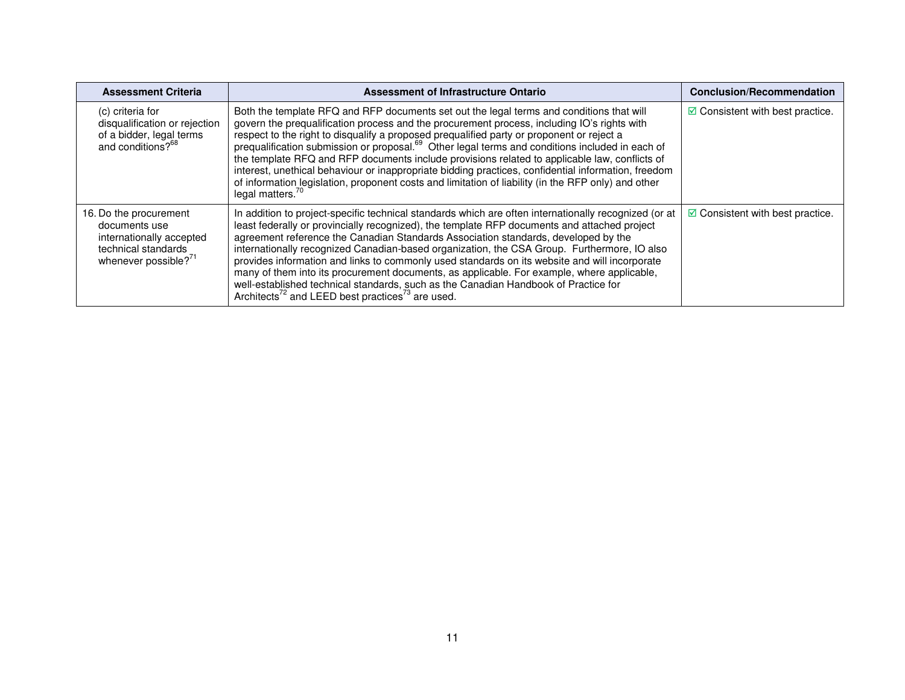| <b>Assessment Criteria</b>                                                                                                     | Assessment of Infrastructure Ontario                                                                                                                                                                                                                                                                                                                                                                                                                                                                                                                                                                                                                                                                                                                         | <b>Conclusion/Recommendation</b>           |
|--------------------------------------------------------------------------------------------------------------------------------|--------------------------------------------------------------------------------------------------------------------------------------------------------------------------------------------------------------------------------------------------------------------------------------------------------------------------------------------------------------------------------------------------------------------------------------------------------------------------------------------------------------------------------------------------------------------------------------------------------------------------------------------------------------------------------------------------------------------------------------------------------------|--------------------------------------------|
| (c) criteria for<br>disqualification or rejection<br>of a bidder, legal terms<br>and conditions? <sup>68</sup>                 | Both the template RFQ and RFP documents set out the legal terms and conditions that will<br>govern the prequalification process and the procurement process, including IO's rights with<br>respect to the right to disqualify a proposed prequalified party or proponent or reject a<br>prequalification submission or proposal. <sup>69</sup> Other legal terms and conditions included in each of<br>the template RFQ and RFP documents include provisions related to applicable law, conflicts of<br>interest, unethical behaviour or inappropriate bidding practices, confidential information, freedom<br>of information legislation, proponent costs and limitation of liability (in the RFP only) and other<br>legal matters. <sup>70</sup>           | $\boxtimes$ Consistent with best practice. |
| 16. Do the procurement<br>documents use<br>internationally accepted<br>technical standards<br>whenever possible? <sup>71</sup> | In addition to project-specific technical standards which are often internationally recognized (or at<br>least federally or provincially recognized), the template RFP documents and attached project<br>agreement reference the Canadian Standards Association standards, developed by the<br>internationally recognized Canadian-based organization, the CSA Group. Furthermore, IO also<br>provides information and links to commonly used standards on its website and will incorporate<br>many of them into its procurement documents, as applicable. For example, where applicable,<br>well-established technical standards, such as the Canadian Handbook of Practice for<br>Architects <sup>72</sup> and LEED best practices <sup>73</sup> are used. | $\boxtimes$ Consistent with best practice. |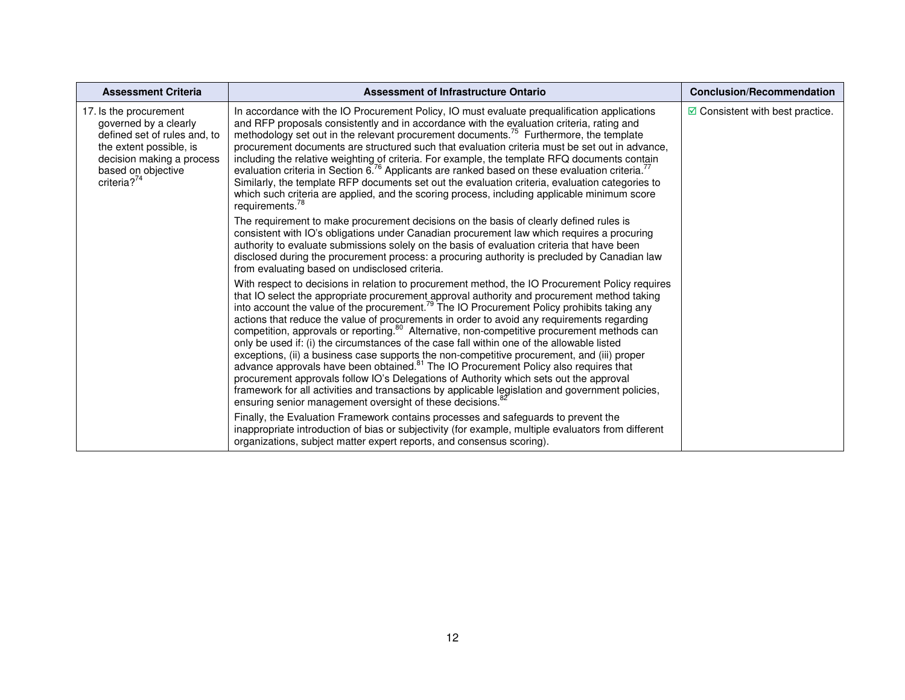| <b>Assessment Criteria</b>                                                                                                                                                       | <b>Assessment of Infrastructure Ontario</b>                                                                                                                                                                                                                                                                                                                                                                                                                                                                                                                                                                                                                                                                                                                                                                                                                                                                                                                                                                                                                                                 | <b>Conclusion/Recommendation</b>         |
|----------------------------------------------------------------------------------------------------------------------------------------------------------------------------------|---------------------------------------------------------------------------------------------------------------------------------------------------------------------------------------------------------------------------------------------------------------------------------------------------------------------------------------------------------------------------------------------------------------------------------------------------------------------------------------------------------------------------------------------------------------------------------------------------------------------------------------------------------------------------------------------------------------------------------------------------------------------------------------------------------------------------------------------------------------------------------------------------------------------------------------------------------------------------------------------------------------------------------------------------------------------------------------------|------------------------------------------|
| 17. Is the procurement<br>governed by a clearly<br>defined set of rules and, to<br>the extent possible, is<br>decision making a process<br>based on objective<br>criteria? $7^4$ | In accordance with the IO Procurement Policy, IO must evaluate prequalification applications<br>and RFP proposals consistently and in accordance with the evaluation criteria, rating and<br>methodology set out in the relevant procurement documents. <sup>75</sup> Furthermore, the template<br>procurement documents are structured such that evaluation criteria must be set out in advance,<br>including the relative weighting of criteria. For example, the template RFQ documents contain<br>evaluation criteria in Section 6. <sup>76</sup> Applicants are ranked based on these evaluation criteria. <sup>77</sup><br>Similarly, the template RFP documents set out the evaluation criteria, evaluation categories to<br>which such criteria are applied, and the scoring process, including applicable minimum score<br>requirements. <sup>78</sup>                                                                                                                                                                                                                             | $\boxdot$ Consistent with best practice. |
|                                                                                                                                                                                  | The requirement to make procurement decisions on the basis of clearly defined rules is<br>consistent with IO's obligations under Canadian procurement law which requires a procuring<br>authority to evaluate submissions solely on the basis of evaluation criteria that have been<br>disclosed during the procurement process: a procuring authority is precluded by Canadian law<br>from evaluating based on undisclosed criteria.                                                                                                                                                                                                                                                                                                                                                                                                                                                                                                                                                                                                                                                       |                                          |
|                                                                                                                                                                                  | With respect to decisions in relation to procurement method, the IO Procurement Policy requires<br>that IO select the appropriate procurement approval authority and procurement method taking<br>into account the value of the procurement. <sup>79</sup> The IO Procurement Policy prohibits taking any<br>actions that reduce the value of procurements in order to avoid any requirements regarding<br>competition, approvals or reporting. <sup>80</sup> Alternative, non-competitive procurement methods can<br>only be used if: (i) the circumstances of the case fall within one of the allowable listed<br>exceptions, (ii) a business case supports the non-competitive procurement, and (iii) proper<br>advance approvals have been obtained. <sup>81</sup> The IO Procurement Policy also requires that<br>procurement approvals follow IO's Delegations of Authority which sets out the approval<br>framework for all activities and transactions by applicable legislation and government policies,<br>ensuring senior management oversight of these decisions. <sup>87</sup> |                                          |
|                                                                                                                                                                                  | Finally, the Evaluation Framework contains processes and safeguards to prevent the<br>inappropriate introduction of bias or subjectivity (for example, multiple evaluators from different<br>organizations, subject matter expert reports, and consensus scoring).                                                                                                                                                                                                                                                                                                                                                                                                                                                                                                                                                                                                                                                                                                                                                                                                                          |                                          |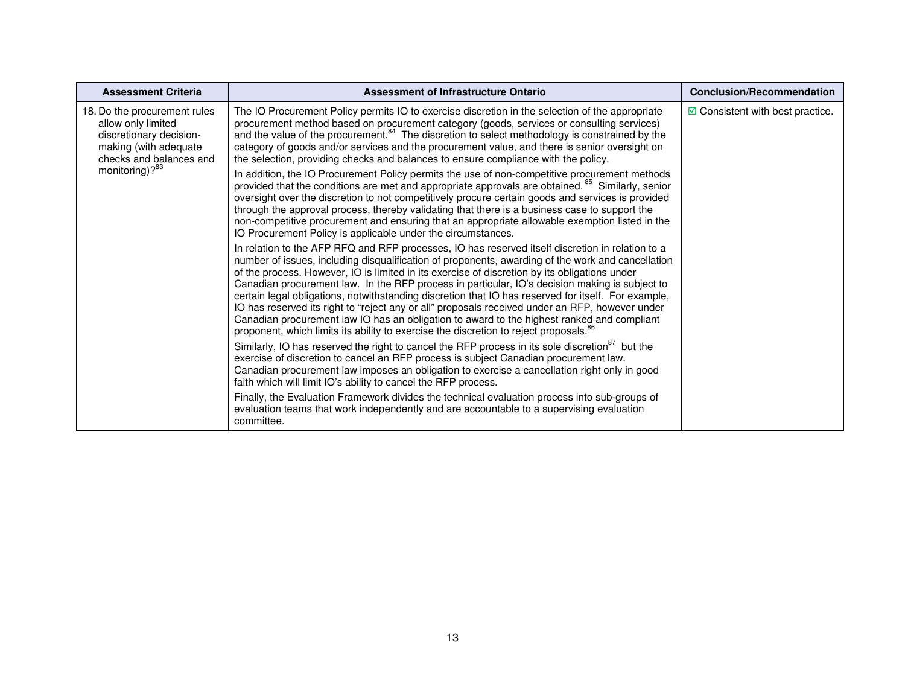| <b>Assessment Criteria</b>                                                                                                                                      | Assessment of Infrastructure Ontario                                                                                                                                                                                                                                                                                                                                                                                                                                                                                                                                                                                                                                                                                                                                                                                  | <b>Conclusion/Recommendation</b>              |
|-----------------------------------------------------------------------------------------------------------------------------------------------------------------|-----------------------------------------------------------------------------------------------------------------------------------------------------------------------------------------------------------------------------------------------------------------------------------------------------------------------------------------------------------------------------------------------------------------------------------------------------------------------------------------------------------------------------------------------------------------------------------------------------------------------------------------------------------------------------------------------------------------------------------------------------------------------------------------------------------------------|-----------------------------------------------|
| 18. Do the procurement rules<br>allow only limited<br>discretionary decision-<br>making (with adequate<br>checks and balances and<br>monitoring)? <sup>83</sup> | The IO Procurement Policy permits IO to exercise discretion in the selection of the appropriate<br>procurement method based on procurement category (goods, services or consulting services)<br>and the value of the procurement. <sup>84</sup> The discretion to select methodology is constrained by the<br>category of goods and/or services and the procurement value, and there is senior oversight on<br>the selection, providing checks and balances to ensure compliance with the policy.                                                                                                                                                                                                                                                                                                                     | $\blacksquare$ Consistent with best practice. |
|                                                                                                                                                                 | In addition, the IO Procurement Policy permits the use of non-competitive procurement methods<br>provided that the conditions are met and appropriate approvals are obtained. <sup>85</sup> Similarly, senior<br>oversight over the discretion to not competitively procure certain goods and services is provided<br>through the approval process, thereby validating that there is a business case to support the<br>non-competitive procurement and ensuring that an appropriate allowable exemption listed in the<br>IO Procurement Policy is applicable under the circumstances.                                                                                                                                                                                                                                 |                                               |
|                                                                                                                                                                 | In relation to the AFP RFQ and RFP processes, IO has reserved itself discretion in relation to a<br>number of issues, including disqualification of proponents, awarding of the work and cancellation<br>of the process. However, IO is limited in its exercise of discretion by its obligations under<br>Canadian procurement law. In the RFP process in particular, IO's decision making is subject to<br>certain legal obligations, notwithstanding discretion that IO has reserved for itself. For example,<br>IO has reserved its right to "reject any or all" proposals received under an RFP, however under<br>Canadian procurement law IO has an obligation to award to the highest ranked and compliant<br>proponent, which limits its ability to exercise the discretion to reject proposals. <sup>86</sup> |                                               |
|                                                                                                                                                                 | Similarly, IO has reserved the right to cancel the RFP process in its sole discretion <sup>87</sup> but the<br>exercise of discretion to cancel an RFP process is subject Canadian procurement law.<br>Canadian procurement law imposes an obligation to exercise a cancellation right only in good<br>faith which will limit IO's ability to cancel the RFP process.                                                                                                                                                                                                                                                                                                                                                                                                                                                 |                                               |
|                                                                                                                                                                 | Finally, the Evaluation Framework divides the technical evaluation process into sub-groups of<br>evaluation teams that work independently and are accountable to a supervising evaluation<br>committee.                                                                                                                                                                                                                                                                                                                                                                                                                                                                                                                                                                                                               |                                               |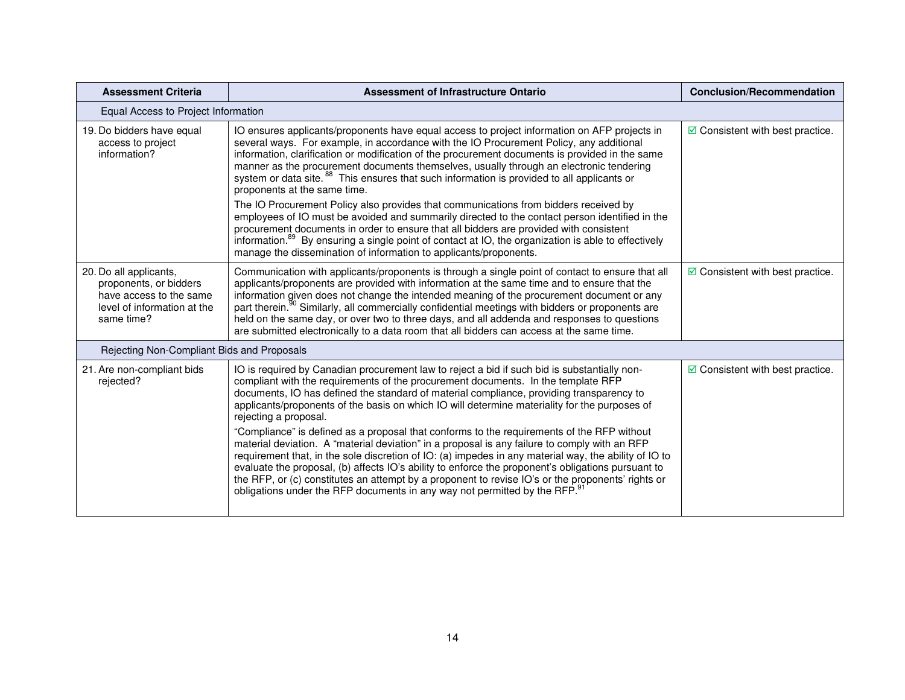| <b>Assessment Criteria</b>                                                                                               | <b>Assessment of Infrastructure Ontario</b>                                                                                                                                                                                                                                                                                                                                                                                                                                                                                                                                                                                                                                                                                                                                                                                                                                                                                                                                                                 | <b>Conclusion/Recommendation</b>         |  |
|--------------------------------------------------------------------------------------------------------------------------|-------------------------------------------------------------------------------------------------------------------------------------------------------------------------------------------------------------------------------------------------------------------------------------------------------------------------------------------------------------------------------------------------------------------------------------------------------------------------------------------------------------------------------------------------------------------------------------------------------------------------------------------------------------------------------------------------------------------------------------------------------------------------------------------------------------------------------------------------------------------------------------------------------------------------------------------------------------------------------------------------------------|------------------------------------------|--|
| Equal Access to Project Information                                                                                      |                                                                                                                                                                                                                                                                                                                                                                                                                                                                                                                                                                                                                                                                                                                                                                                                                                                                                                                                                                                                             |                                          |  |
| 19. Do bidders have equal<br>access to project<br>information?                                                           | IO ensures applicants/proponents have equal access to project information on AFP projects in<br>several ways. For example, in accordance with the IO Procurement Policy, any additional<br>information, clarification or modification of the procurement documents is provided in the same<br>manner as the procurement documents themselves, usually through an electronic tendering<br>system or data site. <sup>88</sup> This ensures that such information is provided to all applicants or<br>proponents at the same time.<br>The IO Procurement Policy also provides that communications from bidders received by<br>employees of IO must be avoided and summarily directed to the contact person identified in the<br>procurement documents in order to ensure that all bidders are provided with consistent<br>information. <sup>89</sup> By ensuring a single point of contact at IO, the organization is able to effectively<br>manage the dissemination of information to applicants/proponents. | $\boxdot$ Consistent with best practice. |  |
| 20. Do all applicants,<br>proponents, or bidders<br>have access to the same<br>level of information at the<br>same time? | Communication with applicants/proponents is through a single point of contact to ensure that all<br>applicants/proponents are provided with information at the same time and to ensure that the<br>information given does not change the intended meaning of the procurement document or any<br>part therein. <sup>90</sup> Similarly, all commercially confidential meetings with bidders or proponents are<br>held on the same day, or over two to three days, and all addenda and responses to questions<br>are submitted electronically to a data room that all bidders can access at the same time.                                                                                                                                                                                                                                                                                                                                                                                                    | $\boxdot$ Consistent with best practice. |  |
| Rejecting Non-Compliant Bids and Proposals                                                                               |                                                                                                                                                                                                                                                                                                                                                                                                                                                                                                                                                                                                                                                                                                                                                                                                                                                                                                                                                                                                             |                                          |  |
| 21. Are non-compliant bids<br>rejected?                                                                                  | IO is required by Canadian procurement law to reject a bid if such bid is substantially non-<br>compliant with the requirements of the procurement documents. In the template RFP<br>documents, IO has defined the standard of material compliance, providing transparency to<br>applicants/proponents of the basis on which IO will determine materiality for the purposes of<br>rejecting a proposal.<br>"Compliance" is defined as a proposal that conforms to the requirements of the RFP without<br>material deviation. A "material deviation" in a proposal is any failure to comply with an RFP<br>requirement that, in the sole discretion of IO: (a) impedes in any material way, the ability of IO to<br>evaluate the proposal, (b) affects IO's ability to enforce the proponent's obligations pursuant to<br>the RFP, or (c) constitutes an attempt by a proponent to revise IO's or the proponents' rights or<br>obligations under the RFP documents in any way not permitted by the RFP.      | $\boxdot$ Consistent with best practice. |  |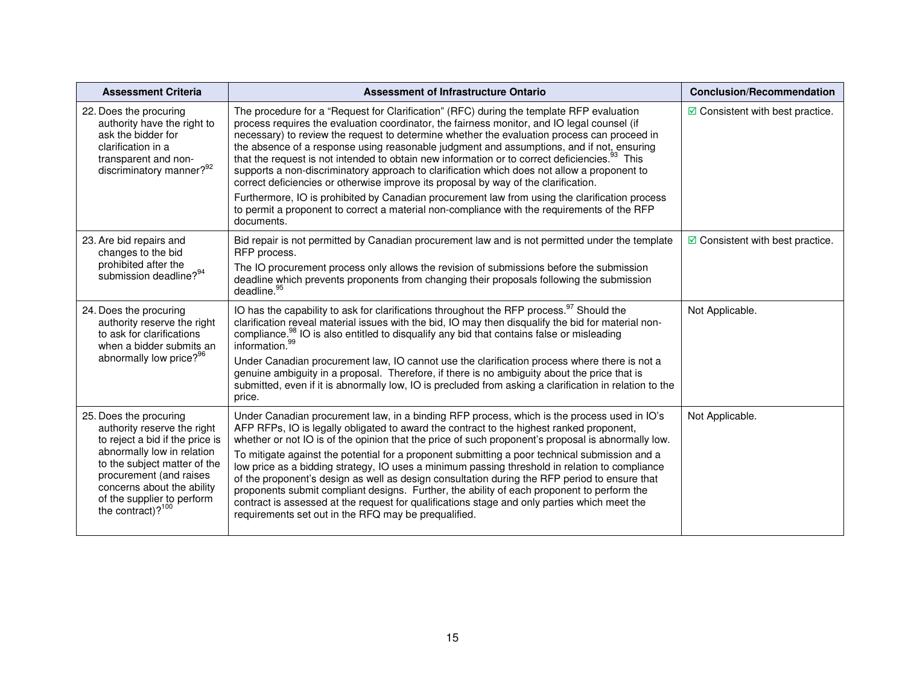| <b>Assessment Criteria</b>                                                                                                                                                                                                                                            | <b>Assessment of Infrastructure Ontario</b>                                                                                                                                                                                                                                                                                                                                                                                                                                                                                                                                                                                                                                                                                                                                                                                                              | <b>Conclusion/Recommendation</b>         |
|-----------------------------------------------------------------------------------------------------------------------------------------------------------------------------------------------------------------------------------------------------------------------|----------------------------------------------------------------------------------------------------------------------------------------------------------------------------------------------------------------------------------------------------------------------------------------------------------------------------------------------------------------------------------------------------------------------------------------------------------------------------------------------------------------------------------------------------------------------------------------------------------------------------------------------------------------------------------------------------------------------------------------------------------------------------------------------------------------------------------------------------------|------------------------------------------|
| 22. Does the procuring<br>authority have the right to<br>ask the bidder for<br>clarification in a<br>transparent and non-<br>discriminatory manner? <sup>92</sup>                                                                                                     | The procedure for a "Request for Clarification" (RFC) during the template RFP evaluation<br>process requires the evaluation coordinator, the fairness monitor, and IO legal counsel (if<br>necessary) to review the request to determine whether the evaluation process can proceed in<br>the absence of a response using reasonable judgment and assumptions, and if not, ensuring<br>that the request is not intended to obtain new information or to correct deficiencies. <sup>93</sup> This<br>supports a non-discriminatory approach to clarification which does not allow a proponent to<br>correct deficiencies or otherwise improve its proposal by way of the clarification.                                                                                                                                                                   | $\boxdot$ Consistent with best practice. |
|                                                                                                                                                                                                                                                                       | Furthermore, IO is prohibited by Canadian procurement law from using the clarification process<br>to permit a proponent to correct a material non-compliance with the requirements of the RFP<br>documents.                                                                                                                                                                                                                                                                                                                                                                                                                                                                                                                                                                                                                                              |                                          |
| 23. Are bid repairs and<br>changes to the bid<br>prohibited after the<br>submission deadline? <sup>94</sup>                                                                                                                                                           | Bid repair is not permitted by Canadian procurement law and is not permitted under the template<br>RFP process.                                                                                                                                                                                                                                                                                                                                                                                                                                                                                                                                                                                                                                                                                                                                          | $\boxdot$ Consistent with best practice. |
|                                                                                                                                                                                                                                                                       | The IO procurement process only allows the revision of submissions before the submission<br>deadline which prevents proponents from changing their proposals following the submission<br>deadline. <sup>95</sup>                                                                                                                                                                                                                                                                                                                                                                                                                                                                                                                                                                                                                                         |                                          |
| 24. Does the procuring<br>authority reserve the right<br>to ask for clarifications<br>when a bidder submits an<br>abnormally low price? <sup>96</sup>                                                                                                                 | IO has the capability to ask for clarifications throughout the RFP process. <sup>97</sup> Should the<br>clarification reveal material issues with the bid, IO may then disqualify the bid for material non-<br>compliance. <sup>98</sup> IO is also entitled to disqualify any bid that contains false or misleading<br>information. <sup>99</sup><br>Under Canadian procurement law, IO cannot use the clarification process where there is not a<br>genuine ambiguity in a proposal. Therefore, if there is no ambiguity about the price that is<br>submitted, even if it is abnormally low, IO is precluded from asking a clarification in relation to the<br>price.                                                                                                                                                                                  | Not Applicable.                          |
| 25. Does the procuring<br>authority reserve the right<br>to reject a bid if the price is<br>abnormally low in relation<br>to the subject matter of the<br>procurement (and raises<br>concerns about the ability<br>of the supplier to perform<br>the contract)? $100$ | Under Canadian procurement law, in a binding RFP process, which is the process used in IO's<br>AFP RFPs, IO is legally obligated to award the contract to the highest ranked proponent,<br>whether or not IO is of the opinion that the price of such proponent's proposal is abnormally low.<br>To mitigate against the potential for a proponent submitting a poor technical submission and a<br>low price as a bidding strategy, IO uses a minimum passing threshold in relation to compliance<br>of the proponent's design as well as design consultation during the RFP period to ensure that<br>proponents submit compliant designs. Further, the ability of each proponent to perform the<br>contract is assessed at the request for qualifications stage and only parties which meet the<br>requirements set out in the RFQ may be prequalified. | Not Applicable.                          |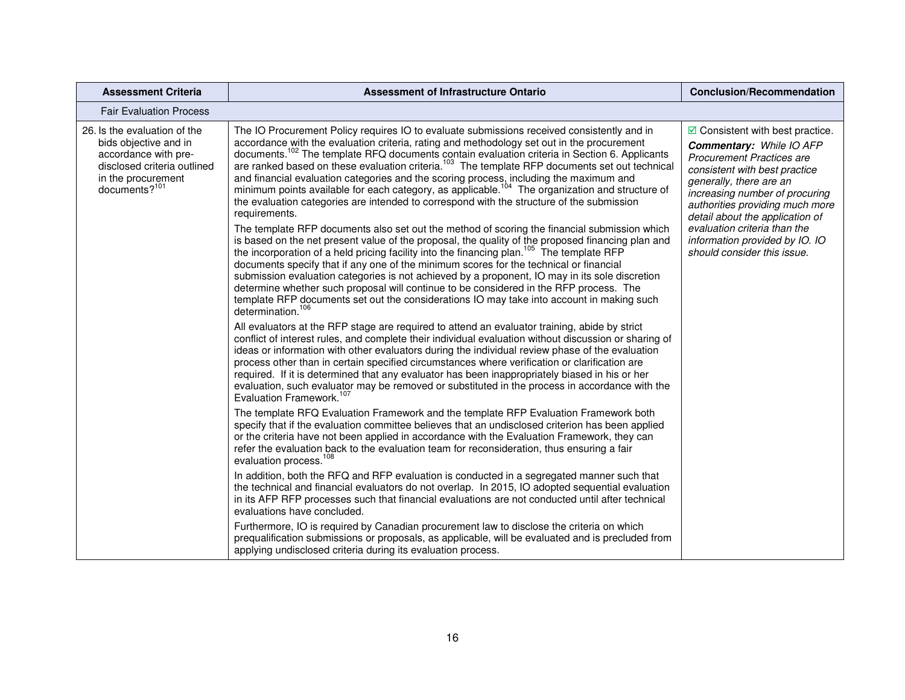| <b>Assessment Criteria</b>                                                                                                                             | <b>Assessment of Infrastructure Ontario</b>                                                                                                                                                                                                                                                                                                                                                                                                                                                                                                                                                                                                                                                                                                                                                                                                                                                                                                                                                                                                                                                                                                                                                                                                                                                                                                                                                                                                                                  | <b>Conclusion/Recommendation</b>                                                                                                                                                                                                                                                                                                                                                     |
|--------------------------------------------------------------------------------------------------------------------------------------------------------|------------------------------------------------------------------------------------------------------------------------------------------------------------------------------------------------------------------------------------------------------------------------------------------------------------------------------------------------------------------------------------------------------------------------------------------------------------------------------------------------------------------------------------------------------------------------------------------------------------------------------------------------------------------------------------------------------------------------------------------------------------------------------------------------------------------------------------------------------------------------------------------------------------------------------------------------------------------------------------------------------------------------------------------------------------------------------------------------------------------------------------------------------------------------------------------------------------------------------------------------------------------------------------------------------------------------------------------------------------------------------------------------------------------------------------------------------------------------------|--------------------------------------------------------------------------------------------------------------------------------------------------------------------------------------------------------------------------------------------------------------------------------------------------------------------------------------------------------------------------------------|
| <b>Fair Evaluation Process</b>                                                                                                                         |                                                                                                                                                                                                                                                                                                                                                                                                                                                                                                                                                                                                                                                                                                                                                                                                                                                                                                                                                                                                                                                                                                                                                                                                                                                                                                                                                                                                                                                                              |                                                                                                                                                                                                                                                                                                                                                                                      |
| 26. Is the evaluation of the<br>bids objective and in<br>accordance with pre-<br>disclosed criteria outlined<br>in the procurement<br>documents? $101$ | The IO Procurement Policy requires IO to evaluate submissions received consistently and in<br>accordance with the evaluation criteria, rating and methodology set out in the procurement<br>documents. <sup>102</sup> The template RFQ documents contain evaluation criteria in Section 6. Applicants<br>are ranked based on these evaluation criteria. <sup>103</sup> The template RFP documents set out technical<br>and financial evaluation categories and the scoring process, including the maximum and<br>minimum points available for each category, as applicable. <sup>104</sup> The organization and structure of<br>the evaluation categories are intended to correspond with the structure of the submission<br>requirements.<br>The template RFP documents also set out the method of scoring the financial submission which<br>is based on the net present value of the proposal, the quality of the proposed financing plan and<br>the incorporation of a held pricing facility into the financing plan. <sup>105</sup> The template RFP<br>documents specify that if any one of the minimum scores for the technical or financial<br>submission evaluation categories is not achieved by a proponent, IO may in its sole discretion<br>determine whether such proposal will continue to be considered in the RFP process. The<br>template RFP documents set out the considerations IO may take into account in making such<br>determination. <sup>106</sup> | $\boxdot$ Consistent with best practice.<br><b>Commentary: While IO AFP</b><br><b>Procurement Practices are</b><br>consistent with best practice<br>generally, there are an<br>increasing number of procuring<br>authorities providing much more<br>detail about the application of<br>evaluation criteria than the<br>information provided by IO. IO<br>should consider this issue. |
|                                                                                                                                                        | All evaluators at the RFP stage are required to attend an evaluator training, abide by strict<br>conflict of interest rules, and complete their individual evaluation without discussion or sharing of<br>ideas or information with other evaluators during the individual review phase of the evaluation<br>process other than in certain specified circumstances where verification or clarification are<br>required. If it is determined that any evaluator has been inappropriately biased in his or her<br>evaluation, such evaluator may be removed or substituted in the process in accordance with the<br>Evaluation Framework. <sup>107</sup>                                                                                                                                                                                                                                                                                                                                                                                                                                                                                                                                                                                                                                                                                                                                                                                                                       |                                                                                                                                                                                                                                                                                                                                                                                      |
|                                                                                                                                                        | The template RFQ Evaluation Framework and the template RFP Evaluation Framework both<br>specify that if the evaluation committee believes that an undisclosed criterion has been applied<br>or the criteria have not been applied in accordance with the Evaluation Framework, they can<br>refer the evaluation back to the evaluation team for reconsideration, thus ensuring a fair<br>evaluation process. <sup>108</sup>                                                                                                                                                                                                                                                                                                                                                                                                                                                                                                                                                                                                                                                                                                                                                                                                                                                                                                                                                                                                                                                  |                                                                                                                                                                                                                                                                                                                                                                                      |
|                                                                                                                                                        | In addition, both the RFQ and RFP evaluation is conducted in a segregated manner such that<br>the technical and financial evaluators do not overlap. In 2015, IO adopted sequential evaluation<br>in its AFP RFP processes such that financial evaluations are not conducted until after technical<br>evaluations have concluded.                                                                                                                                                                                                                                                                                                                                                                                                                                                                                                                                                                                                                                                                                                                                                                                                                                                                                                                                                                                                                                                                                                                                            |                                                                                                                                                                                                                                                                                                                                                                                      |
|                                                                                                                                                        | Furthermore, IO is required by Canadian procurement law to disclose the criteria on which<br>prequalification submissions or proposals, as applicable, will be evaluated and is precluded from<br>applying undisclosed criteria during its evaluation process.                                                                                                                                                                                                                                                                                                                                                                                                                                                                                                                                                                                                                                                                                                                                                                                                                                                                                                                                                                                                                                                                                                                                                                                                               |                                                                                                                                                                                                                                                                                                                                                                                      |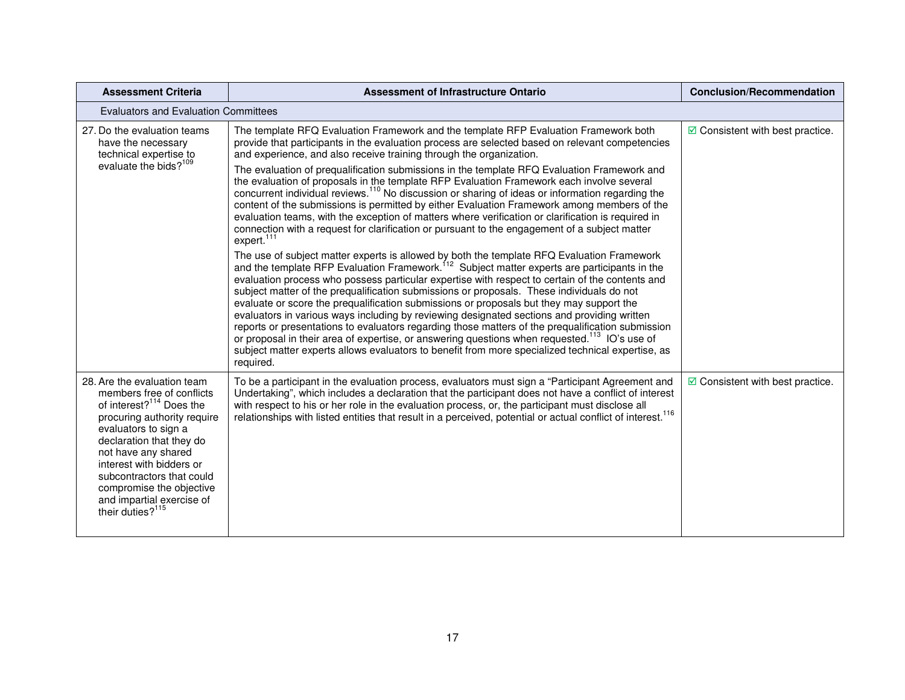| <b>Assessment Criteria</b>                                                                                                                                                                                                                                                                                                                                   | <b>Assessment of Infrastructure Ontario</b>                                                                                                                                                                                                                                                                                                                                                                                                                                                                                                                                                                                                                                                                                                                                                                                                                                                                                                                                                                                                                                                                                                                                                                                                                                                                                                                                                                                                                                                                                                                                                                                                                                                                                                                                                                                                      | <b>Conclusion/Recommendation</b>         |  |  |
|--------------------------------------------------------------------------------------------------------------------------------------------------------------------------------------------------------------------------------------------------------------------------------------------------------------------------------------------------------------|--------------------------------------------------------------------------------------------------------------------------------------------------------------------------------------------------------------------------------------------------------------------------------------------------------------------------------------------------------------------------------------------------------------------------------------------------------------------------------------------------------------------------------------------------------------------------------------------------------------------------------------------------------------------------------------------------------------------------------------------------------------------------------------------------------------------------------------------------------------------------------------------------------------------------------------------------------------------------------------------------------------------------------------------------------------------------------------------------------------------------------------------------------------------------------------------------------------------------------------------------------------------------------------------------------------------------------------------------------------------------------------------------------------------------------------------------------------------------------------------------------------------------------------------------------------------------------------------------------------------------------------------------------------------------------------------------------------------------------------------------------------------------------------------------------------------------------------------------|------------------------------------------|--|--|
|                                                                                                                                                                                                                                                                                                                                                              | <b>Evaluators and Evaluation Committees</b>                                                                                                                                                                                                                                                                                                                                                                                                                                                                                                                                                                                                                                                                                                                                                                                                                                                                                                                                                                                                                                                                                                                                                                                                                                                                                                                                                                                                                                                                                                                                                                                                                                                                                                                                                                                                      |                                          |  |  |
| 27. Do the evaluation teams<br>have the necessary<br>technical expertise to<br>evaluate the bids? <sup>109</sup>                                                                                                                                                                                                                                             | The template RFQ Evaluation Framework and the template RFP Evaluation Framework both<br>provide that participants in the evaluation process are selected based on relevant competencies<br>and experience, and also receive training through the organization.<br>The evaluation of prequalification submissions in the template RFQ Evaluation Framework and<br>the evaluation of proposals in the template RFP Evaluation Framework each involve several<br>concurrent individual reviews. <sup>110</sup> No discussion or sharing of ideas or information regarding the<br>content of the submissions is permitted by either Evaluation Framework among members of the<br>evaluation teams, with the exception of matters where verification or clarification is required in<br>connection with a request for clarification or pursuant to the engagement of a subject matter<br>expert. <sup>111</sup><br>The use of subject matter experts is allowed by both the template RFQ Evaluation Framework and the template RFP Evaluation Framework. <sup>112</sup> Subject matter experts are participants in the<br>evaluation process who possess particular expertise with respect to certain of the contents and<br>subject matter of the prequalification submissions or proposals. These individuals do not<br>evaluate or score the prequalification submissions or proposals but they may support the<br>evaluators in various ways including by reviewing designated sections and providing written<br>reports or presentations to evaluators regarding those matters of the prequalification submission<br>or proposal in their area of expertise, or answering questions when requested. <sup>113</sup> IO's use of<br>subject matter experts allows evaluators to benefit from more specialized technical expertise, as<br>required. | $\boxdot$ Consistent with best practice. |  |  |
| 28. Are the evaluation team<br>members free of conflicts<br>of interest? <sup>114</sup> Does the<br>procuring authority require<br>evaluators to sign a<br>declaration that they do<br>not have any shared<br>interest with bidders or<br>subcontractors that could<br>compromise the objective<br>and impartial exercise of<br>their duties? <sup>115</sup> | To be a participant in the evaluation process, evaluators must sign a "Participant Agreement and<br>Undertaking", which includes a declaration that the participant does not have a conflict of interest<br>with respect to his or her role in the evaluation process, or, the participant must disclose all<br>relationships with listed entities that result in a perceived, potential or actual conflict of interest. <sup>116</sup>                                                                                                                                                                                                                                                                                                                                                                                                                                                                                                                                                                                                                                                                                                                                                                                                                                                                                                                                                                                                                                                                                                                                                                                                                                                                                                                                                                                                          | $\boxdot$ Consistent with best practice. |  |  |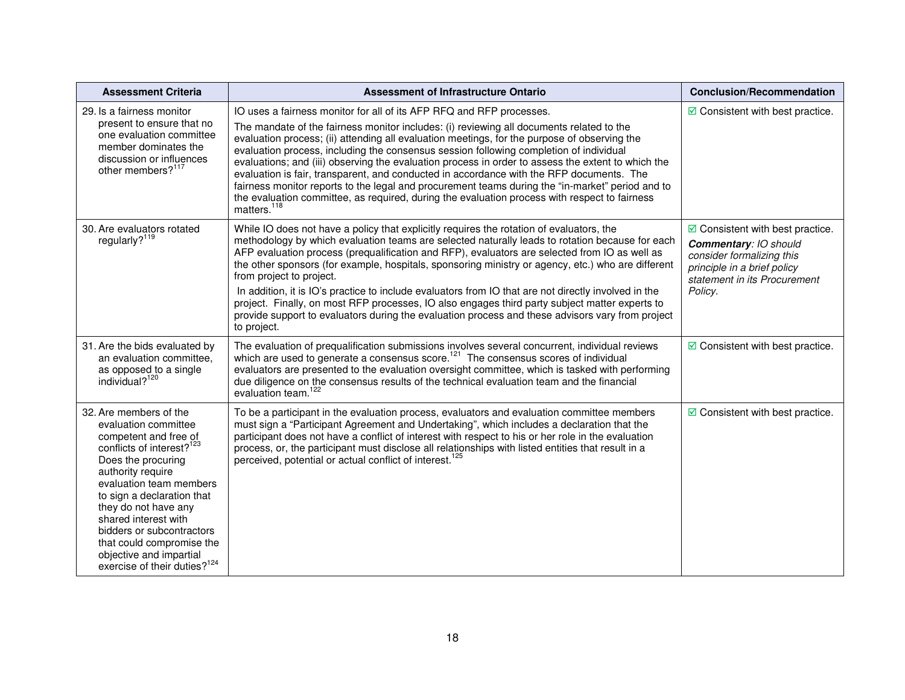| <b>Assessment Criteria</b>                                                                                                                                                                                                                                                                                                                                                                            | <b>Assessment of Infrastructure Ontario</b>                                                                                                                                                                                                                                                                                                                                                                                                                                                                                                                                                                                                                                                                                                                                                  | <b>Conclusion/Recommendation</b>                                                                                                                                         |
|-------------------------------------------------------------------------------------------------------------------------------------------------------------------------------------------------------------------------------------------------------------------------------------------------------------------------------------------------------------------------------------------------------|----------------------------------------------------------------------------------------------------------------------------------------------------------------------------------------------------------------------------------------------------------------------------------------------------------------------------------------------------------------------------------------------------------------------------------------------------------------------------------------------------------------------------------------------------------------------------------------------------------------------------------------------------------------------------------------------------------------------------------------------------------------------------------------------|--------------------------------------------------------------------------------------------------------------------------------------------------------------------------|
| 29. Is a fairness monitor<br>present to ensure that no<br>one evaluation committee<br>member dominates the<br>discussion or influences<br>other members? <sup>117</sup>                                                                                                                                                                                                                               | IO uses a fairness monitor for all of its AFP RFQ and RFP processes.<br>The mandate of the fairness monitor includes: (i) reviewing all documents related to the<br>evaluation process; (ii) attending all evaluation meetings, for the purpose of observing the<br>evaluation process, including the consensus session following completion of individual<br>evaluations; and (iii) observing the evaluation process in order to assess the extent to which the<br>evaluation is fair, transparent, and conducted in accordance with the RFP documents. The<br>fairness monitor reports to the legal and procurement teams during the "in-market" period and to<br>the evaluation committee, as required, during the evaluation process with respect to fairness<br>matters. <sup>118</sup> | $\triangleright$ Consistent with best practice.                                                                                                                          |
| 30. Are evaluators rotated<br>regularly? <sup>119</sup>                                                                                                                                                                                                                                                                                                                                               | While IO does not have a policy that explicitly requires the rotation of evaluators, the<br>methodology by which evaluation teams are selected naturally leads to rotation because for each<br>AFP evaluation process (prequalification and RFP), evaluators are selected from IO as well as<br>the other sponsors (for example, hospitals, sponsoring ministry or agency, etc.) who are different<br>from project to project.<br>In addition, it is IO's practice to include evaluators from IO that are not directly involved in the<br>project. Finally, on most RFP processes, IO also engages third party subject matter experts to<br>provide support to evaluators during the evaluation process and these advisors vary from project<br>to project.                                  | $\boxdot$ Consistent with best practice.<br>Commentary: IO should<br>consider formalizing this<br>principle in a brief policy<br>statement in its Procurement<br>Policy. |
| 31. Are the bids evaluated by<br>an evaluation committee,<br>as opposed to a single<br>individual? <sup>120</sup>                                                                                                                                                                                                                                                                                     | The evaluation of prequalification submissions involves several concurrent, individual reviews<br>which are used to generate a consensus score. <sup>121</sup> The consensus scores of individual<br>evaluators are presented to the evaluation oversight committee, which is tasked with performing<br>due diligence on the consensus results of the technical evaluation team and the financial<br>evaluation team. <sup>122</sup>                                                                                                                                                                                                                                                                                                                                                         | $\boxdot$ Consistent with best practice.                                                                                                                                 |
| 32. Are members of the<br>evaluation committee<br>competent and free of<br>conflicts of interest? <sup>123</sup><br>Does the procuring<br>authority require<br>evaluation team members<br>to sign a declaration that<br>they do not have any<br>shared interest with<br>bidders or subcontractors<br>that could compromise the<br>objective and impartial<br>exercise of their duties? <sup>124</sup> | To be a participant in the evaluation process, evaluators and evaluation committee members<br>must sign a "Participant Agreement and Undertaking", which includes a declaration that the<br>participant does not have a conflict of interest with respect to his or her role in the evaluation<br>process, or, the participant must disclose all relationships with listed entities that result in a<br>perceived, potential or actual conflict of interest. <sup>125</sup>                                                                                                                                                                                                                                                                                                                  | $\boxdot$ Consistent with best practice.                                                                                                                                 |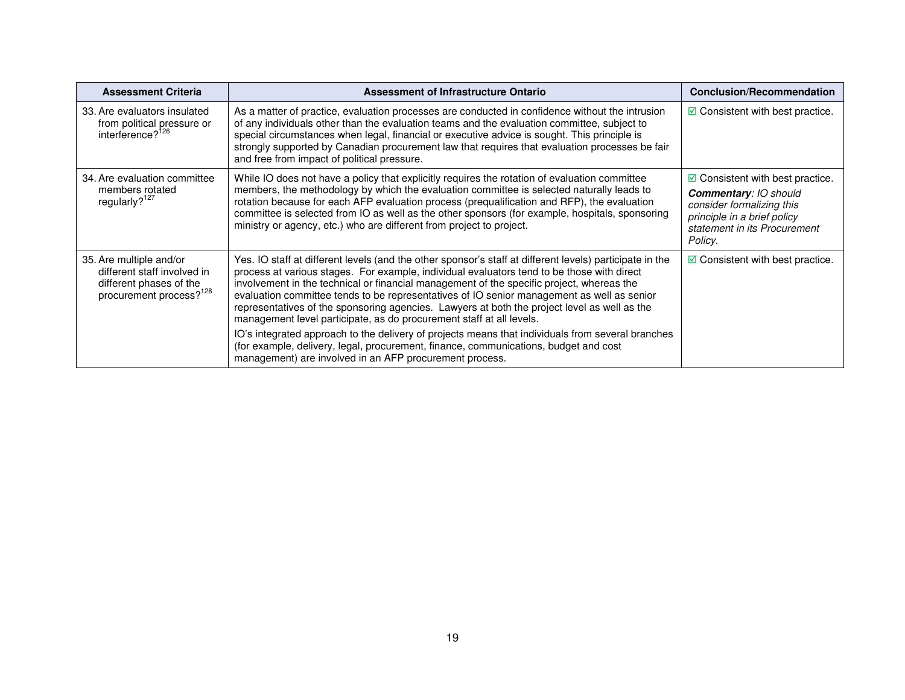| <b>Assessment Criteria</b>                                                                                               | Assessment of Infrastructure Ontario                                                                                                                                                                                                                                                                                                                                                                                                                                                                                                                                      | <b>Conclusion/Recommendation</b>                                                                                                    |
|--------------------------------------------------------------------------------------------------------------------------|---------------------------------------------------------------------------------------------------------------------------------------------------------------------------------------------------------------------------------------------------------------------------------------------------------------------------------------------------------------------------------------------------------------------------------------------------------------------------------------------------------------------------------------------------------------------------|-------------------------------------------------------------------------------------------------------------------------------------|
| 33. Are evaluators insulated<br>from political pressure or<br>interference? <sup>126</sup>                               | As a matter of practice, evaluation processes are conducted in confidence without the intrusion<br>of any individuals other than the evaluation teams and the evaluation committee, subject to<br>special circumstances when legal, financial or executive advice is sought. This principle is<br>strongly supported by Canadian procurement law that requires that evaluation processes be fair<br>and free from impact of political pressure.                                                                                                                           | $\boxdot$ Consistent with best practice.                                                                                            |
| 34. Are evaluation committee                                                                                             | While IO does not have a policy that explicitly requires the rotation of evaluation committee                                                                                                                                                                                                                                                                                                                                                                                                                                                                             | $\boxtimes$ Consistent with best practice.                                                                                          |
| members rotated<br>regularly? <sup>127</sup>                                                                             | members, the methodology by which the evaluation committee is selected naturally leads to<br>rotation because for each AFP evaluation process (prequalification and RFP), the evaluation<br>committee is selected from IO as well as the other sponsors (for example, hospitals, sponsoring<br>ministry or agency, etc.) who are different from project to project.                                                                                                                                                                                                       | <b>Commentary: IO should</b><br>consider formalizing this<br>principle in a brief policy<br>statement in its Procurement<br>Policy. |
| 35. Are multiple and/or<br>different staff involved in<br>different phases of the<br>procurement process? <sup>128</sup> | Yes. IO staff at different levels (and the other sponsor's staff at different levels) participate in the<br>process at various stages. For example, individual evaluators tend to be those with direct<br>involvement in the technical or financial management of the specific project, whereas the<br>evaluation committee tends to be representatives of IO senior management as well as senior<br>representatives of the sponsoring agencies. Lawyers at both the project level as well as the<br>management level participate, as do procurement staff at all levels. | $\boxdot$ Consistent with best practice.                                                                                            |
|                                                                                                                          | IO's integrated approach to the delivery of projects means that individuals from several branches<br>(for example, delivery, legal, procurement, finance, communications, budget and cost<br>management) are involved in an AFP procurement process.                                                                                                                                                                                                                                                                                                                      |                                                                                                                                     |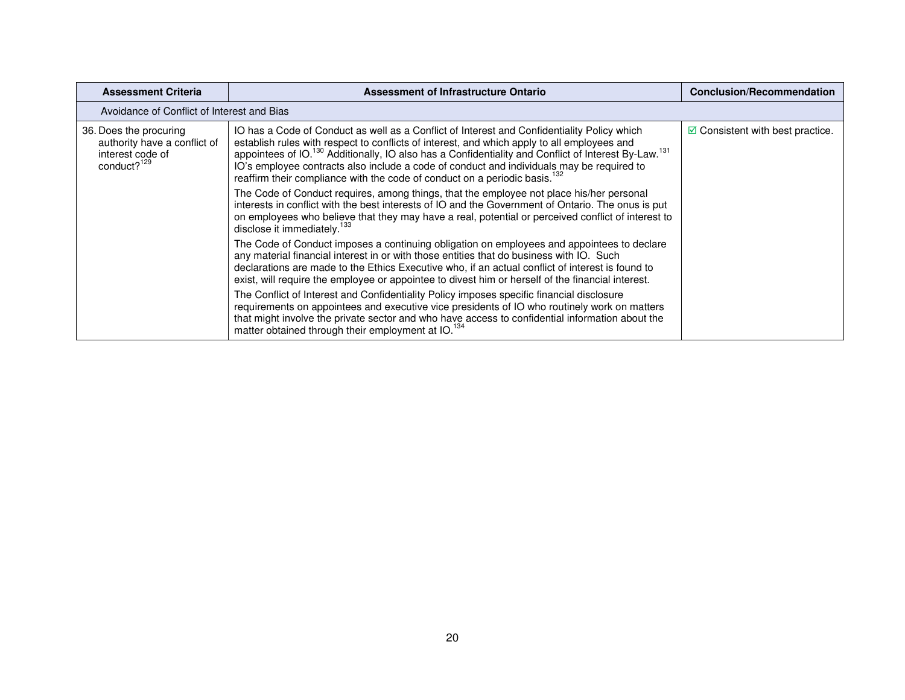| <b>Assessment Criteria</b>                                                                            | Assessment of Infrastructure Ontario                                                                                                                                                                                                                                                                                                                                                                                                                                                                              | <b>Conclusion/Recommendation</b>         |
|-------------------------------------------------------------------------------------------------------|-------------------------------------------------------------------------------------------------------------------------------------------------------------------------------------------------------------------------------------------------------------------------------------------------------------------------------------------------------------------------------------------------------------------------------------------------------------------------------------------------------------------|------------------------------------------|
| Avoidance of Conflict of Interest and Bias                                                            |                                                                                                                                                                                                                                                                                                                                                                                                                                                                                                                   |                                          |
| 36. Does the procuring<br>authority have a conflict of<br>interest code of<br>conduct? <sup>129</sup> | IO has a Code of Conduct as well as a Conflict of Interest and Confidentiality Policy which<br>establish rules with respect to conflicts of interest, and which apply to all employees and<br>appointees of IO. <sup>130</sup> Additionally, IO also has a Confidentiality and Conflict of Interest By-Law. <sup>131</sup><br>IO's employee contracts also include a code of conduct and individuals may be required to<br>reaffirm their compliance with the code of conduct on a periodic basis. <sup>132</sup> | $\boxdot$ Consistent with best practice. |
|                                                                                                       | The Code of Conduct requires, among things, that the employee not place his/her personal<br>interests in conflict with the best interests of IO and the Government of Ontario. The onus is put<br>on employees who believe that they may have a real, potential or perceived conflict of interest to<br>disclose it immediately. <sup>133</sup>                                                                                                                                                                   |                                          |
|                                                                                                       | The Code of Conduct imposes a continuing obligation on employees and appointees to declare<br>any material financial interest in or with those entities that do business with IO. Such<br>declarations are made to the Ethics Executive who, if an actual conflict of interest is found to<br>exist, will require the employee or appointee to divest him or herself of the financial interest.                                                                                                                   |                                          |
|                                                                                                       | The Conflict of Interest and Confidentiality Policy imposes specific financial disclosure<br>requirements on appointees and executive vice presidents of IO who routinely work on matters<br>that might involve the private sector and who have access to confidential information about the<br>matter obtained through their employment at IO. <sup>134</sup>                                                                                                                                                    |                                          |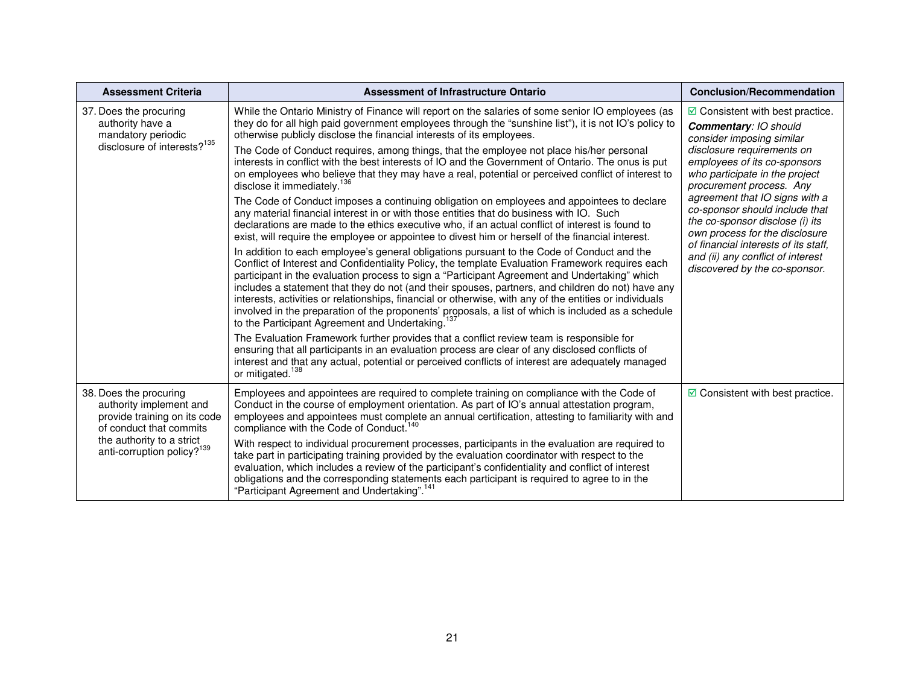| <b>Assessment Criteria</b>                                                                                                                                                          | Assessment of Infrastructure Ontario                                                                                                                                                                                                                                                                                                                                                                                                                                                                                                                                                                                                                                                                                                                                                                                                                                                                                                                                                                                                                                                                                                                                                                                                                                                                                                                                                                                                                                                                                                                                                                                                                                                                                                                                                                                                                                                                                                                                                                                                                     | <b>Conclusion/Recommendation</b>                                                                                                                                                                                                                                                                                                                                                                                                                                                         |
|-------------------------------------------------------------------------------------------------------------------------------------------------------------------------------------|----------------------------------------------------------------------------------------------------------------------------------------------------------------------------------------------------------------------------------------------------------------------------------------------------------------------------------------------------------------------------------------------------------------------------------------------------------------------------------------------------------------------------------------------------------------------------------------------------------------------------------------------------------------------------------------------------------------------------------------------------------------------------------------------------------------------------------------------------------------------------------------------------------------------------------------------------------------------------------------------------------------------------------------------------------------------------------------------------------------------------------------------------------------------------------------------------------------------------------------------------------------------------------------------------------------------------------------------------------------------------------------------------------------------------------------------------------------------------------------------------------------------------------------------------------------------------------------------------------------------------------------------------------------------------------------------------------------------------------------------------------------------------------------------------------------------------------------------------------------------------------------------------------------------------------------------------------------------------------------------------------------------------------------------------------|------------------------------------------------------------------------------------------------------------------------------------------------------------------------------------------------------------------------------------------------------------------------------------------------------------------------------------------------------------------------------------------------------------------------------------------------------------------------------------------|
| 37. Does the procuring<br>authority have a<br>mandatory periodic<br>disclosure of interests? <sup>135</sup>                                                                         | While the Ontario Ministry of Finance will report on the salaries of some senior IO employees (as<br>they do for all high paid government employees through the "sunshine list"), it is not IO's policy to<br>otherwise publicly disclose the financial interests of its employees.<br>The Code of Conduct requires, among things, that the employee not place his/her personal<br>interests in conflict with the best interests of IO and the Government of Ontario. The onus is put<br>on employees who believe that they may have a real, potential or perceived conflict of interest to<br>disclose it immediately. <sup>136</sup><br>The Code of Conduct imposes a continuing obligation on employees and appointees to declare<br>any material financial interest in or with those entities that do business with IO. Such<br>declarations are made to the ethics executive who, if an actual conflict of interest is found to<br>exist, will require the employee or appointee to divest him or herself of the financial interest.<br>In addition to each employee's general obligations pursuant to the Code of Conduct and the<br>Conflict of Interest and Confidentiality Policy, the template Evaluation Framework requires each<br>participant in the evaluation process to sign a "Participant Agreement and Undertaking" which<br>includes a statement that they do not (and their spouses, partners, and children do not) have any<br>interests, activities or relationships, financial or otherwise, with any of the entities or individuals<br>involved in the preparation of the proponents' proposals, a list of which is included as a schedule<br>to the Participant Agreement and Undertaking.<br>The Evaluation Framework further provides that a conflict review team is responsible for<br>ensuring that all participants in an evaluation process are clear of any disclosed conflicts of<br>interest and that any actual, potential or perceived conflicts of interest are adequately managed<br>or mitigated. <sup>138</sup> | $\boxdot$ Consistent with best practice.<br><b>Commentary: IO should</b><br>consider imposing similar<br>disclosure requirements on<br>employees of its co-sponsors<br>who participate in the project<br>procurement process. Any<br>agreement that IO signs with a<br>co-sponsor should include that<br>the co-sponsor disclose (i) its<br>own process for the disclosure<br>of financial interests of its staff,<br>and (ii) any conflict of interest<br>discovered by the co-sponsor. |
| 38. Does the procuring<br>authority implement and<br>provide training on its code<br>of conduct that commits<br>the authority to a strict<br>anti-corruption policy? <sup>139</sup> | Employees and appointees are required to complete training on compliance with the Code of<br>Conduct in the course of employment orientation. As part of IO's annual attestation program,<br>employees and appointees must complete an annual certification, attesting to familiarity with and<br>compliance with the Code of Conduct. <sup>140</sup><br>With respect to individual procurement processes, participants in the evaluation are required to<br>take part in participating training provided by the evaluation coordinator with respect to the<br>evaluation, which includes a review of the participant's confidentiality and conflict of interest<br>obligations and the corresponding statements each participant is required to agree to in the<br>"Participant Agreement and Undertaking". <sup>141</sup>                                                                                                                                                                                                                                                                                                                                                                                                                                                                                                                                                                                                                                                                                                                                                                                                                                                                                                                                                                                                                                                                                                                                                                                                                              | $\blacksquare$ Consistent with best practice.                                                                                                                                                                                                                                                                                                                                                                                                                                            |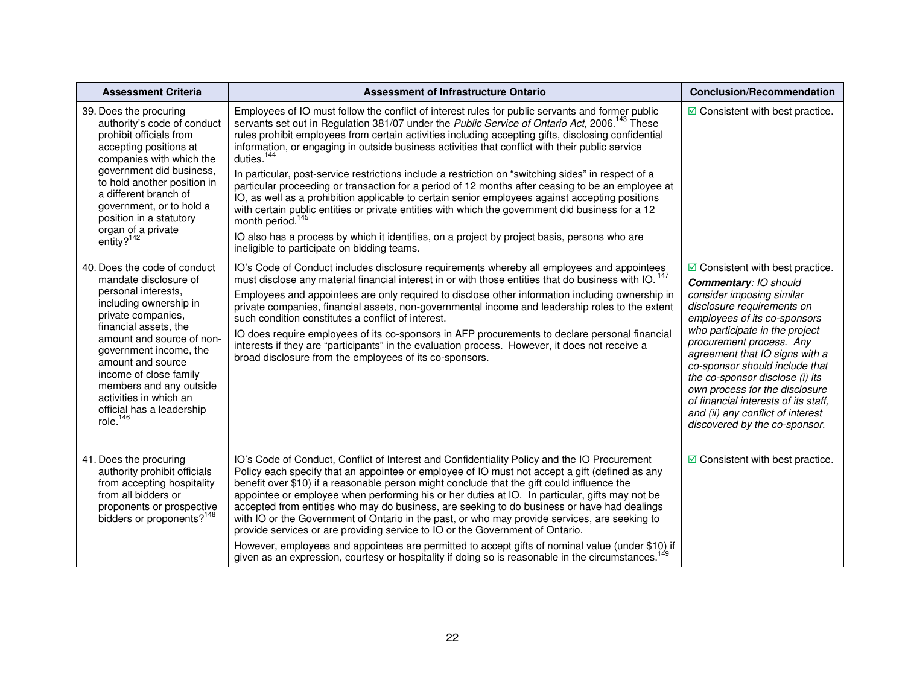| <b>Assessment Criteria</b>                                                                                                                                                                                                                                                                                                                                   | <b>Assessment of Infrastructure Ontario</b>                                                                                                                                                                                                                                                                                                                                                                                                                                                                                                                                                                                                                                                                                                                                                                                                                                                                                                                                                                                                         | <b>Conclusion/Recommendation</b>                                                                                                                                                                                                                                                                                                                                                                                                                                                  |
|--------------------------------------------------------------------------------------------------------------------------------------------------------------------------------------------------------------------------------------------------------------------------------------------------------------------------------------------------------------|-----------------------------------------------------------------------------------------------------------------------------------------------------------------------------------------------------------------------------------------------------------------------------------------------------------------------------------------------------------------------------------------------------------------------------------------------------------------------------------------------------------------------------------------------------------------------------------------------------------------------------------------------------------------------------------------------------------------------------------------------------------------------------------------------------------------------------------------------------------------------------------------------------------------------------------------------------------------------------------------------------------------------------------------------------|-----------------------------------------------------------------------------------------------------------------------------------------------------------------------------------------------------------------------------------------------------------------------------------------------------------------------------------------------------------------------------------------------------------------------------------------------------------------------------------|
| 39. Does the procuring<br>authority's code of conduct<br>prohibit officials from<br>accepting positions at<br>companies with which the<br>government did business,<br>to hold another position in<br>a different branch of<br>government, or to hold a<br>position in a statutory<br>organ of a private<br>entity? $142$                                     | Employees of IO must follow the conflict of interest rules for public servants and former public<br>servants set out in Regulation 381/07 under the Public Service of Ontario Act, 2006. <sup>143</sup> These<br>rules prohibit employees from certain activities including accepting gifts, disclosing confidential<br>information, or engaging in outside business activities that conflict with their public service<br>duties. <sup>144</sup><br>In particular, post-service restrictions include a restriction on "switching sides" in respect of a<br>particular proceeding or transaction for a period of 12 months after ceasing to be an employee at<br>IO, as well as a prohibition applicable to certain senior employees against accepting positions<br>with certain public entities or private entities with which the government did business for a 12<br>month period. <sup>145</sup><br>IO also has a process by which it identifies, on a project by project basis, persons who are<br>ineligible to participate on bidding teams. | $\boxdot$ Consistent with best practice.                                                                                                                                                                                                                                                                                                                                                                                                                                          |
| 40. Does the code of conduct<br>mandate disclosure of<br>personal interests,<br>including ownership in<br>private companies,<br>financial assets, the<br>amount and source of non-<br>government income, the<br>amount and source<br>income of close family<br>members and any outside<br>activities in which an<br>official has a leadership<br>role. $146$ | IO's Code of Conduct includes disclosure requirements whereby all employees and appointees<br>must disclose any material financial interest in or with those entities that do business with IO. <sup>147</sup><br>Employees and appointees are only required to disclose other information including ownership in<br>private companies, financial assets, non-governmental income and leadership roles to the extent<br>such condition constitutes a conflict of interest.<br>IO does require employees of its co-sponsors in AFP procurements to declare personal financial<br>interests if they are "participants" in the evaluation process. However, it does not receive a<br>broad disclosure from the employees of its co-sponsors.                                                                                                                                                                                                                                                                                                           | $\boxdot$ Consistent with best practice.<br>Commentary: IO should<br>consider imposing similar<br>disclosure requirements on<br>employees of its co-sponsors<br>who participate in the project<br>procurement process. Any<br>agreement that IO signs with a<br>co-sponsor should include that<br>the co-sponsor disclose (i) its<br>own process for the disclosure<br>of financial interests of its staff.<br>and (ii) any conflict of interest<br>discovered by the co-sponsor. |
| 41. Does the procuring<br>authority prohibit officials<br>from accepting hospitality<br>from all bidders or<br>proponents or prospective<br>bidders or proponents? <sup>148</sup>                                                                                                                                                                            | IO's Code of Conduct, Conflict of Interest and Confidentiality Policy and the IO Procurement<br>Policy each specify that an appointee or employee of IO must not accept a gift (defined as any<br>benefit over \$10) if a reasonable person might conclude that the gift could influence the<br>appointee or employee when performing his or her duties at IO. In particular, gifts may not be<br>accepted from entities who may do business, are seeking to do business or have had dealings<br>with IO or the Government of Ontario in the past, or who may provide services, are seeking to<br>provide services or are providing service to IO or the Government of Ontario.<br>However, employees and appointees are permitted to accept gifts of nominal value (under \$10) if<br>given as an expression, courtesy or hospitality if doing so is reasonable in the circumstances. <sup>149</sup>                                                                                                                                               | $\triangleright$ Consistent with best practice.                                                                                                                                                                                                                                                                                                                                                                                                                                   |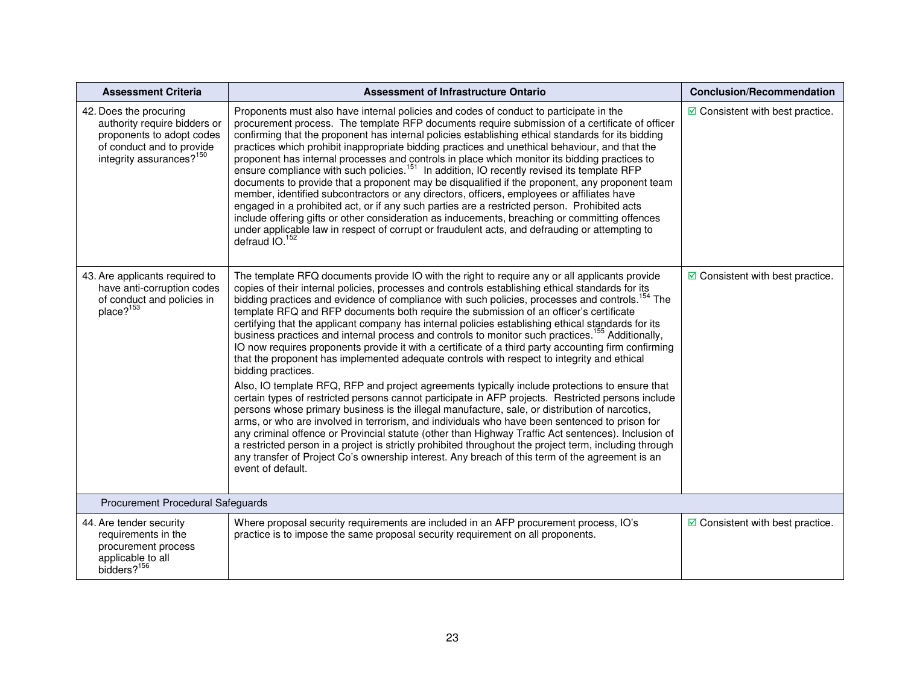| <b>Assessment Criteria</b>                                                                                                                               | <b>Assessment of Infrastructure Ontario</b>                                                                                                                                                                                                                                                                                                                                                                                                                                                                                                                                                                                                                                                                                                                                                                                                                                                                                                                                                                                                                                                                                                                                                                                                                                                                                                                                                                                                                                                                                                                                                                      | <b>Conclusion/Recommendation</b>         |
|----------------------------------------------------------------------------------------------------------------------------------------------------------|------------------------------------------------------------------------------------------------------------------------------------------------------------------------------------------------------------------------------------------------------------------------------------------------------------------------------------------------------------------------------------------------------------------------------------------------------------------------------------------------------------------------------------------------------------------------------------------------------------------------------------------------------------------------------------------------------------------------------------------------------------------------------------------------------------------------------------------------------------------------------------------------------------------------------------------------------------------------------------------------------------------------------------------------------------------------------------------------------------------------------------------------------------------------------------------------------------------------------------------------------------------------------------------------------------------------------------------------------------------------------------------------------------------------------------------------------------------------------------------------------------------------------------------------------------------------------------------------------------------|------------------------------------------|
| 42. Does the procuring<br>authority require bidders or<br>proponents to adopt codes<br>of conduct and to provide<br>integrity assurances? <sup>150</sup> | Proponents must also have internal policies and codes of conduct to participate in the<br>procurement process. The template RFP documents require submission of a certificate of officer<br>confirming that the proponent has internal policies establishing ethical standards for its bidding<br>practices which prohibit inappropriate bidding practices and unethical behaviour, and that the<br>proponent has internal processes and controls in place which monitor its bidding practices to<br>ensure compliance with such policies. <sup>151</sup> In addition, IO recently revised its template RFP<br>documents to provide that a proponent may be disqualified if the proponent, any proponent team<br>member, identified subcontractors or any directors, officers, employees or affiliates have<br>engaged in a prohibited act, or if any such parties are a restricted person. Prohibited acts<br>include offering gifts or other consideration as inducements, breaching or committing offences<br>under applicable law in respect of corrupt or fraudulent acts, and defrauding or attempting to<br>defraud IO. <sup>152</sup>                                                                                                                                                                                                                                                                                                                                                                                                                                                                    | $\boxdot$ Consistent with best practice. |
| 43. Are applicants required to<br>have anti-corruption codes<br>of conduct and policies in<br>place? <sup>153</sup>                                      | The template RFQ documents provide IO with the right to require any or all applicants provide<br>copies of their internal policies, processes and controls establishing ethical standards for its<br>bidding practices and evidence of compliance with such policies, processes and controls. <sup>154</sup> The<br>template RFQ and RFP documents both require the submission of an officer's certificate<br>certifying that the applicant company has internal policies establishing ethical standards for its<br>business practices and internal process and controls to monitor such practices. <sup>155</sup> Additionally,<br>IO now requires proponents provide it with a certificate of a third party accounting firm confirming<br>that the proponent has implemented adequate controls with respect to integrity and ethical<br>bidding practices.<br>Also, IO template RFQ, RFP and project agreements typically include protections to ensure that<br>certain types of restricted persons cannot participate in AFP projects. Restricted persons include<br>persons whose primary business is the illegal manufacture, sale, or distribution of narcotics,<br>arms, or who are involved in terrorism, and individuals who have been sentenced to prison for<br>any criminal offence or Provincial statute (other than Highway Traffic Act sentences). Inclusion of<br>a restricted person in a project is strictly prohibited throughout the project term, including through<br>any transfer of Project Co's ownership interest. Any breach of this term of the agreement is an<br>event of default. | $\boxdot$ Consistent with best practice. |
| Procurement Procedural Safeguards                                                                                                                        |                                                                                                                                                                                                                                                                                                                                                                                                                                                                                                                                                                                                                                                                                                                                                                                                                                                                                                                                                                                                                                                                                                                                                                                                                                                                                                                                                                                                                                                                                                                                                                                                                  |                                          |
| 44. Are tender security<br>requirements in the<br>procurement process<br>applicable to all<br>bidders? <sup>156</sup>                                    | Where proposal security requirements are included in an AFP procurement process, IO's<br>practice is to impose the same proposal security requirement on all proponents.                                                                                                                                                                                                                                                                                                                                                                                                                                                                                                                                                                                                                                                                                                                                                                                                                                                                                                                                                                                                                                                                                                                                                                                                                                                                                                                                                                                                                                         | $\boxdot$ Consistent with best practice. |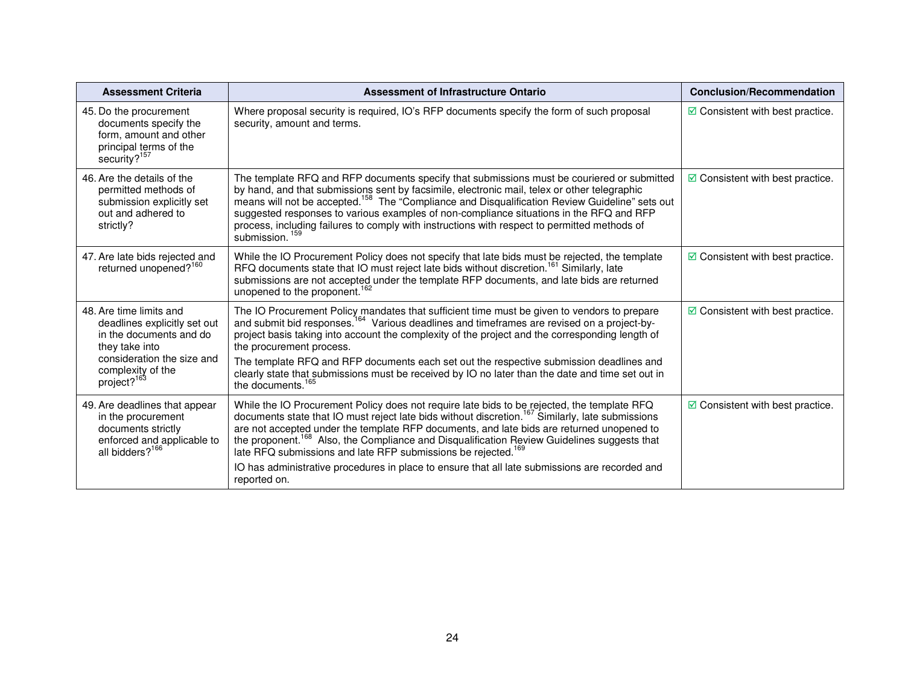| <b>Assessment Criteria</b>                                                                                                                                                         | <b>Assessment of Infrastructure Ontario</b>                                                                                                                                                                                                                                                                                                                                                                                                                                                                                                                                                                        | <b>Conclusion/Recommendation</b>           |
|------------------------------------------------------------------------------------------------------------------------------------------------------------------------------------|--------------------------------------------------------------------------------------------------------------------------------------------------------------------------------------------------------------------------------------------------------------------------------------------------------------------------------------------------------------------------------------------------------------------------------------------------------------------------------------------------------------------------------------------------------------------------------------------------------------------|--------------------------------------------|
| 45. Do the procurement<br>documents specify the<br>form, amount and other<br>principal terms of the<br>security? <sup>157</sup>                                                    | Where proposal security is required, IO's RFP documents specify the form of such proposal<br>security, amount and terms.                                                                                                                                                                                                                                                                                                                                                                                                                                                                                           | $\boxtimes$ Consistent with best practice. |
| 46. Are the details of the<br>permitted methods of<br>submission explicitly set<br>out and adhered to<br>strictly?                                                                 | The template RFQ and RFP documents specify that submissions must be couriered or submitted<br>by hand, and that submissions sent by facsimile, electronic mail, telex or other telegraphic<br>means will not be accepted. <sup>158</sup> The "Compliance and Disqualification Review Guideline" sets out<br>suggested responses to various examples of non-compliance situations in the RFQ and RFP<br>process, including failures to comply with instructions with respect to permitted methods of<br>submission. <sup>159</sup>                                                                                  | $\boxdot$ Consistent with best practice.   |
| 47. Are late bids rejected and<br>returned unopened? <sup>160</sup>                                                                                                                | While the IO Procurement Policy does not specify that late bids must be rejected, the template<br>RFQ documents state that IO must reject late bids without discretion. <sup>161</sup> Similarly, late<br>submissions are not accepted under the template RFP documents, and late bids are returned<br>unopened to the proponent. <sup>162</sup>                                                                                                                                                                                                                                                                   | $\boxtimes$ Consistent with best practice. |
| 48. Are time limits and<br>deadlines explicitly set out<br>in the documents and do<br>they take into<br>consideration the size and<br>complexity of the<br>project? <sup>163</sup> | The IO Procurement Policy mandates that sufficient time must be given to vendors to prepare<br>and submit bid responses. <sup>164</sup> Various deadlines and timeframes are revised on a project-by-<br>project basis taking into account the complexity of the project and the corresponding length of<br>the procurement process.<br>The template RFQ and RFP documents each set out the respective submission deadlines and<br>clearly state that submissions must be received by IO no later than the date and time set out in<br>the documents. <sup>165</sup>                                               | $\boxdot$ Consistent with best practice.   |
| 49. Are deadlines that appear<br>in the procurement<br>documents strictly<br>enforced and applicable to<br>all bidders? <sup>166</sup>                                             | While the IO Procurement Policy does not require late bids to be rejected, the template RFQ<br>documents state that IO must reject late bids without discretion. <sup>167</sup> Similarly, late submissions<br>are not accepted under the template RFP documents, and late bids are returned unopened to<br>the proponent. <sup>168</sup> Also, the Compliance and Disqualification Review Guidelines suggests that<br>late RFQ submissions and late RFP submissions be rejected. <sup>169</sup><br>IO has administrative procedures in place to ensure that all late submissions are recorded and<br>reported on. | $\boxtimes$ Consistent with best practice. |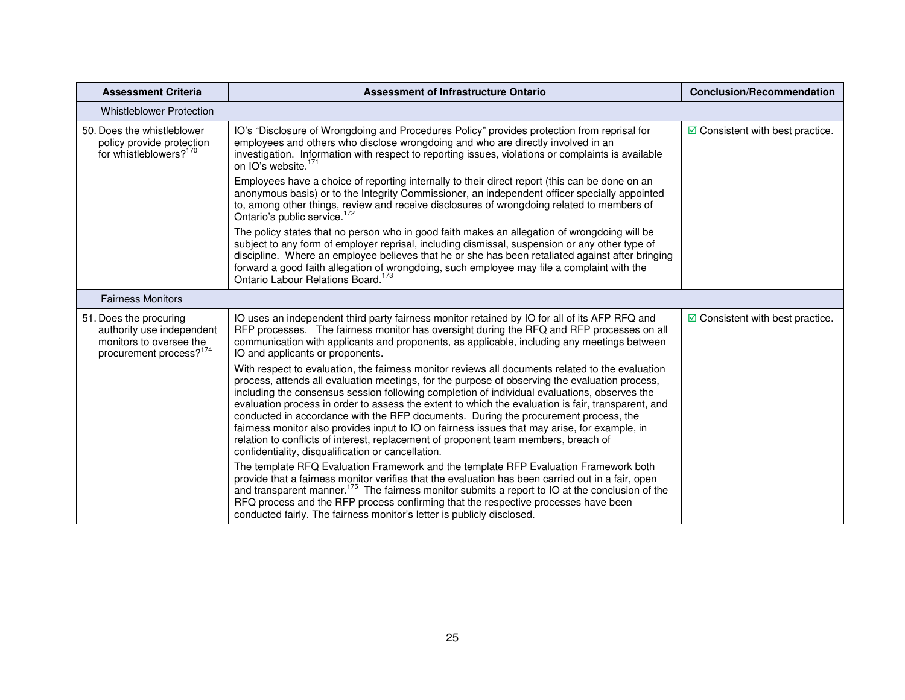| <b>Assessment Criteria</b>                                                                                            | <b>Assessment of Infrastructure Ontario</b>                                                                                                                                                                                                                                                                                                                                                                                                                                                                                                                                                                                                                                                                                                   | <b>Conclusion/Recommendation</b>         |
|-----------------------------------------------------------------------------------------------------------------------|-----------------------------------------------------------------------------------------------------------------------------------------------------------------------------------------------------------------------------------------------------------------------------------------------------------------------------------------------------------------------------------------------------------------------------------------------------------------------------------------------------------------------------------------------------------------------------------------------------------------------------------------------------------------------------------------------------------------------------------------------|------------------------------------------|
| <b>Whistleblower Protection</b>                                                                                       |                                                                                                                                                                                                                                                                                                                                                                                                                                                                                                                                                                                                                                                                                                                                               |                                          |
| 50. Does the whistleblower<br>policy provide protection<br>for whistleblowers? <sup>170</sup>                         | IO's "Disclosure of Wrongdoing and Procedures Policy" provides protection from reprisal for<br>employees and others who disclose wrongdoing and who are directly involved in an<br>investigation. Information with respect to reporting issues, violations or complaints is available<br>on IO's website. <sup>1/1</sup>                                                                                                                                                                                                                                                                                                                                                                                                                      | $\boxdot$ Consistent with best practice. |
|                                                                                                                       | Employees have a choice of reporting internally to their direct report (this can be done on an<br>anonymous basis) or to the Integrity Commissioner, an independent officer specially appointed<br>to, among other things, review and receive disclosures of wrongdoing related to members of<br>Ontario's public service. <sup>172</sup>                                                                                                                                                                                                                                                                                                                                                                                                     |                                          |
|                                                                                                                       | The policy states that no person who in good faith makes an allegation of wrongdoing will be<br>subject to any form of employer reprisal, including dismissal, suspension or any other type of<br>discipline. Where an employee believes that he or she has been retaliated against after bringing<br>forward a good faith allegation of wrongdoing, such employee may file a complaint with the<br>Ontario Labour Relations Board. <sup>173</sup>                                                                                                                                                                                                                                                                                            |                                          |
| <b>Fairness Monitors</b>                                                                                              |                                                                                                                                                                                                                                                                                                                                                                                                                                                                                                                                                                                                                                                                                                                                               |                                          |
| 51. Does the procuring<br>authority use independent<br>monitors to oversee the<br>procurement process? <sup>174</sup> | IO uses an independent third party fairness monitor retained by IO for all of its AFP RFQ and<br>RFP processes. The fairness monitor has oversight during the RFQ and RFP processes on all<br>communication with applicants and proponents, as applicable, including any meetings between<br>IO and applicants or proponents.                                                                                                                                                                                                                                                                                                                                                                                                                 | $\boxdot$ Consistent with best practice. |
|                                                                                                                       | With respect to evaluation, the fairness monitor reviews all documents related to the evaluation<br>process, attends all evaluation meetings, for the purpose of observing the evaluation process,<br>including the consensus session following completion of individual evaluations, observes the<br>evaluation process in order to assess the extent to which the evaluation is fair, transparent, and<br>conducted in accordance with the RFP documents. During the procurement process, the<br>fairness monitor also provides input to IO on fairness issues that may arise, for example, in<br>relation to conflicts of interest, replacement of proponent team members, breach of<br>confidentiality, disqualification or cancellation. |                                          |
|                                                                                                                       | The template RFQ Evaluation Framework and the template RFP Evaluation Framework both<br>provide that a fairness monitor verifies that the evaluation has been carried out in a fair, open<br>and transparent manner. <sup>175</sup> The fairness monitor submits a report to IO at the conclusion of the<br>RFQ process and the RFP process confirming that the respective processes have been<br>conducted fairly. The fairness monitor's letter is publicly disclosed.                                                                                                                                                                                                                                                                      |                                          |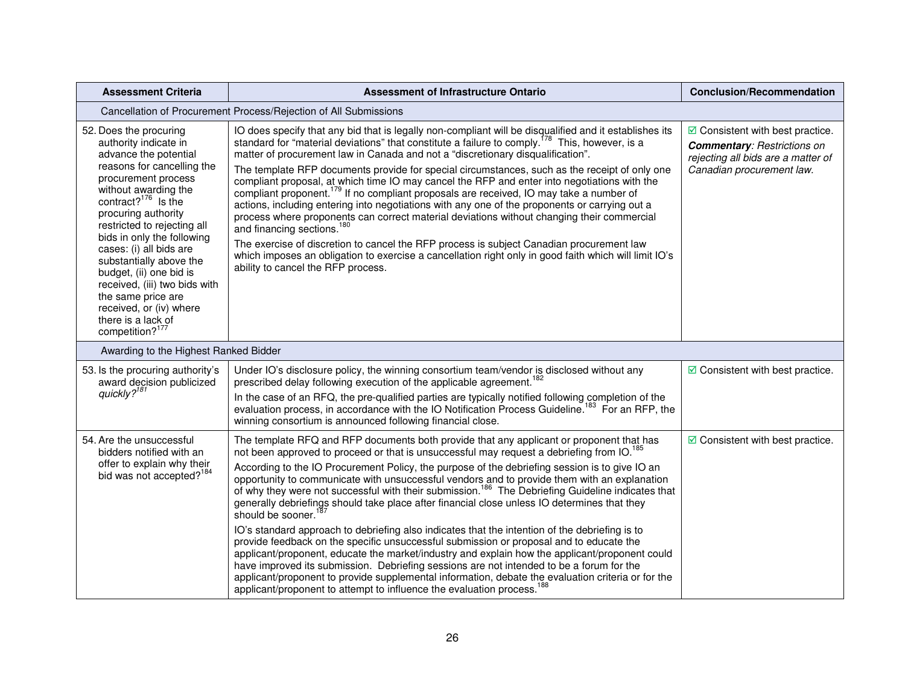| <b>Assessment Criteria</b>                                                                                                                                                                                                                                                                                                                                                                                                                                                                  | <b>Assessment of Infrastructure Ontario</b>                                                                                                                                                                                                                                                                                                                                                                                                                                                                                                                                                                                                                                                                                                                                                                                                                                                                                                                                                                                                                                                                                                                                                                                                    | <b>Conclusion/Recommendation</b>                                                                                                                  |
|---------------------------------------------------------------------------------------------------------------------------------------------------------------------------------------------------------------------------------------------------------------------------------------------------------------------------------------------------------------------------------------------------------------------------------------------------------------------------------------------|------------------------------------------------------------------------------------------------------------------------------------------------------------------------------------------------------------------------------------------------------------------------------------------------------------------------------------------------------------------------------------------------------------------------------------------------------------------------------------------------------------------------------------------------------------------------------------------------------------------------------------------------------------------------------------------------------------------------------------------------------------------------------------------------------------------------------------------------------------------------------------------------------------------------------------------------------------------------------------------------------------------------------------------------------------------------------------------------------------------------------------------------------------------------------------------------------------------------------------------------|---------------------------------------------------------------------------------------------------------------------------------------------------|
|                                                                                                                                                                                                                                                                                                                                                                                                                                                                                             | Cancellation of Procurement Process/Rejection of All Submissions                                                                                                                                                                                                                                                                                                                                                                                                                                                                                                                                                                                                                                                                                                                                                                                                                                                                                                                                                                                                                                                                                                                                                                               |                                                                                                                                                   |
| 52. Does the procuring<br>authority indicate in<br>advance the potential<br>reasons for cancelling the<br>procurement process<br>without awarding the<br>contract? $176$ Is the<br>procuring authority<br>restricted to rejecting all<br>bids in only the following<br>cases: (i) all bids are<br>substantially above the<br>budget, (ii) one bid is<br>received, (iii) two bids with<br>the same price are<br>received, or (iv) where<br>there is a lack of<br>competition? <sup>177</sup> | IO does specify that any bid that is legally non-compliant will be disqualified and it establishes its standard for "material deviations" that constitute a failure to comply. <sup>178</sup> This, however, is a<br>matter of procurement law in Canada and not a "discretionary disqualification".<br>The template RFP documents provide for special circumstances, such as the receipt of only one<br>compliant proposal, at which time IO may cancel the RFP and enter into negotiations with the<br>compliant proponent. <sup>179</sup> If no compliant proposals are received, IO may take a number of<br>actions, including entering into negotiations with any one of the proponents or carrying out a<br>process where proponents can correct material deviations without changing their commercial<br>and financing sections. <sup>180</sup><br>The exercise of discretion to cancel the RFP process is subject Canadian procurement law<br>which imposes an obligation to exercise a cancellation right only in good faith which will limit IO's<br>ability to cancel the RFP process.                                                                                                                                              | $\boxdot$ Consistent with best practice.<br><b>Commentary: Restrictions on</b><br>rejecting all bids are a matter of<br>Canadian procurement law. |
| Awarding to the Highest Ranked Bidder                                                                                                                                                                                                                                                                                                                                                                                                                                                       |                                                                                                                                                                                                                                                                                                                                                                                                                                                                                                                                                                                                                                                                                                                                                                                                                                                                                                                                                                                                                                                                                                                                                                                                                                                |                                                                                                                                                   |
| 53. Is the procuring authority's<br>award decision publicized<br>quickly? <sup>181</sup>                                                                                                                                                                                                                                                                                                                                                                                                    | Under IO's disclosure policy, the winning consortium team/vendor is disclosed without any<br>prescribed delay following execution of the applicable agreement. <sup>182</sup><br>In the case of an RFQ, the pre-qualified parties are typically notified following completion of the<br>evaluation process, in accordance with the IO Notification Process Guideline. <sup>183</sup> For an RFP, the<br>winning consortium is announced following financial close.                                                                                                                                                                                                                                                                                                                                                                                                                                                                                                                                                                                                                                                                                                                                                                             | $\boxdot$ Consistent with best practice.                                                                                                          |
| 54. Are the unsuccessful<br>bidders notified with an<br>offer to explain why their<br>bid was not accepted? <sup>184</sup>                                                                                                                                                                                                                                                                                                                                                                  | The template RFQ and RFP documents both provide that any applicant or proponent that has<br>not been approved to proceed or that is unsuccessful may request a debriefing from IO. <sup>185</sup><br>According to the IO Procurement Policy, the purpose of the debriefing session is to give IO an<br>opportunity to communicate with unsuccessful vendors and to provide them with an explanation<br>of why they were not successful with their submission. <sup>186</sup> The Debriefing Guideline indicates that<br>generally debriefings should take place after financial close unless IO determines that they<br>should be sooner. <sup>18</sup><br>IO's standard approach to debriefing also indicates that the intention of the debriefing is to<br>provide feedback on the specific unsuccessful submission or proposal and to educate the<br>applicant/proponent, educate the market/industry and explain how the applicant/proponent could<br>have improved its submission. Debriefing sessions are not intended to be a forum for the<br>applicant/proponent to provide supplemental information, debate the evaluation criteria or for the<br>applicant/proponent to attempt to influence the evaluation process. <sup>188</sup> | $\boxdot$ Consistent with best practice.                                                                                                          |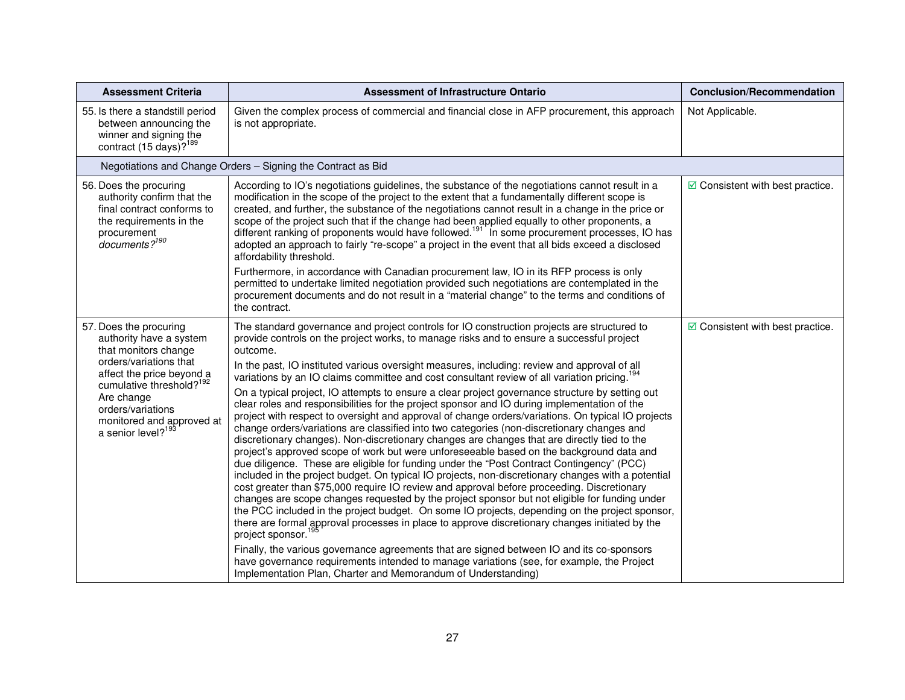| <b>Assessment Criteria</b>                                                                                                                                                                                                                                                 | <b>Assessment of Infrastructure Ontario</b>                                                                                                                                                                                                                                                                                                                                                                                                                                                                                                                                                                                                                                                                                                                                                                                                                                                                                                                                                                                                                                                                                                                                                                                                                                                                                                                                                                                                                                                                                                                                                                                                                                                                                                                                                                                                                                                                         | <b>Conclusion/Recommendation</b>                |
|----------------------------------------------------------------------------------------------------------------------------------------------------------------------------------------------------------------------------------------------------------------------------|---------------------------------------------------------------------------------------------------------------------------------------------------------------------------------------------------------------------------------------------------------------------------------------------------------------------------------------------------------------------------------------------------------------------------------------------------------------------------------------------------------------------------------------------------------------------------------------------------------------------------------------------------------------------------------------------------------------------------------------------------------------------------------------------------------------------------------------------------------------------------------------------------------------------------------------------------------------------------------------------------------------------------------------------------------------------------------------------------------------------------------------------------------------------------------------------------------------------------------------------------------------------------------------------------------------------------------------------------------------------------------------------------------------------------------------------------------------------------------------------------------------------------------------------------------------------------------------------------------------------------------------------------------------------------------------------------------------------------------------------------------------------------------------------------------------------------------------------------------------------------------------------------------------------|-------------------------------------------------|
| 55. Is there a standstill period<br>between announcing the<br>winner and signing the<br>contract (15 days)? <sup>189</sup>                                                                                                                                                 | Given the complex process of commercial and financial close in AFP procurement, this approach<br>is not appropriate.                                                                                                                                                                                                                                                                                                                                                                                                                                                                                                                                                                                                                                                                                                                                                                                                                                                                                                                                                                                                                                                                                                                                                                                                                                                                                                                                                                                                                                                                                                                                                                                                                                                                                                                                                                                                | Not Applicable.                                 |
|                                                                                                                                                                                                                                                                            | Negotiations and Change Orders - Signing the Contract as Bid                                                                                                                                                                                                                                                                                                                                                                                                                                                                                                                                                                                                                                                                                                                                                                                                                                                                                                                                                                                                                                                                                                                                                                                                                                                                                                                                                                                                                                                                                                                                                                                                                                                                                                                                                                                                                                                        |                                                 |
| 56. Does the procuring<br>authority confirm that the<br>final contract conforms to<br>the requirements in the<br>procurement<br>documents? <sup>190</sup>                                                                                                                  | According to IO's negotiations guidelines, the substance of the negotiations cannot result in a<br>modification in the scope of the project to the extent that a fundamentally different scope is<br>created, and further, the substance of the negotiations cannot result in a change in the price or<br>scope of the project such that if the change had been applied equally to other proponents, a different ranking of proponents would have followed. <sup>191</sup> In some procurement processes, IO has<br>adopted an approach to fairly "re-scope" a project in the event that all bids exceed a disclosed<br>affordability threshold.                                                                                                                                                                                                                                                                                                                                                                                                                                                                                                                                                                                                                                                                                                                                                                                                                                                                                                                                                                                                                                                                                                                                                                                                                                                                    | $\boxdot$ Consistent with best practice.        |
|                                                                                                                                                                                                                                                                            | Furthermore, in accordance with Canadian procurement law, IO in its RFP process is only<br>permitted to undertake limited negotiation provided such negotiations are contemplated in the<br>procurement documents and do not result in a "material change" to the terms and conditions of<br>the contract.                                                                                                                                                                                                                                                                                                                                                                                                                                                                                                                                                                                                                                                                                                                                                                                                                                                                                                                                                                                                                                                                                                                                                                                                                                                                                                                                                                                                                                                                                                                                                                                                          |                                                 |
| 57. Does the procuring<br>authority have a system<br>that monitors change<br>orders/variations that<br>affect the price beyond a<br>cumulative threshold? <sup>192</sup><br>Are change<br>orders/variations<br>monitored and approved at<br>a senior level? <sup>193</sup> | The standard governance and project controls for IO construction projects are structured to<br>provide controls on the project works, to manage risks and to ensure a successful project<br>outcome.<br>In the past, IO instituted various oversight measures, including: review and approval of all<br>variations by an IO claims committee and cost consultant review of all variation pricing. <sup>1</sup><br>On a typical project, IO attempts to ensure a clear project governance structure by setting out<br>clear roles and responsibilities for the project sponsor and IO during implementation of the<br>project with respect to oversight and approval of change orders/variations. On typical IO projects<br>change orders/variations are classified into two categories (non-discretionary changes and<br>discretionary changes). Non-discretionary changes are changes that are directly tied to the<br>project's approved scope of work but were unforeseeable based on the background data and<br>due diligence. These are eligible for funding under the "Post Contract Contingency" (PCC)<br>included in the project budget. On typical IO projects, non-discretionary changes with a potential<br>cost greater than \$75,000 require IO review and approval before proceeding. Discretionary<br>changes are scope changes requested by the project sponsor but not eligible for funding under<br>the PCC included in the project budget. On some IO projects, depending on the project sponsor,<br>there are formal approval processes in place to approve discretionary changes initiated by the<br>project sponsor. <sup>19</sup><br>Finally, the various governance agreements that are signed between IO and its co-sponsors<br>have governance requirements intended to manage variations (see, for example, the Project<br>Implementation Plan, Charter and Memorandum of Understanding) | $\triangleright$ Consistent with best practice. |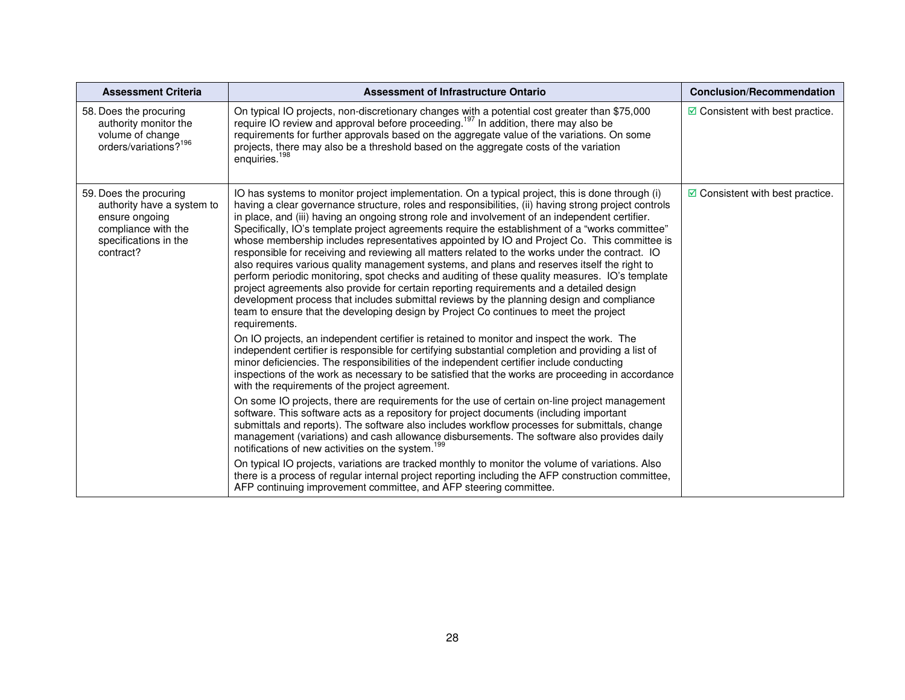| <b>Assessment Criteria</b>                                                                                                          | <b>Assessment of Infrastructure Ontario</b>                                                                                                                                                                                                                                                                                                                                                                                                                                                                                                                                                                                                                                                                                                                                                                                                                                                                                                                                                                                                                                                                                                                                                                                                                                                                                                                                                                                                                                                                                                                                                                                                                                 | <b>Conclusion/Recommendation</b>         |
|-------------------------------------------------------------------------------------------------------------------------------------|-----------------------------------------------------------------------------------------------------------------------------------------------------------------------------------------------------------------------------------------------------------------------------------------------------------------------------------------------------------------------------------------------------------------------------------------------------------------------------------------------------------------------------------------------------------------------------------------------------------------------------------------------------------------------------------------------------------------------------------------------------------------------------------------------------------------------------------------------------------------------------------------------------------------------------------------------------------------------------------------------------------------------------------------------------------------------------------------------------------------------------------------------------------------------------------------------------------------------------------------------------------------------------------------------------------------------------------------------------------------------------------------------------------------------------------------------------------------------------------------------------------------------------------------------------------------------------------------------------------------------------------------------------------------------------|------------------------------------------|
| 58. Does the procuring<br>authority monitor the<br>volume of change<br>orders/variations? <sup>196</sup>                            | On typical IO projects, non-discretionary changes with a potential cost greater than \$75,000<br>require IO review and approval before proceeding. <sup>197</sup> In addition, there may also be<br>requirements for further approvals based on the aggregate value of the variations. On some<br>projects, there may also be a threshold based on the aggregate costs of the variation<br>enquiries. <sup>198</sup>                                                                                                                                                                                                                                                                                                                                                                                                                                                                                                                                                                                                                                                                                                                                                                                                                                                                                                                                                                                                                                                                                                                                                                                                                                                        | $\boxdot$ Consistent with best practice. |
| 59. Does the procuring<br>authority have a system to<br>ensure ongoing<br>compliance with the<br>specifications in the<br>contract? | IO has systems to monitor project implementation. On a typical project, this is done through (i)<br>having a clear governance structure, roles and responsibilities, (ii) having strong project controls<br>in place, and (iii) having an ongoing strong role and involvement of an independent certifier.<br>Specifically, IO's template project agreements require the establishment of a "works committee"<br>whose membership includes representatives appointed by IO and Project Co. This committee is<br>responsible for receiving and reviewing all matters related to the works under the contract. IO<br>also requires various quality management systems, and plans and reserves itself the right to<br>perform periodic monitoring, spot checks and auditing of these quality measures. IO's template<br>project agreements also provide for certain reporting requirements and a detailed design<br>development process that includes submittal reviews by the planning design and compliance<br>team to ensure that the developing design by Project Co continues to meet the project<br>requirements.<br>On IO projects, an independent certifier is retained to monitor and inspect the work. The<br>independent certifier is responsible for certifying substantial completion and providing a list of<br>minor deficiencies. The responsibilities of the independent certifier include conducting<br>inspections of the work as necessary to be satisfied that the works are proceeding in accordance<br>with the requirements of the project agreement.<br>On some IO projects, there are requirements for the use of certain on-line project management | $\boxdot$ Consistent with best practice. |
|                                                                                                                                     | software. This software acts as a repository for project documents (including important<br>submittals and reports). The software also includes workflow processes for submittals, change<br>management (variations) and cash allowance disbursements. The software also provides daily<br>notifications of new activities on the system. <sup>199</sup>                                                                                                                                                                                                                                                                                                                                                                                                                                                                                                                                                                                                                                                                                                                                                                                                                                                                                                                                                                                                                                                                                                                                                                                                                                                                                                                     |                                          |
|                                                                                                                                     | On typical IO projects, variations are tracked monthly to monitor the volume of variations. Also<br>there is a process of regular internal project reporting including the AFP construction committee,<br>AFP continuing improvement committee, and AFP steering committee.                                                                                                                                                                                                                                                                                                                                                                                                                                                                                                                                                                                                                                                                                                                                                                                                                                                                                                                                                                                                                                                                                                                                                                                                                                                                                                                                                                                                 |                                          |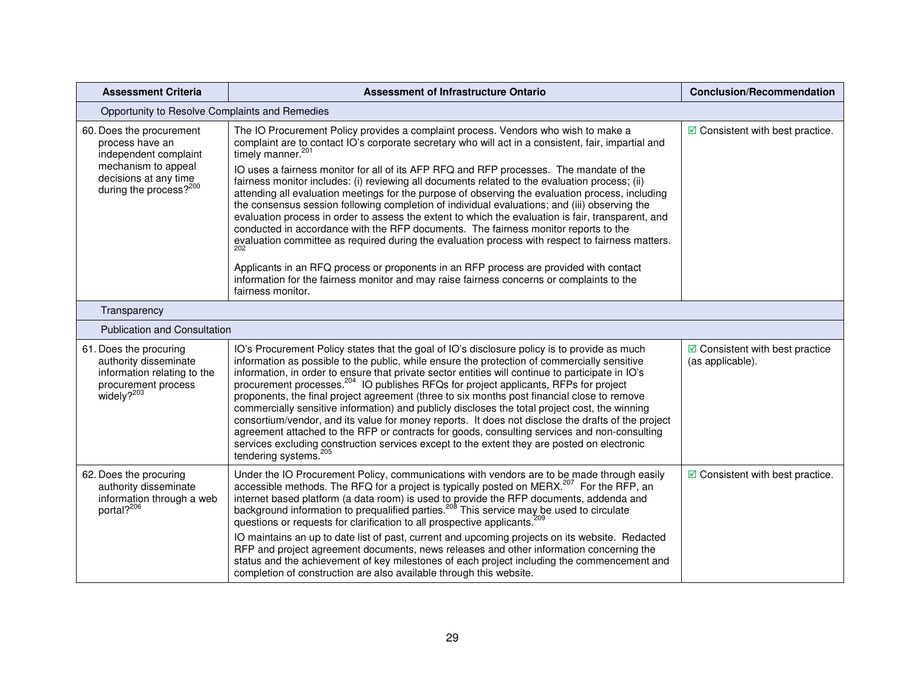| <b>Assessment Criteria</b>                                                                                                                                 | <b>Assessment of Infrastructure Ontario</b>                                                                                                                                                                                                                                                                                                                                                                                                                                                                                                                                                                                                                                                                                                                                                                                                                                                                                                                                                                                                                                                                                               | <b>Conclusion/Recommendation</b>                            |
|------------------------------------------------------------------------------------------------------------------------------------------------------------|-------------------------------------------------------------------------------------------------------------------------------------------------------------------------------------------------------------------------------------------------------------------------------------------------------------------------------------------------------------------------------------------------------------------------------------------------------------------------------------------------------------------------------------------------------------------------------------------------------------------------------------------------------------------------------------------------------------------------------------------------------------------------------------------------------------------------------------------------------------------------------------------------------------------------------------------------------------------------------------------------------------------------------------------------------------------------------------------------------------------------------------------|-------------------------------------------------------------|
| Opportunity to Resolve Complaints and Remedies                                                                                                             |                                                                                                                                                                                                                                                                                                                                                                                                                                                                                                                                                                                                                                                                                                                                                                                                                                                                                                                                                                                                                                                                                                                                           |                                                             |
| 60. Does the procurement<br>process have an<br>independent complaint<br>mechanism to appeal<br>decisions at any time<br>during the process? <sup>200</sup> | The IO Procurement Policy provides a complaint process. Vendors who wish to make a<br>complaint are to contact IO's corporate secretary who will act in a consistent, fair, impartial and<br>timely manner. <sup>201</sup><br>IO uses a fairness monitor for all of its AFP RFQ and RFP processes. The mandate of the<br>fairness monitor includes: (i) reviewing all documents related to the evaluation process; (ii)<br>attending all evaluation meetings for the purpose of observing the evaluation process, including<br>the consensus session following completion of individual evaluations; and (iii) observing the<br>evaluation process in order to assess the extent to which the evaluation is fair, transparent, and<br>conducted in accordance with the RFP documents. The fairness monitor reports to the<br>evaluation committee as required during the evaluation process with respect to fairness matters.<br>Applicants in an RFQ process or proponents in an RFP process are provided with contact<br>information for the fairness monitor and may raise fairness concerns or complaints to the<br>fairness monitor. | $\boxdot$ Consistent with best practice.                    |
| Transparency                                                                                                                                               |                                                                                                                                                                                                                                                                                                                                                                                                                                                                                                                                                                                                                                                                                                                                                                                                                                                                                                                                                                                                                                                                                                                                           |                                                             |
| <b>Publication and Consultation</b>                                                                                                                        |                                                                                                                                                                                                                                                                                                                                                                                                                                                                                                                                                                                                                                                                                                                                                                                                                                                                                                                                                                                                                                                                                                                                           |                                                             |
| 61. Does the procuring<br>authority disseminate<br>information relating to the<br>procurement process<br>widely? <sup>203</sup>                            | IO's Procurement Policy states that the goal of IO's disclosure policy is to provide as much<br>information as possible to the public, while ensure the protection of commercially sensitive<br>information, in order to ensure that private sector entities will continue to participate in IO's<br>procurement processes. <sup>204</sup> IO publishes RFQs for project applicants, RFPs for project<br>proponents, the final project agreement (three to six months post financial close to remove<br>commercially sensitive information) and publicly discloses the total project cost, the winning<br>consortium/vendor, and its value for money reports. It does not disclose the drafts of the project<br>agreement attached to the RFP or contracts for goods, consulting services and non-consulting<br>services excluding construction services except to the extent they are posted on electronic<br>tendering systems. <sup>205</sup>                                                                                                                                                                                          | $\boxdot$ Consistent with best practice<br>(as applicable). |
| 62. Does the procuring<br>authority disseminate<br>information through a web<br>portal? <sup>206</sup>                                                     | Under the IO Procurement Policy, communications with vendors are to be made through easily<br>accessible methods. The RFQ for a project is typically posted on MERX. <sup>207</sup> For the RFP, an<br>internet based platform (a data room) is used to provide the RFP documents, addenda and background information to prequalified parties. <sup>208</sup> This service may be used to circulate<br>questions or requests for clarification to all prospective applicants. <sup>209</sup><br>IO maintains an up to date list of past, current and upcoming projects on its website. Redacted<br>RFP and project agreement documents, news releases and other information concerning the<br>status and the achievement of key milestones of each project including the commencement and<br>completion of construction are also available through this website.                                                                                                                                                                                                                                                                          | $\boxdot$ Consistent with best practice.                    |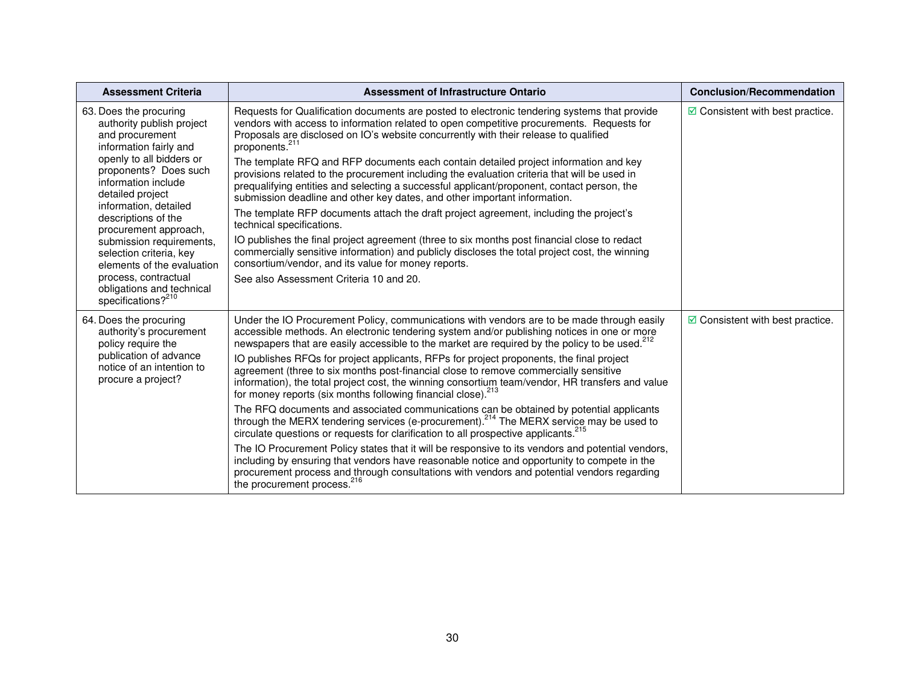| <b>Assessment Criteria</b>                                                                                                                                                                                                                                                                                                                                                                                                                            | <b>Assessment of Infrastructure Ontario</b>                                                                                                                                                                                                                                                                                                                                                                                                                                                                                                                                                                                                                                                                                                                                                                                                                                                                                                                                                                                                                                                                                                                                                                                                                                                                                  | <b>Conclusion/Recommendation</b>         |
|-------------------------------------------------------------------------------------------------------------------------------------------------------------------------------------------------------------------------------------------------------------------------------------------------------------------------------------------------------------------------------------------------------------------------------------------------------|------------------------------------------------------------------------------------------------------------------------------------------------------------------------------------------------------------------------------------------------------------------------------------------------------------------------------------------------------------------------------------------------------------------------------------------------------------------------------------------------------------------------------------------------------------------------------------------------------------------------------------------------------------------------------------------------------------------------------------------------------------------------------------------------------------------------------------------------------------------------------------------------------------------------------------------------------------------------------------------------------------------------------------------------------------------------------------------------------------------------------------------------------------------------------------------------------------------------------------------------------------------------------------------------------------------------------|------------------------------------------|
| 63. Does the procuring<br>authority publish project<br>and procurement<br>information fairly and<br>openly to all bidders or<br>proponents? Does such<br>information include<br>detailed project<br>information, detailed<br>descriptions of the<br>procurement approach,<br>submission requirements,<br>selection criteria, key<br>elements of the evaluation<br>process, contractual<br>obligations and technical<br>specifications? <sup>210</sup> | Requests for Qualification documents are posted to electronic tendering systems that provide<br>vendors with access to information related to open competitive procurements. Requests for<br>Proposals are disclosed on IO's website concurrently with their release to qualified<br>proponents. <sup>211</sup><br>The template RFQ and RFP documents each contain detailed project information and key<br>provisions related to the procurement including the evaluation criteria that will be used in<br>prequalifying entities and selecting a successful applicant/proponent, contact person, the<br>submission deadline and other key dates, and other important information.<br>The template RFP documents attach the draft project agreement, including the project's<br>technical specifications.<br>IO publishes the final project agreement (three to six months post financial close to redact<br>commercially sensitive information) and publicly discloses the total project cost, the winning<br>consortium/vendor, and its value for money reports.<br>See also Assessment Criteria 10 and 20.                                                                                                                                                                                                                | $\boxdot$ Consistent with best practice. |
| 64. Does the procuring<br>authority's procurement<br>policy require the<br>publication of advance<br>notice of an intention to<br>procure a project?                                                                                                                                                                                                                                                                                                  | Under the IO Procurement Policy, communications with vendors are to be made through easily<br>accessible methods. An electronic tendering system and/or publishing notices in one or more<br>newspapers that are easily accessible to the market are required by the policy to be used. <sup>212</sup><br>IO publishes RFQs for project applicants, RFPs for project proponents, the final project<br>agreement (three to six months post-financial close to remove commercially sensitive<br>information), the total project cost, the winning consortium team/vendor, HR transfers and value<br>for money reports (six months following financial close). <sup>213</sup><br>The RFQ documents and associated communications can be obtained by potential applicants<br>through the MERX tendering services (e-procurement). <sup>214</sup> The MERX service may be used to<br>circulate questions or requests for clarification to all prospective applicants. <sup>215</sup><br>The IO Procurement Policy states that it will be responsive to its vendors and potential vendors,<br>including by ensuring that vendors have reasonable notice and opportunity to compete in the<br>procurement process and through consultations with vendors and potential vendors regarding<br>the procurement process. <sup>216</sup> | $\boxdot$ Consistent with best practice. |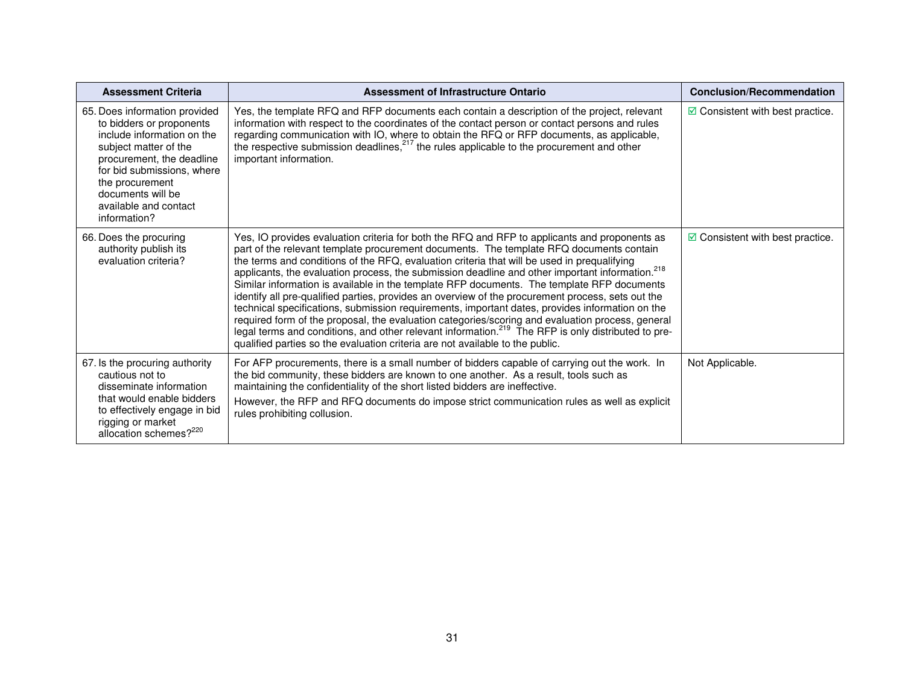| <b>Assessment Criteria</b>                                                                                                                                                                                                                                   | Assessment of Infrastructure Ontario                                                                                                                                                                                                                                                                                                                                                                                                                                                                                                                                                                                                                                                                                                                                                                                                                                                                                                                                                                                | <b>Conclusion/Recommendation</b>           |
|--------------------------------------------------------------------------------------------------------------------------------------------------------------------------------------------------------------------------------------------------------------|---------------------------------------------------------------------------------------------------------------------------------------------------------------------------------------------------------------------------------------------------------------------------------------------------------------------------------------------------------------------------------------------------------------------------------------------------------------------------------------------------------------------------------------------------------------------------------------------------------------------------------------------------------------------------------------------------------------------------------------------------------------------------------------------------------------------------------------------------------------------------------------------------------------------------------------------------------------------------------------------------------------------|--------------------------------------------|
| 65. Does information provided<br>to bidders or proponents<br>include information on the<br>subject matter of the<br>procurement, the deadline<br>for bid submissions, where<br>the procurement<br>documents will be<br>available and contact<br>information? | Yes, the template RFQ and RFP documents each contain a description of the project, relevant<br>information with respect to the coordinates of the contact person or contact persons and rules<br>regarding communication with IO, where to obtain the RFQ or RFP documents, as applicable,<br>the respective submission deadlines, $217$ the rules applicable to the procurement and other<br>important information.                                                                                                                                                                                                                                                                                                                                                                                                                                                                                                                                                                                                | $\boxdot$ Consistent with best practice.   |
| 66. Does the procuring<br>authority publish its<br>evaluation criteria?                                                                                                                                                                                      | Yes, IO provides evaluation criteria for both the RFQ and RFP to applicants and proponents as<br>part of the relevant template procurement documents. The template RFQ documents contain<br>the terms and conditions of the RFQ, evaluation criteria that will be used in prequalifying<br>applicants, the evaluation process, the submission deadline and other important information. <sup>218</sup><br>Similar information is available in the template RFP documents. The template RFP documents<br>identify all pre-qualified parties, provides an overview of the procurement process, sets out the<br>technical specifications, submission requirements, important dates, provides information on the<br>required form of the proposal, the evaluation categories/scoring and evaluation process, general<br>legal terms and conditions, and other relevant information. <sup>219</sup> The RFP is only distributed to pre-<br>qualified parties so the evaluation criteria are not available to the public. | $\boxtimes$ Consistent with best practice. |
| 67. Is the procuring authority<br>cautious not to<br>disseminate information<br>that would enable bidders<br>to effectively engage in bid<br>rigging or market<br>allocation schemes? <sup>220</sup>                                                         | For AFP procurements, there is a small number of bidders capable of carrying out the work. In<br>the bid community, these bidders are known to one another. As a result, tools such as<br>maintaining the confidentiality of the short listed bidders are ineffective.<br>However, the RFP and RFQ documents do impose strict communication rules as well as explicit<br>rules prohibiting collusion.                                                                                                                                                                                                                                                                                                                                                                                                                                                                                                                                                                                                               | Not Applicable.                            |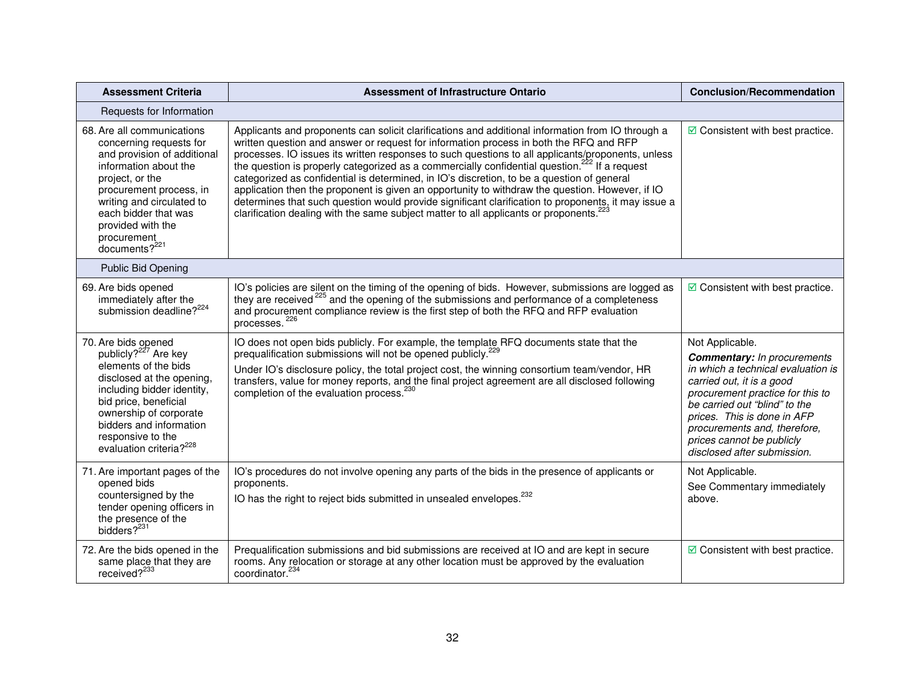| <b>Assessment Criteria</b>                                                                                                                                                                                                                                                           | <b>Assessment of Infrastructure Ontario</b>                                                                                                                                                                                                                                                                                                                                                                                                                                                                                                                                                                                                                                                                                                                                                                                 | <b>Conclusion/Recommendation</b>                                                                                                                                                                                                                                                                                         |
|--------------------------------------------------------------------------------------------------------------------------------------------------------------------------------------------------------------------------------------------------------------------------------------|-----------------------------------------------------------------------------------------------------------------------------------------------------------------------------------------------------------------------------------------------------------------------------------------------------------------------------------------------------------------------------------------------------------------------------------------------------------------------------------------------------------------------------------------------------------------------------------------------------------------------------------------------------------------------------------------------------------------------------------------------------------------------------------------------------------------------------|--------------------------------------------------------------------------------------------------------------------------------------------------------------------------------------------------------------------------------------------------------------------------------------------------------------------------|
| Requests for Information                                                                                                                                                                                                                                                             |                                                                                                                                                                                                                                                                                                                                                                                                                                                                                                                                                                                                                                                                                                                                                                                                                             |                                                                                                                                                                                                                                                                                                                          |
| 68. Are all communications<br>concerning requests for<br>and provision of additional<br>information about the<br>project, or the<br>procurement process, in<br>writing and circulated to<br>each bidder that was<br>provided with the<br>procurement<br>documents? <sup>221</sup>    | Applicants and proponents can solicit clarifications and additional information from IO through a<br>written question and answer or request for information process in both the RFQ and RFP<br>processes. IO issues its written responses to such questions to all applicants/proponents, unless<br>the question is properly categorized as a commercially confidential question. <sup>222</sup> If a request<br>categorized as confidential is determined, in IO's discretion, to be a question of general<br>application then the proponent is given an opportunity to withdraw the question. However, if IO<br>determines that such question would provide significant clarification to proponents, it may issue a<br>clarification dealing with the same subject matter to all applicants or proponents. <sup>223</sup> | $\boxdot$ Consistent with best practice.                                                                                                                                                                                                                                                                                 |
| <b>Public Bid Opening</b>                                                                                                                                                                                                                                                            |                                                                                                                                                                                                                                                                                                                                                                                                                                                                                                                                                                                                                                                                                                                                                                                                                             |                                                                                                                                                                                                                                                                                                                          |
| 69. Are bids opened<br>immediately after the<br>submission deadline? <sup>224</sup>                                                                                                                                                                                                  | IO's policies are silent on the timing of the opening of bids. However, submissions are logged as<br>they are received <sup>225</sup> and the opening of the submissions and performance of a completeness<br>and procurement compliance review is the first step of both the RFQ and RFP evaluation<br>processes. <sup>226</sup>                                                                                                                                                                                                                                                                                                                                                                                                                                                                                           | $\boxdot$ Consistent with best practice.                                                                                                                                                                                                                                                                                 |
| 70. Are bids opened<br>publicly? <sup>227</sup> Are key<br>elements of the bids<br>disclosed at the opening,<br>including bidder identity,<br>bid price, beneficial<br>ownership of corporate<br>bidders and information<br>responsive to the<br>evaluation criteria? <sup>228</sup> | IO does not open bids publicly. For example, the template RFQ documents state that the<br>prequalification submissions will not be opened publicly. <sup>229</sup><br>Under IO's disclosure policy, the total project cost, the winning consortium team/vendor, HR<br>transfers, value for money reports, and the final project agreement are all disclosed following<br>completion of the evaluation process. <sup>230</sup>                                                                                                                                                                                                                                                                                                                                                                                               | Not Applicable.<br><b>Commentary:</b> In procurements<br>in which a technical evaluation is<br>carried out, it is a good<br>procurement practice for this to<br>be carried out "blind" to the<br>prices. This is done in AFP<br>procurements and, therefore,<br>prices cannot be publicly<br>disclosed after submission. |
| 71. Are important pages of the<br>opened bids<br>countersigned by the<br>tender opening officers in<br>the presence of the<br>bidders? <sup>231</sup>                                                                                                                                | IO's procedures do not involve opening any parts of the bids in the presence of applicants or<br>proponents.<br>IO has the right to reject bids submitted in unsealed envelopes. <sup>232</sup>                                                                                                                                                                                                                                                                                                                                                                                                                                                                                                                                                                                                                             | Not Applicable.<br>See Commentary immediately<br>above.                                                                                                                                                                                                                                                                  |
| 72. Are the bids opened in the<br>same place that they are<br>received? <sup>233</sup>                                                                                                                                                                                               | Prequalification submissions and bid submissions are received at IO and are kept in secure<br>rooms. Any relocation or storage at any other location must be approved by the evaluation<br>coordinator. <sup>234</sup>                                                                                                                                                                                                                                                                                                                                                                                                                                                                                                                                                                                                      | $\boxdot$ Consistent with best practice.                                                                                                                                                                                                                                                                                 |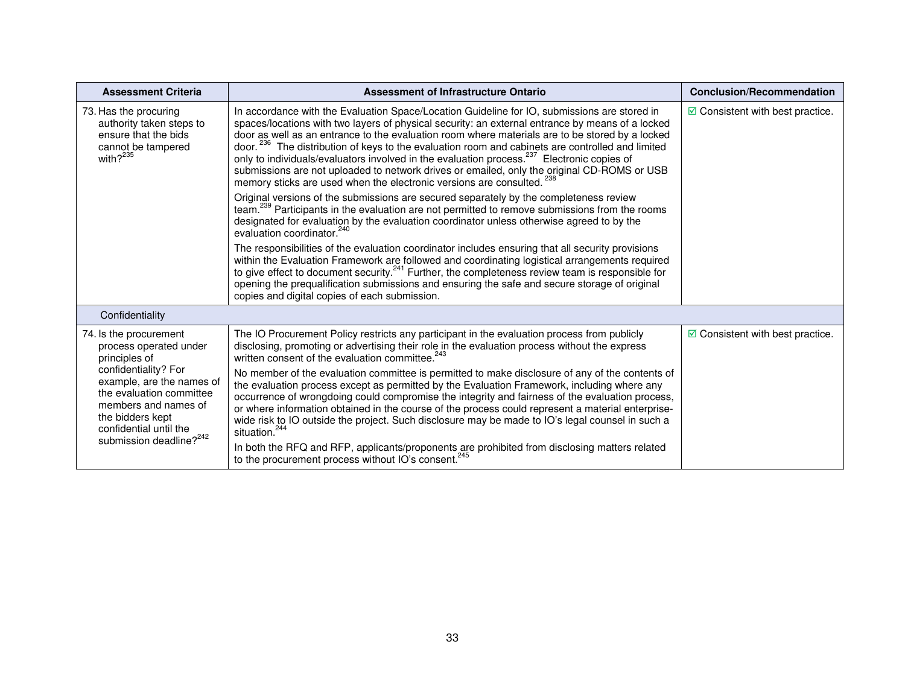| Assessment of Infrastructure Ontario                                                                                                                                                                                                                                                                                                                                                                                                                                                                                                                                                                                                                                                                              | <b>Conclusion/Recommendation</b>                                |
|-------------------------------------------------------------------------------------------------------------------------------------------------------------------------------------------------------------------------------------------------------------------------------------------------------------------------------------------------------------------------------------------------------------------------------------------------------------------------------------------------------------------------------------------------------------------------------------------------------------------------------------------------------------------------------------------------------------------|-----------------------------------------------------------------|
| In accordance with the Evaluation Space/Location Guideline for IO, submissions are stored in<br>spaces/locations with two layers of physical security: an external entrance by means of a locked<br>door as well as an entrance to the evaluation room where materials are to be stored by a locked<br>door. <sup>236</sup> The distribution of keys to the evaluation room and cabinets are controlled and limited<br>only to individuals/evaluators involved in the evaluation process. <sup>237</sup> Electronic copies of<br>submissions are not uploaded to network drives or emailed, only the original CD-ROMS or USB<br>memory sticks are used when the electronic versions are consulted. <sup>238</sup> | $\boxdot$ Consistent with best practice.                        |
| Original versions of the submissions are secured separately by the completeness review<br>team. <sup>239</sup> Participants in the evaluation are not permitted to remove submissions from the rooms<br>designated for evaluation by the evaluation coordinator unless otherwise agreed to by the<br>evaluation coordinator. <sup>240</sup>                                                                                                                                                                                                                                                                                                                                                                       |                                                                 |
| The responsibilities of the evaluation coordinator includes ensuring that all security provisions<br>within the Evaluation Framework are followed and coordinating logistical arrangements required<br>to give effect to document security. <sup>241</sup> Further, the completeness review team is responsible for<br>opening the prequalification submissions and ensuring the safe and secure storage of original<br>copies and digital copies of each submission.                                                                                                                                                                                                                                             |                                                                 |
|                                                                                                                                                                                                                                                                                                                                                                                                                                                                                                                                                                                                                                                                                                                   |                                                                 |
| The IO Procurement Policy restricts any participant in the evaluation process from publicly<br>disclosing, promoting or advertising their role in the evaluation process without the express<br>written consent of the evaluation committee. <sup>243</sup>                                                                                                                                                                                                                                                                                                                                                                                                                                                       | $\boxdot$ Consistent with best practice.                        |
| No member of the evaluation committee is permitted to make disclosure of any of the contents of<br>the evaluation process except as permitted by the Evaluation Framework, including where any<br>occurrence of wrongdoing could compromise the integrity and fairness of the evaluation process,<br>or where information obtained in the course of the process could represent a material enterprise-<br>wide risk to IO outside the project. Such disclosure may be made to IO's legal counsel in such a<br>situation. <sup>244</sup><br>In both the RFQ and RFP, applicants/proponents are prohibited from disclosing matters related                                                                          |                                                                 |
|                                                                                                                                                                                                                                                                                                                                                                                                                                                                                                                                                                                                                                                                                                                   | to the procurement process without IO's consent. <sup>245</sup> |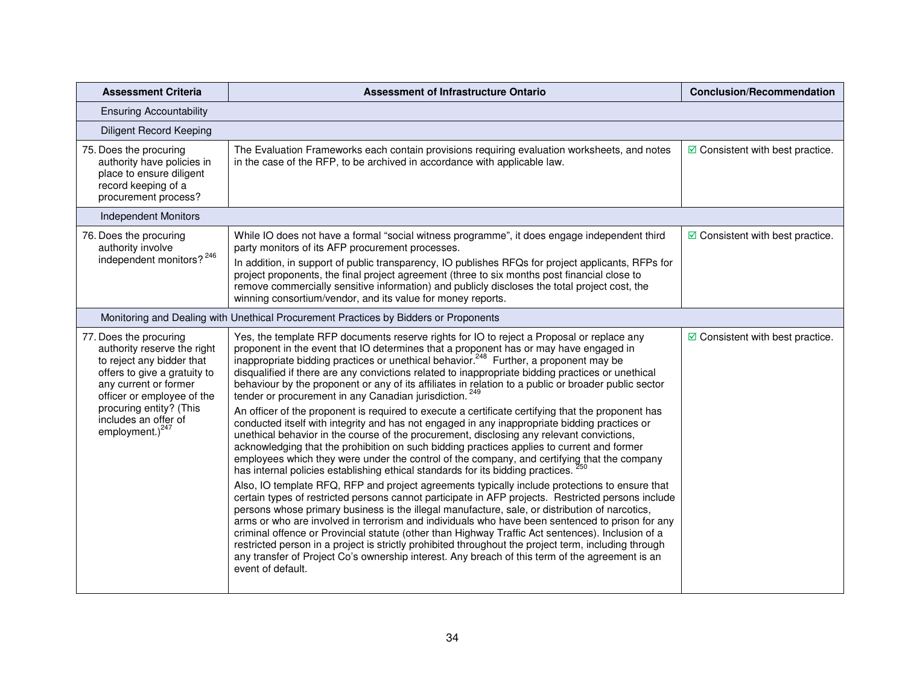| <b>Assessment Criteria</b>                                                                                                                                                                                                                         | <b>Assessment of Infrastructure Ontario</b>                                                                                                                                                                                                                                                                                                                                                                                                                                                                                                                                                                                                                                                                                                    | <b>Conclusion/Recommendation</b>         |
|----------------------------------------------------------------------------------------------------------------------------------------------------------------------------------------------------------------------------------------------------|------------------------------------------------------------------------------------------------------------------------------------------------------------------------------------------------------------------------------------------------------------------------------------------------------------------------------------------------------------------------------------------------------------------------------------------------------------------------------------------------------------------------------------------------------------------------------------------------------------------------------------------------------------------------------------------------------------------------------------------------|------------------------------------------|
| <b>Ensuring Accountability</b>                                                                                                                                                                                                                     |                                                                                                                                                                                                                                                                                                                                                                                                                                                                                                                                                                                                                                                                                                                                                |                                          |
| <b>Diligent Record Keeping</b>                                                                                                                                                                                                                     |                                                                                                                                                                                                                                                                                                                                                                                                                                                                                                                                                                                                                                                                                                                                                |                                          |
| 75. Does the procuring<br>authority have policies in<br>place to ensure diligent<br>record keeping of a<br>procurement process?                                                                                                                    | The Evaluation Frameworks each contain provisions requiring evaluation worksheets, and notes<br>in the case of the RFP, to be archived in accordance with applicable law.                                                                                                                                                                                                                                                                                                                                                                                                                                                                                                                                                                      | $\boxdot$ Consistent with best practice. |
| <b>Independent Monitors</b>                                                                                                                                                                                                                        |                                                                                                                                                                                                                                                                                                                                                                                                                                                                                                                                                                                                                                                                                                                                                |                                          |
| 76. Does the procuring<br>authority involve<br>independent monitors? <sup>246</sup>                                                                                                                                                                | While IO does not have a formal "social witness programme", it does engage independent third<br>party monitors of its AFP procurement processes.<br>In addition, in support of public transparency, IO publishes RFQs for project applicants, RFPs for                                                                                                                                                                                                                                                                                                                                                                                                                                                                                         | $\boxdot$ Consistent with best practice. |
|                                                                                                                                                                                                                                                    | project proponents, the final project agreement (three to six months post financial close to<br>remove commercially sensitive information) and publicly discloses the total project cost, the<br>winning consortium/vendor, and its value for money reports.                                                                                                                                                                                                                                                                                                                                                                                                                                                                                   |                                          |
|                                                                                                                                                                                                                                                    | Monitoring and Dealing with Unethical Procurement Practices by Bidders or Proponents                                                                                                                                                                                                                                                                                                                                                                                                                                                                                                                                                                                                                                                           |                                          |
| 77. Does the procuring<br>authority reserve the right<br>to reject any bidder that<br>offers to give a gratuity to<br>any current or former<br>officer or employee of the<br>procuring entity? (This<br>includes an offer of<br>employment.) $247$ | Yes, the template RFP documents reserve rights for IO to reject a Proposal or replace any<br>proponent in the event that IO determines that a proponent has or may have engaged in inappropriate bidding practices or unethical behavior. <sup>248</sup> Further, a proponent may be<br>disqualified if there are any convictions related to inappropriate bidding practices or unethical<br>behaviour by the proponent or any of its affiliates in relation to a public or broader public sector<br>tender or procurement in any Canadian jurisdiction. <sup>249</sup>                                                                                                                                                                        | $\boxdot$ Consistent with best practice. |
|                                                                                                                                                                                                                                                    | An officer of the proponent is required to execute a certificate certifying that the proponent has<br>conducted itself with integrity and has not engaged in any inappropriate bidding practices or<br>unethical behavior in the course of the procurement, disclosing any relevant convictions,<br>acknowledging that the prohibition on such bidding practices applies to current and former<br>employees which they were under the control of the company, and certifying that the company<br>has internal policies establishing ethical standards for its bidding practices.                                                                                                                                                               |                                          |
|                                                                                                                                                                                                                                                    | Also, IO template RFQ, RFP and project agreements typically include protections to ensure that<br>certain types of restricted persons cannot participate in AFP projects. Restricted persons include<br>persons whose primary business is the illegal manufacture, sale, or distribution of narcotics,<br>arms or who are involved in terrorism and individuals who have been sentenced to prison for any<br>criminal offence or Provincial statute (other than Highway Traffic Act sentences). Inclusion of a<br>restricted person in a project is strictly prohibited throughout the project term, including through<br>any transfer of Project Co's ownership interest. Any breach of this term of the agreement is an<br>event of default. |                                          |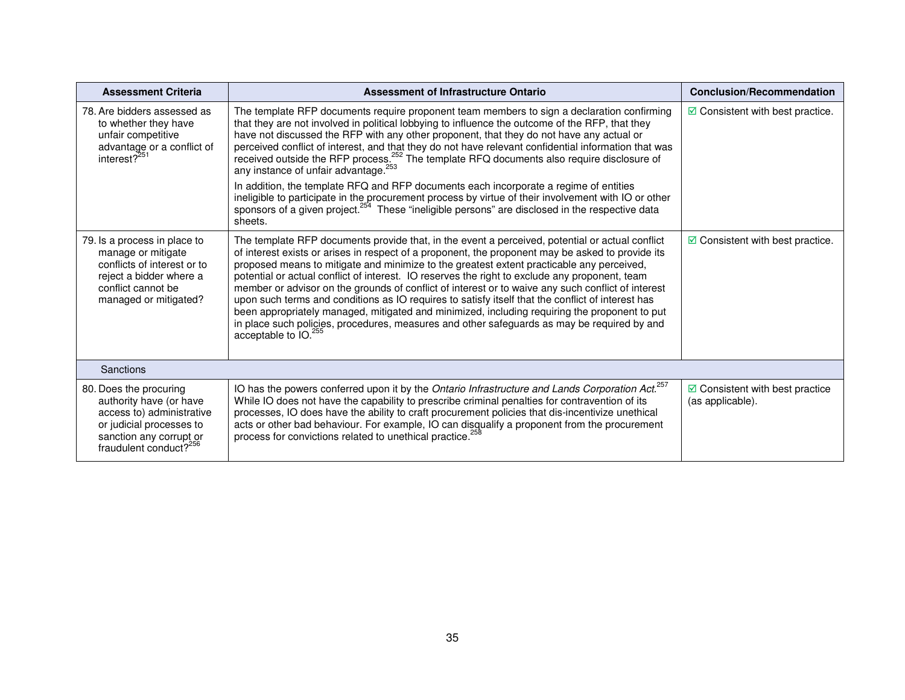| <b>Assessment Criteria</b>                                                                                                                                                  | <b>Assessment of Infrastructure Ontario</b>                                                                                                                                                                                                                                                                                                                                                                                                                                                                                                                                                                                                                                                                                                                                                                                                                                                | <b>Conclusion/Recommendation</b>                            |
|-----------------------------------------------------------------------------------------------------------------------------------------------------------------------------|--------------------------------------------------------------------------------------------------------------------------------------------------------------------------------------------------------------------------------------------------------------------------------------------------------------------------------------------------------------------------------------------------------------------------------------------------------------------------------------------------------------------------------------------------------------------------------------------------------------------------------------------------------------------------------------------------------------------------------------------------------------------------------------------------------------------------------------------------------------------------------------------|-------------------------------------------------------------|
| 78. Are bidders assessed as<br>to whether they have<br>unfair competitive<br>advantage or a conflict of<br>interest? <sup>251</sup>                                         | The template RFP documents require proponent team members to sign a declaration confirming<br>that they are not involved in political lobbying to influence the outcome of the RFP, that they<br>have not discussed the RFP with any other proponent, that they do not have any actual or<br>perceived conflict of interest, and that they do not have relevant confidential information that was<br>received outside the RFP process. <sup>252</sup> The template RFQ documents also require disclosure of<br>any instance of unfair advantage. <sup>253</sup><br>In addition, the template RFQ and RFP documents each incorporate a regime of entities<br>ineligible to participate in the procurement process by virtue of their involvement with IO or other<br>sponsors of a given project. <sup>254</sup> These "ineligible persons" are disclosed in the respective data<br>sheets. | $\Box$ Consistent with best practice.                       |
| 79. Is a process in place to<br>manage or mitigate<br>conflicts of interest or to<br>reject a bidder where a<br>conflict cannot be<br>managed or mitigated?                 | The template RFP documents provide that, in the event a perceived, potential or actual conflict<br>of interest exists or arises in respect of a proponent, the proponent may be asked to provide its<br>proposed means to mitigate and minimize to the greatest extent practicable any perceived,<br>potential or actual conflict of interest. IO reserves the right to exclude any proponent, team<br>member or advisor on the grounds of conflict of interest or to waive any such conflict of interest<br>upon such terms and conditions as IO requires to satisfy itself that the conflict of interest has<br>been appropriately managed, mitigated and minimized, including requiring the proponent to put<br>in place such policies, procedures, measures and other safeguards as may be required by and<br>acceptable to IO. <sup>255</sup>                                         | $\boxdot$ Consistent with best practice.                    |
| <b>Sanctions</b>                                                                                                                                                            |                                                                                                                                                                                                                                                                                                                                                                                                                                                                                                                                                                                                                                                                                                                                                                                                                                                                                            |                                                             |
| 80. Does the procuring<br>authority have (or have<br>access to) administrative<br>or judicial processes to<br>sanction any corrupt or<br>fraudulent conduct? <sup>256</sup> | IO has the powers conferred upon it by the Ontario Infrastructure and Lands Corporation Act. <sup>257</sup><br>While IO does not have the capability to prescribe criminal penalties for contravention of its<br>processes, IO does have the ability to craft procurement policies that dis-incentivize unethical<br>acts or other bad behaviour. For example, IO can disqualify a proponent from the procurement<br>process for convictions related to unethical practice. <sup>2</sup>                                                                                                                                                                                                                                                                                                                                                                                                   | $\boxdot$ Consistent with best practice<br>(as applicable). |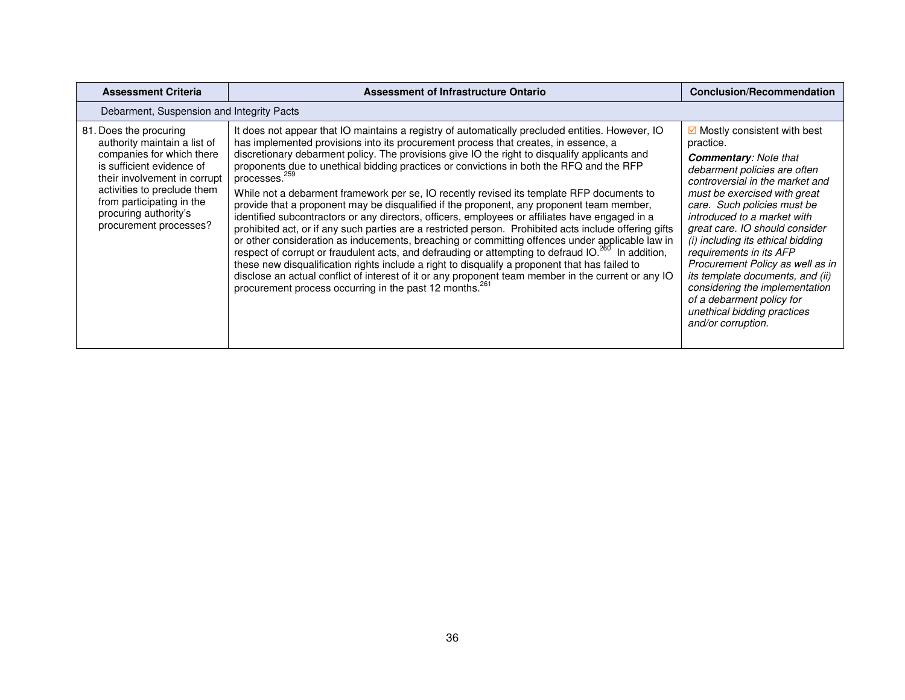| <b>Assessment Criteria</b>                                                                                                                                                                                                                                      | Assessment of Infrastructure Ontario                                                                                                                                                                                                                                                                                                                                                                                                                                                                                                                                                                                                                                                                                                                                                                                                                                                                                                                                                                                                                                                                                                                                                                                                                                                                                          | <b>Conclusion/Recommendation</b>                                                                                                                                                                                                                                                                                                                                                                                                                                                                                                                  |  |  |
|-----------------------------------------------------------------------------------------------------------------------------------------------------------------------------------------------------------------------------------------------------------------|-------------------------------------------------------------------------------------------------------------------------------------------------------------------------------------------------------------------------------------------------------------------------------------------------------------------------------------------------------------------------------------------------------------------------------------------------------------------------------------------------------------------------------------------------------------------------------------------------------------------------------------------------------------------------------------------------------------------------------------------------------------------------------------------------------------------------------------------------------------------------------------------------------------------------------------------------------------------------------------------------------------------------------------------------------------------------------------------------------------------------------------------------------------------------------------------------------------------------------------------------------------------------------------------------------------------------------|---------------------------------------------------------------------------------------------------------------------------------------------------------------------------------------------------------------------------------------------------------------------------------------------------------------------------------------------------------------------------------------------------------------------------------------------------------------------------------------------------------------------------------------------------|--|--|
|                                                                                                                                                                                                                                                                 | Debarment, Suspension and Integrity Pacts                                                                                                                                                                                                                                                                                                                                                                                                                                                                                                                                                                                                                                                                                                                                                                                                                                                                                                                                                                                                                                                                                                                                                                                                                                                                                     |                                                                                                                                                                                                                                                                                                                                                                                                                                                                                                                                                   |  |  |
| 81. Does the procuring<br>authority maintain a list of<br>companies for which there<br>is sufficient evidence of<br>their involvement in corrupt<br>activities to preclude them<br>from participating in the<br>procuring authority's<br>procurement processes? | It does not appear that IO maintains a registry of automatically precluded entities. However, IO<br>has implemented provisions into its procurement process that creates, in essence, a<br>discretionary debarment policy. The provisions give IO the right to disqualify applicants and<br>proponents due to unethical bidding practices or convictions in both the RFQ and the RFP<br>processes. <sup>259</sup><br>While not a debarment framework per se, IO recently revised its template RFP documents to<br>provide that a proponent may be disqualified if the proponent, any proponent team member,<br>identified subcontractors or any directors, officers, employees or affiliates have engaged in a<br>prohibited act, or if any such parties are a restricted person. Prohibited acts include offering gifts<br>or other consideration as inducements, breaching or committing offences under applicable law in<br>respect of corrupt or fraudulent acts, and defrauding or attempting to defraud IO. <sup>260</sup> In addition,<br>these new disqualification rights include a right to disqualify a proponent that has failed to<br>disclose an actual conflict of interest of it or any proponent team member in the current or any IO<br>procurement process occurring in the past 12 months. <sup>261</sup> | $\boxdot$ Mostly consistent with best<br>practice.<br><b>Commentary:</b> Note that<br>debarment policies are often<br>controversial in the market and<br>must be exercised with great<br>care. Such policies must be<br>introduced to a market with<br>great care. IO should consider<br>(i) including its ethical bidding<br>requirements in its AFP<br>Procurement Policy as well as in<br>its template documents, and (ii)<br>considering the implementation<br>of a debarment policy for<br>unethical bidding practices<br>and/or corruption. |  |  |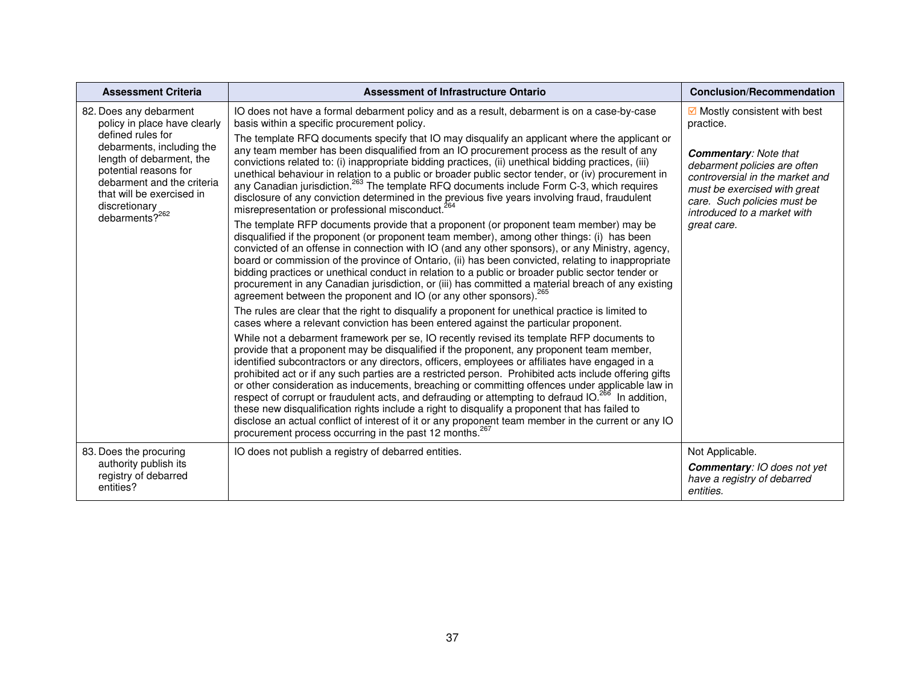| <b>Assessment Criteria</b>                                                                                                                                                                                                                                              | <b>Assessment of Infrastructure Ontario</b>                                                                                                                                                                                                                                                                                                                                                                                                                                                                                                                                                                                                                                                                                                                                                                                                                                                             | <b>Conclusion/Recommendation</b>                                                                                                                                                              |
|-------------------------------------------------------------------------------------------------------------------------------------------------------------------------------------------------------------------------------------------------------------------------|---------------------------------------------------------------------------------------------------------------------------------------------------------------------------------------------------------------------------------------------------------------------------------------------------------------------------------------------------------------------------------------------------------------------------------------------------------------------------------------------------------------------------------------------------------------------------------------------------------------------------------------------------------------------------------------------------------------------------------------------------------------------------------------------------------------------------------------------------------------------------------------------------------|-----------------------------------------------------------------------------------------------------------------------------------------------------------------------------------------------|
| 82. Does any debarment<br>policy in place have clearly<br>defined rules for<br>debarments, including the<br>length of debarment, the<br>potential reasons for<br>debarment and the criteria<br>that will be exercised in<br>discretionary<br>debarments? <sup>262</sup> | IO does not have a formal debarment policy and as a result, debarment is on a case-by-case<br>basis within a specific procurement policy.                                                                                                                                                                                                                                                                                                                                                                                                                                                                                                                                                                                                                                                                                                                                                               | $\boxdot$ Mostly consistent with best<br>practice.                                                                                                                                            |
|                                                                                                                                                                                                                                                                         | The template RFQ documents specify that IO may disqualify an applicant where the applicant or<br>any team member has been disqualified from an IO procurement process as the result of any<br>convictions related to: (i) inappropriate bidding practices, (ii) unethical bidding practices, (iii)<br>unethical behaviour in relation to a public or broader public sector tender, or (iv) procurement in<br>any Canadian jurisdiction. <sup>263</sup> The template RFQ documents include Form C-3, which requires<br>disclosure of any conviction determined in the previous five years involving fraud, fraudulent<br>misrepresentation or professional misconduct. <sup>264</sup>                                                                                                                                                                                                                    | <b>Commentary: Note that</b><br>debarment policies are often<br>controversial in the market and<br>must be exercised with great<br>care. Such policies must be<br>introduced to a market with |
|                                                                                                                                                                                                                                                                         | The template RFP documents provide that a proponent (or proponent team member) may be<br>disqualified if the proponent (or proponent team member), among other things: (i) has been<br>convicted of an offense in connection with IO (and any other sponsors), or any Ministry, agency,<br>board or commission of the province of Ontario, (ii) has been convicted, relating to inappropriate<br>bidding practices or unethical conduct in relation to a public or broader public sector tender or<br>procurement in any Canadian jurisdiction, or (iii) has committed a material breach of any existing<br>agreement between the proponent and IO (or any other sponsors). <sup>265</sup>                                                                                                                                                                                                              | great care.                                                                                                                                                                                   |
|                                                                                                                                                                                                                                                                         | The rules are clear that the right to disqualify a proponent for unethical practice is limited to<br>cases where a relevant conviction has been entered against the particular proponent.                                                                                                                                                                                                                                                                                                                                                                                                                                                                                                                                                                                                                                                                                                               |                                                                                                                                                                                               |
|                                                                                                                                                                                                                                                                         | While not a debarment framework per se, IO recently revised its template RFP documents to<br>provide that a proponent may be disqualified if the proponent, any proponent team member,<br>identified subcontractors or any directors, officers, employees or affiliates have engaged in a<br>prohibited act or if any such parties are a restricted person. Prohibited acts include offering gifts<br>or other consideration as inducements, breaching or committing offences under applicable law in<br>respect of corrupt or fraudulent acts, and defrauding or attempting to defraud IO. <sup>266</sup> In addition,<br>these new disqualification rights include a right to disqualify a proponent that has failed to<br>disclose an actual conflict of interest of it or any proponent team member in the current or any IO<br>procurement process occurring in the past 12 months. <sup>267</sup> |                                                                                                                                                                                               |
| 83. Does the procuring<br>authority publish its<br>registry of debarred<br>entities?                                                                                                                                                                                    | IO does not publish a registry of debarred entities.                                                                                                                                                                                                                                                                                                                                                                                                                                                                                                                                                                                                                                                                                                                                                                                                                                                    | Not Applicable.<br><b>Commentary: IO does not yet</b><br>have a registry of debarred<br>entities.                                                                                             |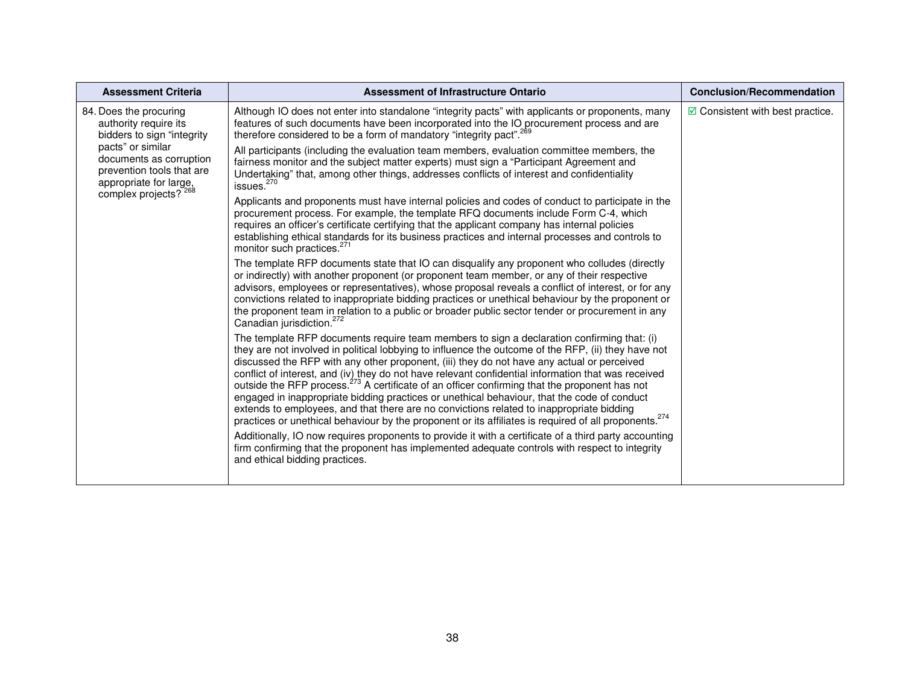| <b>Assessment Criteria</b>                                                                                                                                                                                    | <b>Assessment of Infrastructure Ontario</b>                                                                                                                                                                                                                                                                                                                                                                                                                                                                                                                                                                                                                                                                                                                                                                                         | <b>Conclusion/Recommendation</b>         |
|---------------------------------------------------------------------------------------------------------------------------------------------------------------------------------------------------------------|-------------------------------------------------------------------------------------------------------------------------------------------------------------------------------------------------------------------------------------------------------------------------------------------------------------------------------------------------------------------------------------------------------------------------------------------------------------------------------------------------------------------------------------------------------------------------------------------------------------------------------------------------------------------------------------------------------------------------------------------------------------------------------------------------------------------------------------|------------------------------------------|
| 84. Does the procuring<br>authority require its<br>bidders to sign "integrity<br>pacts" or similar<br>documents as corruption<br>prevention tools that are<br>appropriate for large,<br>complex projects? 268 | Although IO does not enter into standalone "integrity pacts" with applicants or proponents, many<br>features of such documents have been incorporated into the IO procurement process and are<br>therefore considered to be a form of mandatory "integrity pact". <sup>269</sup>                                                                                                                                                                                                                                                                                                                                                                                                                                                                                                                                                    | $\boxdot$ Consistent with best practice. |
|                                                                                                                                                                                                               | All participants (including the evaluation team members, evaluation committee members, the<br>fairness monitor and the subject matter experts) must sign a "Participant Agreement and<br>Undertaking" that, among other things, addresses conflicts of interest and confidentiality<br>issues. $270$                                                                                                                                                                                                                                                                                                                                                                                                                                                                                                                                |                                          |
|                                                                                                                                                                                                               | Applicants and proponents must have internal policies and codes of conduct to participate in the<br>procurement process. For example, the template RFQ documents include Form C-4, which<br>requires an officer's certificate certifying that the applicant company has internal policies<br>establishing ethical standards for its business practices and internal processes and controls to<br>monitor such practices. <sup>271</sup>                                                                                                                                                                                                                                                                                                                                                                                             |                                          |
|                                                                                                                                                                                                               | The template RFP documents state that IO can disqualify any proponent who colludes (directly<br>or indirectly) with another proponent (or proponent team member, or any of their respective<br>advisors, employees or representatives), whose proposal reveals a conflict of interest, or for any<br>convictions related to inappropriate bidding practices or unethical behaviour by the proponent or<br>the proponent team in relation to a public or broader public sector tender or procurement in any<br>Canadian jurisdiction. <sup>272</sup>                                                                                                                                                                                                                                                                                 |                                          |
|                                                                                                                                                                                                               | The template RFP documents require team members to sign a declaration confirming that: (i)<br>they are not involved in political lobbying to influence the outcome of the RFP, (ii) they have not<br>discussed the RFP with any other proponent, (iii) they do not have any actual or perceived<br>conflict of interest, and (iv) they do not have relevant confidential information that was received<br>outside the RFP process. <sup>273</sup> A certificate of an officer confirming that the proponent has not<br>engaged in inappropriate bidding practices or unethical behaviour, that the code of conduct<br>extends to employees, and that there are no convictions related to inappropriate bidding<br>practices or unethical behaviour by the proponent or its affiliates is required of all proponents. <sup>274</sup> |                                          |
|                                                                                                                                                                                                               | Additionally, IO now requires proponents to provide it with a certificate of a third party accounting<br>firm confirming that the proponent has implemented adequate controls with respect to integrity<br>and ethical bidding practices.                                                                                                                                                                                                                                                                                                                                                                                                                                                                                                                                                                                           |                                          |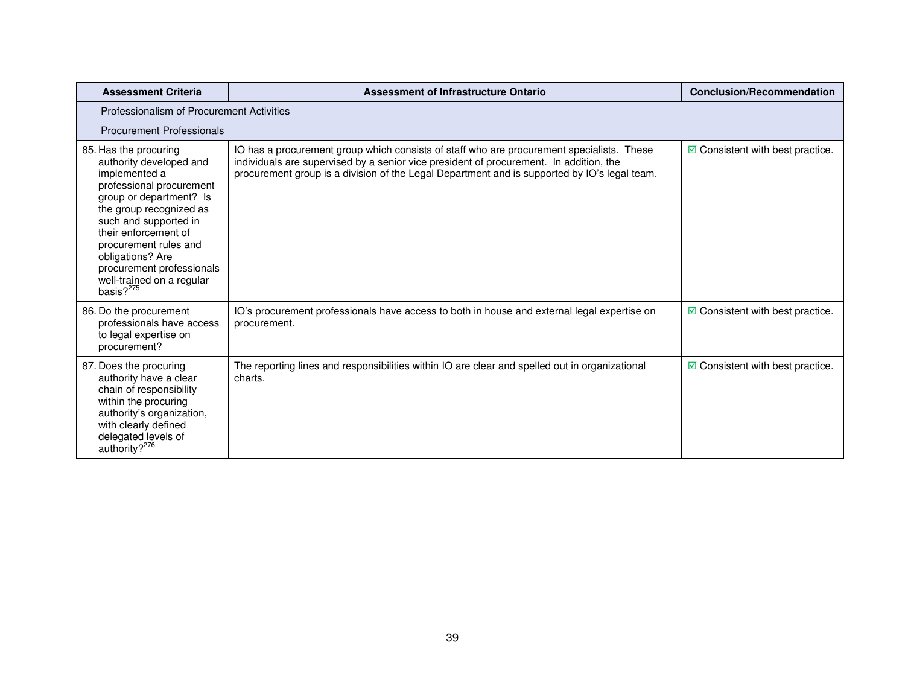| <b>Assessment Criteria</b>                                                                                                                                                                                                                                                                                                      | Assessment of Infrastructure Ontario                                                                                                                                                                                                                                                | <b>Conclusion/Recommendation</b>                |  |
|---------------------------------------------------------------------------------------------------------------------------------------------------------------------------------------------------------------------------------------------------------------------------------------------------------------------------------|-------------------------------------------------------------------------------------------------------------------------------------------------------------------------------------------------------------------------------------------------------------------------------------|-------------------------------------------------|--|
| Professionalism of Procurement Activities                                                                                                                                                                                                                                                                                       |                                                                                                                                                                                                                                                                                     |                                                 |  |
| <b>Procurement Professionals</b>                                                                                                                                                                                                                                                                                                |                                                                                                                                                                                                                                                                                     |                                                 |  |
| 85. Has the procuring<br>authority developed and<br>implemented a<br>professional procurement<br>group or department? Is<br>the group recognized as<br>such and supported in<br>their enforcement of<br>procurement rules and<br>obligations? Are<br>procurement professionals<br>well-trained on a regular<br>basis? $2^{275}$ | IO has a procurement group which consists of staff who are procurement specialists. These<br>individuals are supervised by a senior vice president of procurement. In addition, the<br>procurement group is a division of the Legal Department and is supported by IO's legal team. | $\triangleright$ Consistent with best practice. |  |
| 86. Do the procurement<br>professionals have access<br>to legal expertise on<br>procurement?                                                                                                                                                                                                                                    | IO's procurement professionals have access to both in house and external legal expertise on<br>procurement.                                                                                                                                                                         | $\boxdot$ Consistent with best practice.        |  |
| 87. Does the procuring<br>authority have a clear<br>chain of responsibility<br>within the procuring<br>authority's organization,<br>with clearly defined<br>delegated levels of<br>authority? <sup>276</sup>                                                                                                                    | The reporting lines and responsibilities within IO are clear and spelled out in organizational<br>charts.                                                                                                                                                                           | $\boxdot$ Consistent with best practice.        |  |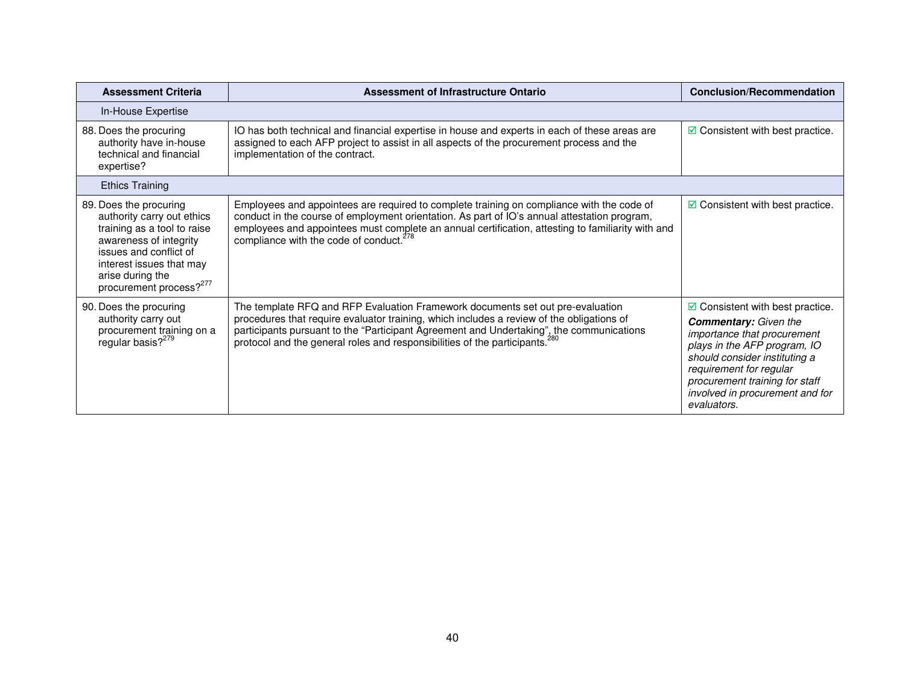| <b>Assessment Criteria</b>                                                                                                                                                                                                     | <b>Assessment of Infrastructure Ontario</b>                                                                                                                                                                                                                                                                                                                        | <b>Conclusion/Recommendation</b>                                                                                                                                                                                                                                                        |
|--------------------------------------------------------------------------------------------------------------------------------------------------------------------------------------------------------------------------------|--------------------------------------------------------------------------------------------------------------------------------------------------------------------------------------------------------------------------------------------------------------------------------------------------------------------------------------------------------------------|-----------------------------------------------------------------------------------------------------------------------------------------------------------------------------------------------------------------------------------------------------------------------------------------|
| In-House Expertise                                                                                                                                                                                                             |                                                                                                                                                                                                                                                                                                                                                                    |                                                                                                                                                                                                                                                                                         |
| 88. Does the procuring<br>authority have in-house<br>technical and financial<br>expertise?                                                                                                                                     | IO has both technical and financial expertise in house and experts in each of these areas are<br>assigned to each AFP project to assist in all aspects of the procurement process and the<br>implementation of the contract.                                                                                                                                       | $\boxdot$ Consistent with best practice.                                                                                                                                                                                                                                                |
| <b>Ethics Training</b>                                                                                                                                                                                                         |                                                                                                                                                                                                                                                                                                                                                                    |                                                                                                                                                                                                                                                                                         |
| 89. Does the procuring<br>authority carry out ethics<br>training as a tool to raise<br>awareness of integrity<br>issues and conflict of<br>interest issues that may<br>arise during the<br>procurement process? <sup>277</sup> | Employees and appointees are required to complete training on compliance with the code of<br>conduct in the course of employment orientation. As part of IO's annual attestation program,<br>employees and appointees must complete an annual certification, attesting to familiarity with and<br>compliance with the code of conduct. <sup>278</sup>              | $\boxdot$ Consistent with best practice.                                                                                                                                                                                                                                                |
| 90. Does the procuring<br>authority carry out<br>procurement training on a<br>regular basis? <sup>279</sup>                                                                                                                    | The template RFQ and RFP Evaluation Framework documents set out pre-evaluation<br>procedures that require evaluator training, which includes a review of the obligations of<br>participants pursuant to the "Participant Agreement and Undertaking", the communications<br>protocol and the general roles and responsibilities of the participants. <sup>280</sup> | $\boxdot$ Consistent with best practice.<br><b>Commentary:</b> Given the<br>importance that procurement<br>plays in the AFP program, IO<br>should consider instituting a<br>requirement for regular<br>procurement training for staff<br>involved in procurement and for<br>evaluators. |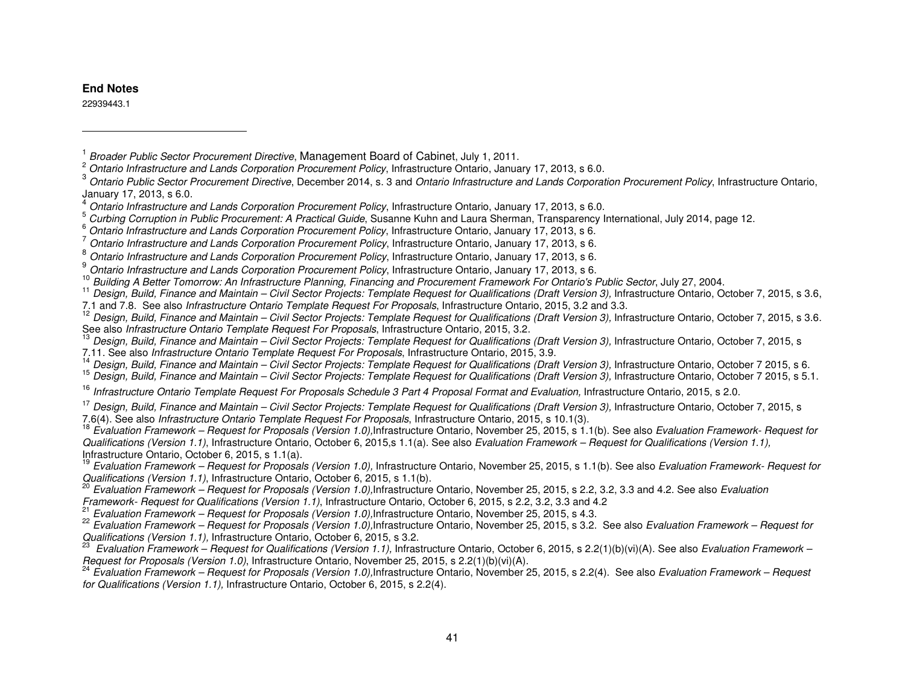#### **End Notes**

22939443.1

- Ontario Infrastructure and Lands Corporation Procurement Policy, Infrastructure Ontario, January 17, 2013, s 6.0. 3
- $3$  Ontario Public Sector Procurement Directive, December 2014, s. 3 and Ontario Infrastructure and Lands Corporation Procurement Policy, Infrastructure Ontario, January 17, 2013, s 6.0. 4

<sup>'\*</sup> Design, Build, Finance and Maintain – Civil Sector Projects: Template Request for Qualifications (Draft Version 3), Infrastructure Ontario, October 7 2015, s 6.<br><sup>15</sup> Design, Build, Finance and Maintain – Civil Sector

<sup>16</sup> Infrastructure Ontario Template Request For Proposals Schedule 3 Part 4 Proposal Format and Evaluation, Infrastructure Ontario, 2015, s 2.0.

```
<sup>17</sup> Design, Build, Finance and Maintain – Civil Sector Projects: Template Request for Qualifications (Draft Version 3), Infrastructure Ontario, October 7, 2015, s<br>7.6(4). See also Infrastructure Ontario Template Request F
```
 $18$  Evaluation Framework – Request for Proposals (Version 1.0), Infrastructure Ontario, November 25, 2015, s 1.1(b). See also Evaluation Framework- Request for Qualifications (Version 1.1), Infrastructure Ontario, October 6, 2015,s 1.1(a). See also Evaluation Framework – Request for Qualifications (Version 1.1),Infrastructure Ontario, October 6, 2015, s 1.1(a).

 $\frac{19}{19}$  Evaluation Framework – Request for Proposals (Version 1.0), Infrastructure Ontario, November 25, 2015, s 1.1(b). See also Evaluation Framework- Request for Qualifications (Version 1.1), Infrastructure Ontario, October 6, 2015, s 1.1(b).

<sup>20</sup> Evaluation Framework – Request for Proposals (Version 1.0), Infrastructure Ontario, November 25, 2015, s 2.2, 3.2, 3.3 and 4.2. See also Evaluation

Framework- Request for Qualifications (Version 1.1), Infrastructure Ontario, October 6, 2015, s 2.2, 3.2, 3.3 and 4.2<br><sup>21</sup> Evaluation Framework Request for D

Evaluation Framework – Request for Proposals (Version 1.0), Infrastructure Ontario, November 25, 2015, s 4.3.

<sup>22</sup> Evaluation Framework – Request for Proposals (Version 1.0), Infrastructure Ontario, November 25, 2015, s 3.2. See also Evaluation Framework – Request for Qualifications (Version 1.1), Infrastructure Ontario, October 6, 2015, s 3.2. 23

 Evaluation Framework – Request for Qualifications (Version 1.1), Infrastructure Ontario, October 6, 2015, s 2.2(1)(b)(vi)(A). See also Evaluation Framework – Request for Proposals (Version 1.0), Infrastructure Ontario, November 25, 2015, s 2.2(1)(b)(vi)(A).

 Evaluation Framework – Request for Proposals (Version 1.0),Infrastructure Ontario, November 25, 2015, s 2.2(4). See also Evaluation Framework – Request for Qualifications (Version 1.1), Infrastructure Ontario, October 6, 2015, s 2.2(4).

<sup>&</sup>lt;sup>1</sup> Broader Public Sector Procurement Directive, Management Board of Cabinet, July 1, 2011.

The Ontario Infrastructure and Lands Corporation Procurement Policy, Infrastructure Ontario, January 17, 2013, s 6.0.<br><sup>5</sup> Outring Osmustics in Rublic Procurements A Prostinct Outrine Russeau Kuba and Laure Pharmace Transpo

<sup>&</sup>lt;sup>3</sup> Curbing Corruption in Public Procurement: A Practical Guide, Susanne Kuhn and Laura Sherman, Transparency International, July 2014, page 12. 6 (2014) 2014, page 12. 6 (2016) 2016 and the Sherman Andrew Cortain and the

<sup>&</sup>lt;sup>o</sup> Ontario Infrastructure and Lands Corporation Procurement Policy, Infrastructure Ontario, January 17, 2013, s 6.<br>7

 $\frac{7}{8}$  Ontario Infrastructure and Lands Corporation Procurement Policy, Infrastructure Ontario, January 17, 2013, s 6.

Ontario Infrastructure and Lands Corporation Procurement Policy, Infrastructure Ontario, January 17, 2013, s 6.

of Ontario Infrastructure and Lands Corporation Procurement Policy, Infrastructure Ontario, January 17, 2013, s 6.<br><sup>10</sup> Ruitlian A Batter Terresonator As Infrastructure Plannica. Financian and Procurement Francuscul: Fer O

Building A Better Tomorrow: An Infrastructure Planning, Financing and Procurement Framework For Ontario's Public Sector, July 27, 2004.

 $11$  Design, Build, Finance and Maintain – Civil Sector Projects: Template Request for Qualifications (Draft Version 3), Infrastructure Ontario, October 7, 2015, s 3.6,

<sup>7.1</sup> and 7.8. See also Infrastructure Ontario Template Request For Proposals, Infrastructure Ontario, 2015, 3.2 and 3.3.

Design, Build, Finance and Maintain - Civil Sector Projects: Template Request for Qualifications (Draft Version 3), Infrastructure Ontario, October 7, 2015, s 3.6.

See also *Infrastructure Ontario Template Request For Proposals*, Infrastructure Ontario, 2015, 3.2.<br><sup>13</sup> Design, Build, Finance and Maintain – Civil Sector Projects: Template Request for Qualifications (Draft Version 3), 7.11. See also *Infrastructure Ontario Template Request For Proposals*, Infrastructure Ontario, 2015, 3.9.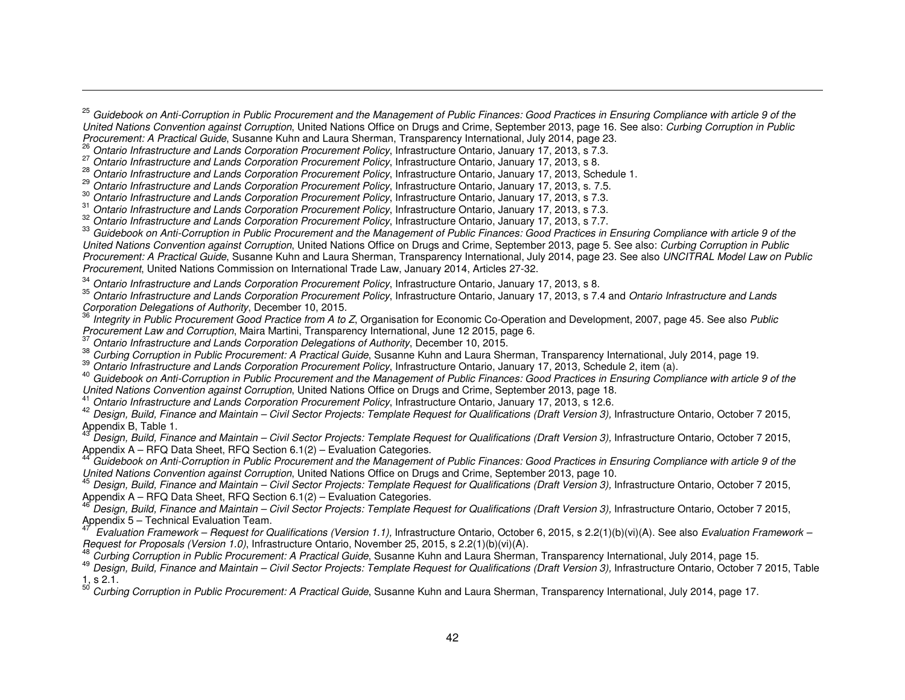<sup>34</sup> Ontario Infrastructure and Lands Corporation Procurement Policy, Infrastructure Ontario, January 17, 2013, s 8.<br><sup>35</sup> 2014 17:2013, s 7:

 $^\circ$  Ontario Infrastructure and Lands Corporation Procurement Policy, Infrastructure Ontario, January 17, 2013, s 7.4 and *Ontario Infrastructure and Lands* Corporation Delegations of Authority, December 10, 2015.

<sup>36</sup> Integrity in Public Procurement Good Practice from A to Z, Organisation for Economic Co-Operation and Development, 2007, page 45. See also Public Procurement Law and Corruption, Maira Martini, Transparency International, June 12 2015, page 6.

Ontario Infrastructure and Lands Corporation Delegations of Authority, December 10, 2015.

<sup>38</sup> Curbing Corruption in Public Procurement: A Practical Guide, Susanne Kuhn and Laura Sherman, Transparency International, July 2014, page 19.

<sup>39</sup> Ontario Infrastructure and Lands Corporation Procurement Policy, Infrastructure Ontario, January 17, 2013, Schedule 2, item (a).

<sup>40</sup> Guidebook on Anti-Corruption in Public Procurement and the Management of Public Finances: Good Practices in Ensuring Compliance with article 9 of the United Nations Convention against Corruption, United Nations Office on Drugs and Crime, September 2013, page 18.

Ontario Infrastructure and Lands Corporation Procurement Policy, Infrastructure Ontario, January 17, 2013, s 12.6.

 $^{42}$  Design, Build, Finance and Maintain – Civil Sector Projects: Template Request for Qualifications (Draft Version 3), Infrastructure Ontario, October 7 2015, Appendix B, Table 1.

 Design, Build, Finance and Maintain – Civil Sector Projects: Template Request for Qualifications (Draft Version 3), Infrastructure Ontario, October 7 2015, Appendix A – RFQ Data Sheet, RFQ Section 6.1(2) – Evaluation Categories.

 Guidebook on Anti-Corruption in Public Procurement and the Management of Public Finances: Good Practices in Ensuring Compliance with article 9 of the United Nations Convention against Corruption, United Nations Office on Drugs and Crime, September 2013, page 10.

<sup>45</sup> Design, Build, Finance and Maintain – Civil Sector Projects: Template Request for Qualifications (Draft Version 3), Infrastructure Ontario, October 7 2015, Appendix A – RFQ Data Sheet, RFQ Section 6.1(2) – Evaluation Categories. 46

 Design, Build, Finance and Maintain – Civil Sector Projects: Template Request for Qualifications (Draft Version 3), Infrastructure Ontario, October 7 2015, Appendix 5 – Technical Evaluation Team.

 Evaluation Framework – Request for Qualifications (Version 1.1), Infrastructure Ontario, October 6, 2015, s 2.2(1)(b)(vi)(A). See also Evaluation Framework – Request for Proposals (Version 1.0), Infrastructure Ontario, November 25, 2015, s 2.2(1)(b)(vi)(A).

Curbing Corruption in Public Procurement: A Practical Guide, Susanne Kuhn and Laura Sherman, Transparency International, July 2014, page 15.

 $49$  Design, Build, Finance and Maintain – Civil Sector Projects: Template Request for Qualifications (Draft Version 3), Infrastructure Ontario, October 7 2015, Table  $1, s 2.1.$ 

Curbing Corruption in Public Procurement: A Practical Guide, Susanne Kuhn and Laura Sherman, Transparency International, July 2014, page 17.

<sup>&</sup>lt;sup>25</sup> Guidebook on Anti-Corruption in Public Procurement and the Management of Public Finances: Good Practices in Ensuring Compliance with article 9 of the United Nations Convention against Corruption, United Nations Office on Drugs and Crime, September 2013, page 16. See also: Curbing Corruption in Public Procurement: A Practical Guide, Susanne Kuhn and Laura Sherman, Transparency International, July 2014, page 23.

<sup>&</sup>lt;sup>26</sup> Ontario Infrastructure and Lands Corporation Procurement Policy, Infrastructure Ontario, January 17, 2013, s 7.3.

<sup>&</sup>lt;sup>27</sup> Ontario Infrastructure and Lands Corporation Procurement Policy, Infrastructure Ontario, January 17, 2013, s 8.

Ontario Infrastructure and Lands Corporation Procurement Policy, Infrastructure Ontario, January 17, 2013, Schedule 1. 29

<sup>&</sup>lt;sup>29</sup> Ontario Infrastructure and Lands Corporation Procurement Policy, Infrastructure Ontario, January 17, 2013, s. 7.5.

<sup>&</sup>lt;sup>30</sup> Ontario Infrastructure and Lands Corporation Procurement Policy, Infrastructure Ontario, January 17, 2013, s 7.3.<br><sup>31</sup> 21 31 321 31 321 321 321 322 323 324 325 326 327 328 329 329 329 329 329 329 329 320 320 320 320 3

<sup>&</sup>lt;sup>31</sup> Ontario Infrastructure and Lands Corporation Procurement Policy, Infrastructure Ontario, January 17, 2013, s 7.3.

<sup>&</sup>lt;sup>32</sup> Ontario Infrastructure and Lands Corporation Procurement Policy, Infrastructure Ontario, January 17, 2013, s 7.7.

<sup>&</sup>lt;sup>33</sup> Guidebook on Anti-Corruption in Public Procurement and the Management of Public Finances: Good Practices in Ensuring Compliance with article 9 of the United Nations Convention against Corruption, United Nations Office on Drugs and Crime, September 2013, page 5. See also: Curbing Corruption in Public Procurement: A Practical Guide, Susanne Kuhn and Laura Sherman, Transparency International, July 2014, page 23. See also UNCITRAL Model Law on Public Procurement, United Nations Commission on International Trade Law, January 2014, Articles 27-32.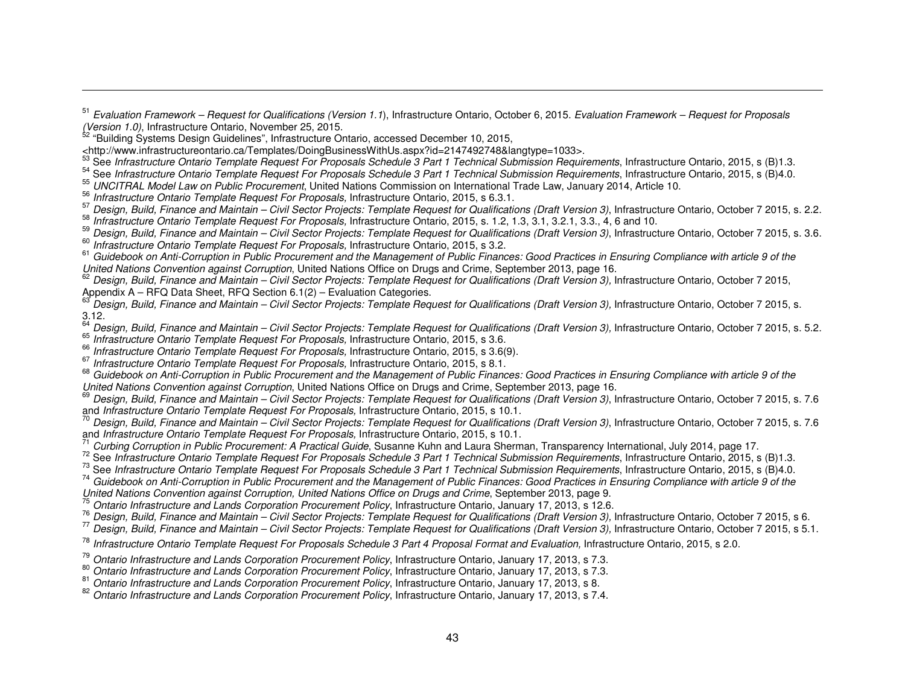$\frac{37}{2}$  Design, Build, Finance and Maintain – Civil Sector Projects: Template Request for Qualifications (Draft Version 3), Infrastructure Ontario, October 7 2015, s. 2.2. 588 Informations (Draft Version 3), Infrastruc

<sup>3°</sup> Infrastructure Ontario Template Request For Proposals, Infrastructure Ontario, 2015, s. 1.2, 1.3, 3.1, 3.2.1, 3.3., 4, 6 and 10.  $\frac{59}{10}$ 

<sup>39</sup> Design, Build, Finance and Maintain – Civil Sector Projects: Template Request for Qualifications (Draft Version 3), Infrastructure Ontario, October 7 2015, s. 3.6.<br><sup>60</sup> Infostmetum Ortaria Termulate Remused For Propee <sup>60</sup> Infrastructure Ontario Template Request For Proposals, Infrastructure Ontario, 2015, s 3.2.

<sup>61</sup> Guidebook on Anti-Corruption in Public Procurement and the Management of Public Finances: Good Practices in Ensuring Compliance with article 9 of the United Nations Convention against Corruption, United Nations Office on Drugs and Crime, September 2013, page 16.

 Design, Build, Finance and Maintain – Civil Sector Projects: Template Request for Qualifications (Draft Version 3), Infrastructure Ontario, October 7 2015, Appendix A – RFQ Data Sheet, RFQ Section 6.1(2) – Evaluation Categories. 63

Design, Build, Finance and Maintain – Civil Sector Projects: Template Request for Qualifications (Draft Version 3), Infrastructure Ontario, October 7 2015, s.

3.12.<br><sup>64</sup> Design, Build, Finance and Maintain – Civil Sector Projects: Template Request for Qualifications (Draft Version 3), Infrastructure Ontario, October 7 2015, s. 5.2.<br><sup>65</sup> Infostmeture Ortaria Termulate Remocal Esc <sup>os</sup> Infrastructure Ontario Template Request For Proposals, Infrastructure Ontario, 2015, s 3.6.<br><sup>66</sup> de desembla de Template De de de la proposal de la proposal de la proposal de la proposal de la proposal de

<sup>oo</sup> Infrastructure Ontario Template Request For Proposals, Infrastructure Ontario, 2015, s 3.6(9).<br><sup>67</sup> Infrastructure Ortario Template Request Fer Presencels Infrastructure Ortario 2015, s 3.6(9).

°′ Infrastructure Ontario Template Request For Proposals, Infrastructure Ontario, 2015, s 8.1.<br><sup>68</sup> Guidebook on Anti-Corruption in Public Procurement and the Management of Public Finances: Good Practices in Ensuring Compl United Nations Convention against Corruption, United Nations Office on Drugs and Crime, September 2013, page 16.

<sup>69</sup> Design, Build, Finance and Maintain – Civil Sector Projects: Template Request for Qualifications (Draft Version 3), Infrastructure Ontario, October 7 2015, s. 7.6 and Infrastructure Ontario Template Request For Proposals, Infrastructure Ontario, 2015, s 10.1.

 Design, Build, Finance and Maintain – Civil Sector Projects: Template Request for Qualifications (Draft Version 3), Infrastructure Ontario, October 7 2015, s. 7.6 and Infrastructure Ontario Template Request For Proposals, Infrastructure Ontario, 2015, s 10.1. 71

' Curbing Corruption in Public Procurement: A Practical Guide, Susanne Kuhn and Laura Sherman, Transparency International, July 2014, page 17.<br><sup>72</sup> See Infrastructure Ontario Template Request For Proposals Schedule 3 Part

<sup>74</sup> Guidebook on Anti-Corruption in Public Procurement and the Management of Public Finances: Good Practices in Ensuring Compliance with article 9 of the

United Nations Convention against Corruption, United Nations Office on Drugs and Crime, September 2013, page 9.<br><sup>75</sup> Ontario Infrastructure and Lands Corporation Procurement Policy, Infrastructure Ontario, January 17, 2013

<sup>76</sup> Design, Build, Finance and Maintain – Civil Sector Projects: Template Request for Qualifications (Draft Version 3), Infrastructure Ontario, October 7 2015, s 6.<br><sup>77</sup> Design, Build, Finance and Maintain – Civil Sector

<sup>78</sup> Infrastructure Ontario Template Request For Proposals Schedule 3 Part 4 Proposal Format and Evaluation, Infrastructure Ontario, 2015, s 2.0.

<sup>ov</sup> Ontario Infrastructure and Lands Corporation Procurement Policy, Infrastructure Ontario, January 17, 2013, s 7.3.<br><sup>81</sup> Ontario Infrastructure and Lands Corporation Procurement Policy, Infrastructure Ontario, January 1

Ontario Infrastructure and Lands Corporation Procurement Policy, Infrastructure Ontario, January 17, 2013, s 8. 82

<sup>82</sup> Ontario Infrastructure and Lands Corporation Procurement Policy, Infrastructure Ontario, January 17, 2013, s 7.4.

<sup>&</sup>lt;sup>51</sup> Evaluation Framework – Request for Qualifications (Version 1.1), Infrastructure Ontario, October 6, 2015. Evaluation Framework – Request for Proposals

*<sup>(</sup>Version 1.0)*, Infrastructure Ontario, November 25, 2015.<br><sup>52</sup> "Building Systems Design Guidelines", Infrastructure Ontario, accessed December 10, 2015,

<sup>&</sup>lt;http://www.infrastructureontario.ca/Templates/DoingBusinessWithUs.aspx?id=2147492748&langtype=1033>.

<sup>&</sup>lt;http://www.infrastructureontario.ca/Templates/DoingBusinessWithUs.aspx?id=2147492748&langtype=1033>.<br><sup>53</sup> See Infrastructure Ontario Template Request For Proposals Schedule 3 Part 1 Technical Submission Requirements, Inf

<sup>&</sup>lt;sup>33</sup> UNCITRAL Model Law on Public Procurement, United Nations Commission on International Trade Law, January 2014, Article 10.<br><sup>56</sup> Infoatmeters Cataria Tampleta Remuert Fer Processia Infoatmeters Ontaria 2015 - 6.84

<sup>&</sup>lt;sup>36</sup> Infrastructure Ontario Template Request For Proposals, Infrastructure Ontario, 2015, s 6.3.1.<br>57 December - Carl II Finance Antonio Carl Contracto December 1996

<sup>&</sup>lt;sup>79</sup> Ontario Infrastructure and Lands Corporation Procurement Policy, Infrastructure Ontario, January 17, 2013, s 7.3.<br><sup>80</sup> Ontario Infrastructure and Lands Corporation Procurement Policy Infrastructure Ontario, January 17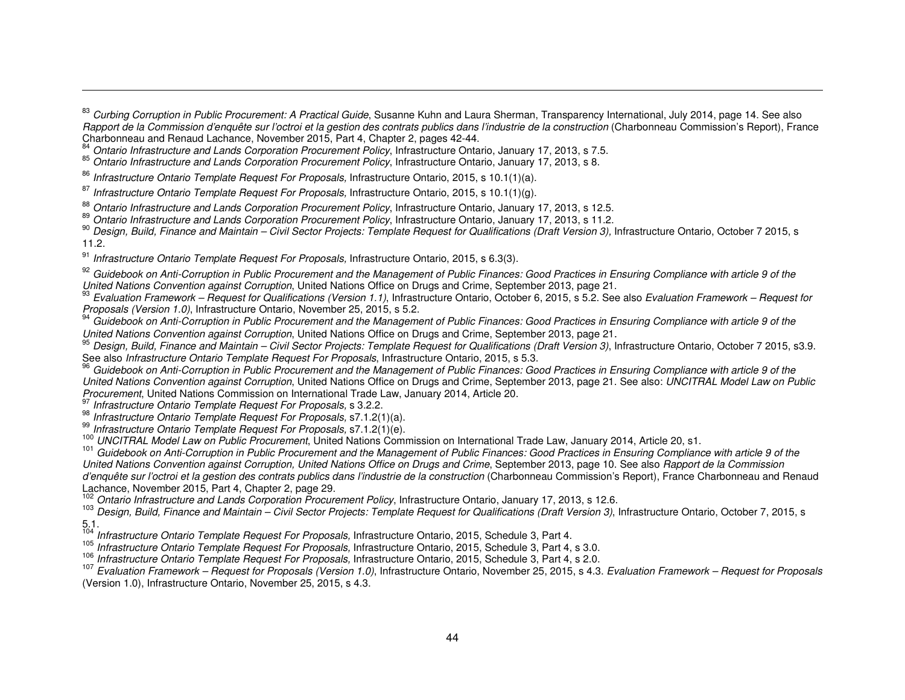°<sup>4</sup> Ontario Infrastructure and Lands Corporation Procurement Policy, Infrastructure Ontario, January 17, 2013, s 7.5.<br><sup>85</sup> Ontario Infrastructure and Lands Corporation Procurement Policy, Infrastructure Ontario, January 1

<sup>86</sup> Infrastructure Ontario Template Request For Proposals, Infrastructure Ontario, 2015, s 10.1(1)(a).

<sup>87</sup> Infrastructure Ontario Template Request For Proposals, Infrastructure Ontario, 2015, s 10.1(1)(g).

<sup>88</sup> Ontario Infrastructure and Lands Corporation Procurement Policy, Infrastructure Ontario, January 17, 2013, s 12.5.<br><sup>89</sup> Ontario Infrastructure and Lands Corporation Procurement Policy, Infrastructure Ontario, January 11.2.

<sup>91</sup> Infrastructure Ontario Template Request For Proposals, Infrastructure Ontario, 2015, s 6.3(3).

 $^{92}$  Guidebook on Anti-Corruption in Public Procurement and the Management of Public Finances: Good Practices in Ensuring Compliance with article 9 of the United Nations Convention against Corruption, United Nations Office on Drugs and Crime, September 2013, page 21.

 Evaluation Framework – Request for Qualifications (Version 1.1), Infrastructure Ontario, October 6, 2015, s 5.2. See also Evaluation Framework – Request for Proposals (Version 1.0), Infrastructure Ontario, November 25, 2015, s 5.2.

 $^{94}$  Guidebook on Anti-Corruption in Public Procurement and the Management of Public Finances: Good Practices in Ensuring Compliance with article 9 of the United Nations Convention against Corruption, United Nations Office on Drugs and Crime, September 2013, page 21.

<sup>95</sup> Design, Build, Finance and Maintain – Civil Sector Projects: Template Request for Qualifications (Draft Version 3), Infrastructure Ontario, October 7 2015, s3.9. See also Infrastructure Ontario Template Request For Proposals, Infrastructure Ontario, 2015, s 5.3.

 Guidebook on Anti-Corruption in Public Procurement and the Management of Public Finances: Good Practices in Ensuring Compliance with article 9 of the United Nations Convention against Corruption, United Nations Office on Drugs and Crime, September 2013, page 21. See also: UNCITRAL Model Law on Public Procurement, United Nations Commission on International Trade Law, January 2014, Article 20.

<sup>3'</sup> Infrastructure Ontario Template Request For Proposals, s 3.2.2.<br><sup>98</sup> Infrastructure Ortario Template Request For Proposals, s 3.2.2.

<sup>36</sup> Infrastructure Ontario Template Request For Proposals, s7.1.2(1)(a).<br><sup>99</sup> 11<sup>2</sup>

 $\frac{99}{100}$  Infrastructure Ontario Template Request For Proposals, s7.1.2(1)(e).

100 UNCITRAL Model Law on Public Procurement, United Nations Commission on International Trade Law, January 2014, Article 20, s1.

 Guidebook on Anti-Corruption in Public Procurement and the Management of Public Finances: Good Practices in Ensuring Compliance with article 9 of the United Nations Convention against Corruption, United Nations Office on Drugs and Crime, September 2013, page 10. See also Rapport de la Commission d'enquête sur l'octroi et la gestion des contrats publics dans l'industrie de la construction (Charbonneau Commission's Report), France Charbonneau and Renaud Lachance, November 2015, Part 4, Chapter 2, page 29.

<sup>102</sup> Ontario Infrastructure and Lands Corporation Procurement Policy, Infrastructure Ontario, January 17, 2013, s 12.6.

<sup>103</sup> Design, Build, Finance and Maintain – Civil Sector Projects: Template Request for Qualifications (Draft Version 3), Infrastructure Ontario, October 7, 2015, s 5.1.

<sup>104</sup> Infrastructure Ontario Template Request For Proposals, Infrastructure Ontario, 2015, Schedule 3, Part 4.<br><sup>105</sup> L. C. 105 L. C. 105 L. C. 2015, S. 105 L. 105 C. 105 L. 105 C. 105 C. 105 C. 105 C. 105 C. 105 C. 105 C.

<sup>105</sup> Infrastructure Ontario Template Request For Proposals, Infrastructure Ontario, 2015, Schedule 3, Part 4, s 3.0.<br><sup>106</sup> Infrastructure Ontario Template Request For Proposals, Infrastructure Ontario, 2015, Schedule 2, P

106 Infrastructure Ontario Template Request For Proposals, Infrastructure Ontario, 2015, Schedule 3, Part 4, s 2.0.

 Evaluation Framework – Request for Proposals (Version 1.0), Infrastructure Ontario, November 25, 2015, s 4.3. Evaluation Framework – Request for Proposals(Version 1.0), Infrastructure Ontario, November 25, 2015, s 4.3.

<sup>&</sup>lt;sup>83</sup> Curbing Corruption in Public Procurement: A Practical Guide, Susanne Kuhn and Laura Sherman, Transparency International, July 2014, page 14. See also Rapport de la Commission d'enquête sur l'octroi et la gestion des contrats publics dans l'industrie de la construction (Charbonneau Commission's Report), France Charbonneau and Renaud Lachance, November 2015, Part 4, Chapter 2, pages 42-44.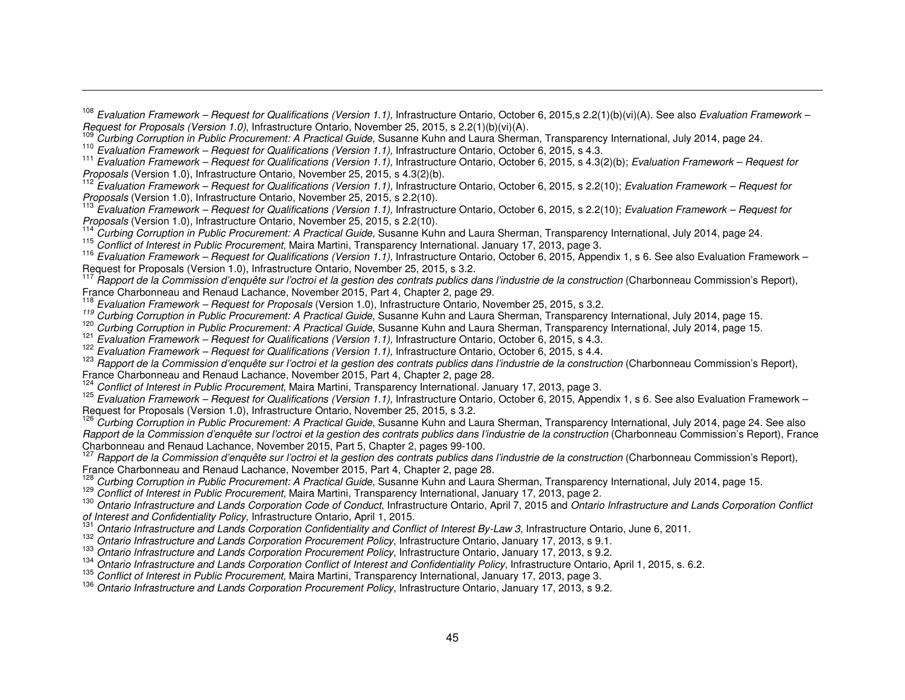<sup>108</sup> Evaluation Framework – Request for Qualifications (Version 1.1), Infrastructure Ontario, October 6, 2015,s 2.2(1)(b)(vi)(A). See also Evaluation Framework –<br>Request for Proposals (Version 1.0), Infrastructure Ontario

<sup>109</sup> Curbing Corruption in Public Procurement: A Practical Guide, Susanne Kuhn and Laura Sherman, Transparency International, July 2014, page 24.

Evaluation Framework – Request for Qualifications (Version 1.1), Infrastructure Ontario, October 6, 2015, s 4.3. 111

''' Evaluation Framework – Request for Qualifications (Version 1.1), Infrastructure Ontario, October 6, 2015, s 4.3(2)(b); Evaluation Framework – Request for<br>Proposals (Version 1.0), Infrastructure Ontario, November 25, 20

 $\frac{122}{12}$  Evaluation Framework – Request for Qualifications (Version 1.1), Infrastructure Ontario, October 6, 2015, s 2.2(10); Evaluation Framework – Request for Proposals (Version 1.0), Infrastructure Ontario, November 25, 2015, s 2.2(10).

<sup>113</sup> Evaluation Framework – Request for Qualifications (Version 1.1), Infrastructure Ontario, October 6, 2015, s 2.2(10); Evaluation Framework – Request for Proposals (Version 1.0), Infrastructure Ontario, November 25, 2015, s 2.2(10). 114

Curbing Corruption in Public Procurement: A Practical Guide, Susanne Kuhn and Laura Sherman, Transparency International, July 2014, page 24.

<sup>115</sup> Conflict of Interest in Public Procurement, Maira Martini, Transparency International. January 17, 2013, page 3.

<sup>116</sup> Evaluation Framework – Request for Qualifications (Version 1.1), Infrastructure Ontario, October 6, 2015, Appendix 1, s 6. See also Evaluation Framework – Request for Proposals (Version 1.0), Infrastructure Ontario, November 25, 2015, s 3.2.

''' Rapport de la Commission d'enquête sur l'octroi et la gestion des contrats publics dans l'industrie de la construction (Charbonneau Commission's Report),<br>France Charbonneau and Renaud Lachance, November 2015, Part 4, C

<sup>119</sup> Evaluation Framework – Request for Proposals (Version 1.0), Infrastructure Ontario, November 25, 2015, s 3.2.<br><sup>119</sup> Curbing Corruption in Public Procurement: A Practical Guide, Susanne Kuhn and Laura Sherman, Transpa

name Curbing Corruption in Public Procurement: A Practical Guide, Susanne Kuhn and Laura Sherman, Transparency International, July 2014, page 15.<br><sup>121</sup> Evaluation Framework – Request for Qualifications (Version 1.1), Infra

<sup>12</sup> Evaluation Framework – Request for Qualifications (Version 1.1), Infrastructure Ontario, October 6, 2015, s 4.3.<br><sup>122</sup> E de la Castaliana de la Castaliana de la Castaliana de la Castaliana de la Castaliana de la Cast

'<sup>∠∠</sup> Evaluation Framework – Request for Qualifications (Version 1.1), Infrastructure Ontario, October 6, 2015, s 4.4.<br><sup>123</sup> Rapport de la Commission d'enquête sur l'octroi et la gestion des contrats publics dans l'indust France Charbonneau and Renaud Lachance, November 2015, Part 4, Chapter 2, page 28.<br><sup>124</sup> Conflict of Interest in Public Procurement Maira Martini, Transparency International, Jan

Conflict of Interest in Public Procurement, Maira Martini, Transparency International. January 17, 2013, page 3.

<sup>125</sup> Evaluation Framework – Request for Qualifications (Version 1.1), Infrastructure Ontario, October 6, 2015, Appendix 1, s 6. See also Evaluation Framework – Request for Proposals (Version 1.0), Infrastructure Ontario, November 25, 2015, s 3.2.

 Curbing Corruption in Public Procurement: A Practical Guide, Susanne Kuhn and Laura Sherman, Transparency International, July 2014, page 24. See also Rapport de la Commission d'enquête sur l'octroi et la gestion des contrats publics dans l'industrie de la construction (Charbonneau Commission's Report), France Charbonneau and Renaud Lachance, November 2015, Part 5, Chapter 2, pages 99-100. 127

 $^{127}$  Rapport de la Commission d'enquête sur l'octroi et la gestion des contrats publics dans l'industrie de la construction (Charbonneau Commission's Report), France Charbonneau and Renaud Lachance, November 2015, Part France Charbonneau and Renaud Lachance, November 2015, Part 4, Chapter 2, page 28.<br><sup>128</sup>. Qurbinal Qarmatian in Dublic Pressurement: A Prestical Quide, Questina (Ciliar and Laure)

<sup>126</sup> Curbing Corruption in Public Procurement: A Practical Guide, Susanne Kuhn and Laura Sherman, Transparency International, July 2014, page 15. 129 According to the Procurement: A Practical Guide, Susanne Kuhn and Laura

<sup>129</sup> Conflict of Interest in Public Procurement, Maira Martini, Transparency International, January 17, 2013, page 2.<br>130 April 1200 F

<sup>130</sup> Ontario Infrastructure and Lands Corporation Code of Conduct, Infrastructure Ontario, April 7, 2015 and Ontario Infrastructure and Lands Corporation Conflict of Interest and Confidentiality Policy, Infrastructure Ontario, April 1, 2015.

Ontario Infrastructure and Lands Corporation Confidentiality and Conflict of Interest By-Law 3, Infrastructure Ontario, June 6, 2011. 132

<sup>132</sup> Ontario Infrastructure and Lands Corporation Procurement Policy, Infrastructure Ontario, January 17, 2013, s 9.1.

<sup>133</sup> Ontario Infrastructure and Lands Corporation Procurement Policy, Infrastructure Ontario, January 17, 2013, s 9.2.

<sup>134</sup> Ontario Infrastructure and Lands Corporation Conflict of Interest and Confidentiality Policy, Infrastructure Ontario, April 1, 2015, s. 6.2.<br><sup>135</sup> Ontario Lateractio Public Presumentat Major Martini, Transaccum unter

<sup>133</sup> Conflict of Interest in Public Procurement, Maira Martini, Transparency International, January 17, 2013, page 3.<br>136 September 17, 2013, page 3.

Ontario Infrastructure and Lands Corporation Procurement Policy, Infrastructure Ontario, January 17, 2013, s 9.2.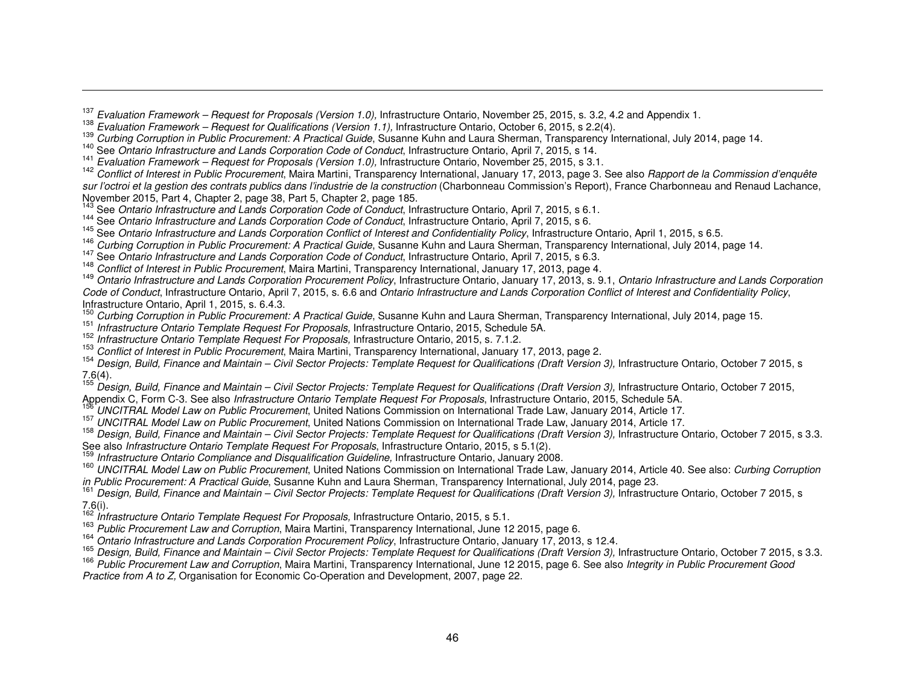<sup>137</sup> Evaluation Framework – Request for Proposals (Version 1.0), Infrastructure Ontario, November 25, 2015, s. 3.2, 4.2 and Appendix 1.<br><sup>138</sup> Euclestian Framework – Request for Ovelifications (Version 4.4) Infrastructure

<sup>136</sup> Evaluation Framework – Request for Qualifications (Version 1.1), Infrastructure Ontario, October 6, 2015, s 2.2(4).<br><sup>139</sup> Qualitate Osmuntian in Dublic Pressurement: A Prestical Quide Queense Kultus and Laure Olesma

<sup>139</sup> Curbing Corruption in Public Procurement: A Practical Guide, Susanne Kuhn and Laura Sherman, Transparency International, July 2014, page 14.<br><sup>140</sup> See Ontario Infrastructure and Lands Corporation Code of Conduct, Inf

'<sup>41</sup> *Evaluation Framework – Request for Proposals (Version 1.0),* Infrastructure Ontario, November 25, 2015, s 3.1.<br><sup>142</sup> Conflict of Interest in Public Procurement, Maira Martini, Transparency International, January 17, sur l'octroi et la gestion des contrats publics dans l'industrie de la construction (Charbonneau Commission's Report), France Charbonneau and Renaud Lachance,<br>November 2015, Part 4, Chapter 2, page 38, Part 5, Chapter 2, p

<sup>143</sup> See Ontario Infrastructure and Lands Corporation Code of Conduct, Infrastructure Ontario, April 7, 2015, s 6.1.<br><sup>144</sup> See Ontario Infrastructure and Lands Corporation Code of Conduct, Infrastructure Ontario, April 7, <sup>146</sup> Curbing Corruption in Public Procurement: A Practical Guide, Susanne Kuhn and Laura Sherman, Transparency International, July 2014, page 14.<br><sup>147</sup> See *Ontario Infrastructure and Lands Corporation Code of Conduct*, I

<sup>146</sup> Conflict of Interest in Public Procurement, Maira Martini, Transparency International, January 17, 2013, page 4.<br><sup>149</sup> Ortaria Infrastructure and Landa Campartiae Dreamment Deliau Interstructure Ortaria, Increased 7,

 Ontario Infrastructure and Lands Corporation Procurement Policy, Infrastructure Ontario, January 17, 2013, s. 9.1, Ontario Infrastructure and Lands Corporation Code of Conduct, Infrastructure Ontario, April 7, 2015, s. 6.6 and Ontario Infrastructure and Lands Corporation Conflict of Interest and Confidentiality Policy, Infrastructure Ontario, April 1, 2015, s. 6.4.3.

nation details Chians, April 1, 2010, S. C. 110.<br><sup>150</sup> Curbing Corruption in Public Procurement: A Practical Guide, Susanne Kuhn and Laura Sherman, Transparency International, July 2014, page 15.

Infrastructure Ontario Template Request For Proposals, Infrastructure Ontario, 2015, Schedule 5A.<br>
<sup>152</sup> Infrastructure Ontario Template Request For Proposals, Infrastructure Ontario, 2015, Schedule 5A.

<sup>132</sup> Infrastructure Ontario Template Request For Proposals, Infrastructure Ontario, 2015, s. 7.1.2.

<sup>133</sup> *Conflict of Interest in Public Procurement*, Maira Martini, Transparency International, January 17, 2013, page 2.<br><sup>154</sup> Design, Build, Finance and Maintain – Civil Sector Projects: Template Request for Qualification  $7.6(4).$ 

 $^{155}$  Design, Build, Finance and Maintain – Civil Sector Projects: Template Request for Qualifications (Draft Version 3), Infrastructure Ontario, October 7 2015, Appendix C, Form C-3. See also Infrastructure Ontario Template Request For Proposals, Infrastructure Ontario, 2015, Schedule 5A.

UNCITRAL Model Law on Public Procurement, United Nations Commission on International Trade Law, January 2014, Article 17. 157

<sup>157</sup> UNCITRAL Model Law on Public Procurement, United Nations Commission on International Trade Law, January 2014, Article 17.

<sup>158</sup> Design, Build, Finance and Maintain – Civil Sector Projects: Template Request for Qualifications (Draft Version 3), Infrastructure Ontario, October 7 2015, s 3.3. See also *Infrastructure Ontario Template Request For Proposals*, Infrastructure Ontario, 2015, s 5.1(2).

Infrastructure Ontario Compliance and Disqualification Guideline, Infrastructure Ontario, January 2008.

<sup>160</sup> UNCITRAL Model Law on Public Procurement, United Nations Commission on International Trade Law, January 2014, Article 40. See also: Curbing Corruption in Public Procurement: A Practical Guide, Susanne Kuhn and Laura Sherman, Transparency International, July 2014, page 23.

<sup>161</sup> Design, Build, Finance and Maintain – Civil Sector Projects: Template Request for Qualifications (Draft Version 3), Infrastructure Ontario, October 7 2015, s<br>7.6(i).

7.6(i).<br><sup>162</sup> Infrastructure Ontario Template Request For Proposals, Infrastructure Ontario, 2015, s 5.1.<br><sup>163</sup> P. *L.* 2011

<sup>163</sup> Public Procurement Law and Corruption, Maira Martini, Transparency International, June 12 2015, page 6.<br>1<sup>64</sup> Ortaria Infrastructure and Landa Corresponding Procurement Deliau Interstructure Ortaria, Increment 7, 201

<sup>164</sup> Ontario Infrastructure and Lands Corporation Procurement Policy, Infrastructure Ontario, January 17, 2013, s 12.4.

<sup>165</sup> Design, Build, Finance and Maintain – Civil Sector Projects: Template Request for Qualifications (Draft Version 3), Infrastructure Ontario, October 7 2015, s 3.3. 166 December 7 2015, s 3.3.

<sup>166</sup> Public Procurement Law and Corruption, Maira Martini, Transparency International, June 12 2015, page 6. See also Integrity in Public Procurement Good Practice from A to Z, Organisation for Economic Co-Operation and Development, 2007, page 22.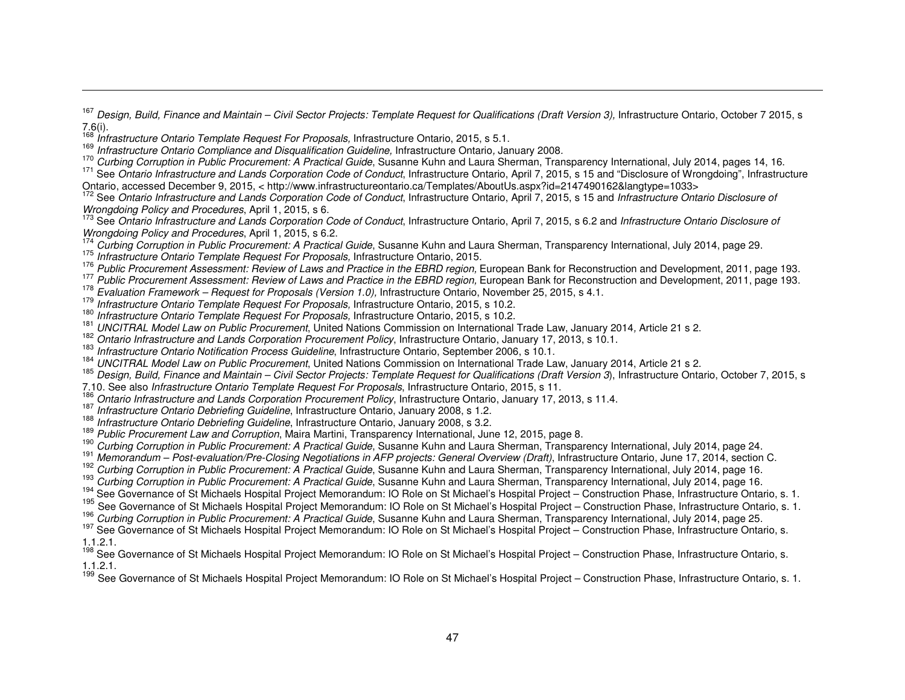<sup>167</sup> Design, Build, Finance and Maintain – Civil Sector Projects: Template Request for Qualifications (Draft Version 3), Infrastructure Ontario, October 7 2015, s

7.6(i).<br><sup>168</sup> Infrastructure Ontario Template Request For Proposals, Infrastructure Ontario, 2015, s 5.1.<br><sup>169</sup> Infrastructure Ontario Compliance and Disqualification Guideline, Infrastructure Ontario, January 2008.<br><sup>170</sup>

' Curbing Corruption in Public Procurement: A Practical Guide, Susanne Kuhn and Laura Sherman, Transparency International, July 2014, pages 14, 16.<br><sup>171</sup> See *Ontario Infrastructure and Lands Corporation Code of Conduct*,

Ontario, accessed December 9, 2015, < http://www.infrastructureontario.ca/Templates/AboutUs.aspx?id=2147490162&langtype=1033><br><sup>172</sup> See Ontario Infrastructure and Lands Corporation Code of Conduct, Infrastructure Ontario,

173 See Ontario Infrastructure and Lands Corporation Code of Conduct, Infrastructure Ontario, April 7, 2015, s 6.2 and Infrastructure Ontario Disclosure of<br>Wrongdoing Policy and Procedures, April 1, 2015, s 6.2. Wrongdoing Policy and Procedures, April 1, 2015, s 6.2.

<sup>174</sup> Curbing Corruption in Public Procurement: A Practical Guide, Susanne Kuhn and Laura Sherman, Transparency International, July 2014, page 29.<br><sup>175</sup> Infoatmetum Ontaria Templata Resursat FanRussaale Infoatmetum Ontaria

<sup>113</sup> Infrastructure Ontario Template Request For Proposals, Infrastructure Ontario, 2015.<br>1<sup>76</sup> Putting

<sup>116</sup> Public Procurement Assessment: Review of Laws and Practice in the EBRD region, European Bank for Reconstruction and Development, 2011, page 193.

 $\frac{178}{2}$  Public Procurement Assessment: Review of Laws and Practice in the EBRD region, European Bank for Reconstruction and Development, 2011, page 193.

<sup>116</sup> Evaluation Framework – Request for Proposals (Version 1.0), Infrastructure Ontario, November 25, 2015, s 4.1.<br><sup>179</sup> Infrastructure Ontario Tennelate Democratic Fra Democrate Infrastructure Ontario, 2015, s 4.0 0.

Infrastructure Ontario Template Request For Proposals, Infrastructure Ontario, 2015, s 10.2.<br>
<sup>180</sup> Infrastructure Ontario Template Request For Proposals, Infrastructure Ontario, 2015, s 10.2.

<sup>Iov</sup> Infrastructure Ontario Template Request For Proposals, Infrastructure Ontario, 2015, s 10.2.<br><sup>181</sup> LINOITRAL Madal Law an Rublic Reservation to lating National Commission an International i

<sup>161</sup> UNCITRAL Model Law on Public Procurement, United Nations Commission on International Trade Law, January 2014, Article 21 s 2.<br><sup>182</sup> Ontario Infrastructure and Lands Corporation Procurement Policy, Infrastructure Onta

'°<del>'</del> UNCITRAL Model Law on Public Procurement, United Nations Commission on International Trade Law, January 2014, Article 21 s 2.<br><sup>185</sup> Design, Build, Finance and Maintain – Civil Sector Projects: Template Request for Qu

7.10. See also Infrastructure Ontario Template Request For Proposals, Infrastructure Ontario, 2015, s 11.

Ontario Infrastructure and Lands Corporation Procurement Policy, Infrastructure Ontario, January 17, 2013, s 11.4.

<sup>187</sup> Infrastructure Ontario Debriefing Guideline, Infrastructure Ontario, January 2008, s 1.2.<br><sup>188</sup> Infrastructure Ortaria Debriefing Quideline, Infrastructure Ortaria, January 2008, s 2.0.

188 Infrastructure Ontario Debriefing Guideline, Infrastructure Ontario, January 2008, s 3.2.

<sup>189</sup> Public Procurement Law and Corruption, Maira Martini, Transparency International, June 12, 2015, page 8.

<sup>190</sup> Curbing Corruption in Public Procurement: A Practical Guide, Susanne Kuhn and Laura Sherman, Transparency International, July 2014, page 24. 191 Margaretime Rest avaluation (Res. 2014) and 191 Margaretime Rest avalua

<sup>191</sup> Memorandum – Post-evaluation/Pre-Closing Negotiations in AFP projects: General Overview (Draft), Infrastructure Ontario, June 17, 2014, section C.<br><sup>192</sup> Curbing Corruption in Public Procurement: A Practical Guide, Su

193 Curbing Corruption in Public Procurement: A Practical Guide, Susanne Kuhn and Laura Sherman, Transparency International, July 2014, page 16.<br><sup>194</sup> See Governance of St Michaels Hospital Project Memorandum: IO Role on S

195 See Governance of St Michaels Hospital Project Memorandum: IO Role on St Michael's Hospital Project – Construction Phase, Infrastructure Ontario, s. 1.

196 Curbing Corruption in Public Procurement: A Practical Guide, Susanne Kuhn and Laura Sherman, Transparency International, July 2014, page 25.

197 See Governance of St Michaels Hospital Project Memorandum: IO Role on St Michael's Hospital Project - Construction Phase, Infrastructure Ontario, s. 1.1.2.1.

<sup>198</sup> See Governance of St Michaels Hospital Project Memorandum: IO Role on St Michael's Hospital Project – Construction Phase, Infrastructure Ontario, s. 1.1.2.1.

<sup>199</sup> See Governance of St Michaels Hospital Project Memorandum: IO Role on St Michael's Hospital Project – Construction Phase, Infrastructure Ontario, s. 1.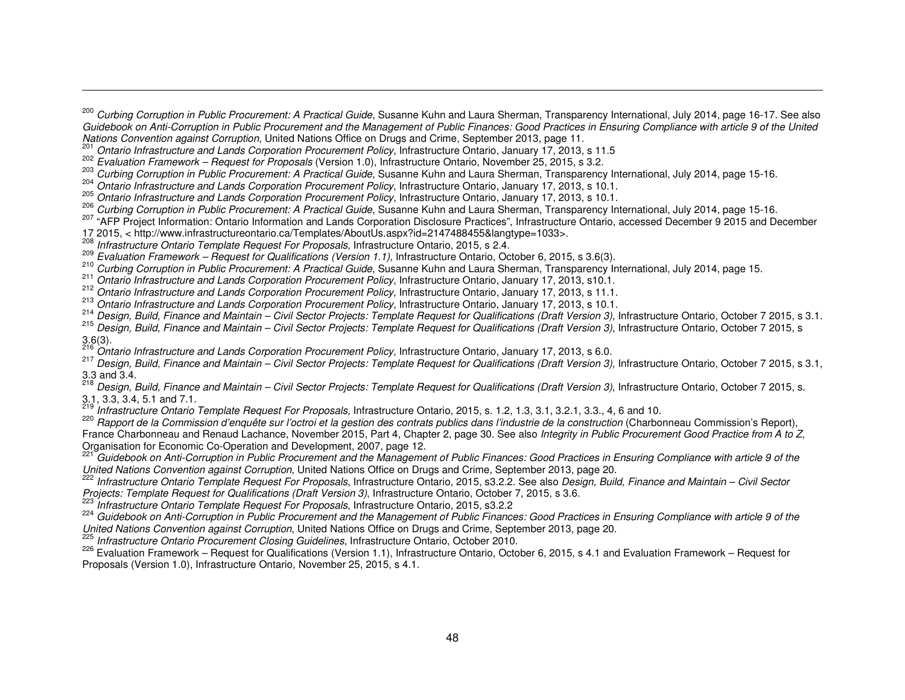$\frac{205}{100}$  Ontario Infrastructure and Lands Corporation Procurement Policy, Infrastructure Ontario, January 17, 2013, s 10.1.

- 212 Ontario Infrastructure and Lands Corporation Procurement Policy, Infrastructure Ontario, January 17, 2013, s 11.1.
- <sup>213</sup> Ontario Infrastructure and Lands Corporation Procurement Policy, Infrastructure Ontario, January 17, 2013, s 10.1.

<sup>214</sup> Design, Build, Finance and Maintain – Civil Sector Projects: Template Request for Qualifications (Draft Version 3), Infrastructure Ontario, October 7 2015, s 3.1.<br><sup>215</sup> Design, Build, Finance and Maintain – Civil Oct

215 Design, Build, Finance and Maintain – Civil Sector Projects: Template Request for Qualifications (Draft Version 3), Infrastructure Ontario, October 7 2015, s 3.6(3).<br><sup>216</sup>. 2

- <sup>216</sup> Ontario Infrastructure and Lands Corporation Procurement Policy, Infrastructure Ontario, January 17, 2013, s 6.0.<br><sup>217</sup> Pasima Build Finance and Mainteire *Civil Castar Projects: Tamplets Parment for Qualifications (*
- 217 Design, Build, Finance and Maintain Civil Sector Projects: Template Request for Qualifications (Draft Version 3), Infrastructure Ontario, October 7 2015, s 3.1, 3.3 and 3.4.<br><sup>218</sup> Deciment

Design, Build, Finance and Maintain – Civil Sector Projects: Template Request for Qualifications (Draft Version 3), Infrastructure Ontario, October 7 2015, s. 3.1, 3.3, 3.4, 5.1 and 7.1. 219

Infrastructure Ontario Template Request For Proposals, Infrastructure Ontario, 2015, s. 1.2, 1.3, 3.1, 3.2.1, 3.3., 4, 6 and 10.

 Rapport de la Commission d'enquête sur l'octroi et la gestion des contrats publics dans l'industrie de la construction (Charbonneau Commission's Report), France Charbonneau and Renaud Lachance, November 2015, Part 4, Chapter 2, page 30. See also Integrity in Public Procurement Good Practice from A to Z, Organisation for Economic Co-Operation and Development, 2007, page 12.

Guidebook on Anti-Corruption in Public Procurement and the Management of Public Finances: Good Practices in Ensuring Compliance with article 9 of the

*United Nations Convention against Corruption*, United Nations Office on Drugs and Crime, September 2013, page 20.<br><sup>222</sup> Infrastructure Ontario Template Request For Proposals, Infrastructure Ontario, 2015, s3.2.2. See also Projects: Template Request for Qualifications (Draft Version 3), Infrastructure Ontario, October 7, 2015, s 3.6. 223 Infrastructure Ontario, October 7, 2015, s 3.6.

 $\frac{223}{24}$  Infrastructure Ontario Template Request For Proposals, Infrastructure Ontario, 2015, s3.2.2

 Guidebook on Anti-Corruption in Public Procurement and the Management of Public Finances: Good Practices in Ensuring Compliance with article 9 of the United Nations Convention against Corruption, United Nations Office on Drugs and Crime, September 2013, page 20.<br><sup>225</sup> Infrastructure Ontario Procurement Closing Guidelines, Infrastructure Ontario, October 2010.

226 Evaluation Framework – Request for Qualifications (Version 1.1), Infrastructure Ontario, October 6, 2015, s 4.1 and Evaluation Framework – Request for Proposals (Version 1.0), Infrastructure Ontario, November 25, 2015, s 4.1.

<sup>&</sup>lt;sup>200</sup> Curbing Corruption in Public Procurement: A Practical Guide, Susanne Kuhn and Laura Sherman, Transparency International, July 2014, page 16-17. See also Guidebook on Anti-Corruption in Public Procurement and the Management of Public Finances: Good Practices in Ensuring Compliance with article 9 of the United Nations Convention against Corruption, United Nations Office on Drugs and Crime, September 2013, page 11.<br><sup>201</sup> Ortaria Infrastructure and Landa Corresponding Dreamentary Deliver Infrastructure Ortaria Incrementary 2019

Ontario Infrastructure and Lands Corporation Procurement Policy, Infrastructure Ontario, January 17, 2013, s 11.5 202

<sup>&</sup>lt;sup>202</sup> Evaluation Framework – Request for Proposals (Version 1.0), Infrastructure Ontario, November 25, 2015, s 3.2.

Curbing Corruption in Public Procurement: A Practical Guide, Susanne Kuhn and Laura Sherman, Transparency International, July 2014, page 15-16.

<sup>204</sup> Ontario Infrastructure and Lands Corporation Procurement Policy, Infrastructure Ontario, January 17, 2013, s 10.1.

<sup>&</sup>lt;sup>206</sup> Curbing Corruption in Public Procurement: A Practical Guide, Susanne Kuhn and Laura Sherman, Transparency International, July 2014, page 15-16.<br><sup>207</sup> "AFD Draiast International Catalia International of Processing Dis

<sup>&</sup>lt;sup>207</sup> "AFP Project Information: Ontario Information and Lands Corporation Disclosure Practices", Infrastructure Ontario, accessed December 9 2015 and December

<sup>17 2015, &</sup>lt; http://www.infrastructureontario.ca/Templates/AboutUs.aspx?id=2147488455&langtype=1033>.

Infrastructure Ontario Template Request For Proposals, Infrastructure Ontario, 2015, s 2.4.

<sup>&</sup>lt;sup>209</sup> Evaluation Framework – Request for Qualifications (Version 1.1), Infrastructure Ontario, October 6, 2015, s 3.6(3).<br><sup>210</sup> Curbing Carruption in Public Programment: A Progried Cuide Superna Kubn and Laure Sharman, Tr

<sup>&</sup>lt;sup>210</sup> Curbing Corruption in Public Procurement: A Practical Guide, Susanne Kuhn and Laura Sherman, Transparency International, July 2014, page 15.

Ontario Infrastructure and Lands Corporation Procurement Policy, Infrastructure Ontario, January 17, 2013, s10.1.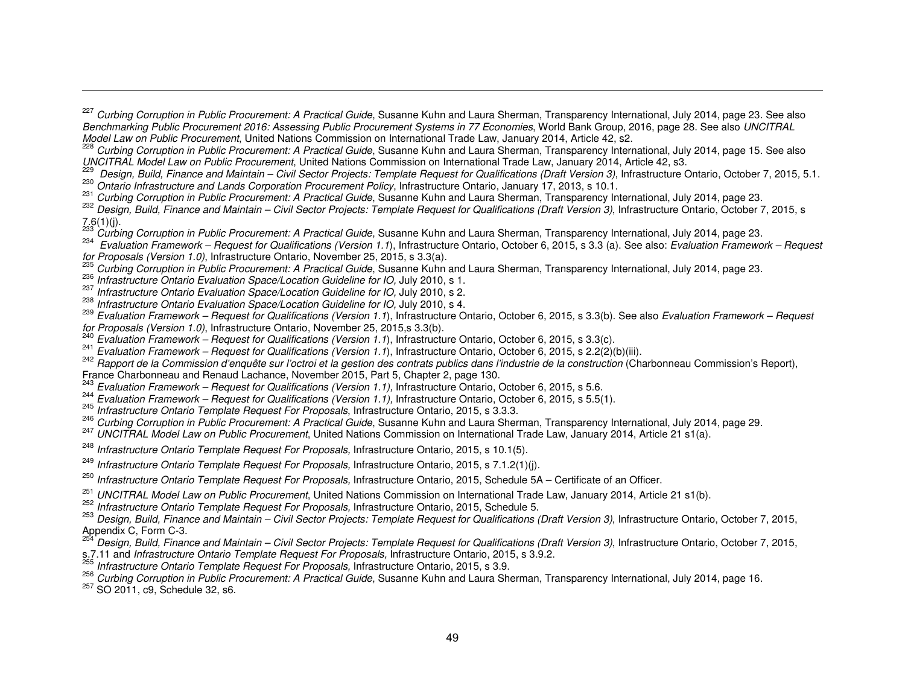Design, Build, Finance and Maintain – Civil Sector Projects: Template Request for Qualifications (Draft Version 3), Infrastructure Ontario, October 7, 2015, 5.1. Ontario Infrastructure and Lands Corporation Procurement Policy, Infrastructure Ontario, January 17, 2013, s 10.1.

- 
- <sup>231</sup> Curbing Corruption in Public Procurement: A Practical Guide, Susanne Kuhn and Laura Sherman, Transparency International, July 2014, page 23.<br><sup>232</sup>2 Reversion of the European Correct of the Correct of Team of the Corr
- 232 Design, Build, Finance and Maintain Civil Sector Projects: Template Request for Qualifications (Draft Version 3), Infrastructure Ontario, October 7, 2015, s  $7.6(1)(j)$ .
- Curbing Corruption in Public Procurement: A Practical Guide, Susanne Kuhn and Laura Sherman, Transparency International, July 2014, page 23.
- Evaluation Framework Request for Qualifications (Version 1.1), Infrastructure Ontario, October 6, 2015, s 3.3 (a). See also: Evaluation Framework Request for Proposals (Version 1.0), Infrastructure Ontario, November 25, 2015, s 3.3(a).<br><sup>235</sup> Curbing Carruntian in Bublie Progument: A Prestigel Cuide, Sugarno Kubn.
- <sup>235</sup> Curbing Corruption in Public Procurement: A Practical Guide, Susanne Kuhn and Laura Sherman, Transparency International, July 2014, page 23.
- <sup>236</sup> Infrastructure Ontario Evaluation Space/Location Guideline for IO, July 2010, s 1.<br><sup>237</sup> Letter Contains Formulation Contains Contains Contains 2010, s 237
- <sup>237</sup> Infrastructure Ontario Evaluation Space/Location Guideline for IO, July 2010, s 2.<br><sup>238</sup> Infrastructure Ontario Eurly time Occas (Lasstine Originalise for IO, July 2010, s 4.
- 
- <sup>236</sup> Infrastructure Ontario Evaluation Space/Location Guideline for IO, July 2010, s 4.<br><sup>239</sup> Evaluation Framework Request for Qualifications (Version 1.1), Infrastructure Ontario, October 6, 2015, s 3.3(b). See also *E*
- 
- $\frac{240}{2}$  Evaluation Framework Request for Qualifications (Version 1.1), Infrastructure Ontario, October 6, 2015, s 3.3(c).<br><sup>241</sup> E de 2015, s 3.3(c).
- <sup>241</sup> *Evaluation Framework Request for Qualifications (Version 1.1*), Infrastructure Ontario, October 6, 2015, s 2.2(2)(b)(iii).<br><sup>242</sup> Rapport de la Commission d'enquête sur l'octroi et la gestion des contrats publics d France Charbonneau and Renaud Lachance, November 2015, Part 5, Chapter 2, page 130.
- <sup>243</sup> Evaluation Framework Request for Qualifications (Version 1.1), Infrastructure Ontario, October 6, 2015, s 5.6.<br><sup>244</sup> Evaluation Framework Request for Qualifications (Version 1.1), Infrastructure Ontario, October
- 
- 245 Infrastructure Ontario Template Request For Proposals, Infrastructure Ontario, 2015, s 3.3.3.
- <sup>246</sup> *Curbing Corruption in Public Procurement: A Practical Guide*, Susanne Kuhn and Laura Sherman, Transparency International, July 2014, page 29.<br><sup>247</sup> UNCITRAL Model Law on Public Procurement, United Nations Commission
- 
- <sup>248</sup> Infrastructure Ontario Template Request For Proposals, Infrastructure Ontario, 2015, s 10.1(5).
- <sup>249</sup> Infrastructure Ontario Template Request For Proposals, Infrastructure Ontario, 2015, s 7.1.2(1)(j).
- <sup>250</sup> Infrastructure Ontario Template Request For Proposals, Infrastructure Ontario, 2015, Schedule 5A Certificate of an Officer.
- <sup>251</sup> UNCITRAL Model Law on Public Procurement, United Nations Commission on International Trade Law, January 2014, Article 21 s1(b).<br><sup>252</sup> Informative Orteria Terry late Procurent Fra Processels Informatives Orteria, 2015
- <sup>252</sup> Infrastructure Ontario Template Request For Proposals, Infrastructure Ontario, 2015, Schedule 5.

 Design, Build, Finance and Maintain – Civil Sector Projects: Template Request for Qualifications (Draft Version 3), Infrastructure Ontario, October 7, 2015, Appendix C, Form C-3.

- Design, Build, Finance and Maintain Civil Sector Projects: Template Request for Qualifications (Draft Version 3), Infrastructure Ontario, October 7, 2015,
- s.7.11 and *Infrastructure Ontario Template Request For Proposals*, Infrastructure Ontario, 2015, s 3.9.2.<br><sup>255</sup> Jafaatwature Ortaria Template Request Far Proposals Infrastructure Ortaria 2015, s 3.9.2.
- <sup>233</sup> Infrastructure Ontario Template Request For Proposals, Infrastructure Ontario, 2015, s 3.9.<br><sup>256</sup> Qurbing Qarmutian in Dublic Pressurement: A Prestical Quide Queenna Kulm and Laure Ob
- 256 Curbing Corruption in Public Procurement: A Practical Guide, Susanne Kuhn and Laura Sherman, Transparency International, July 2014, page 16.<br><sup>257</sup> SO 2011. c9. Schedule 32, s6.
- 

<sup>&</sup>lt;sup>227</sup> Curbing Corruption in Public Procurement: A Practical Guide, Susanne Kuhn and Laura Sherman, Transparency International, July 2014, page 23. See also Benchmarking Public Procurement 2016: Assessing Public Procurement Systems in 77 Economies, World Bank Group, 2016, page 28. See also UNCITRAL Model Law on Public Procurement, United Nations Commission on International Trade Law, January 2014, Article 42, s2.

Curbing Corruption in Public Procurement: A Practical Guide, Susanne Kuhn and Laura Sherman, Transparency International, July 2014, page 15. See also UNCITRAL Model Law on Public Procurement, United Nations Commission on International Trade Law, January 2014, Article 42, s3.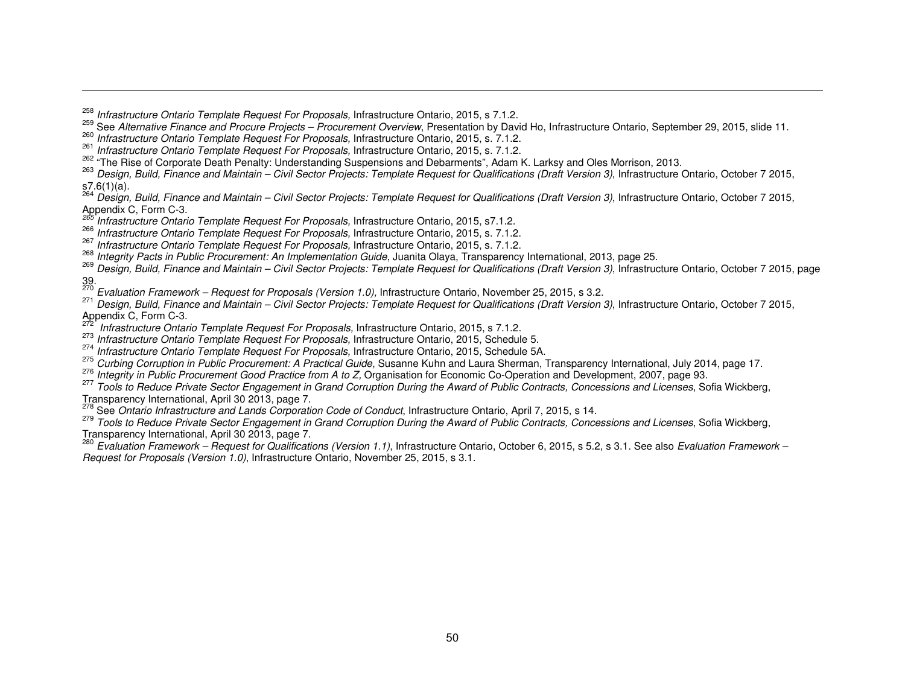<sup>258</sup> Infrastructure Ontario Template Request For Proposals, Infrastructure Ontario, 2015, s 7.1.2.<br><sup>259</sup> See Alternative Finance and Procure Projects – Procurement Overview, Presentation by David Ho, Infrastructure Ontari

- <sup>260</sup> Infrastructure Ontario Template Request For Proposals, Infrastructure Ontario, 2015, s. 7.1.2.<br><sup>261</sup> L. C. 2015, s. 7.1.2.
- <sup>261</sup> Infrastructure Ontario Template Request For Proposals, Infrastructure Ontario, 2015, s. 7.1.2.

<sup>202</sup> "The Rise of Corporate Death Penalty: Understanding Suspensions and Debarments", Adam K. Larksy and Oles Morrison, 2013.<br><sup>263</sup> *Design, Build, Finance and Maintain – Civil Sector Projects: Template Request for Qualif* 

s7.6(1)(a).<br><sup>264</sup> Design, Build, Finance and Maintain – Civil Sector Projects: Template Request for Qualifications (Draft Version 3), Infrastructure Ontario, October 7 2015, Appendix C, Form C-3.<br><sup>265</sup> Infrastructure Ontario Template Request For Proposals, Infrastructure Ontario, 2015, s7.1.2.

- 266 Infrastructure Ontario Template Request For Proposals, Infrastructure Ontario, 2015, s. 7.1.2.
- 

267 Infrastructure Ontario Template Request For Proposals, Infrastructure Ontario, 2015, s. 7.1.2.<br><sup>268</sup> Integrity Pacts in Public Procurement: An Implementation Guide, Juanita Olaya, Transparency International, 2013, page

<sup>269</sup> Design, Build, Finance and Maintain – Civil Sector Projects: Template Request for Qualifications (Draft Version 3), Infrastructure Ontario, October 7 2015, page

39.<br><sup>270</sup> Evaluation Framework – Request for Proposals (Version 1.0), Infrastructure Ontario, November 25, 2015, s 3.2.<br><sup>271</sup> Parima Build Finance and Maintain - Qiril Sastar Praiastar Tarrylata Bermant for Qualifications

 $\frac{271}{27}$  Design, Build, Finance and Maintain – Civil Sector Projects: Template Request for Qualifications (Draft Version 3), Infrastructure Ontario, October 7 2015, Appendix C, Form C-3.

Infrastructure Ontario Template Request For Proposals, Infrastructure Ontario, 2015, s 7.1.2.<br>
<sup>273</sup> Infrastructure Ontario Template Request For Proposals, Infrastructure Ontario, 2015, Schedule 5.

<sup>213</sup> Infrastructure Ontario Template Request For Proposals, Infrastructure Ontario, 2015, Schedule 5.<br><sup>274</sup> Letter Contario Turbulle Contario Turbulle Contario Contario Contario Contario Contario Contario F.

<sup>214</sup> Infrastructure Ontario Template Request For Proposals, Infrastructure Ontario, 2015, Schedule 5A.<br><sup>275</sup> Qurbing Qarmatian in Dublic Pressurement: A Prestical Quide Queenna Kulm and Laure Obarrese. 7

<sup>213</sup> Curbing Corruption in Public Procurement: A Practical Guide, Susanne Kuhn and Laura Sherman, Transparency International, July 2014, page 17.<br><sup>276</sup> kets with in Public Procurement Casel Practice from A to 7 Conspirati

<sup>276</sup> Integrity in Public Procurement Good Practice from A to Z, Organisation for Economic Co-Operation and Development, 2007, page 93.

<sup>277</sup> Tools to Reduce Private Sector Engagement in Grand Corruption During the Award of Public Contracts, Concessions and Licenses, Sofia Wickberg, Transparency International, April 30 2013, page 7.<br>
<sup>278</sup> See Ontario Infrastructure and Lands Corporation Code of Conduct, Infrastructure Ontario, April 7, 2015, s 14.

279 Tools to Reduce Private Sector Engagement in Grand Corruption During the Award of Public Contracts, Concessions and Licenses, Sofia Wickberg, Transparency International, April 30 2013, page 7.

<sup>280</sup> Evaluation Framework – Request for Qualifications (Version 1.1), Infrastructure Ontario, October 6, 2015, s 5.2, s 3.1. See also Evaluation Framework – Request for Proposals (Version 1.0), Infrastructure Ontario, November 25, 2015, s 3.1.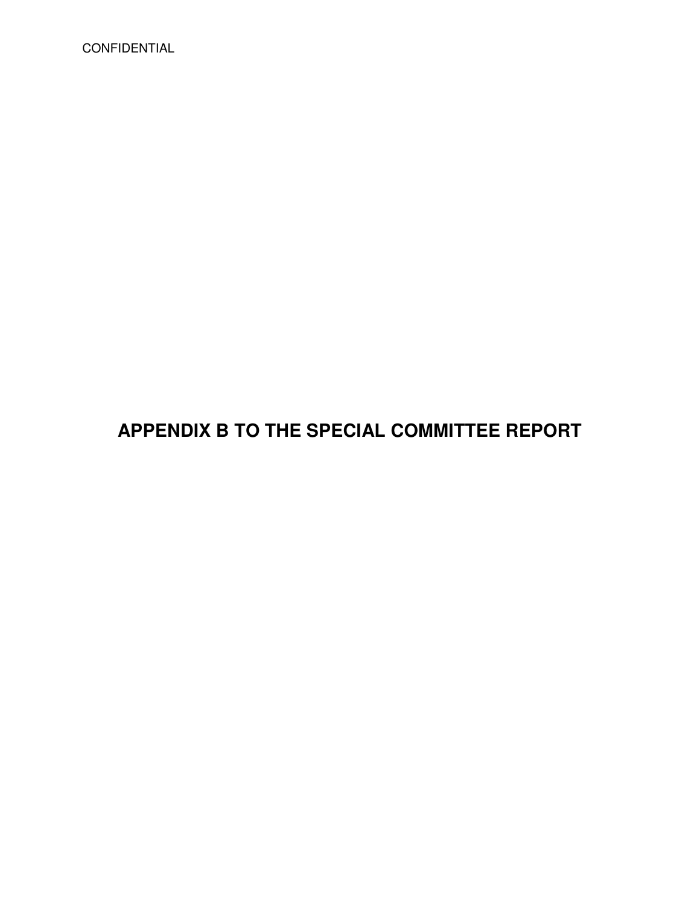CONFIDENTIAL

# **APPENDIX B TO THE SPECIAL COMMITTEE REPORT**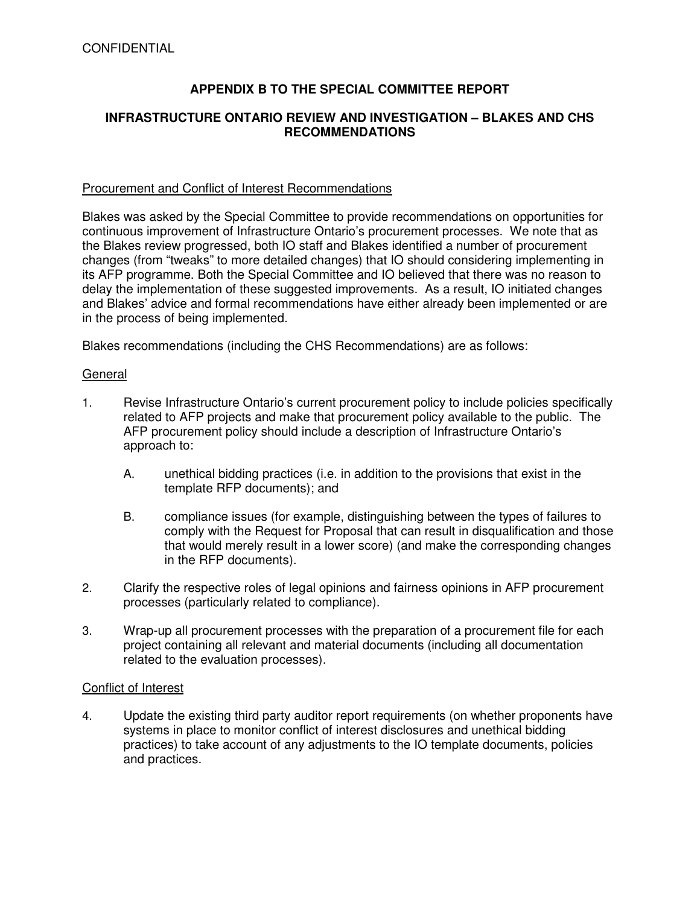## **APPENDIX B TO THE SPECIAL COMMITTEE REPORT**

### **INFRASTRUCTURE ONTARIO REVIEW AND INVESTIGATION – BLAKES AND CHS RECOMMENDATIONS**

#### Procurement and Conflict of Interest Recommendations

Blakes was asked by the Special Committee to provide recommendations on opportunities for continuous improvement of Infrastructure Ontario's procurement processes. We note that as the Blakes review progressed, both IO staff and Blakes identified a number of procurement changes (from "tweaks" to more detailed changes) that IO should considering implementing in its AFP programme. Both the Special Committee and IO believed that there was no reason to delay the implementation of these suggested improvements. As a result, IO initiated changes and Blakes' advice and formal recommendations have either already been implemented or are in the process of being implemented.

Blakes recommendations (including the CHS Recommendations) are as follows:

#### General

- 1. Revise Infrastructure Ontario's current procurement policy to include policies specifically related to AFP projects and make that procurement policy available to the public. The AFP procurement policy should include a description of Infrastructure Ontario's approach to:
	- A. unethical bidding practices (i.e. in addition to the provisions that exist in the template RFP documents); and
	- B. compliance issues (for example, distinguishing between the types of failures to comply with the Request for Proposal that can result in disqualification and those that would merely result in a lower score) (and make the corresponding changes in the RFP documents).
- 2. Clarify the respective roles of legal opinions and fairness opinions in AFP procurement processes (particularly related to compliance).
- 3. Wrap-up all procurement processes with the preparation of a procurement file for each project containing all relevant and material documents (including all documentation related to the evaluation processes).

#### Conflict of Interest

4. Update the existing third party auditor report requirements (on whether proponents have systems in place to monitor conflict of interest disclosures and unethical bidding practices) to take account of any adjustments to the IO template documents, policies and practices.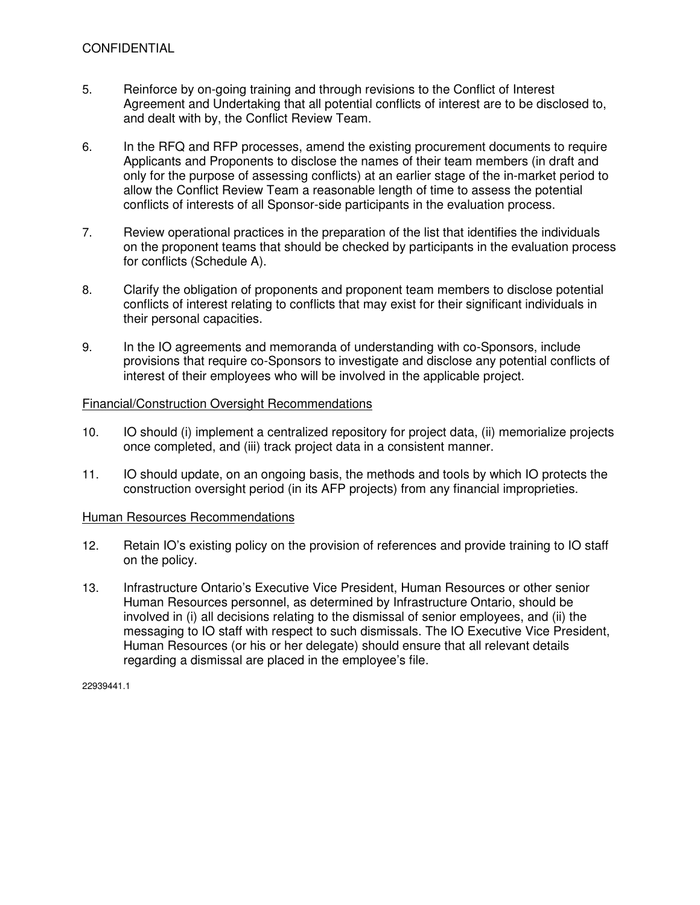- 5. Reinforce by on-going training and through revisions to the Conflict of Interest Agreement and Undertaking that all potential conflicts of interest are to be disclosed to, and dealt with by, the Conflict Review Team.
- 6. In the RFQ and RFP processes, amend the existing procurement documents to require Applicants and Proponents to disclose the names of their team members (in draft and only for the purpose of assessing conflicts) at an earlier stage of the in-market period to allow the Conflict Review Team a reasonable length of time to assess the potential conflicts of interests of all Sponsor-side participants in the evaluation process.
- 7. Review operational practices in the preparation of the list that identifies the individuals on the proponent teams that should be checked by participants in the evaluation process for conflicts (Schedule A).
- 8. Clarify the obligation of proponents and proponent team members to disclose potential conflicts of interest relating to conflicts that may exist for their significant individuals in their personal capacities.
- 9. In the IO agreements and memoranda of understanding with co-Sponsors, include provisions that require co-Sponsors to investigate and disclose any potential conflicts of interest of their employees who will be involved in the applicable project.

#### Financial/Construction Oversight Recommendations

- 10. IO should (i) implement a centralized repository for project data, (ii) memorialize projects once completed, and (iii) track project data in a consistent manner.
- 11. IO should update, on an ongoing basis, the methods and tools by which IO protects the construction oversight period (in its AFP projects) from any financial improprieties.

#### Human Resources Recommendations

- 12. Retain IO's existing policy on the provision of references and provide training to IO staff on the policy.
- 13. Infrastructure Ontario's Executive Vice President, Human Resources or other senior Human Resources personnel, as determined by Infrastructure Ontario, should be involved in (i) all decisions relating to the dismissal of senior employees, and (ii) the messaging to IO staff with respect to such dismissals. The IO Executive Vice President, Human Resources (or his or her delegate) should ensure that all relevant details regarding a dismissal are placed in the employee's file.

22939441.1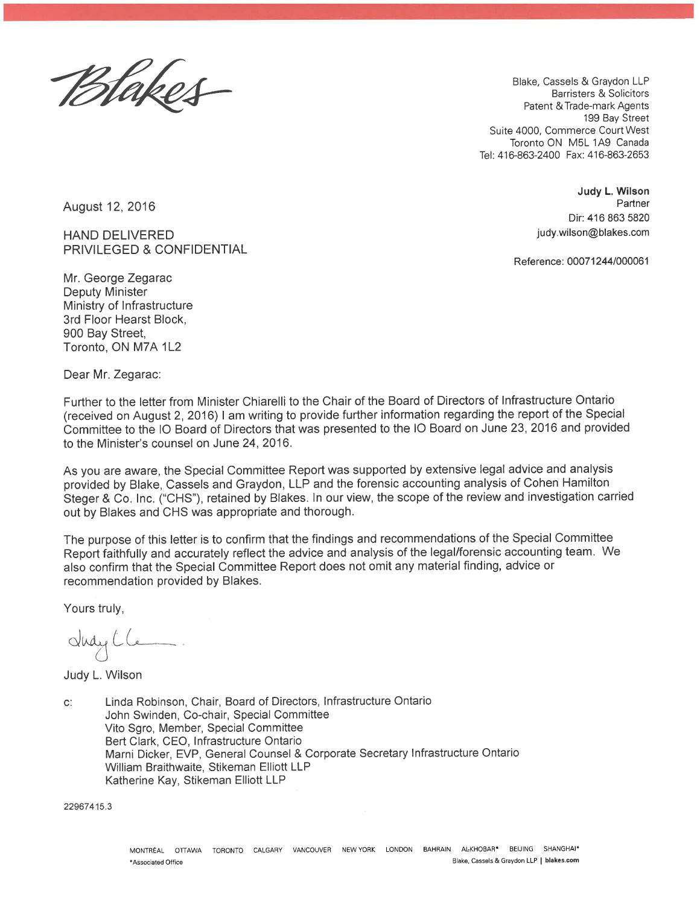Blakes

Blake, Cassels & Graydon LLP Barristers & Solicitors Patent & Trade-mark Agents 199 Bay Street Suite 4000, Commerce Court West Toronto ON M5L 1A9 Canada Tel: 416-863-2400 Fax: 416-863-2653

> Judy L. Wilson Partner Dir: 416 863 5820 judy.wilson@blakes.com

Reference: 00071244/000061

August 12, 2016

**HAND DELIVERED** PRIVILEGED & CONFIDENTIAL

Mr. George Zegarac **Deputy Minister** Ministry of Infrastructure 3rd Floor Hearst Block, 900 Bay Street, Toronto, ON M7A 1L2

Dear Mr. Zegarac:

Further to the letter from Minister Chiarelli to the Chair of the Board of Directors of Infrastructure Ontario (received on August 2, 2016) I am writing to provide further information regarding the report of the Special Committee to the IO Board of Directors that was presented to the IO Board on June 23, 2016 and provided to the Minister's counsel on June 24, 2016.

As you are aware, the Special Committee Report was supported by extensive legal advice and analysis provided by Blake, Cassels and Graydon, LLP and the forensic accounting analysis of Cohen Hamilton Steger & Co. Inc. ("CHS"), retained by Blakes. In our view, the scope of the review and investigation carried out by Blakes and CHS was appropriate and thorough.

The purpose of this letter is to confirm that the findings and recommendations of the Special Committee Report faithfully and accurately reflect the advice and analysis of the legal/forensic accounting team. We also confirm that the Special Committee Report does not omit any material finding, advice or recommendation provided by Blakes.

Yours truly,

dudy Cle

Judy L. Wilson

Linda Robinson, Chair, Board of Directors, Infrastructure Ontario  $C^*$ John Swinden, Co-chair, Special Committee Vito Sgro, Member, Special Committee Bert Clark, CEO, Infrastructure Ontario Marni Dicker, EVP, General Counsel & Corporate Secretary Infrastructure Ontario William Braithwaite, Stikeman Elliott LLP Katherine Kay, Stikeman Elliott LLP

22967415.3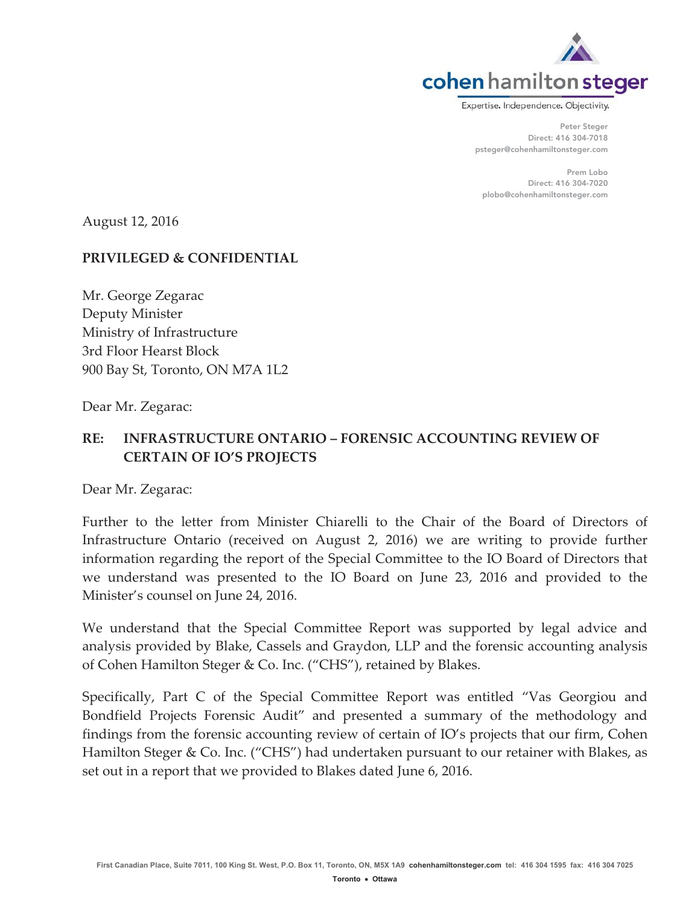

Expertise. Independence. Objectivity.

Peter Steger Direct: 416 304-7018 psteger@cohenhamiltonsteger.com

Prem Lobo Direct: 416 304-7020 plobo@cohenhamiltonsteger.com

August 12, 2016

## **PRIVILEGED & CONFIDENTIAL**

Mr. George Zegarac Deputy Minister Ministry of Infrastructure 3rd Floor Hearst Block 900 Bay St, Toronto, ON M7A 1L2

Dear Mr. Zegarac:

# **RE: INFRASTRUCTURE ONTARIO – FORENSIC ACCOUNTING REVIEW OF CERTAIN OF IO'S PROJECTS**

Dear Mr. Zegarac:

Further to the letter from Minister Chiarelli to the Chair of the Board of Directors of Infrastructure Ontario (received on August 2, 2016) we are writing to provide further information regarding the report of the Special Committee to the IO Board of Directors that we understand was presented to the IO Board on June 23, 2016 and provided to the Minister's counsel on June 24, 2016.

We understand that the Special Committee Report was supported by legal advice and analysis provided by Blake, Cassels and Graydon, LLP and the forensic accounting analysis of Cohen Hamilton Steger & Co. Inc. ("CHS"), retained by Blakes.

Specifically, Part C of the Special Committee Report was entitled "Vas Georgiou and Bondfield Projects Forensic Audit" and presented a summary of the methodology and findings from the forensic accounting review of certain of IO's projects that our firm, Cohen Hamilton Steger & Co. Inc. ("CHS") had undertaken pursuant to our retainer with Blakes, as set out in a report that we provided to Blakes dated June 6, 2016.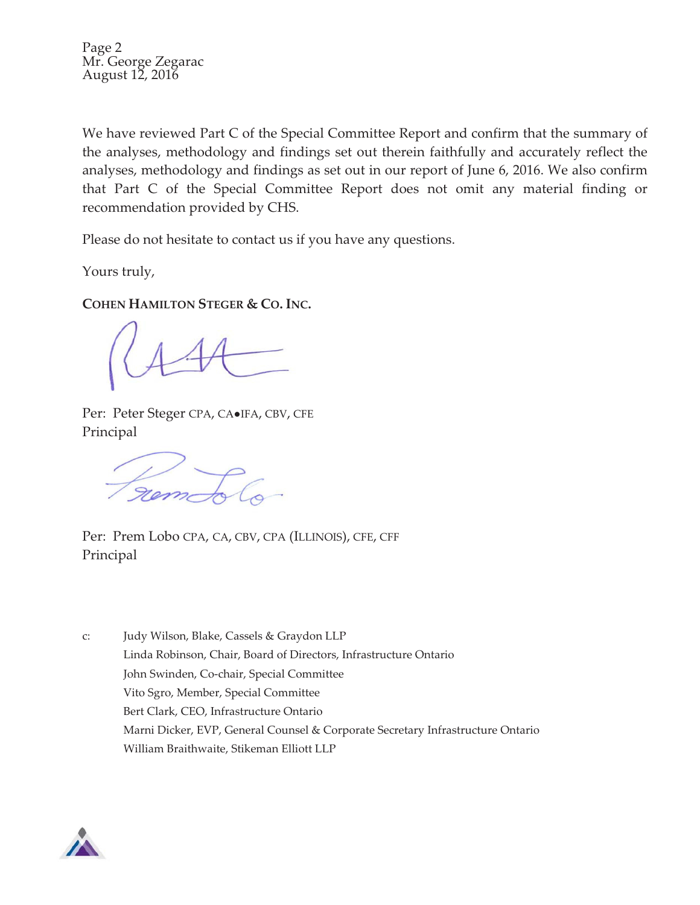Page 2 Mr. George Zegarac August 12, 2016

We have reviewed Part C of the Special Committee Report and confirm that the summary of the analyses, methodology and findings set out therein faithfully and accurately reflect the analyses, methodology and findings as set out in our report of June 6, 2016. We also confirm that Part C of the Special Committee Report does not omit any material finding or recommendation provided by CHS.

Please do not hesitate to contact us if you have any questions.

Yours truly,

**COHEN HAMILTON STEGER & CO. INC.**

Per: Peter Steger CPA, CA.IFA, CBV, CFE Principal

Frem Fol

Per: Prem Lobo CPA, CA, CBV, CPA (ILLINOIS), CFE, CFF Principal

c: Judy Wilson, Blake, Cassels & Graydon LLP Linda Robinson, Chair, Board of Directors, Infrastructure Ontario John Swinden, Co-chair, Special Committee Vito Sgro, Member, Special Committee Bert Clark, CEO, Infrastructure Ontario Marni Dicker, EVP, General Counsel & Corporate Secretary Infrastructure Ontario William Braithwaite, Stikeman Elliott LLP

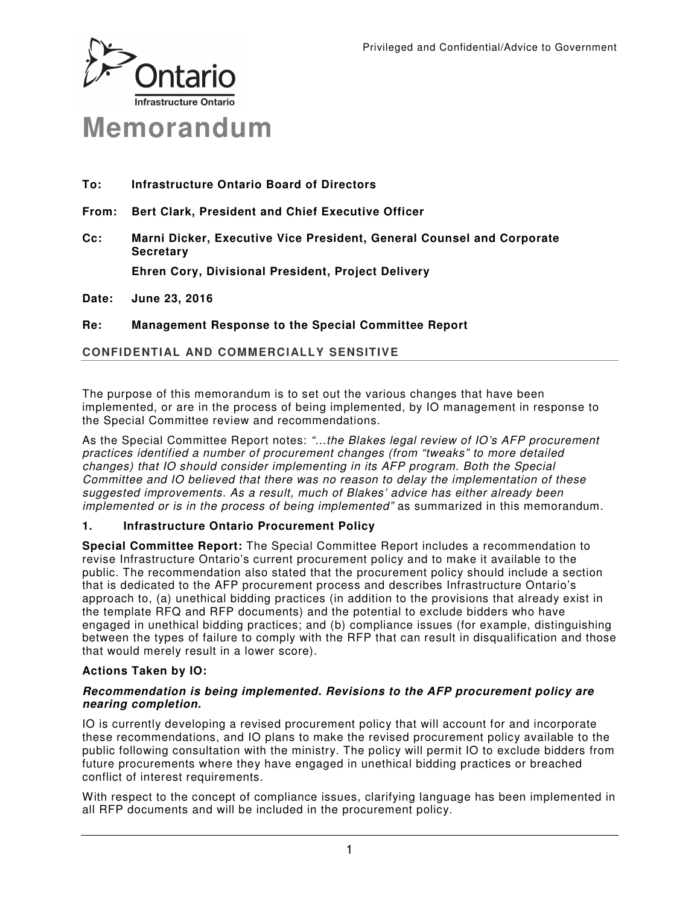

- **To: Infrastructure Ontario Board of Directors**
- **From: Bert Clark, President and Chief Executive Officer**
- **Cc: Marni Dicker, Executive Vice President, General Counsel and Corporate Secretary**

**Ehren Cory, Divisional President, Project Delivery** 

**Date: June 23, 2016** 

**Re: Management Response to the Special Committee Report** 

## **CONFIDENTIAL AND COMMERCIALLY SENSITIVE**

The purpose of this memorandum is to set out the various changes that have been implemented, or are in the process of being implemented, by IO management in response to the Special Committee review and recommendations.

As the Special Committee Report notes: "...the Blakes legal review of IO's AFP procurement practices identified a number of procurement changes (from "tweaks" to more detailed changes) that IO should consider implementing in its AFP program. Both the Special Committee and IO believed that there was no reason to delay the implementation of these suggested improvements. As a result, much of Blakes' advice has either already been implemented or is in the process of being implemented" as summarized in this memorandum.

#### **1. Infrastructure Ontario Procurement Policy**

**Special Committee Report:** The Special Committee Report includes a recommendation to revise Infrastructure Ontario's current procurement policy and to make it available to the public. The recommendation also stated that the procurement policy should include a section that is dedicated to the AFP procurement process and describes Infrastructure Ontario's approach to, (a) unethical bidding practices (in addition to the provisions that already exist in the template RFQ and RFP documents) and the potential to exclude bidders who have engaged in unethical bidding practices; and (b) compliance issues (for example, distinguishing between the types of failure to comply with the RFP that can result in disqualification and those that would merely result in a lower score).

#### **Actions Taken by IO:**

#### **Recommendation is being implemented. Revisions to the AFP procurement policy are nearing completion.**

IO is currently developing a revised procurement policy that will account for and incorporate these recommendations, and IO plans to make the revised procurement policy available to the public following consultation with the ministry. The policy will permit IO to exclude bidders from future procurements where they have engaged in unethical bidding practices or breached conflict of interest requirements.

With respect to the concept of compliance issues, clarifying language has been implemented in all RFP documents and will be included in the procurement policy.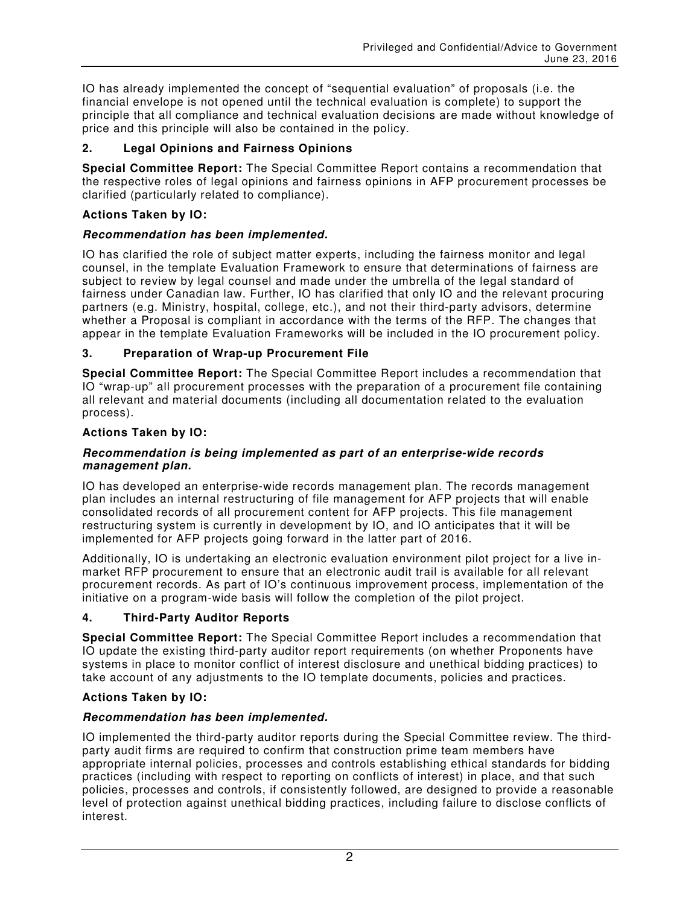IO has already implemented the concept of "sequential evaluation" of proposals (i.e. the financial envelope is not opened until the technical evaluation is complete) to support the principle that all compliance and technical evaluation decisions are made without knowledge of price and this principle will also be contained in the policy.

## **2. Legal Opinions and Fairness Opinions**

**Special Committee Report:** The Special Committee Report contains a recommendation that the respective roles of legal opinions and fairness opinions in AFP procurement processes be clarified (particularly related to compliance).

## **Actions Taken by IO:**

## **Recommendation has been implemented.**

IO has clarified the role of subject matter experts, including the fairness monitor and legal counsel, in the template Evaluation Framework to ensure that determinations of fairness are subject to review by legal counsel and made under the umbrella of the legal standard of fairness under Canadian law. Further, IO has clarified that only IO and the relevant procuring partners (e.g. Ministry, hospital, college, etc.), and not their third-party advisors, determine whether a Proposal is compliant in accordance with the terms of the RFP. The changes that appear in the template Evaluation Frameworks will be included in the IO procurement policy.

## **3. Preparation of Wrap-up Procurement File**

**Special Committee Report:** The Special Committee Report includes a recommendation that IO "wrap-up" all procurement processes with the preparation of a procurement file containing all relevant and material documents (including all documentation related to the evaluation process).

#### **Actions Taken by IO:**

#### **Recommendation is being implemented as part of an enterprise-wide records management plan.**

IO has developed an enterprise-wide records management plan. The records management plan includes an internal restructuring of file management for AFP projects that will enable consolidated records of all procurement content for AFP projects. This file management restructuring system is currently in development by IO, and IO anticipates that it will be implemented for AFP projects going forward in the latter part of 2016.

Additionally, IO is undertaking an electronic evaluation environment pilot project for a live inmarket RFP procurement to ensure that an electronic audit trail is available for all relevant procurement records. As part of IO's continuous improvement process, implementation of the initiative on a program-wide basis will follow the completion of the pilot project.

## **4. Third-Party Auditor Reports**

**Special Committee Report:** The Special Committee Report includes a recommendation that IO update the existing third-party auditor report requirements (on whether Proponents have systems in place to monitor conflict of interest disclosure and unethical bidding practices) to take account of any adjustments to the IO template documents, policies and practices.

## **Actions Taken by IO:**

## **Recommendation has been implemented.**

IO implemented the third-party auditor reports during the Special Committee review. The thirdparty audit firms are required to confirm that construction prime team members have appropriate internal policies, processes and controls establishing ethical standards for bidding practices (including with respect to reporting on conflicts of interest) in place, and that such policies, processes and controls, if consistently followed, are designed to provide a reasonable level of protection against unethical bidding practices, including failure to disclose conflicts of interest.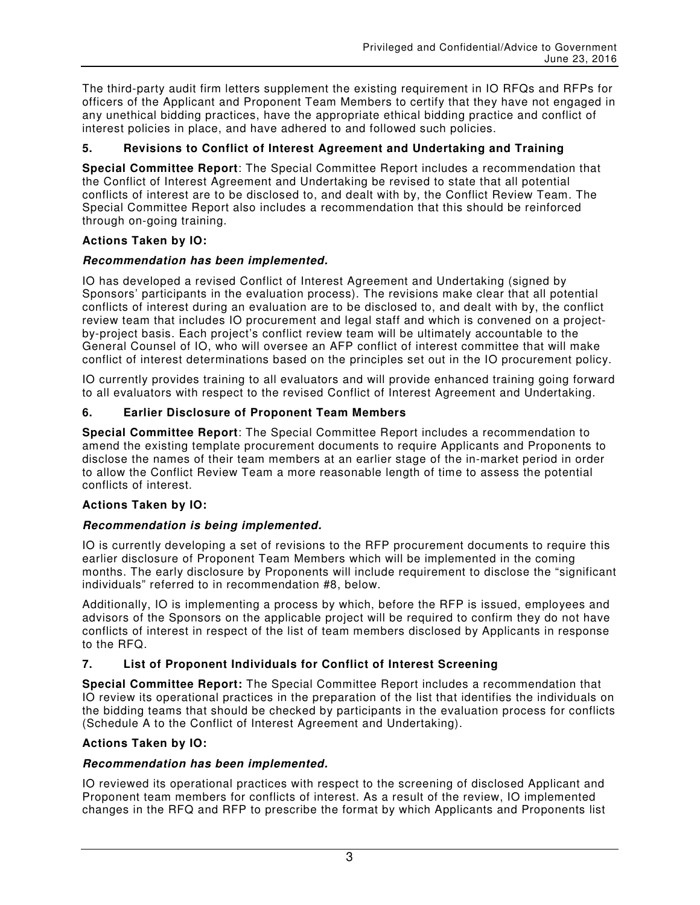The third-party audit firm letters supplement the existing requirement in IO RFQs and RFPs for officers of the Applicant and Proponent Team Members to certify that they have not engaged in any unethical bidding practices, have the appropriate ethical bidding practice and conflict of interest policies in place, and have adhered to and followed such policies.

## **5. Revisions to Conflict of Interest Agreement and Undertaking and Training**

**Special Committee Report**: The Special Committee Report includes a recommendation that the Conflict of Interest Agreement and Undertaking be revised to state that all potential conflicts of interest are to be disclosed to, and dealt with by, the Conflict Review Team. The Special Committee Report also includes a recommendation that this should be reinforced through on-going training.

#### **Actions Taken by IO:**

## **Recommendation has been implemented.**

IO has developed a revised Conflict of Interest Agreement and Undertaking (signed by Sponsors' participants in the evaluation process). The revisions make clear that all potential conflicts of interest during an evaluation are to be disclosed to, and dealt with by, the conflict review team that includes IO procurement and legal staff and which is convened on a projectby-project basis. Each project's conflict review team will be ultimately accountable to the General Counsel of IO, who will oversee an AFP conflict of interest committee that will make conflict of interest determinations based on the principles set out in the IO procurement policy.

IO currently provides training to all evaluators and will provide enhanced training going forward to all evaluators with respect to the revised Conflict of Interest Agreement and Undertaking.

#### **6. Earlier Disclosure of Proponent Team Members**

**Special Committee Report**: The Special Committee Report includes a recommendation to amend the existing template procurement documents to require Applicants and Proponents to disclose the names of their team members at an earlier stage of the in-market period in order to allow the Conflict Review Team a more reasonable length of time to assess the potential conflicts of interest.

## **Actions Taken by IO:**

## **Recommendation is being implemented.**

IO is currently developing a set of revisions to the RFP procurement documents to require this earlier disclosure of Proponent Team Members which will be implemented in the coming months. The early disclosure by Proponents will include requirement to disclose the "significant individuals" referred to in recommendation #8, below.

Additionally, IO is implementing a process by which, before the RFP is issued, employees and advisors of the Sponsors on the applicable project will be required to confirm they do not have conflicts of interest in respect of the list of team members disclosed by Applicants in response to the RFQ.

#### **7. List of Proponent Individuals for Conflict of Interest Screening**

**Special Committee Report:** The Special Committee Report includes a recommendation that IO review its operational practices in the preparation of the list that identifies the individuals on the bidding teams that should be checked by participants in the evaluation process for conflicts (Schedule A to the Conflict of Interest Agreement and Undertaking).

#### **Actions Taken by IO:**

#### **Recommendation has been implemented.**

IO reviewed its operational practices with respect to the screening of disclosed Applicant and Proponent team members for conflicts of interest. As a result of the review, IO implemented changes in the RFQ and RFP to prescribe the format by which Applicants and Proponents list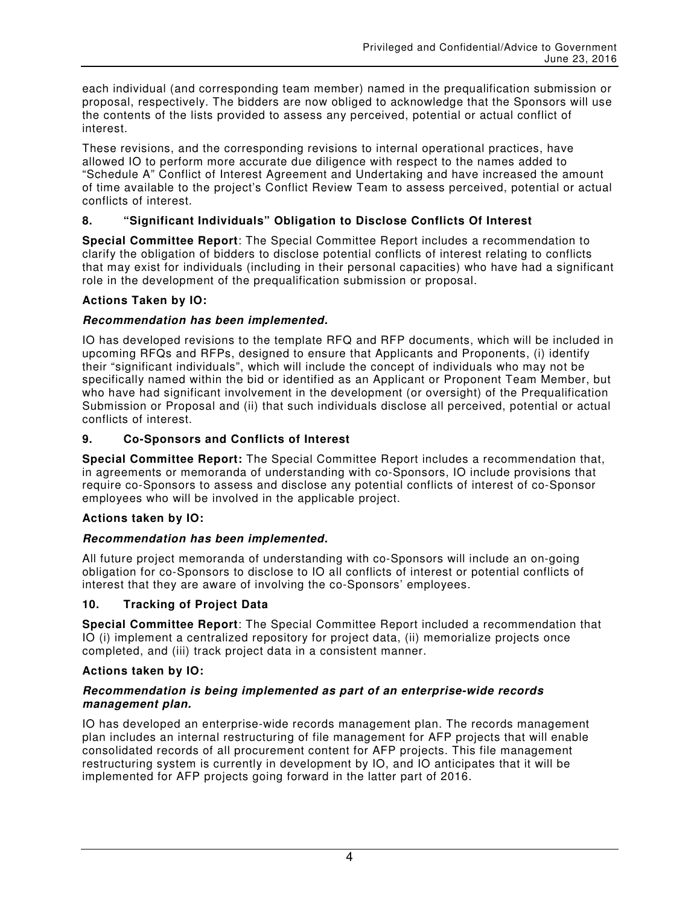each individual (and corresponding team member) named in the prequalification submission or proposal, respectively. The bidders are now obliged to acknowledge that the Sponsors will use the contents of the lists provided to assess any perceived, potential or actual conflict of interest.

These revisions, and the corresponding revisions to internal operational practices, have allowed IO to perform more accurate due diligence with respect to the names added to "Schedule A" Conflict of Interest Agreement and Undertaking and have increased the amount of time available to the project's Conflict Review Team to assess perceived, potential or actual conflicts of interest.

## **8. "Significant Individuals" Obligation to Disclose Conflicts Of Interest**

**Special Committee Report**: The Special Committee Report includes a recommendation to clarify the obligation of bidders to disclose potential conflicts of interest relating to conflicts that may exist for individuals (including in their personal capacities) who have had a significant role in the development of the prequalification submission or proposal.

#### **Actions Taken by IO:**

#### **Recommendation has been implemented.**

IO has developed revisions to the template RFQ and RFP documents, which will be included in upcoming RFQs and RFPs, designed to ensure that Applicants and Proponents, (i) identify their "significant individuals", which will include the concept of individuals who may not be specifically named within the bid or identified as an Applicant or Proponent Team Member, but who have had significant involvement in the development (or oversight) of the Prequalification Submission or Proposal and (ii) that such individuals disclose all perceived, potential or actual conflicts of interest.

#### **9. Co-Sponsors and Conflicts of Interest**

**Special Committee Report:** The Special Committee Report includes a recommendation that, in agreements or memoranda of understanding with co-Sponsors, IO include provisions that require co-Sponsors to assess and disclose any potential conflicts of interest of co-Sponsor employees who will be involved in the applicable project.

## **Actions taken by IO:**

#### **Recommendation has been implemented.**

All future project memoranda of understanding with co-Sponsors will include an on-going obligation for co-Sponsors to disclose to IO all conflicts of interest or potential conflicts of interest that they are aware of involving the co-Sponsors' employees.

#### **10. Tracking of Project Data**

**Special Committee Report**: The Special Committee Report included a recommendation that IO (i) implement a centralized repository for project data, (ii) memorialize projects once completed, and (iii) track project data in a consistent manner.

#### **Actions taken by IO:**

#### **Recommendation is being implemented as part of an enterprise-wide records management plan.**

IO has developed an enterprise-wide records management plan. The records management plan includes an internal restructuring of file management for AFP projects that will enable consolidated records of all procurement content for AFP projects. This file management restructuring system is currently in development by IO, and IO anticipates that it will be implemented for AFP projects going forward in the latter part of 2016.